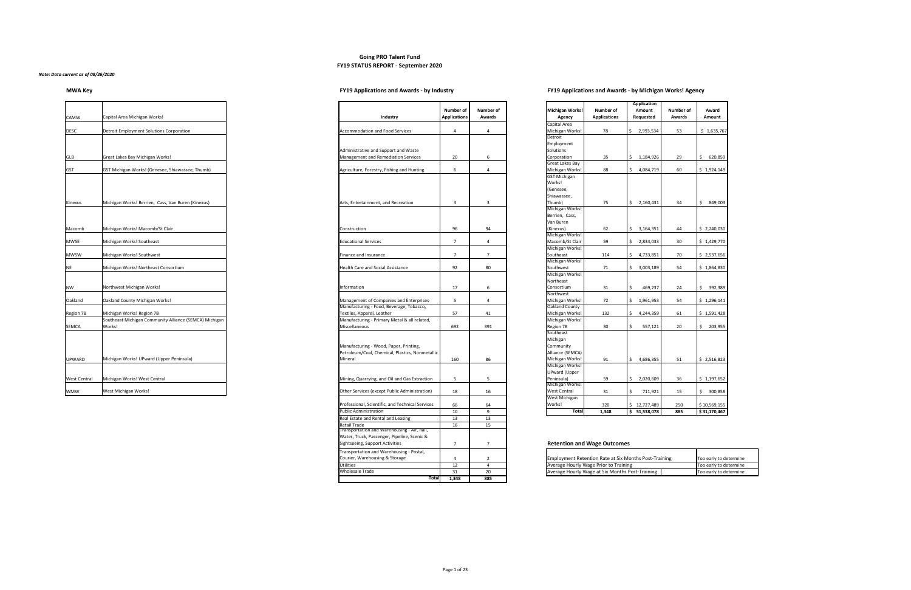# **Going PRO Talent Fund FY19 STATUS REPORT - September 2020**

### *Note: Data current as of 08/26/2020*

# **MWA Key FY19 Applications and Awards - by Industry FY19 Applications and Awards - by Michigan Works! Agency**

| <b>CAMW</b>         | Capital Area Michigan Works!                                     | Industry                                                                                  | <b>Number of</b><br><b>Applications</b> | <b>Numb</b><br>Awar |
|---------------------|------------------------------------------------------------------|-------------------------------------------------------------------------------------------|-----------------------------------------|---------------------|
| <b>DESC</b>         | Detroit Employment Solutions Corporation                         | <b>Accommodation and Food Services</b>                                                    | 4                                       | 4                   |
|                     |                                                                  | Administrative and Support and Waste                                                      |                                         |                     |
| <b>GLB</b>          | Great Lakes Bay Michigan Works!                                  | Management and Remediation Services                                                       | 20                                      | 6                   |
| <b>GST</b>          | GST Michigan Works! (Genesee, Shiawassee, Thumb)                 | Agriculture, Forestry, Fishing and Hunting                                                | 6                                       | 4                   |
|                     |                                                                  |                                                                                           |                                         |                     |
| Kinexus             | Michigan Works! Berrien, Cass, Van Buren (Kinexus)               | Arts, Entertainment, and Recreation                                                       | 3                                       | 3                   |
| Macomb              | Michigan Works! Macomb/St Clair                                  | Construction                                                                              | 96                                      | 94                  |
| <b>MWSE</b>         | Michigan Works! Southeast                                        | <b>Educational Services</b>                                                               | $\overline{7}$                          | 4                   |
| <b>MWSW</b>         | Michigan Works! Southwest                                        | Finance and Insurance                                                                     | 7                                       | $\overline{7}$      |
| <b>NE</b>           | Michigan Works! Northeast Consortium                             | <b>Health Care and Social Assistance</b>                                                  | 92                                      | 80                  |
| <b>NW</b>           | Northwest Michigan Works!                                        | Information                                                                               | 17                                      | 6                   |
| Oakland             | Oakland County Michigan Works!                                   | Management of Companies and Enterprises                                                   | 5                                       | 4                   |
| Region 7B           | Michigan Works! Region 7B                                        | Manufacturing - Food, Beverage, Tobacco,<br>Textiles, Apparel, Leather                    | 57                                      | 41                  |
| <b>SEMCA</b>        | Southeast Michigan Community Alliance (SEMCA) Michigan<br>Works! | Manufacturing - Primary Metal & all related,<br>Miscellaneous                             | 692                                     | 39 <sup>2</sup>     |
|                     |                                                                  | Manufacturing - Wood, Paper, Printing,<br>Petroleum/Coal, Chemical, Plastics, Nonmetallic |                                         |                     |
| <b>UPWARD</b>       | Michigan Works! UPward (Upper Peninsula)                         | Mineral                                                                                   | 160                                     | 86                  |
| <b>West Central</b> | Michigan Works! West Central                                     | Mining, Quarrying, and Oil and Gas Extraction                                             | 5                                       | 5                   |
| <b>WMW</b>          | West Michigan Works!                                             | Other Services (except Public Administration)                                             | 18                                      | 16                  |

|                        |                     |                                     | <b>Application</b> |                  |                 |
|------------------------|---------------------|-------------------------------------|--------------------|------------------|-----------------|
| <b>Michigan Works!</b> | <b>Number of</b>    |                                     | <b>Amount</b>      | <b>Number of</b> | Award           |
| <b>Agency</b>          | <b>Applications</b> |                                     | <b>Requested</b>   | <b>Awards</b>    | <b>Amount</b>   |
| Capital Area           |                     |                                     |                    |                  |                 |
| Michigan Works!        | 78                  | \$                                  | 2,993,534          | 53               | \$<br>1,635,767 |
| Detroit                |                     |                                     |                    |                  |                 |
| Employment             |                     |                                     |                    |                  |                 |
| Solutions              |                     |                                     |                    |                  |                 |
| Corporation            | 35                  | \$                                  | 1,184,926          | 29               | \$<br>620,859   |
| Great Lakes Bay        |                     |                                     |                    |                  |                 |
| Michigan Works!        | 88                  | \$                                  | 4,084,719          | 60               | \$<br>1,924,149 |
| <b>GST Michigan</b>    |                     |                                     |                    |                  |                 |
| Works!                 |                     |                                     |                    |                  |                 |
| (Genesee,              |                     |                                     |                    |                  |                 |
| Shiawassee,            |                     |                                     |                    |                  |                 |
| Thumb)                 | 75                  | \$                                  | 2,160,431          | 34               | \$<br>849,003   |
| Michigan Works!        |                     |                                     |                    |                  |                 |
| Berrien, Cass,         |                     |                                     |                    |                  |                 |
| Van Buren              |                     |                                     |                    |                  |                 |
| (Kinexus)              | 62                  | \$                                  | 3,164,351          | 44               | \$<br>2,240,030 |
| Michigan Works!        |                     |                                     |                    |                  |                 |
| Macomb/St Clair        | 59                  | \$                                  | 2,834,033          | 30               | \$<br>1,429,770 |
| Michigan Works!        |                     |                                     |                    |                  |                 |
| Southeast              | 114                 | \$                                  | 4,733,851          | 70               | \$<br>2,537,656 |
| Michigan Works!        |                     |                                     |                    |                  |                 |
| Southwest              | 71                  | \$                                  | 3,003,189          | 54               | \$<br>1,864,830 |
| Michigan Works!        |                     |                                     |                    |                  |                 |
| Northeast              |                     |                                     |                    |                  |                 |
| Consortium             | 31                  | \$                                  | 469,237            | 24               | \$<br>392,389   |
| Northwest              |                     |                                     |                    |                  |                 |
| Michigan Works!        | 72                  | \$                                  | 1,961,953          | 54               | \$<br>1,296,141 |
| Oakland County         |                     |                                     |                    |                  |                 |
| Michigan Works!        | 132                 | \$                                  | 4,244,359          | 61               | \$1,591,428     |
| Michigan Works!        |                     |                                     |                    |                  |                 |
| Region 7B              | 30                  | \$                                  | 557,121            | 20               | \$<br>203,955   |
| Southeast              |                     |                                     |                    |                  |                 |
| Michigan               |                     |                                     |                    |                  |                 |
| Community              |                     |                                     |                    |                  |                 |
| Alliance (SEMCA)       |                     |                                     |                    |                  |                 |
| Michigan Works!        | 91                  | \$                                  | 4,686,355          | 51               | \$<br>2,516,823 |
| Michigan Works!        |                     |                                     |                    |                  |                 |
| <b>UPward (Upper</b>   |                     |                                     |                    |                  |                 |
| Peninsula)             | 59                  | \$                                  | 2,020,609          | 36               | \$1,197,652     |
| Michigan Works!        |                     |                                     |                    |                  |                 |
| West Central           | 31                  | \$                                  | 711,921            | 15               | \$<br>300,858   |
| West Michigan          |                     |                                     |                    |                  |                 |
| Works!                 | 320                 | \$                                  | 12,727,489         | 250              | \$10,569,155    |
| <b>Total</b>           | 1,348               | $\overline{\boldsymbol{\varsigma}}$ | 51,538,078         | 885              | \$31,170,467    |

## **Retention and Wage Outcomes**

|                                                  | <b>Number of</b>    | <b>Number of</b> | <b>Michigan Works!</b>             | <b>Number of</b>                                             | Application<br>Amount | <b>Number of</b> | Award          |
|--------------------------------------------------|---------------------|------------------|------------------------------------|--------------------------------------------------------------|-----------------------|------------------|----------------|
| Industry                                         | <b>Applications</b> | <b>Awards</b>    | <b>Agency</b>                      | <b>Applications</b>                                          | Requested             | <b>Awards</b>    | Amount         |
|                                                  |                     |                  | Capital Area                       |                                                              |                       |                  |                |
| <b>Accommodation and Food Services</b>           | 4                   | 4                | Michigan Works!                    | 78                                                           | \$<br>2,993,534       | 53               | \$1,635,76     |
|                                                  |                     |                  | Detroit                            |                                                              |                       |                  |                |
|                                                  |                     |                  | Employment                         |                                                              |                       |                  |                |
| Administrative and Support and Waste             |                     |                  | Solutions                          |                                                              |                       |                  |                |
| Management and Remediation Services              | 20                  | 6                | Corporation                        | 35                                                           | \$<br>1,184,926       | 29               | 620,859<br>\$  |
|                                                  |                     |                  | Great Lakes Bay                    |                                                              |                       |                  |                |
| Agriculture, Forestry, Fishing and Hunting       | 6                   | 4                | Michigan Works!                    | 88                                                           | \$<br>4,084,719       | 60               | \$1,924,149    |
|                                                  |                     |                  | <b>GST Michigan</b>                |                                                              |                       |                  |                |
|                                                  |                     |                  | Works!                             |                                                              |                       |                  |                |
|                                                  |                     |                  | (Genesee,                          |                                                              |                       |                  |                |
|                                                  |                     |                  | Shiawassee,                        |                                                              |                       |                  |                |
| Arts, Entertainment, and Recreation              | 3                   | 3                | Thumb)                             | 75                                                           | \$<br>2,160,431       | 34               | 849,003<br>\$  |
|                                                  |                     |                  | Michigan Works!                    |                                                              |                       |                  |                |
|                                                  |                     |                  | Berrien, Cass,                     |                                                              |                       |                  |                |
|                                                  |                     |                  | Van Buren                          |                                                              |                       |                  |                |
| Construction                                     | 96                  | 94               | (Kinexus)                          | 62                                                           | \$<br>3,164,351       | 44               | \$2,240,030    |
|                                                  |                     |                  | Michigan Works!                    |                                                              |                       |                  |                |
| <b>Educational Services</b>                      | $\overline{7}$      | 4                | Macomb/St Clair                    | 59                                                           | \$<br>2,834,033       | 30               | \$1,429,770    |
|                                                  |                     |                  | Michigan Works!                    |                                                              |                       |                  |                |
| Finance and Insurance                            | $\overline{7}$      | 7                | Southeast                          | 114                                                          | \$<br>4,733,851       | 70               | \$2,537,656    |
|                                                  |                     |                  | Michigan Works!                    |                                                              |                       |                  |                |
| <b>Health Care and Social Assistance</b>         | 92                  | 80               | Southwest                          | 71                                                           | \$<br>3,003,189       | 54               | \$1,864,830    |
|                                                  |                     |                  | Michigan Works!                    |                                                              |                       |                  |                |
|                                                  |                     |                  | Northeast                          |                                                              |                       |                  |                |
| Information                                      | 17                  | 6                | Consortium                         | 31                                                           | \$<br>469,237         | 24               | 392,389<br>\$  |
|                                                  |                     |                  | Northwest                          |                                                              |                       |                  |                |
| Management of Companies and Enterprises          | 5                   | 4                | Michigan Works!                    | 72                                                           | \$<br>1,961,953       | 54               | \$1,296,141    |
| Manufacturing - Food, Beverage, Tobacco,         |                     |                  | Oakland County                     |                                                              |                       |                  |                |
| Textiles, Apparel, Leather                       | 57                  | 41               | Michigan Works!                    | 132                                                          | \$<br>4,244,359       | 61               | \$1,591,428    |
| Manufacturing - Primary Metal & all related,     |                     |                  | Michigan Works!                    |                                                              |                       |                  |                |
| Miscellaneous                                    | 692                 | 391              | Region 7B                          | 30                                                           | \$<br>557,121         | 20               | 203,955<br>\$  |
|                                                  |                     |                  | Southeast                          |                                                              |                       |                  |                |
|                                                  |                     |                  | Michigan                           |                                                              |                       |                  |                |
| Manufacturing - Wood, Paper, Printing,           |                     |                  | Community                          |                                                              |                       |                  |                |
| Petroleum/Coal, Chemical, Plastics, Nonmetallic  |                     |                  | Alliance (SEMCA)                   |                                                              |                       |                  |                |
| Mineral                                          | 160                 | 86               | Michigan Works!<br>Michigan Works! | 91                                                           | \$<br>4,686,355       | 51               | \$2,516,823    |
|                                                  |                     |                  | <b>UPward (Upper</b>               |                                                              |                       |                  |                |
|                                                  |                     |                  |                                    |                                                              |                       |                  |                |
| Mining, Quarrying, and Oil and Gas Extraction    | 5                   | 5                | Peninsula)<br>Michigan Works!      | 59                                                           | \$<br>2,020,609       | 36               | \$1,197,652    |
| Other Services (except Public Administration)    | 18                  | 16               | <b>West Central</b>                | 31                                                           | \$<br>711,921         | 15               | 300,858<br>\$  |
|                                                  |                     |                  | West Michigan                      |                                                              |                       |                  |                |
| Professional, Scientific, and Technical Services | 66                  | 64               | Works!                             | 320                                                          | \$12,727,489          | 250              | \$10,569,155   |
| <b>Public Administration</b>                     | 10                  | 9                | <b>Total</b>                       | 1,348                                                        | \$ 51,538,078         | 885              | \$31,170,467   |
| Real Estate and Rental and Leasing               | 13                  | 13               |                                    |                                                              |                       |                  |                |
| <b>Retail Trade</b>                              | 16                  | 15               |                                    |                                                              |                       |                  |                |
| Transportation and Warehousing - Air, Rail,      |                     |                  |                                    |                                                              |                       |                  |                |
| Water, Truck, Passenger, Pipeline, Scenic &      |                     |                  |                                    |                                                              |                       |                  |                |
| Sightseeing, Support Activities                  | $\overline{7}$      | $\overline{7}$   |                                    | <b>Retention and Wage Outcomes</b>                           |                       |                  |                |
|                                                  |                     |                  |                                    |                                                              |                       |                  |                |
| Transportation and Warehousing - Postal,         |                     |                  |                                    |                                                              |                       |                  |                |
| Courier, Warehousing & Storage                   | 4                   | $\overline{2}$   |                                    | <b>Employment Retention Rate at Six Months Post-Training</b> |                       |                  | Too early to c |
| <b>Utilities</b>                                 | 12                  | 4                |                                    | Average Hourly Wage Prior to Training                        |                       |                  | Too early to c |
| <b>Wholesale Trade</b>                           | 31                  | 20               |                                    | Average Hourly Wage at Six Months Post-Training              |                       |                  | Too early to c |
| <b>Total</b>                                     | 1,348               | 885              |                                    |                                                              |                       |                  |                |

| Transportation and Warehousing - Postal, |    |    |                                                              |                        |
|------------------------------------------|----|----|--------------------------------------------------------------|------------------------|
| Courier, Warehousing & Storage           |    |    | <b>Employment Retention Rate at Six Months Post-Training</b> | Too early to determine |
| <b>Utilities</b>                         | -- |    | Average Hourly Wage Prior to Training                        | Too early to determine |
| Wholesale Trade                          | ັ  | 20 | Average Hourly Wage at Six Months Post-Training              | Too early to determine |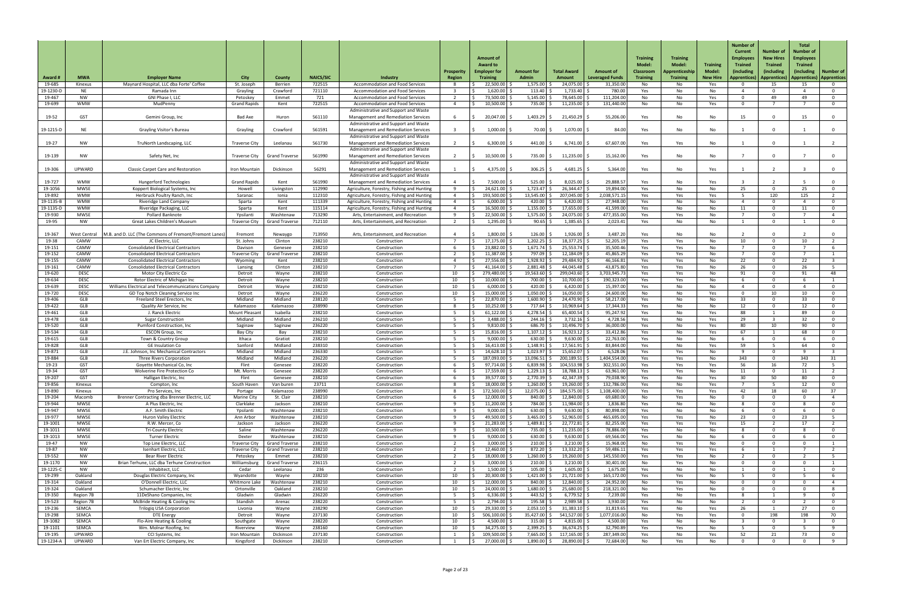| Award #             | <b>MWA</b>               | <b>Employer Name</b>                                                                     | <b>City</b>                | <b>County</b>                  | <b>NAICS/SIC</b> | Industry                                                                           | <b>Prosperit</b><br><b>Region</b> | <b>Amount of</b><br><b>Award to</b><br><b>Employer for</b><br><b>Training</b> | <b>Amount for</b><br><b>Admin</b> | <b>Total Award</b><br><b>Amount</b> | <b>Amount of</b><br><b>Leveraged Funds</b> | <b>Training</b><br>Model:<br><b>Classroom</b><br><b>Training</b> | <b>Training</b><br><b>Model:</b><br>Apprenticeship<br><b>Training</b> | <b>Training</b><br><b>Model:</b><br><b>New Hire</b> | <b>Number of</b><br><b>Current</b><br><b>Employees</b><br><b>Trained</b><br>(including<br>Apprentices) | Number of<br><b>New Hires</b><br><b>Trained</b><br>(including<br>Apprentices)   Apprentices)   Apprentices | <b>Total</b><br>Number of<br><b>Employees</b><br><b>Trained</b><br>(including) | <b>Number of</b>                 |
|---------------------|--------------------------|------------------------------------------------------------------------------------------|----------------------------|--------------------------------|------------------|------------------------------------------------------------------------------------|-----------------------------------|-------------------------------------------------------------------------------|-----------------------------------|-------------------------------------|--------------------------------------------|------------------------------------------------------------------|-----------------------------------------------------------------------|-----------------------------------------------------|--------------------------------------------------------------------------------------------------------|------------------------------------------------------------------------------------------------------------|--------------------------------------------------------------------------------|----------------------------------|
| 19-685              | Kinexus                  | Maynard Hospital, LLC dba Forte' Coffee                                                  | St. Joseph                 | Berrien                        | 722515           | <b>Accommodation and Food Services</b>                                             |                                   | 22,500.00                                                                     | 1,575.00                          | 24,075.00                           | 31,350.00                                  | No                                                               | No                                                                    | Yes                                                 |                                                                                                        | 15                                                                                                         | 15                                                                             | $\mathbf{0}$                     |
| 19-1230-D           | <b>NE</b>                | Ramada Inn                                                                               | Grayling                   | Crawford                       | 721110           | <b>Accommodation and Food Services</b>                                             |                                   | 1,620.00                                                                      | 113.40                            | 1,733.40                            | 780.00                                     | Yes                                                              | No                                                                    | No                                                  | $\Lambda$                                                                                              | $\Omega$                                                                                                   |                                                                                | $\Omega$                         |
| 19-467              | <b>NW</b>                | GNI Phase I, LLC                                                                         | Petoskey                   | Emmet                          | 721              | <b>Accommodation and Food Services</b>                                             |                                   | 73,500.00                                                                     | 5,145.00                          | 78,645.00                           | 111,204.00                                 | No                                                               | No                                                                    | Yes                                                 |                                                                                                        | 49                                                                                                         | 49                                                                             | $\mathbf 0$                      |
| 19-699              | <b>WMW</b>               | MudPenny                                                                                 | <b>Grand Rapids</b>        | Kent                           | 722515           | <b>Accommodation and Food Services</b>                                             |                                   | 10,500.00                                                                     | 735.00                            | 11,235.00                           | 131,440.00                                 | No                                                               | No                                                                    | Yes                                                 | $\Omega$                                                                                               |                                                                                                            |                                                                                | $\overline{0}$                   |
| 19-52               | GST                      | Gemini Group, Inc                                                                        | Bad Axe                    | Huron                          | 561110           | Administrative and Support and Waste<br>Management and Remediation Services        |                                   | $20,047.00$ \$                                                                | $1,403.29$ \$                     | 21,450.29                           | 55,206.00                                  | Yes                                                              | No                                                                    | No                                                  | 15                                                                                                     | $\Omega$                                                                                                   | 15                                                                             | $\mathbf{0}$                     |
|                     |                          |                                                                                          |                            |                                |                  | Administrative and Support and Waste                                               |                                   |                                                                               |                                   |                                     |                                            |                                                                  |                                                                       |                                                     |                                                                                                        |                                                                                                            |                                                                                |                                  |
| 19-1215-D           | <b>NE</b>                | <b>Grayling Visitor's Bureau</b>                                                         | Grayling                   | Crawford                       | 561591           | <b>Management and Remediation Services</b>                                         |                                   | $1,000.00$ \$                                                                 | 70.00                             | 1,070.00                            | 84.00                                      | Yes                                                              | No                                                                    | No                                                  |                                                                                                        | $\Omega$                                                                                                   |                                                                                | $\overline{0}$                   |
|                     |                          |                                                                                          |                            |                                |                  | Administrative and Support and Waste                                               |                                   |                                                                               |                                   |                                     |                                            |                                                                  |                                                                       |                                                     |                                                                                                        |                                                                                                            |                                                                                |                                  |
| 19-27               | <b>NW</b>                | TruNorth Landscaping, LLC                                                                | <b>Traverse City</b>       | Leelanau                       | 561730           | <b>Management and Remediation Services</b>                                         |                                   | 6,300.00                                                                      | $441.00$ \$                       | 6,741.00                            | 67,607.00                                  | Yes                                                              | Yes                                                                   | No                                                  |                                                                                                        | $\Omega$                                                                                                   |                                                                                |                                  |
|                     |                          |                                                                                          |                            |                                |                  | Administrative and Support and Waste                                               |                                   |                                                                               |                                   |                                     |                                            |                                                                  |                                                                       |                                                     |                                                                                                        |                                                                                                            |                                                                                |                                  |
| 19-139              | <b>NW</b>                | Safety Net, Inc                                                                          | <b>Traverse City</b>       | <b>Grand Traverse</b>          | 561990           | <b>Management and Remediation Services</b><br>Administrative and Support and Waste |                                   | 10,500.00                                                                     | 735.00 \$                         | 11,235.00                           | 15,162.00                                  | Yes                                                              | No                                                                    | No                                                  |                                                                                                        | $\Omega$                                                                                                   |                                                                                | $\overline{0}$                   |
| 19-306              | <b>UPWARD</b>            | <b>Classic Carpet Care and Restoration</b>                                               | Iron Mountain              | Dickinson                      | 56291            | Management and Remediation Services                                                |                                   | 4,375.00 \$                                                                   | 306.25                            | 4,681.25                            | 5,364.00                                   | Yes                                                              | No                                                                    | Yes                                                 |                                                                                                        |                                                                                                            |                                                                                | $\mathbf 0$                      |
|                     |                          |                                                                                          |                            |                                |                  | Administrative and Support and Waste                                               |                                   |                                                                               |                                   |                                     |                                            |                                                                  |                                                                       |                                                     |                                                                                                        |                                                                                                            |                                                                                |                                  |
| 19-727              | <b>WMW</b>               | <b>Hungerford Technologies</b>                                                           | <b>Grand Rapids</b>        | Kent                           | 561990           | <b>Management and Remediation Services</b>                                         |                                   | $7,500.00$ \$                                                                 | 525.00                            | 8,025.00                            | 29,888.57                                  | Yes                                                              | No                                                                    | Yes                                                 |                                                                                                        |                                                                                                            |                                                                                | 0                                |
| 19-1056             | <b>MWSE</b>              | Koppert Biological Systems, Inc                                                          | Howell                     | Livingston                     | 112990           | Agriculture, Forestry, Fishing and Hunting                                         |                                   | 24,621.00                                                                     | 1,723.47                          | 26,344.47                           | 19,894.00                                  | Yes                                                              | No                                                                    | No                                                  | 25                                                                                                     | $\Omega$                                                                                                   | 25                                                                             | $\mathbf{0}$                     |
| 19-892              | <b>WMW</b>               | Herbruck Poultry Ranch, Inc.                                                             | Saranac                    | Ionia                          | 112310           | Agriculture, Forestry, Fishing and Hunting                                         |                                   | 193,500.00                                                                    | 13,545.00                         | 207,045.00                          | 2,038,571.15                               | Yes                                                              | Yes                                                                   | Yes                                                 |                                                                                                        | 120                                                                                                        | 125                                                                            |                                  |
| 19-1135-B           | <b>WMW</b><br><b>WMW</b> | <b>Riveridge Land Company</b>                                                            | Sparta                     | Kent<br>Kent                   | 111339<br>115114 | Agriculture, Forestry, Fishing and Hunting                                         |                                   | $6,000.00$ \$<br>16,500.00 \$                                                 | 420.00<br>$1,155.00$ \$           | 6,420.00<br>17,655.00               | 27,948.00<br>41,599.00                     | Yes                                                              | No                                                                    | No                                                  | $\Delta$<br>11                                                                                         | $\mathbf{0}$<br>$\mathbf{0}$                                                                               |                                                                                | $\overline{0}$<br>$\overline{0}$ |
| 19-1135-D<br>19-930 | <b>MWSE</b>              | Riveridge Packaging, LLC<br>Pollard Banknote                                             | Sparta<br>Ypsilant         | Washtenaw                      | 713290           | Agriculture, Forestry, Fishing and Hunting<br>Arts, Entertainment, and Recreation  |                                   | $22,500.00$ $\mid$                                                            | 1,575.00                          | 24,075.00                           | 477,355.00                                 | Yes<br>Yes                                                       | No<br>Yes                                                             | No<br>No                                            |                                                                                                        | $\Omega$                                                                                                   | 11                                                                             | - 4                              |
| 19-95               | <b>NW</b>                | <b>Great Lakes Children's Museum</b>                                                     | Traverse City              | <b>Grand Traverse</b>          | 712110           | Arts, Entertainment, and Recreation                                                |                                   | 1,295.00                                                                      | 90.65                             | 1,385.65                            | 2,023.41                                   | Yes                                                              | No                                                                    | No                                                  |                                                                                                        | $\Omega$                                                                                                   |                                                                                | $\mathbf{0}$                     |
|                     |                          |                                                                                          |                            |                                |                  |                                                                                    |                                   |                                                                               |                                   |                                     |                                            |                                                                  |                                                                       |                                                     |                                                                                                        |                                                                                                            |                                                                                |                                  |
| 19-367              |                          | West Central   M.B. and D. LLC (The Commons of Fremont/Fremont Lanes                     | Fremont                    | Newaygo                        | 713950           | Arts, Entertainment, and Recreation                                                |                                   | 1,800.00 \$                                                                   | $126.00$ \$                       | 1,926.00                            | 3,487.20                                   | Yes                                                              | No                                                                    | No                                                  |                                                                                                        |                                                                                                            |                                                                                |                                  |
| 19-38               | CAMW                     | JC Electric, LLC                                                                         | St. Johns                  | Clinton                        | 238210           | Construction                                                                       | $\overline{z}$                    | $\mathsf{R}$<br>$17,175.00$ \$                                                | $1,202.25$ \$                     | $18,377.25$ \$                      | 52,205.19                                  | Yes                                                              | Yes                                                                   | No                                                  | 10                                                                                                     | $\overline{0}$                                                                                             | 10                                                                             | $\overline{\mathcal{L}}$         |
| 19-151              | CAMW                     | <b>Consolidated Electrical Contractors</b>                                               | Davison                    | Genesee                        | 238210           | Construction                                                                       |                                   | 23,882.00                                                                     | 1,671.74                          | 25,553.74                           | 35,500.46                                  | Yes                                                              | Yes                                                                   | No                                                  |                                                                                                        | . വ                                                                                                        |                                                                                |                                  |
| 19-152              | CAMW                     | <b>Consolidated Electrical Contractors</b><br><b>Consolidated Electrical Contractors</b> | Traverse Ci                | <b>Grand Travers</b>           | 238210           | Construction                                                                       |                                   | $11,387.00$ \ \$                                                              | 797.09                            | 12,184.09                           | 45,865.29                                  | Yes                                                              | Yes                                                                   | No                                                  |                                                                                                        | $\Omega$<br>$\Omega$                                                                                       |                                                                                |                                  |
| 19-155<br>19-161    | CAMW<br>CAMW             | <b>Consolidated Electrical Contractors</b>                                               | Wyoming<br>Lansing         | Kent<br>Clinton                | 238210<br>238210 | Construction<br>Construction                                                       |                                   | 27,556.00<br>41,164.00                                                        | 1,928.92<br>2,881.48              | 29,484.92<br>44,045.48              | 46,166.81<br>43,875.80                     | Yes<br>Yes                                                       | Yes<br>Yes                                                            | No<br>No                                            | 22<br>26                                                                                               | $\Omega$                                                                                                   | 22<br>26                                                                       |                                  |
| 19-620              | <b>DESC</b>              | Motor City Electric Co                                                                   | Detroit                    | Wayne                          | 238210           | Construction                                                                       | 10                                | 279,480.00                                                                    | 19,563.60                         | 299,043.60                          | 3,703,945.73                               | Yes                                                              | Yes                                                                   | No                                                  | 91                                                                                                     | $\Omega$                                                                                                   | -Q1                                                                            | 48                               |
| 19-634              | <b>DESC</b>              | Rotor Electric of Michigan Inc                                                           | Detroit                    | Wayne                          | 238210           | Construction                                                                       | 10                                | 10,000.00                                                                     | 700.00                            | 10,700.00                           | 190,323.00                                 | Yes                                                              | Yes                                                                   | No                                                  |                                                                                                        | $\Omega$                                                                                                   |                                                                                |                                  |
| 19-639              | <b>DESC</b>              | Williams Electrical and Telecommunications Company                                       | Detroit                    | Wayne                          | 238210           | Construction                                                                       | 10                                | 6,000.00                                                                      | 420.00                            | 6,420.00                            | 15,397.00                                  | Yes                                                              | No.                                                                   | No                                                  |                                                                                                        | $\Omega$                                                                                                   |                                                                                | 0                                |
| 19-720              | <b>DESC</b>              | GD Top Notch Cleaning Service Inc                                                        | Detroit                    | Wayne                          | 236220           | Construction                                                                       | 10                                | 15,000.00                                                                     | 1,050.00                          | 16,050.00                           | 24,600.00                                  | No                                                               | No.                                                                   | Yes                                                 |                                                                                                        | 10                                                                                                         | ി റ                                                                            | $\Omega$                         |
| 19-406              | GLB                      | Freeland Steel Erectors, Inc                                                             | Midland                    | Midland                        | 238120           | Construction                                                                       |                                   | 22,870.00                                                                     | 1,600.90                          | 24,470.90                           | 58,217.00                                  | Yes                                                              | No.                                                                   | No                                                  | 33                                                                                                     | $\Omega$                                                                                                   | 33                                                                             | $\Omega$                         |
| 19-422<br>19-461    | <b>GLB</b><br><b>GLB</b> | Quality Air Service, Inc<br>J. Ranck Electric                                            | Kalamazoo<br>Mount Pleasan | Kalamazoo<br>Isabella          | 238990<br>238210 | Construction<br>Construction                                                       |                                   | 10,252.00<br>61,122.00                                                        | 717.64<br>4,278.54                | 10,969.64<br>65,400.54              | 17,344.33<br>95,247.92                     | Yes<br>Yes                                                       | No.<br>No.                                                            | No<br>Yes                                           | 12<br>88                                                                                               | $\Omega$                                                                                                   | 12 <sup>°</sup><br>-89                                                         | . റ<br>$\Omega$                  |
| 19-478              | GLB                      | <b>Sugar Construction</b>                                                                | Midland                    | Midland                        | 236210           | Construction                                                                       |                                   | 3,488.00                                                                      | 244.16                            | 3,732.16                            | 4,728.56                                   | Yes                                                              | No.                                                                   | Yes                                                 | 29                                                                                                     |                                                                                                            | 32                                                                             | 0                                |
| 19-520              | GLB                      | <b>Pumford Construction, Inc</b>                                                         | Saginaw                    | Saginaw                        | 236220           | Construction                                                                       |                                   | 9,810.00                                                                      | 686.70                            | 10,496.70                           | 36,000.00                                  | Yes                                                              | No                                                                    | Yes                                                 | 80                                                                                                     | 10                                                                                                         | ിറ                                                                             | $\Omega$                         |
| 19-534              | <b>GLB</b>               | <b>ESCON Group, Inc</b>                                                                  | <b>Bay City</b>            | Bay                            | 238210           | Construction                                                                       |                                   | 15,816.00                                                                     | 1,107.12                          | 16,923.12                           | 33,412.86                                  | Yes                                                              | No.                                                                   | Yes                                                 | 67                                                                                                     |                                                                                                            | 68.                                                                            | $\Omega$                         |
| 19-615              | <b>GLB</b>               | Town & Country Group                                                                     | Ithaca                     | Gratiot                        | 238210           | Construction                                                                       |                                   | $9,000.00$ .                                                                  | 630.00                            | 9,630.00                            | 22,763.00                                  | Yes                                                              | No.                                                                   | No                                                  |                                                                                                        | 0                                                                                                          |                                                                                | $\Omega$                         |
| 19-828              | <b>GLB</b>               | <b>GE Insulation Co</b>                                                                  | Sanford                    | Midland                        | 238310           | Construction                                                                       |                                   | 16,413.00                                                                     | 1,148.91                          | 17,561.91                           | 83,844.00                                  | Yes                                                              | No.                                                                   | Yes                                                 | 59                                                                                                     |                                                                                                            |                                                                                |                                  |
| 19-871<br>19-884    | GLB<br>GLB               | J.E. Johnson, Inc Mechanical Contractors<br><b>Three Rivers Corporation</b>              | Midland<br>Midland         | Midland<br>Midland             | 236330<br>236220 | Construction<br>Construction                                                       |                                   | $14,628.10$ \,<br>187,093.00                                                  | 1,023.97<br>13,096.51             | 15,652.07<br>200,189.51             | 6,528.06<br>1,404,554.00                   | Yes<br>Yes                                                       | Yes<br>Yes                                                            | No                                                  | $\Omega$<br>343                                                                                        | $\Omega$<br>$\Omega$                                                                                       | 343                                                                            | 31                               |
| 19-23               | <b>GST</b>               | Goyette Mechanical Co, Inc                                                               | Flint                      | Genesee                        | 238220           | Construction                                                                       |                                   | 97,714.00                                                                     | 6,839.98                          | 104,553.98                          | 302,551.00                                 | Yes                                                              | Yes                                                                   | No<br>Yes                                           | 56                                                                                                     | 16                                                                                                         | 72                                                                             |                                  |
| 19-34               | <b>GST</b>               | <b>Wolverine Fire Protection Co</b>                                                      | Mt. Morris                 | Genesee                        | 238220           | Construction                                                                       |                                   | 17,559.00                                                                     | 1,229.13                          | 18,788.13                           | 63,961.00                                  | Yes                                                              | Yes                                                                   | No                                                  | 11                                                                                                     | $\Omega$                                                                                                   |                                                                                |                                  |
| 19-207              | <b>GST</b>               | Halligan Electric, Inc                                                                   | Flint                      | Genesee                        | 238210           | Construction                                                                       |                                   | 39,577.00                                                                     | 2,770.39                          | 42,347.39                           | 79,038.90                                  | Yes                                                              | No.                                                                   | Yes                                                 | 30                                                                                                     | 50                                                                                                         | -80                                                                            | . റ                              |
| 19-856              | Kinexus                  | Compton, Inc                                                                             | South Haver                | Van buren                      | 23711            | Construction                                                                       |                                   | 18,000.00                                                                     | 1,260.00                          | 19,260.00                           | 132,786.00                                 | Yes                                                              | No                                                                    | Yes                                                 |                                                                                                        |                                                                                                            | 12                                                                             | $\Omega$                         |
| 19-890              | Kinexus                  | Pro Services, Inc.                                                                       | Portage                    | Kalamazoo                      | 238990           | Construction                                                                       |                                   | 172,500.00 \$                                                                 | 12,075.00                         | 184,575.00                          | 1,108,400.00                               | Yes                                                              | Yes                                                                   | Yes                                                 | 42                                                                                                     | 18                                                                                                         | -60                                                                            | 37                               |
| 19-204              | Macomb<br><b>MWSE</b>    | Brenner Contracting dba Brenner Electric, LLC                                            | Marine City<br>Clarklake   | St. Clair                      | 238210<br>238210 | Construction                                                                       |                                   | 12,000.00                                                                     | 840.00<br>784.00                  | 12,840.00<br>11,984.00              | 69,680.00<br>1,836.80                      | No                                                               | Yes                                                                   | No                                                  |                                                                                                        | റ<br>$\Omega$                                                                                              |                                                                                | - 0                              |
| 19-944<br>19-947    | <b>MWSE</b>              | A Plus Electric, Inc<br>A.F. Smith Electric                                              | Ypsilant                   | Jackson<br>Washtenaw           | 238210           | Construction<br>Construction                                                       |                                   | 11,200.00<br>9,000.00                                                         | 630.00                            | 9,630.00                            | 80,898.00                                  | Yes<br>Yes                                                       | No.<br>No.                                                            | No<br>No                                            |                                                                                                        | $\Omega$                                                                                                   |                                                                                | - 0                              |
| 19-977              | <b>MWSE</b>              | <b>Huron Valley Electric</b>                                                             | Ann Arbor                  | Washtenaw                      | 238210           | Construction                                                                       |                                   | 49,500.00                                                                     | 3,465.00                          | 52,965.00                           | 465,695.00                                 | Yes                                                              | Yes                                                                   | No                                                  | 23                                                                                                     | $\Omega$                                                                                                   | 23                                                                             |                                  |
| 19-1001             | <b>MWSE</b>              | R.W. Mercer, Co                                                                          | Jackson                    | Jackson                        | 236220           | Construction                                                                       |                                   | 21,283.00                                                                     | 1,489.81                          | 22,772.81                           | 82,255.00                                  | Yes                                                              | Yes                                                                   | Yes                                                 | 15                                                                                                     |                                                                                                            |                                                                                |                                  |
| 19-1011             | <b>MWSE</b>              | <b>Tri-County Electric</b>                                                               | Saline                     | Washtenaw                      | 236220           | Construction                                                                       |                                   | 10,500.00                                                                     | 735.00                            | 11,235.00                           | 78,886.00                                  | Yes                                                              | No.                                                                   | No                                                  |                                                                                                        | $\Omega$                                                                                                   |                                                                                | - 0                              |
| 19-1013             | <b>MWSE</b>              | <b>Turner Electric</b>                                                                   | Dexter                     | Washtenaw                      | 238210           | Constructior                                                                       |                                   | 9,000.00                                                                      | 630.00                            | 9,630.00                            | 69,566.00                                  | Yes                                                              | No.                                                                   | No                                                  |                                                                                                        | $\Omega$                                                                                                   |                                                                                |                                  |
| 19-47               | <b>NW</b>                | Top Line Electric, LLC                                                                   | <b>Traverse City</b>       | <b>Grand Traverse</b>          | 238210           | Construction                                                                       |                                   | $3,000.00$ \$                                                                 | 210.00                            | 3,210.00                            | 15,968.00                                  | No.                                                              | <b>Yes</b>                                                            | No.                                                 |                                                                                                        |                                                                                                            |                                                                                |                                  |
| 19-87               | NW                       | Isenhart Electric, LLC                                                                   | <b>Traverse City</b>       | <b>Grand Traverse</b>          | 238210           | Construction                                                                       |                                   | $12,460.00$ \$                                                                | 872.20                            | 13,332.20                           | 59,486.11                                  | Yes                                                              | Yes                                                                   | Yes                                                 |                                                                                                        | $\Omega$                                                                                                   |                                                                                |                                  |
| 19-552<br>19-1170   | <b>NW</b><br>NW          | <b>Bear River Electric</b><br>Brian Terhune, LLC dba Terhune Construction                | Petoskey<br>Williamsburg   | Emmet<br><b>Grand Traverse</b> | 238210<br>236115 | Construction<br>Construction                                                       |                                   | 18,000.00 \$<br>$3,000.00$ \$                                                 | 1,260.00<br>210.00                | $19,260.00$ $\mid$<br>3,210.00      | 145,550.00<br>30,401.00                    | Yes<br>No.                                                       | Yes<br>Yes                                                            | No<br>No                                            | $\Omega$                                                                                               | $\Omega$                                                                                                   |                                                                                |                                  |
| 19-1225-C           | NW                       | Inhabitect, LLC                                                                          | Cedar                      | Leelanau                       | 236              | Construction                                                                       |                                   | $1,500.00$ \$                                                                 | 105.00                            | $1,605.00$ :                        | 1,675.00                                   | Yes                                                              | No                                                                    | No                                                  |                                                                                                        | $\Omega$                                                                                                   |                                                                                | $\overline{0}$                   |
| 19-299              | Oakland                  | Douglas Electric Company, Inc                                                            | Wyandotte                  | Wayne                          | 238210           | Construction                                                                       | 10                                | $20,300.00$ \$                                                                | 1,421.00                          | 21,721.00                           | 165,172.00                                 | Yes                                                              | Yes                                                                   | No                                                  |                                                                                                        | $\Omega$                                                                                                   |                                                                                |                                  |
| 19-314              | Oakland                  | O'Donnell Electric, LLC                                                                  | Whitmore Lake              | Washtenaw                      | 238210           | Construction                                                                       | 10                                | $12,000.00$ \$                                                                | $840.00$ \$                       | $12,840.00$ $\frac{3}{2}$           | 24,952.00                                  | No                                                               | Yes                                                                   | No                                                  | $\cap$                                                                                                 | $\Omega$                                                                                                   |                                                                                |                                  |
| 19-324              | Oakland                  | Schumacher Electric, Inc                                                                 | Ortonville                 | Oakland                        | 238210           | Construction                                                                       | 10                                | 24,000.00 \$                                                                  | 1,680.00                          | 25,680.00                           | 218,321.00                                 | No                                                               | Yes                                                                   | No                                                  |                                                                                                        | $\Omega$                                                                                                   |                                                                                | -8                               |
| 19-350              | Region 7B                | 11DeShano Companies, Inc                                                                 | Gladwin                    | Gladwin                        | 236220           | Construction                                                                       |                                   | $6,336.00$ \$                                                                 | 443.52                            | 6,779.52                            | 7,239.00                                   | Yes                                                              | No                                                                    | Yes                                                 |                                                                                                        |                                                                                                            |                                                                                | 0                                |
| 19-523              | Region 7B                | McBride Heating & Cooling Inc                                                            | Standish                   | Arenac                         | 238220           | Construction                                                                       |                                   | 2,794.00                                                                      | 195.58                            | 2,989.58                            | 3,930.00                                   | Yes                                                              | No.                                                                   | No                                                  | - 2                                                                                                    | $\Omega$                                                                                                   |                                                                                | $\overline{0}$                   |
| 19-236<br>19-298    | SEMCA<br><b>SEMCA</b>    | <b>Trilogiq USA Corporation</b><br>DTE Energy                                            | Livonia<br>Detroit         | Wayne<br>Wayne                 | 238290<br>237130 | Construction<br>Construction                                                       | 10<br>10                          | $29,330.00$ $\mid$ \$<br>$506,100.00$ \$                                      | 2,053.10<br>$35,427.00$ \$        | 31,383.10<br>541,527.00 \$          | 31,819.65<br>1,077,016.00                  | Yes<br>No                                                        | No<br>Yes                                                             | Yes<br>Yes                                          | 26<br>. വ                                                                                              | 198                                                                                                        | 27<br>198                                                                      | $\overline{0}$<br>70             |
| 19-1082             | <b>SEMCA</b>             | Flo-Aire Heating & Cooling                                                               | Southgate                  | Wayne                          | 238220           | Construction                                                                       | 10                                | 4,500.00 \$                                                                   | 315.00                            | $4,815.00$ \$                       | 4,500.00                                   | Yes                                                              | No                                                                    | No                                                  | -3                                                                                                     | $\Omega$                                                                                                   |                                                                                | $\mathbf{0}$                     |
| 19-1101             | <b>SEMCA</b>             | Wm. Molnar Roofing, Inc.                                                                 | Riverview                  | Wayne                          | 238160           | Construction                                                                       | 10                                | $34,275.00$ $\mid$                                                            | 2,399.25                          | 36,674.25                           | 32,790.89                                  | Yes                                                              | Yes                                                                   | No                                                  |                                                                                                        | $\Omega$                                                                                                   |                                                                                | - q                              |
| 19-195              | <b>UPWARD</b>            | CCI Systems, Inc                                                                         | Iron Mountair              | Dickinson                      | 237130           | Construction                                                                       |                                   | 109,500.00                                                                    | 7,665.00                          | 117,165.00                          | 287,349.00                                 | Yes                                                              | No.                                                                   | Yes                                                 | 52                                                                                                     | 21                                                                                                         | 73                                                                             | $\overline{0}$                   |
| 19-1234-A           | UPWARD                   | Van Ert Electric Company, Inc                                                            | Kingsford                  | Dickinson                      | 238210           | Construction                                                                       |                                   | $27,000.00$ \$                                                                | $1,890.00$ \$                     | 28,890.00                           | 72,684.00                                  | No                                                               | Yes                                                                   | No                                                  | $\Omega$                                                                                               | $\Omega$                                                                                                   |                                                                                | 9                                |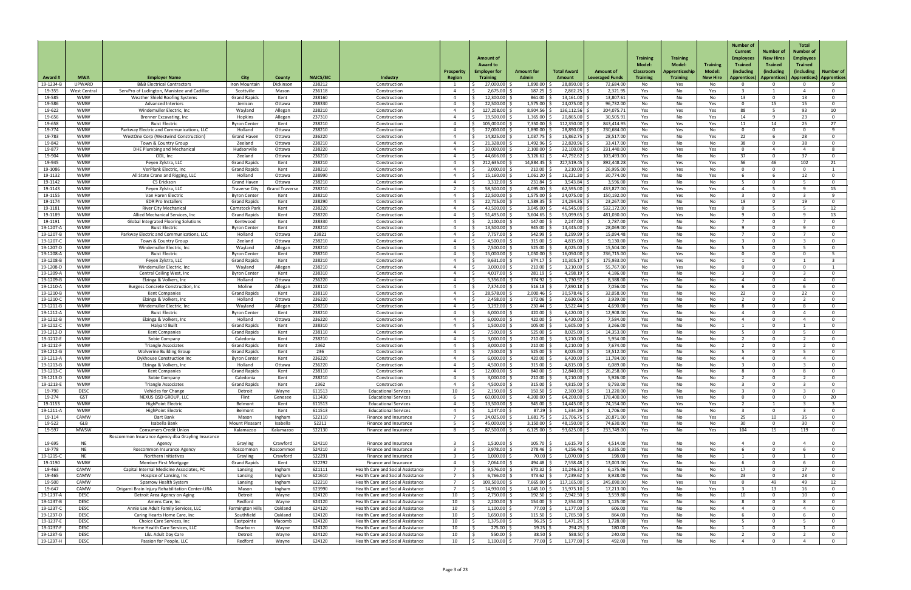| Award <del>I</del>     | <b>MWA</b>                 | <b>Employer Name</b>                                                           | <b>City</b>                                 | County                | <b>NAICS/SIC</b> | Industry                                                                      | <b>Prosperit</b><br>Region | <b>Amount of</b><br><b>Award to</b><br><b>Employer for</b><br><b>Training</b> | <b>Amount for</b><br><b>Admin</b> | <b>Total Award</b><br>Amount | Amount of<br><b>Leveraged Funds</b> | <b>Training</b><br>Model:<br><b>Classroom</b><br><b>Training</b> | <b>Training</b><br>Model:<br>Apprenticeship<br><b>Training</b> | <b>Training</b><br><b>Model:</b><br><b>New Hire</b> | <b>Number of</b><br><b>Curren</b><br><b>Employees</b><br><b>Trained</b><br>(including<br><b>Apprentices</b> | Number o<br><b>New Hires</b><br><b>Trained</b><br>(including<br>Apprentices | <b>Total</b><br>Number of<br><b>Employees</b><br><b>Trained</b><br>lincluding)<br>  Apprentices) | <b>Number of</b><br><i>Apprentices</i> |
|------------------------|----------------------------|--------------------------------------------------------------------------------|---------------------------------------------|-----------------------|------------------|-------------------------------------------------------------------------------|----------------------------|-------------------------------------------------------------------------------|-----------------------------------|------------------------------|-------------------------------------|------------------------------------------------------------------|----------------------------------------------------------------|-----------------------------------------------------|-------------------------------------------------------------------------------------------------------------|-----------------------------------------------------------------------------|--------------------------------------------------------------------------------------------------|----------------------------------------|
| 19-1234-1              | <b>UPWARD</b>              | <b>B&amp;B Electrical Contractors</b>                                          | Iron Mounta                                 | Dickinson             | 238212           | Constructior                                                                  |                            | 27,000.00                                                                     | 1,890.00                          | 28,890.00                    | 72,684.00                           | No l                                                             | Yes                                                            | No.                                                 |                                                                                                             |                                                                             |                                                                                                  |                                        |
| 19-355                 | West Centra                | ServPro of Ludington, Manistee and Cadillac                                    | Scottville                                  | Mason                 | 236118           | Construction                                                                  |                            | 2,675.00                                                                      | 187.25                            | 2,862.25                     | 2,321.95                            | Yes                                                              | No                                                             | Yes                                                 |                                                                                                             |                                                                             |                                                                                                  | - 0                                    |
| 19-585<br>19-586       | WMW<br>WMW                 | Weather Shield Roofing Systems<br><b>Advanced Interiors</b>                    | <b>Grand Rapids</b><br>Jenison              | Kent<br>Ottawa        | 238160<br>238330 | Construction<br>Construction                                                  |                            | 12,300.00<br>$22,500.00$ $\mid$ 3                                             | 861.00<br>1,575.00                | 13,161.00<br>24,075.00       | 13,807.61<br>96,732.00              | Yes<br>No                                                        | No.<br>No.                                                     | No<br>Yes                                           | 13                                                                                                          | റ<br>15                                                                     | 13<br>15                                                                                         | $\Omega$<br>$\overline{0}$             |
| 19-622                 | <b>WMW</b>                 | Windemuller Electric, Inc                                                      | Wayland                                     | Allegan               | 238210           | Construction                                                                  |                            | 127,208.00                                                                    | 8,904.56                          | 136,112.56                   | 204,075.71                          | Yes                                                              | Yes                                                            | Yes                                                 | 88                                                                                                          |                                                                             | 93                                                                                               | 10                                     |
| 19-656                 | <b>WMW</b>                 | <b>Brenner Excavating, Inc.</b>                                                | Hopkins                                     | Allegan               | 237310           | Construction                                                                  |                            | 19,500.00                                                                     | 1,365.00                          | 20,865.00                    | 30,505.91                           | Yes                                                              | No.                                                            | Yes                                                 | 14                                                                                                          | q                                                                           | 23                                                                                               | $\overline{0}$                         |
| 19-658                 | <b>WMW</b>                 | <b>Buist Electric</b>                                                          | <b>Byron Center</b>                         | Kent                  | 238210           | Construction                                                                  |                            | 105,000.00                                                                    | 7,350.00                          | 112,350.00                   | 843,414.95                          | Yes                                                              | Yes                                                            | Yes                                                 | 11                                                                                                          | 14                                                                          | 25                                                                                               | 27                                     |
| 19-774                 | <b>WMW</b>                 | Parkway Electric and Communications, LLC                                       | Holland                                     | Ottawa                | 238210           | Construction                                                                  |                            | 27,000.00                                                                     | 1,890.00                          | 28,890.00                    | 230,684.00                          | No l                                                             | Yes                                                            | No                                                  | $\cap$                                                                                                      | റ                                                                           | 28                                                                                               | <u>g</u>                               |
| 19-783<br>19-842       | <b>WMW</b><br><b>WMW</b>   | WestOne Corp (Westwind Construction)<br>Town & Country Group                   | <b>Grand Haven</b><br>Zeeland               | Ottawa<br>Ottawa      | 236220<br>238210 | Construction<br>Construction                                                  |                            | 14,825.00<br>21,328.00                                                        | 1,037.75<br>1,492.96              | 15,862.75<br>22,820.96       | 28,517.00<br>33,417.00              | Yes<br>Yes                                                       | No.<br>No.                                                     | Yes<br>No.                                          | 22<br>38                                                                                                    |                                                                             | -38                                                                                              | $\overline{0}$<br>- റ                  |
| 19-877                 | <b>WMW</b>                 | DHE Plumbing and Mechanical                                                    | Hudsonville                                 | Ottawa                | 238220           | Construction                                                                  |                            | 30,000.00                                                                     | 2,100.00                          | 32,100.00                    | 231,440.00                          | No                                                               | Yes                                                            | Yes                                                 | $\Omega$                                                                                                    |                                                                             |                                                                                                  | 8                                      |
| 19-904                 | <b>WMW</b>                 | ODL, Inc                                                                       | Zeeland                                     | Ottawa                | 236210           | Construction                                                                  |                            | 44,666.00                                                                     | 3,126.62                          | 47,792.62                    | 103,493.00                          | Yes                                                              | No.                                                            | No                                                  | 37                                                                                                          | റ                                                                           | 37                                                                                               | $\Omega$                               |
| 19-945                 | WMW                        | Feyen Zylstra, LLC                                                             | <b>Grand Rapids</b>                         | Kent                  | 238210           | Construction                                                                  |                            | 212,635.00                                                                    | 14,884.45                         | 227,519.45                   | 892,448.28                          | Yes                                                              | Yes                                                            | Yes                                                 | 56<br>$\Omega$                                                                                              | 46                                                                          | 102                                                                                              | 21                                     |
| 19-1086<br>19-1132     | <b>WMW</b><br><b>WMW</b>   | VerPlank Electric, Inc<br>All State Crane and Rigging, LLC                     | <b>Grand Rapids</b><br>Holland              | Kent<br>Ottawa        | 238210<br>238990 | Construction<br>Construction                                                  |                            | $3,000.00$   :<br>15,160.00                                                   | 210.00<br>1,061.20                | 3,210.00<br>16,221.20        | 26,995.00<br>30,774.00              | No<br>Yes                                                        | Yes<br>No.                                                     | No<br>Yes                                           |                                                                                                             | $\Omega$                                                                    |                                                                                                  | - 0                                    |
| 19-1142                | <b>WMW</b>                 | <b>CS Erickson</b>                                                             | <b>Grand Haver</b>                          | Ottawa                | 238210           | Construction                                                                  |                            | $3,312.00$ $\frac{3}{2}$                                                      | 231.84                            | 3,543.84                     | 3,596.00                            | Yes                                                              | No                                                             | No                                                  | <b>E</b>                                                                                                    | $\Omega$                                                                    |                                                                                                  | $\mathbf 0$                            |
| 19-1143                | <b>WMW</b>                 | Feyen Zylstra, LLC                                                             | <b>Traverse City</b>                        | <b>Grand Travers</b>  | 238210           | Construction                                                                  |                            | $58,500.00$ $\mid$ .                                                          | 4,095.00                          | $62,595.00$ $\mid$ .         | 433,877.00                          | Yes                                                              | Yes                                                            | Yes                                                 |                                                                                                             |                                                                             |                                                                                                  | 15                                     |
| 19-1155                | WMW                        | Van Haren Electric                                                             | <b>Byron Center</b>                         | Kent                  | 238210           | Construction                                                                  |                            | 22,500.00                                                                     | 1,575.00                          | 24,075.00                    | 150,192.00                          | Yes                                                              | Yes                                                            | No                                                  |                                                                                                             | റ                                                                           |                                                                                                  | - Q                                    |
| 19-1174<br>19-1181     | <b>WMW</b><br><b>WMW</b>   | <b>EDR Pro Installers</b><br><b>River City Mechanical</b>                      | <b>Grand Rapids</b><br><b>Comstock Park</b> | Kent<br>Kent          | 238290<br>238220 | Construction<br>Construction                                                  |                            | 22,705.00<br>43,500.00                                                        | 1,589.35<br>3,045.00              | 24,294.35<br>46,545.00       | 23,267.00<br>532,172.00             | Yes<br>No                                                        | No.<br>Yes                                                     | No<br>Yes                                           | 19                                                                                                          |                                                                             | 1 Q                                                                                              | - 0<br>12                              |
| 19-1189                | <b>WMW</b>                 | Allied Mechanical Services, Inc.                                               | <b>Grand Rapids</b>                         | Kent                  | 238220           | Construction                                                                  |                            | 51,495.00                                                                     | 3,604.65                          | 55,099.65                    | 481,030.00                          | Yes                                                              | Yes                                                            | No                                                  |                                                                                                             | $\Omega$                                                                    |                                                                                                  | 13                                     |
| 19-1191                | <b>WMW</b>                 | <b>Global Integrated Flooring Solutions</b>                                    | Kentwood                                    | Kent                  | 238330           | Construction                                                                  |                            | 2,100.00                                                                      | 147.00                            | $2,247.00$ $\mid$ :          | 2,787.00                            | Yes                                                              | No.                                                            | No                                                  |                                                                                                             | $\Omega$                                                                    |                                                                                                  | $\Omega$                               |
| 19-1207-/              | <b>WMW</b>                 | <b>Buist Electric</b>                                                          | <b>Byron Center</b>                         | Kent                  | 238210           | Construction                                                                  |                            | 13,500.00                                                                     | 945.00                            | 14,445.00                    | 28,069.00                           | Yes                                                              | No.                                                            | No                                                  |                                                                                                             | n                                                                           |                                                                                                  | -0                                     |
| 19-1207-E<br>19-1207-C | <b>WMW</b><br><b>WMW</b>   | Parkway Electric and Communications, LLC                                       | Holland<br>Zeeland                          | Ottawa                | 23821<br>238210  | Construction                                                                  |                            | 7,757.00                                                                      | 542.99<br>$315.00$ \$             | 8,299.99                     | 15,094.48                           | Yes                                                              | No.                                                            | No.                                                 | $\sim$                                                                                                      | $\sim$                                                                      | $\sqrt{ }$                                                                                       | $\sim$                                 |
| 19-1207-D              | <b>WMW</b>                 | Town & Country Group<br>Windemuller Electric, Inc.                             | Wayland                                     | Ottawa<br>Allegan     | 238210           | Construction<br>Construction                                                  |                            | $4,500.00$ \$<br>7,500.00                                                     | 525.00                            | $4,815.00$ \$<br>8,025.00    | 9,130.00<br>15,504.00               | Yes<br>Yes                                                       | No<br>No                                                       | No<br>No                                            |                                                                                                             | $\Omega$                                                                    |                                                                                                  |                                        |
| 19-1208-/              | <b>WMW</b>                 | <b>Buist Electric</b>                                                          | <b>Byron Center</b>                         | Kent                  | 238210           | Construction                                                                  |                            | 15,000.00                                                                     | 1,050.00                          | 16,050.00                    | 236,715.00                          | No                                                               | Yes                                                            | No                                                  |                                                                                                             |                                                                             |                                                                                                  |                                        |
| 19-1208-               | <b>WMW</b>                 | Feyen Zylstra, LLC                                                             | <b>Grand Rapids</b>                         | Kent                  | 238210           | Construction                                                                  |                            | 9,631.00                                                                      | 674.17                            | 10,305.17                    | 175,933.00                          | Yes                                                              | Yes                                                            | No                                                  |                                                                                                             | n                                                                           |                                                                                                  |                                        |
| 19-1208-1              | <b>WMW</b>                 | Windemuller Electric, Inc.                                                     | Wayland                                     | Allegan               | 238210           | Construction                                                                  |                            | 3,000.00                                                                      | 210.00                            | 3,210.00                     | 55,767.00                           | No                                                               | Yes                                                            | No                                                  |                                                                                                             |                                                                             |                                                                                                  |                                        |
| 19-1209-<br>19-1209-   | <b>WMW</b><br><b>WMW</b>   | Central Ceiling West, Inc<br>Elzinga & Volkers, Inc                            | <b>Byron Center</b><br>Holland              | Kent<br>Ottawa        | 238310<br>236220 | Construction<br>Construction                                                  |                            | 4,017.00<br>5,356.00                                                          | 281.19<br>374.92                  | 4,298.19<br>5,730.92         | 4,186.00<br>8,388.00                | Yes<br>Yes                                                       | No<br>No                                                       | No<br>No                                            | $\Lambda$                                                                                                   | $\cap$<br>റ                                                                 |                                                                                                  | $\Omega$                               |
| 19-1210-/              | <b>WMW</b>                 | Burgess Concrete Construction, Inc.                                            | Moline                                      | Allegan               | 238110           | Construction                                                                  |                            | 7,374.00                                                                      | 516.18                            | 7,890.18                     | 7,056.00                            | Yes                                                              | No.                                                            | No                                                  |                                                                                                             |                                                                             |                                                                                                  | റ                                      |
| 19-1210-               | <b>WMW</b>                 | <b>Kent Companies</b>                                                          | <b>Grand Rapids</b>                         | Kent                  | 238110           | Construction                                                                  |                            | 28,578.00                                                                     | 2,000.46                          | 30,578.46                    | 32,058.00                           | Yes                                                              | No.                                                            | No                                                  | 22                                                                                                          |                                                                             | 22                                                                                               |                                        |
| 19-1210-0              | <b>WMW</b>                 | Elzinga & Volkers, Inc                                                         | Holland                                     | Ottawa                | 236220           | Construction                                                                  |                            | 2,458.00                                                                      | 172.06                            | 2,630.06                     | 3,939.00                            | Yes                                                              | No.                                                            | No                                                  |                                                                                                             |                                                                             |                                                                                                  | 0                                      |
| 19-1211-E<br>19-1212-  | <b>WMW</b><br><b>WMW</b>   | Windemuller Electric, Inc<br><b>Buist Electric</b>                             | Wayland<br><b>Byron Center</b>              | Allegan               | 238210<br>238210 | Construction                                                                  |                            | 3,292.00<br>6,000.00                                                          | 230.44<br>420.00                  | 3,522.44<br>6,420.00         | 4,690.00<br>12,908.00               | Yes                                                              | No                                                             | No                                                  |                                                                                                             | $\cap$                                                                      |                                                                                                  | $\Omega$<br>റ                          |
| 19-1212-E              | <b>WMW</b>                 | Elzinga & Volkers, Inc.                                                        | Holland                                     | Kent<br>Ottawa        | 236220           | Construction<br>Construction                                                  |                            | 6,000.00                                                                      | 420.00                            | 6,420.00                     | 7,584.00                            | Yes<br>Yes                                                       | No.<br>No.                                                     | No<br>No                                            |                                                                                                             |                                                                             |                                                                                                  | റ                                      |
| 19-1212-0              | <b>WMW</b>                 | <b>Halyard Built</b>                                                           | <b>Grand Rapids</b>                         | Kent                  | 238310           | Construction                                                                  |                            | 1,500.00                                                                      | 105.00                            | 1,605.00                     | 3,266.00                            | Yes                                                              | No                                                             | No                                                  |                                                                                                             |                                                                             |                                                                                                  |                                        |
| 19-1212-D              | <b>WMW</b>                 | Kent Companies                                                                 | <b>Grand Rapids</b>                         | Kent                  | 238110           | Construction                                                                  |                            | 7,500.00                                                                      | 525.00                            | 8,025.00                     | 14,353.00                           | Yes                                                              | No.                                                            | No                                                  |                                                                                                             |                                                                             |                                                                                                  |                                        |
| 19-1212-E              | <b>WMW</b>                 | Sobie Company                                                                  | Caledonia                                   | Kent                  | 238210           | Construction                                                                  |                            | 3,000.00                                                                      | 210.00                            | 3,210.00                     | 5,954.00                            | Yes                                                              | No.                                                            | No                                                  |                                                                                                             |                                                                             |                                                                                                  | . വ<br>റ                               |
| 19-1212-F<br>19-1212-G | <b>WMW</b><br><b>WMW</b>   | <b>Triangle Associates</b><br><b>Wolverine Building Group</b>                  | <b>Grand Rapids</b><br><b>Grand Rapids</b>  | Kent<br>Kent          | 2362<br>236      | Construction<br>Construction                                                  |                            | 3,000.00<br>7,500.00                                                          | 210.00<br>525.00                  | 3,210.00<br>8,025.00         | 7,674.00<br>13,512.00               | Yes<br>Yes                                                       | No.<br>No                                                      | No<br>No                                            |                                                                                                             | n                                                                           |                                                                                                  | -0                                     |
| 19-1213-/              | <b>WMW</b>                 | Dykhouse Construction Inc                                                      | <b>Byron Center</b>                         | Kent                  | 236220           | Construction                                                                  |                            | 6,000.00                                                                      | 420.00                            | 6,420.00                     | 11,784.00                           | Yes                                                              | No.                                                            | No.                                                 |                                                                                                             |                                                                             |                                                                                                  |                                        |
| 19-1213-E              | <b>WMW</b>                 | Elzinga & Volkers, Inc                                                         | Holland                                     | Ottawa                | 236220           | Construction                                                                  |                            | 4,500.00                                                                      | 315.00                            | 4,815.00                     | 6,089.00                            | Yes                                                              | No                                                             | No                                                  |                                                                                                             | $\Omega$                                                                    |                                                                                                  |                                        |
| 19-1213-0              | <b>WMW</b>                 | <b>Kent Companies</b>                                                          | <b>Grand Rapids</b>                         | Kent                  | 238110           | Construction                                                                  |                            | $12,000.00$ $ $                                                               | 840.00                            | 12,840.00                    | 26,258.00                           | Yes                                                              | No.                                                            | No                                                  |                                                                                                             | $\Omega$                                                                    |                                                                                                  | <u>__</u>                              |
| 19-1213-0<br>19-1213-E | WMW<br><b>WMW</b>          | Sobie Company<br><b>Triangle Associates</b>                                    | Caledonia<br><b>Grand Rapids</b>            | Kent<br>Kent          | 238210<br>2362   | Construction<br>Construction                                                  |                            | 3,000.00<br>4,500.00                                                          | 210.00<br>315.00                  | 3,210.00<br>4,815.00         | 5,926.00<br>9,793.00                | Yes<br>Yes                                                       | No.<br>No                                                      | No<br>No                                            |                                                                                                             | $\Omega$                                                                    |                                                                                                  | റ<br>- 0                               |
| 19-790                 | <b>DESC</b>                | <b>Vehicles for Change</b>                                                     | Detroit                                     | Wayne                 | 611513           | <b>Educational Services</b>                                                   | 10                         | 2,150.00                                                                      | 150.50                            | 2,300.50                     | 11,220.00                           | Yes                                                              | No.                                                            | No                                                  |                                                                                                             |                                                                             |                                                                                                  | - 0                                    |
| 19-274                 | <b>GST</b>                 | NEXUS QSD GROUP, LLC                                                           | Flint                                       | Genesee               | 611430           | <b>Educational Services</b>                                                   |                            | 60,000.00                                                                     | 4,200.00                          | 64,200.00                    | 178,400.00                          | No                                                               | Yes                                                            | No                                                  | $\cap$                                                                                                      | $\Omega$                                                                    |                                                                                                  | 20                                     |
| 19-1153                | <b>WMW</b>                 | <b>HighPoint Electric</b>                                                      | Belmont                                     | Kent                  | 611513           | <b>Educational Services</b>                                                   |                            | 13,500.00                                                                     | 945.00                            | 14,445.00                    | 74,154.00                           | Yes                                                              | Yes                                                            | Yes                                                 |                                                                                                             |                                                                             |                                                                                                  |                                        |
| 19-1211-/<br>19-114    | <b>WMW</b><br>CAMW         | <b>HighPoint Electric</b><br>Dart Bank                                         | Belmont<br>Mason                            | Kent<br>Ingham        | 611513<br>522110 | <b>Educational Services</b><br>Finance and Insurance                          |                            | 1,247.00<br>24,025.00                                                         | 87.29<br>1,681.75                 | 1,334.29<br>25,706.75        | 1,706.00<br>20,871.00               | Yes<br>Yes                                                       | No.<br>No.                                                     | No<br>Yes                                           | 25                                                                                                          | 10                                                                          | 35                                                                                               | റ                                      |
| 19-522                 | GLB                        | Isabella Bank                                                                  | <b>Mount Pleasar</b>                        | Isabella              | 52211            | Finance and Insurance                                                         |                            | 45,000.00                                                                     | 3,150.00                          | 48,150.00                    | 74,630.00                           | Yes                                                              | No.                                                            | No                                                  | 30                                                                                                          |                                                                             | -30                                                                                              | $\Omega$                               |
| 19-597                 | <b>MWSW</b>                | <b>Consumers Credit Union</b>                                                  | Kalamazoc                                   | Kalamazoo             | 522130           | Finance and Insurance                                                         |                            | 87,500.00                                                                     | 6,125.00                          | 93,625.00                    | 233,749.00                          | Yes                                                              | No.                                                            | Yes                                                 | 104                                                                                                         | 15                                                                          | 119                                                                                              | $\mathbf 0$                            |
|                        |                            | Roscommon Insurance Agency dba Grayling Insurance                              |                                             |                       |                  |                                                                               |                            |                                                                               |                                   |                              |                                     |                                                                  |                                                                |                                                     |                                                                                                             |                                                                             |                                                                                                  |                                        |
| 19-695                 | <b>NE</b>                  | Agency                                                                         | Grayling                                    | Crawford              | 524210           | Finance and Insurance                                                         |                            | 1.510.00                                                                      | 105.70<br>278.46                  | 1.615.70<br>$4,256.46$ \$    | 4,514.00                            | Yes                                                              | N٥                                                             |                                                     |                                                                                                             |                                                                             |                                                                                                  |                                        |
| 19-778<br>19-1215-C    | <b>NE</b><br><b>NE</b>     | Roscommon Insurance Agency<br>Northern Initiatives                             | Roscommon<br>Grayling                       | Roscommon<br>Crawford | 524210<br>522291 | Finance and Insurance<br>Finance and Insurance                                |                            | 3,978.00 \$<br>$1,000.00$ \$                                                  | $70.00$ \$                        | $1,070.00$ \$                | 8,335.00<br>198.00                  | Yes<br>Yes                                                       | No.<br>No                                                      | No<br>No                                            |                                                                                                             |                                                                             |                                                                                                  | $\overline{0}$                         |
| 19-1190                | <b>WMW</b>                 | <b>Member First Mortgage</b>                                                   | <b>Grand Rapids</b>                         | Kent                  | 522292           | Finance and Insurance                                                         |                            | 7,064.00 \$                                                                   | $494.48$ \$                       | $7,558.48$ \$                | 13,003.00                           | Yes                                                              | No                                                             | No                                                  |                                                                                                             | $\Omega$                                                                    |                                                                                                  | $\overline{0}$                         |
| 19-463                 | CAMW                       | Capital Internal Medicine Associates, PC                                       | Lansing                                     | Ingham                | 621111           | <b>Health Care and Social Assistance</b>                                      |                            | $9,576.00$ \$                                                                 | $670.32$ \$                       | $10,246.32$ \$               | 6,175.96                            | Yes                                                              | No                                                             | No                                                  | 17                                                                                                          | റ                                                                           | 17                                                                                               | $\Omega$                               |
| 19-465                 | CAMW                       | Hospice of Lansing, Inc                                                        | Lansing                                     | Ingham                | 621610           | Health Care and Social Assistance                                             |                            | $6,766.00$ \$                                                                 | 473.62                            | $7,239.62$ \$                | 8,928.00                            | Yes                                                              | No                                                             | No                                                  | 23                                                                                                          | $\Omega$                                                                    | 23                                                                                               | - 0                                    |
| 19-500<br>19-647       | CAMW<br>CAMW               | <b>Sparrow Health System</b><br>Origami Brain Injury Rehabilitation Center-URA | Lansing<br>Mason                            | Ingham<br>Ingham      | 622210<br>623990 | <b>Health Care and Social Assistance</b><br>Health Care and Social Assistance |                            | 109,500.00 \$<br>14,930.00 \$                                                 | 7,665.00<br>1,045.10              | 117,165.00<br>15,975.10      | 245,090.00<br>17,213.00             | No<br>Yes                                                        | Yes<br>No                                                      | Yes<br>Yes                                          | $\Omega$                                                                                                    | 49<br>13                                                                    | 49<br>16                                                                                         | 12<br>$\overline{0}$                   |
| 19-1237-A              | <b>DESC</b>                | Detroit Area Agency on Aging                                                   | Detroit                                     | Wayne                 | 624120           | Health Care and Social Assistance                                             | 10                         | $2,750.00$ \$                                                                 | $192.50$ \$                       | $2,942.50$ \$                | 3,559.80                            | Yes                                                              | No                                                             | No                                                  | 10                                                                                                          | $\Omega$                                                                    | 10                                                                                               | $\overline{0}$                         |
| 19-1237-B              | <b>DESC</b>                | Amens Care, Inc                                                                | Redford                                     | Wayne                 | 624120           | Health Care and Social Assistance                                             | 10                         | $2,200.00$ \$                                                                 | 154.00                            | $2,354.00$ \$                | 1,125.00                            | Yes                                                              | No                                                             | No                                                  |                                                                                                             | റ                                                                           |                                                                                                  | $\overline{0}$                         |
| 19-1237-0              | <b>DESC</b>                | Annie Lee Adult Family Services, LLC                                           | <b>Farmington Hil</b>                       | Oakland               | 624120           | Health Care and Social Assistance                                             | 10                         | $1,100.00$ \$                                                                 | 77.00                             | $1,177.00$ \$                | 606.00                              | Yes                                                              | No                                                             | No                                                  |                                                                                                             |                                                                             |                                                                                                  | - 0                                    |
| 19-1237-D              | <b>DESC</b><br><b>DESC</b> | Caring Hearts Home Care, Inc                                                   | Southfield                                  | Oakland               | 624120           | Health Care and Social Assistance                                             | 10                         | $1,650.00$ \$                                                                 | 115.50<br>96.25                   | $1,765.50$ \$                | 864.00                              | Yes                                                              | No                                                             | No                                                  |                                                                                                             | 0<br>$\Omega$                                                               |                                                                                                  | $\overline{0}$                         |
| 19-1237-E<br>19-1237-F | <b>DESC</b>                | Choice Care Services, Inc<br>Home Health Care Services, LLC                    | Eastpointe<br>Dearborn                      | Macomb<br>Wayne       | 624120<br>624120 | Health Care and Social Assistance<br>Health Care and Social Assistance        | 10<br>10                   | $1,375.00$ \$<br>$275.00$ \$                                                  | $19.25$ \$                        | $1,471.25$ \$<br>$294.25$ \$ | 1,728.00<br>180.00                  | Yes<br>Yes                                                       | No<br>No                                                       | No<br>No                                            |                                                                                                             | റ                                                                           |                                                                                                  | 0<br>$\overline{0}$                    |
| 19-1237-G              | <b>DESC</b>                | L&L Adult Day Care                                                             | Detroit                                     | Wayne                 | 624120           | Health Care and Social Assistance                                             | 10                         | $550.00$ \$                                                                   | $38.50$ \$                        | $588.50$ \$                  | 240.00                              | Yes                                                              | No                                                             | No                                                  |                                                                                                             | -0                                                                          |                                                                                                  | $\overline{0}$                         |
| 19-1237-H              | <b>DESC</b>                | Passion for People, LLC                                                        | Redford                                     | Wayne                 | 624120           | Health Care and Social Assistance                                             | 10                         | $1,100.00$ \$                                                                 | 77.00 \$                          | $1,177.00$ \$                | 492.00                              | Yes                                                              | No                                                             | No                                                  |                                                                                                             |                                                                             |                                                                                                  | $\overline{0}$                         |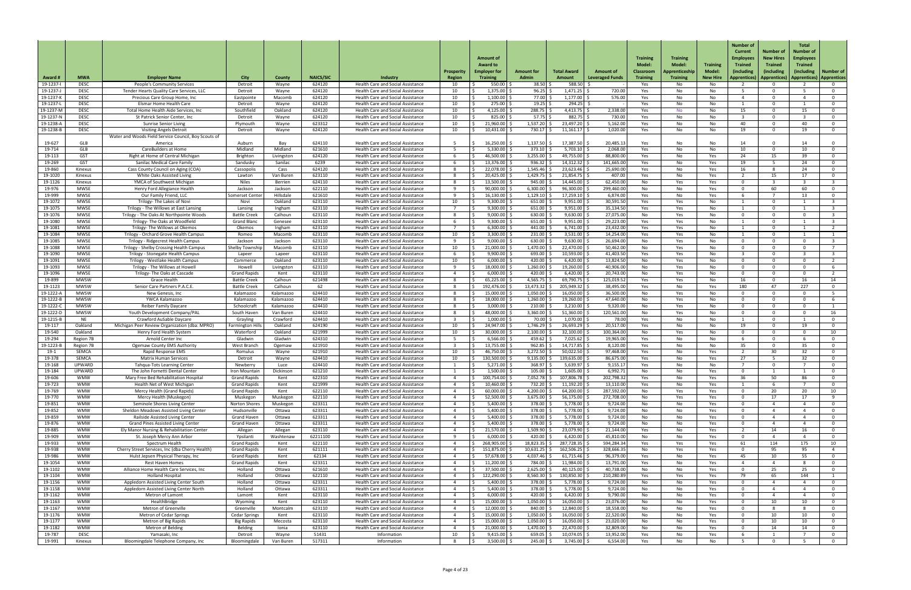| Award #                | <b>MWA</b>                    | <b>Employer Name</b>                                                             | <b>City</b>                                | County                | <b>NAICS/SIC</b>   | Industry                                                                             | Prosperit<br><b>Region</b> | <b>Amount of</b><br><b>Award to</b><br><b>Employer for</b><br><b>Training</b> | <b>Amount for</b><br><b>Admin</b> | <b>Total Award</b><br><b>Amount</b> | <b>Amount of</b><br><b>Leveraged Funds</b> | <b>Training</b><br>Model:<br><b>Classroom</b><br><b>Training</b> | <b>Training</b><br><b>Model:</b><br>Apprenticeship<br><b>Training</b> | <b>Training</b><br>Model<br><b>New Hire</b> | <b>Number of</b><br><b>Current</b><br><b>Employees</b><br><b>Trained</b><br>(including<br>  Apprentices) | Number of<br><b>New Hires</b><br><b>Trained</b><br>(including<br>Apprentices)   Apprentices)   Apprentices | <b>Total</b><br>Number of<br><b>Employees</b><br><b>Trained</b><br>(including) | Number of                        |
|------------------------|-------------------------------|----------------------------------------------------------------------------------|--------------------------------------------|-----------------------|--------------------|--------------------------------------------------------------------------------------|----------------------------|-------------------------------------------------------------------------------|-----------------------------------|-------------------------------------|--------------------------------------------|------------------------------------------------------------------|-----------------------------------------------------------------------|---------------------------------------------|----------------------------------------------------------------------------------------------------------|------------------------------------------------------------------------------------------------------------|--------------------------------------------------------------------------------|----------------------------------|
| 19-1237-               | <b>DESC</b>                   | <b>People's Community Services</b>                                               | Detroit                                    | Wayne                 | 624120             | <b>Health Care and Social Assistance</b>                                             | 10                         | 550.00 \$                                                                     | 38.50                             | $588.50$ \$                         |                                            | Yes                                                              | No                                                                    | No                                          |                                                                                                          |                                                                                                            |                                                                                | - 0                              |
| 19-1237-J              | <b>DESC</b>                   | Tender Hearts Quality Care Services, LLC                                         | Detroit                                    | Wayne                 | 624120             | Health Care and Social Assistance                                                    | 10                         | $1,375.00$ \$                                                                 | $96.25$ \$                        | $1,471.25$ \$                       | 720.00                                     | Yes                                                              | No                                                                    | No                                          | 5.                                                                                                       | റ                                                                                                          |                                                                                | - 0                              |
| 19-1237-k              | <b>DESC</b>                   | Precious Care Group Home, Inc.                                                   | Eastpointe                                 | Macomb                | 624120             | Health Care and Social Assistance                                                    | 10                         | $1,100.00$ \$                                                                 | 77.00                             | 1,177.00                            | 576.00                                     | Yes                                                              | No.                                                                   | No                                          | $\Lambda$                                                                                                |                                                                                                            |                                                                                | $\Omega$                         |
| 19-1237-l<br>19-1237-M | <b>DESC</b><br><b>DESC</b>    | Elsmar Home Health Care<br>Total Home Health Aide Services, Inc                  | Detroit<br>Southfield                      | Wayne<br>Oakland      | 624120<br>624120   | Health Care and Social Assistance<br>Health Care and Social Assistance               | 10<br>10                   | $275.00$ \$<br>$4,125.00$ :                                                   | 19.25<br>288.75                   | $294.25$ \$<br>4,413.75             | 2,338.00                                   | Yes<br>Yes                                                       | No<br>No.                                                             | No<br>No                                    | 15                                                                                                       | $\Omega$<br>$\Omega$                                                                                       | 15                                                                             | $\mathbf 0$<br>$\overline{0}$    |
| 19-1237-N              | <b>DESC</b>                   | St Patrick Senior Center, Inc                                                    | Detroit                                    | Wayne                 | 624120             | <b>Health Care and Social Assistance</b>                                             | 10                         | 825.00 \$                                                                     | 57.75 $\frac{2}{7}$               | 882.75                              | 730.00                                     | Yes                                                              | No                                                                    | No                                          |                                                                                                          | $\Omega$                                                                                                   |                                                                                | $\mathbf 0$                      |
| 19-1238-A              | <b>DESC</b>                   | <b>Sunrise Senior Living</b>                                                     | Plymouth                                   | Wayne                 | 623312             | Health Care and Social Assistance                                                    | 10                         | 21,960.00                                                                     | 1,537.20                          | 23,497.20 \$                        | 5,162.00                                   | Yes                                                              | No                                                                    | No                                          | 40                                                                                                       | റ                                                                                                          | 40                                                                             | $\mathbf 0$                      |
| 19-1238-E              | <b>DESC</b>                   | <b>Visiting Angels Detroit</b>                                                   | Detroit                                    | Wayne                 | 624120             | Health Care and Social Assistance                                                    | 10                         | $10,431.00$ $\mid$ :                                                          | 730.17                            | $11,161.17$ :                       | 1,020.00                                   | Yes                                                              | No.                                                                   | No                                          | 19                                                                                                       | . വ                                                                                                        | 19                                                                             | $\overline{0}$                   |
|                        |                               | Water and Woods Field Service Council, Boy Scouts of                             |                                            |                       |                    |                                                                                      |                            |                                                                               |                                   |                                     |                                            |                                                                  |                                                                       |                                             |                                                                                                          |                                                                                                            |                                                                                |                                  |
| 19-627                 | GLB                           | America                                                                          | Auburn                                     | Bay                   | 624110             | <b>Health Care and Social Assistance</b>                                             |                            | 16,250.00                                                                     | 1,137.50                          | 17,387.50                           | 20,485.13                                  | Yes                                                              | No                                                                    | No                                          | 14                                                                                                       | $\Omega$                                                                                                   | 10 <sup>1</sup>                                                                | $\mathbf 0$                      |
| 19-714<br>19-113       | GLB<br><b>GST</b>             | CareBuilders at Home<br>Right at Home of Central Michigar                        | Midland<br><b>Brighton</b>                 | Midland<br>Livingston | 621610<br>624120   | <b>Health Care and Social Assistance</b><br><b>Health Care and Social Assistance</b> |                            | 5,330.00<br>46,500.00 \$                                                      | 373.10<br>3,255.00                | 5,703.10<br>49,755.00               | 2,068.00<br>88,800.00                      | Yes<br>Yes                                                       | No.<br>No                                                             | No<br>Yes                                   | 10<br>24                                                                                                 | 15                                                                                                         | 39                                                                             | $\mathbf 0$<br>$\mathbf 0$       |
| 19-269                 | <b>GST</b>                    | <b>Sanilac Medical Care Family</b>                                               | Sandusky                                   | Sanilac               | 6239               | Health Care and Social Assistance                                                    |                            | 13,376.00                                                                     | 936.32                            | 14,312.32                           | 141,665.00                                 | Yes                                                              | No.                                                                   | Yes                                         | 19                                                                                                       |                                                                                                            | 24                                                                             | $\overline{0}$                   |
| 19-860                 | Kinexus                       | Cass County Council on Aging (COA)                                               | Cassopolis                                 | Cass                  | 624120             | <b>Health Care and Social Assistance</b>                                             |                            | 22,078.00                                                                     | 1,545.46                          | 23,623.46                           | 25,690.00                                  | Yes                                                              | No                                                                    | Yes                                         | 16                                                                                                       |                                                                                                            | 24                                                                             | $\overline{0}$                   |
| 19-1020                | Kinexus                       | White Oaks Assisted Living                                                       | Lawton                                     | Van Buren             | 623110             | <b>Health Care and Social Assistance</b>                                             |                            | 20,425.00 \$                                                                  | $1,429.75$ \$                     | $21,854.75$ \$                      | 407.00                                     | Yes                                                              | No                                                                    | Yes                                         | 2                                                                                                        | 15                                                                                                         | 17                                                                             | $\overline{0}$                   |
| 19-1126                | Kinexus                       | YMCA of Southwest Michigan                                                       | <b>Niles</b>                               | Berrien               | 624110             | Health Care and Social Assistance                                                    |                            | $13,500.00$ \$                                                                | 945.00                            | 14,445.00                           | 62,450.00                                  | No                                                               | Yes                                                                   | Yes                                         | $\Omega$                                                                                                 |                                                                                                            |                                                                                | $\overline{3}$                   |
| 19-976<br>19-999       | <b>MWSE</b><br><b>MWSE</b>    | Henry Ford Allegiance Health<br>Our Family Friend, LLC                           | Jackson<br>Somerset Cente                  | Jackson<br>Hillsdale  | 622110<br>621610   | Health Care and Social Assistance<br>Health Care and Social Assistance               |                            | 90,000.00<br>16,130.00                                                        | 6,300.00<br>1,129.10              | 96,300.00<br>17,259.10              | 299,460.00<br>6,874.00                     | No<br>Yes                                                        | No<br>No.                                                             | Yes<br>Yes                                  |                                                                                                          | 60                                                                                                         | -60<br>13                                                                      | $\overline{0}$<br>$\overline{0}$ |
| 19-1072                | <b>MWSE</b>                   | Trilogy- The Lakes of Novi                                                       | Novi                                       | Oakland               | 623110             | Health Care and Social Assistance                                                    | 10                         | 9,300.00                                                                      | 651.00                            | 9,951.00                            | 30,591.50                                  | Yes                                                              | Yes                                                                   | No                                          |                                                                                                          | $\Omega$                                                                                                   |                                                                                | $\overline{\mathbf{3}}$          |
| 19-1075                | <b>MWSE</b>                   | Trilogy - The Willows at East Lansing                                            | Lansing                                    | Ingham                | 623110             | <b>Health Care and Social Assistance</b>                                             |                            | 9,300.00                                                                      | 651.00                            | 9,951.00                            | 35,134.50                                  | Yes                                                              | Yes                                                                   | No                                          |                                                                                                          | $\Omega$                                                                                                   |                                                                                |                                  |
| 19-1076                | <b>MWSE</b>                   | Trilogy - The Oaks At Northpointe Woods                                          | <b>Battle Creek</b>                        | Calhoun               | 623110             | Health Care and Social Assistance                                                    |                            | 9,000.00                                                                      | 630.00                            | 9,630.00                            | 27,075.00                                  | No                                                               | Yes                                                                   | No                                          | $\Omega$                                                                                                 | റ                                                                                                          |                                                                                | $\overline{\mathbf{3}}$          |
| 19-1080                | <b>MWSE</b>                   | Trilogy- The Oaks at Woodfield                                                   | <b>Grand Blanc</b>                         | Genesee               | 623110             | Health Care and Social Assistance                                                    |                            | 9,300.00                                                                      | 651.00                            | $9,951.00$ :                        | 29,223.00                                  | Yes                                                              | Yes                                                                   | No                                          |                                                                                                          | $\Omega$                                                                                                   |                                                                                |                                  |
| 19-1081                | <b>MWSE</b>                   | Trilogy- The Willows at Okemos                                                   | Okemos                                     | Ingham                | 623110             | <b>Health Care and Social Assistance</b>                                             |                            | 6,300.00                                                                      | 441.00                            | 6,741.00                            | 23,432.00                                  | Yes                                                              | Yes                                                                   | No                                          |                                                                                                          |                                                                                                            |                                                                                |                                  |
| 19-1084<br>19-1085     | <b>MWSE</b><br>MWSE           | Trilogy - Orchard Grove Health Campus<br>Trilogy - Ridgecrest Health Campus      | Romeo<br>Jackson                           | Macomb<br>Jackson     | 623110<br>623110   | Health Care and Social Assistance<br><b>Health Care and Social Assistance</b>        | 10                         | 3,300.00<br>$9,000.00$ \$                                                     | 231.00<br>$630.00$ \$             | 3,531.00<br>$9,630.00$ \$           | 14,254.00<br>26,694.00                     | Yes<br>No                                                        | Yes<br>Yes                                                            | No<br>No                                    |                                                                                                          | 0<br>$\Omega$                                                                                              | $\sim$                                                                         |                                  |
| 19-1088                | <b>MWSE</b>                   | Trilogy - Shelby Crossing Health Campus                                          | Shelby Township                            | Macomb                | 623110             | <b>Health Care and Social Assistance</b>                                             | 10                         | 21,000.00                                                                     | 1,470.00                          | 22,470.00                           | 50,462.00                                  | No                                                               | Yes                                                                   | No                                          |                                                                                                          | $\Omega$                                                                                                   |                                                                                |                                  |
| 19-1090                | <b>MWSE</b>                   | Trilogy - Stonegate Health Campus                                                | Lapeer                                     | Lapeer                | 623110             | Health Care and Social Assistance                                                    |                            | 9,900.00                                                                      | 693.00                            | 10,593.00                           | 41,403.50                                  | Yes                                                              | Yes                                                                   | No                                          |                                                                                                          | $\Omega$                                                                                                   |                                                                                |                                  |
| 19-1091                | <b>MWSE</b>                   | Trilogy - Westlake Health Campus                                                 | Commerce                                   | Oakland               | 623110             | <b>Health Care and Social Assistance</b>                                             | 10                         | 6,000.00                                                                      | 420.00                            | 6,420.00                            | 13,824.50                                  | No                                                               | Yes                                                                   | No                                          |                                                                                                          |                                                                                                            |                                                                                |                                  |
| 19-1093                | <b>MWSE</b>                   | Trilogy - The Willows at Howell                                                  | Howell                                     | Livingston            | 623110             | <b>Health Care and Social Assistance</b>                                             |                            | 18,000.00 S                                                                   | 1,260.00                          | 19,260.00                           | 40,906.00                                  | No                                                               | Yes                                                                   | No                                          | $\Omega$                                                                                                 |                                                                                                            |                                                                                |                                  |
| 19-1096<br>19-899      | <b>MWSE</b><br><b>MWSW</b>    | Trilogy- The Oaks at Cascade<br><b>Grace Health</b>                              | <b>Grand Rapids</b><br><b>Battle Creek</b> | Kent<br>Calhoun       | 623110<br>621498   | Health Care and Social Assistance<br><b>Health Care and Social Assistance</b>        |                            | 6,000.00<br>65,225.00                                                         | 420.00<br>4,565.75                | 6,420.00<br>69,790.75               | 20,743.00<br>125,019.52                    | No<br>Yes                                                        | Yes<br>Yes                                                            | No<br>No                                    | <sup>n</sup><br>16                                                                                       | റ                                                                                                          | 16.                                                                            | 14                               |
| 19-1123                | <b>MWSW</b>                   | Senior Care Partners P.A.C.E.                                                    | <b>Battle Creek</b>                        | Calhoun               | 62                 | Health Care and Social Assistance                                                    |                            | 192,476.00                                                                    | 13,473.32                         | 205,949.32                          | 38,495.00                                  | Yes                                                              | No.                                                                   | Yes                                         | 180                                                                                                      | 47                                                                                                         | 227                                                                            |                                  |
| 19-1222-               | <b>MWSW</b>                   | New Genesis, Inc                                                                 | Kalamazoo                                  | Kalamazoo             | 624410             | Health Care and Social Assistance                                                    |                            | 15,000.00                                                                     | 1,050.00                          | 16,050.00                           | 36,500.00                                  | No                                                               | Yes                                                                   | No.                                         |                                                                                                          |                                                                                                            |                                                                                |                                  |
| 19-1222-1              | <b>MWSW</b>                   | YWCA Kalamazoo                                                                   | Kalamazoo                                  | Kalamazoo             | 624410             | <b>Health Care and Social Assistance</b>                                             |                            | 18,000.00                                                                     | 1,260.00                          | 19,260.00                           | 47,640.00                                  | No                                                               | Yes                                                                   | No                                          | $\Omega$                                                                                                 | റ                                                                                                          |                                                                                |                                  |
| 19-1222-0              | <b>MWSW</b>                   | <b>Reiber Family Daycare</b>                                                     | Schoolcraf                                 | Kalamazoo             | 624410             | Health Care and Social Assistance                                                    |                            | 3,000.00                                                                      | 210.00                            | 3,210.00                            | 9,320.00                                   | No                                                               | Yes                                                                   | No                                          |                                                                                                          |                                                                                                            |                                                                                |                                  |
| 19-1222-1<br>19-1215-E | <b>MWSW</b><br><b>NE</b>      | Youth Development Company/PAL<br>Crawford AuSable Daycare                        | South Haver                                | Van Buren<br>Crawford | 624410<br>624410   | Health Care and Social Assistance<br><b>Health Care and Social Assistance</b>        |                            | 48,000.00<br>1,000.00                                                         | 3,360.00<br>70.00                 | 51,360.00<br>1,070.00               | 120,561.00<br>78.00                        | No                                                               | Yes                                                                   | No                                          |                                                                                                          |                                                                                                            |                                                                                | -0                               |
| 19-117                 | Oakland                       | Michigan Peer Review Organization (dba: MPRO)                                    | Grayling<br>Farmington Hi                  | Oakland               | 624190             | <b>Health Care and Social Assistance</b>                                             | 10                         | 24,947.00                                                                     | 1,746.29                          | 26,693.29                           | 20,517.00                                  | Yes<br>Yes                                                       | No<br>No.                                                             | No<br>No                                    | 19                                                                                                       |                                                                                                            | 19                                                                             |                                  |
| 19-540                 | Oakland                       | Henry Ford Health System                                                         | Waterford                                  | Oakland               | 621999             | Health Care and Social Assistance                                                    | 10                         | 80,000.00                                                                     | 2,100.00                          | 32,100.00                           | 100,364.00                                 | No                                                               | Yes                                                                   | No                                          | $\Omega$                                                                                                 |                                                                                                            |                                                                                | 10                               |
| 19-294                 | Region 7B                     | Arnold Center Inc                                                                | Gladwin                                    | Gladwin               | 624310             | <b>Health Care and Social Assistance</b>                                             |                            | 6,566.00                                                                      | 459.62                            | 7,025.62                            | 19,965.00                                  | Yes                                                              | No                                                                    | No                                          |                                                                                                          | റ                                                                                                          |                                                                                | $\Omega$                         |
| 19-1223-               | Region 7B                     | <b>Ogemaw County EMS Authority</b>                                               | West Branch                                | Ogemaw                | 621910             | Health Care and Social Assistance                                                    |                            | 13,755.00                                                                     | 962.85                            | 14,717.85                           | 8,120.00                                   | Yes                                                              | No.                                                                   | No                                          | 35                                                                                                       |                                                                                                            | .35 I                                                                          |                                  |
| $19-1$                 | <b>SEMCA</b>                  | Rapid Response EMS                                                               | Romulus                                    | Wayne                 | 621910             | Health Care and Social Assistance                                                    | 10                         | 46,750.00                                                                     | 3,272.50                          | 50,022.50                           | 97,468.00                                  | Yes                                                              | No                                                                    | Yes                                         |                                                                                                          | 30                                                                                                         | 32                                                                             |                                  |
| 19-378<br>19-168       | <b>SEMCA</b><br><b>UPWARD</b> | <b>Matrix Human Services</b><br><b>Tahqua-Tots Learning Center</b>               | Detroit<br>Newberry                        | Wayne<br>Luce         | 624410<br>624410   | <b>Health Care and Social Assistance</b><br>Health Care and Social Assistance        | 10                         | 130,500.00   9<br>5,271.00                                                    | 9,135.00<br>368.97                | 139,635.00<br>5,639.97              | 86,675.00<br>9,155.17                      | Yes<br>Yes                                                       | No.<br>No.                                                            | Yes<br>No                                   | 27                                                                                                       |                                                                                                            | 32                                                                             | - 0<br>റ                         |
| 19-184                 | <b>UPWARD</b>                 | The John Fornetti Dental Center                                                  | Iron Mountai                               | Dickinson             | 621210             | <b>Health Care and Social Assistance</b>                                             |                            | 1,500.00                                                                      | 105.00                            | 1,605.00                            | 6,992.71                                   | No                                                               | No                                                                    | Yes                                         |                                                                                                          |                                                                                                            |                                                                                |                                  |
| 19-606                 | <b>WMW</b>                    | Mary Free Bed Rehabilitation Hospital                                            | <b>Grand Rapids</b>                        | Kent                  | 622310             | Health Care and Social Assistance                                                    |                            | 100,754.00                                                                    | 7,052.78                          | 107,806.78                          | 202,798.32                                 | Yes                                                              | No.                                                                   | Yes                                         | 36                                                                                                       | 50                                                                                                         | 86                                                                             |                                  |
| 19-723                 | <b>WMW</b>                    | Health Net of West Michigan                                                      | <b>Grand Rapids</b>                        | Kent                  | 621999             | <b>Health Care and Social Assistance</b>                                             |                            | 10,460.00                                                                     | 732.20                            | 11,192.20                           | 13,110.00                                  | Yes                                                              | No.                                                                   | Yes                                         |                                                                                                          |                                                                                                            |                                                                                |                                  |
| 19-769                 | <b>WMW</b>                    | Mercy Health (Grand Rapids)                                                      | <b>Grand Rapids</b>                        | Kent                  | 622110             | <b>Health Care and Social Assistance</b>                                             |                            | 60,000.00                                                                     | 4,200.00                          | 64,200.00                           | 287,592.00                                 | No                                                               | Yes                                                                   | Yes                                         | $\Omega$                                                                                                 | 20                                                                                                         | 20<br>17                                                                       | 10                               |
| 19-770<br>19-851       | <b>WMW</b><br><b>WMW</b>      | Mercy Health (Muskegon)<br>Seminole Shores Living Center                         | Muskegor<br><b>Norton Shore</b>            | Muskegon<br>Muskegon  | 622110<br>623311   | <b>Health Care and Social Assistance</b><br>Health Care and Social Assistance        |                            | 52,500.00<br>$5,400.00$ $\frac{3}{2}$                                         | 3,675.00<br>378.00                | 56,175.00<br>5,778.00               | 272,708.00<br>9,724.00                     | No<br>No                                                         | Yes<br>No.                                                            | Yes<br>Yes                                  | $\Omega$                                                                                                 | 17                                                                                                         |                                                                                | <b>q</b>                         |
| 19-852                 | <b>WMW</b>                    | Sheldon Meadows Assisted Living Center                                           | Hudsonville                                | Ottawa                | 623311             | <b>Health Care and Social Assistance</b>                                             |                            | 5,400.00                                                                      | 378.00                            | 5,778.00                            | 9,724.00                                   | No                                                               | No.                                                                   | Yes                                         |                                                                                                          |                                                                                                            |                                                                                | $\Omega$                         |
| 19-859                 | <b>WMW</b>                    | Railside Assisted Living Center                                                  | <b>Grand Haver</b>                         | Ottawa                | 623311             | <b>Health Care and Social Assistance</b>                                             |                            | 5,400.00                                                                      | 378.00                            | 5,778.00                            | 9,724.00                                   | No                                                               | No.                                                                   | Yes                                         | <sup>n</sup>                                                                                             |                                                                                                            |                                                                                | 0                                |
| 19-876                 | <b>WMW</b>                    | <b>Grand Pines Assisted Living Center</b>                                        | <b>Grand Haver</b>                         | Ottawa                | 623311             | Health Care and Social Assistance                                                    |                            | 5,400.00                                                                      | 378.00                            | 5,778.00                            | 9,724.00                                   | No                                                               | No                                                                    | Yes                                         |                                                                                                          |                                                                                                            |                                                                                |                                  |
| 19-885                 | <b>WMW</b>                    | Ely Manor Nursing & Rehabilitation Center                                        | Allegan                                    | Allegan               | 623110             | Health Care and Social Assistance                                                    |                            | 21,570.00                                                                     | 1,509.90                          | 23,079.90                           | 21,144.00                                  | Yes                                                              | No.                                                                   | Yes                                         |                                                                                                          | 14                                                                                                         | 16.                                                                            |                                  |
| 19-909<br>19-933       | <b>WMW</b><br><b>WMW</b>      | St. Joseph Mercy Ann Arbor<br>Spectrum Health                                    | Ypsilant<br><b>Grand Rapids</b>            | Washtenaw<br>Kent     | 62211100<br>622110 | Health Care and Social Assistance<br><b>Health Care and Social Assistance</b>        |                            | 6,000.00<br>268,905,00 \$                                                     | 420.00<br>18,823.35               | 6,420.00<br>287.728.35              | 45,810.00<br>594,284.34                    | No<br>Yes.                                                       | No<br>Yes                                                             | Yes<br>Yes.                                 | -61                                                                                                      | 114                                                                                                        |                                                                                |                                  |
| 19-938                 | <b>WMW</b>                    | Cherry Street Services, Inc (dba Cherry Health)                                  | <b>Grand Rapids</b>                        | Kent                  | 621111             | <b>Health Care and Social Assistance</b>                                             |                            | 151,875.00 \$                                                                 | 10,631.25                         | 162,506.25                          | 328,666.35                                 | No                                                               | Yes                                                                   | Yes                                         |                                                                                                          | 95                                                                                                         | 95                                                                             |                                  |
| 19-986                 | <b>WMW</b>                    | Hulst Jepsen Physical Therapy, Inc                                               | <b>Grand Rapids</b>                        | Kent                  | 62134              | Health Care and Social Assistance                                                    |                            | 57,678.00 \$                                                                  | $4,037.46$ \$                     | $61,715.46$ \$                      | 96,379.00                                  | Yes                                                              | No                                                                    | Yes                                         | 45                                                                                                       | 10                                                                                                         | 55                                                                             | - 0                              |
| 19-1054                | <b>WMW</b>                    | <b>Rest Haven Homes</b>                                                          | <b>Grand Rapids</b>                        | Kent                  | 623311             | Health Care and Social Assistance                                                    |                            | $11,200.00$ \$                                                                | 784.00                            | $11,984.00$ :                       | 13,791.00                                  | Yes                                                              | No                                                                    | Yes                                         |                                                                                                          |                                                                                                            |                                                                                | $\mathbf 0$                      |
| 19-1102                | <b>WMW</b>                    | Alliance Home Health Care Services, Inc                                          | Holland                                    | Ottawa                | 621610             | Health Care and Social Assistance                                                    |                            | 37,500.00 $\frac{3}{7}$                                                       | 2,625.00                          | $40,125.00$ $\vert$ :               | 40,738.00                                  | No                                                               | No                                                                    | Yes                                         | $\Omega$                                                                                                 | 25                                                                                                         | 25                                                                             | $\overline{0}$                   |
| 19-1104                | <b>WMW</b><br><b>WMW</b>      | <b>Holland Hospital</b>                                                          | Holland<br>Holland                         | Ottawa                | 622110<br>623311   | Health Care and Social Assistance                                                    |                            | 122,290.00                                                                    | 8,560.30<br>$378.00$ \$           | 130,850.30                          | 210,280.89                                 | Yes                                                              | Yes                                                                   | Yes                                         | 79<br>$\Omega$                                                                                           | 65                                                                                                         | 144                                                                            |                                  |
| 19-1156<br>19-1158     | <b>WMW</b>                    | Appledorn Assisted Living Center South<br>Appledorn Assisted Living Center North | Holland                                    | Ottawa<br>Ottawa      | 623311             | Health Care and Social Assistance<br>Health Care and Social Assistance               |                            | $5,400.00$ \$<br>$5,400.00$ \$                                                | 378.00 \$                         | 5,778.00<br>$5,778.00$ \$           | 9,724.00<br>9,724.00                       | No<br>No                                                         | No<br>No                                                              | Yes<br>Yes                                  | $\Omega$                                                                                                 |                                                                                                            |                                                                                | $\overline{0}$<br>$\overline{0}$ |
| 19-1162                | WMW                           | Metron of Lamont                                                                 | Lamont                                     | Kent                  | 623110             | Health Care and Social Assistance                                                    |                            | $6,000.00$ \$                                                                 | 420.00                            | 6,420.00                            | 9,790.00                                   | No                                                               | No                                                                    | Yes                                         |                                                                                                          |                                                                                                            |                                                                                | - 0                              |
| 19-1163                | <b>WMW</b>                    | HealthBridge                                                                     | Wyoming                                    | Kent                  | 623110             | Health Care and Social Assistance                                                    |                            | 15,000.00                                                                     | 1,050.00                          | $16,050.00$ :                       | 23,076.00                                  | No                                                               | No                                                                    | Yes                                         |                                                                                                          | 10                                                                                                         | 10                                                                             | - 0                              |
| 19-1167                | <b>WMW</b>                    | Metron of Greenville                                                             | Greenville                                 | Montcalm              | 623110             | Health Care and Social Assistance                                                    |                            | 12,000.00                                                                     | 840.00                            | 12,840.00                           | 18,558.00                                  | No                                                               | No                                                                    | Yes                                         |                                                                                                          |                                                                                                            |                                                                                | - 0                              |
| 19-1176                | <b>WMW</b>                    | <b>Metron of Cedar Springs</b>                                                   | <b>Cedar Springs</b>                       | Kent                  | 623110             | Health Care and Social Assistance                                                    |                            | 15,000.00                                                                     | 1,050.00                          | 16,050.00                           | 22,520.00                                  | No                                                               | No                                                                    | Yes                                         | $\Omega$                                                                                                 | 10                                                                                                         | 10                                                                             | - 0                              |
| 19-1177<br>19-1182     | <b>WMW</b><br><b>WMW</b>      | Metron of Big Rapids<br>Metron of Belding                                        | <b>Big Rapids</b><br><b>Belding</b>        | Mecosta<br>Ionia      | 623110<br>623110   | <b>Health Care and Social Assistance</b><br>Health Care and Social Assistance        |                            | 15,000.00 \$<br>21,000.00                                                     | 1,050.00<br>1,470.00              | $16,050.00$ \$<br>22,470.00         | 23,020.00<br>32,809.00                     | No<br>No                                                         | No<br>No                                                              | Yes<br>Yes                                  |                                                                                                          | 10<br>14                                                                                                   | 10<br>14                                                                       | - 0<br>0                         |
| 19-787                 | <b>DESC</b>                   | Yamasaki, Inc                                                                    | Detroit                                    | Wayne                 | 51431              | Information                                                                          | 10                         | $9,415.00$ \$                                                                 | 659.05                            | $10,074.05$ \$                      | 13,952.00                                  | Yes                                                              | No                                                                    | Yes                                         |                                                                                                          |                                                                                                            |                                                                                | - 0                              |
| 19-991                 | Kinexus                       | Bloomingdale Telephone Company, Inc                                              | Bloomingdale                               | Van Buren             | 517311             | Information                                                                          |                            | $3,500.00$ \$                                                                 | $245.00$   \$                     | $3,745.00$ \$                       | 6,554.00                                   | Yes                                                              | No                                                                    | No                                          |                                                                                                          | $\Omega$                                                                                                   |                                                                                | $\overline{0}$                   |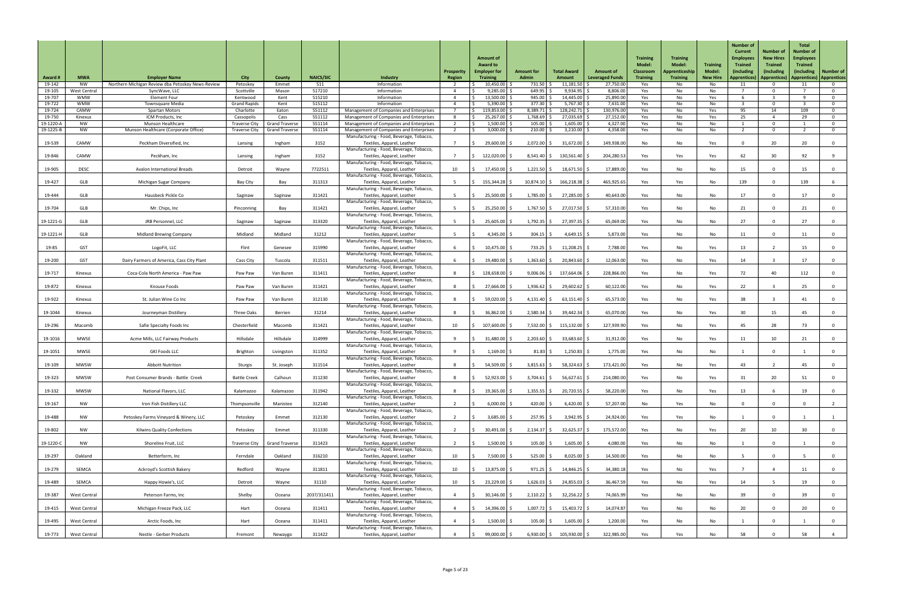| <b>Award #</b>      | <b>MWA</b>               | <b>Employer Name</b>                              | <b>City</b>                        | County                         | <b>NAICS/SIC</b> | Industry                                                                                                           | Prosperit<br>Region | <b>Amount of</b><br><b>Award to</b><br><b>Employer for</b><br><b>Training</b> | <b>Amount for</b><br><b>Admin</b> | <b>Total Award</b><br>Amount | <b>Amount of</b><br><b>Leveraged Funds</b> | <b>Training</b><br><b>Model:</b><br><b>Classroom</b><br><b>Training</b> | <b>Training</b><br><b>Model:</b><br>Apprenticeship<br><b>Training</b> | <b>Training</b><br><b>Model:</b><br><b>New Hire</b> | <b>Number of</b><br><b>Current</b><br><b>Employees</b><br><b>Trained</b><br>(including<br>Apprentices) | Number of<br><b>New Hires</b><br><b>Trained</b><br>(including<br><b>Apprentices</b> | <b>Total</b><br>Number of<br><b>Employees</b><br><b>Trained</b><br>(including) | Number of<br>  Apprentices)   Apprentices |
|---------------------|--------------------------|---------------------------------------------------|------------------------------------|--------------------------------|------------------|--------------------------------------------------------------------------------------------------------------------|---------------------|-------------------------------------------------------------------------------|-----------------------------------|------------------------------|--------------------------------------------|-------------------------------------------------------------------------|-----------------------------------------------------------------------|-----------------------------------------------------|--------------------------------------------------------------------------------------------------------|-------------------------------------------------------------------------------------|--------------------------------------------------------------------------------|-------------------------------------------|
| 19-142              | <b>NW</b>                | Northern Michigan Review dba Petoskey News-Review | Petoskey                           | Emmet                          | 511              | Information                                                                                                        |                     | 10,450.00                                                                     | 731.50                            | 11,181.50                    | 27,750.00                                  | Yes                                                                     | No                                                                    | No                                                  | 11                                                                                                     |                                                                                     |                                                                                | 0                                         |
| 19-105              | West Central             | SyncWave, LLC                                     | Scottville                         | Mason                          | 517210           | Information                                                                                                        |                     | $9,285.00$ \$                                                                 | 649.95                            | 9,934.95                     | 8,806.00                                   | Yes                                                                     | No                                                                    | No                                                  |                                                                                                        | $\Omega$                                                                            |                                                                                | $\overline{0}$                            |
| 19-707<br>19-722    | <b>WMW</b><br><b>WMW</b> | <b>Element Four</b><br><b>Townsquare Media</b>    | Kentwood<br><b>Grand Rapids</b>    | Kent<br>Kent                   | 515210<br>515112 | Information<br>Information                                                                                         |                     | 13,500.00 \$<br>$5,390.00$ \$                                                 | $945.00$ \$<br>377.30             | 14,445.00<br>$5,767.30$ \$   | 25,890.00<br>7,431.00                      | Yes<br>Yes                                                              | No<br>No                                                              | Yes<br>No                                           | $\mathbf{R}$                                                                                           | $\Omega$                                                                            |                                                                                | $\overline{0}$<br>$\mathbf 0$             |
| 19-724              | CAMW                     | <b>Spartan Motors</b>                             | Charlotte                          | Eaton                          | 551112           | <b>Management of Companies and Enterprises</b>                                                                     |                     | 119,853.00                                                                    | 8,389.71                          | 128,242.71                   | 130,976.00                                 | Yes                                                                     | No                                                                    | Yes                                                 | 95                                                                                                     | 14                                                                                  | 109                                                                            | - 0                                       |
| 19-750<br>19-1220-A | Kinexus<br>NW            | ICM Products, Inc<br>Munson Healthcare            | Cassopolis<br><b>Traverse City</b> | Cass<br><b>Grand Travers</b>   | 551112<br>551114 | Management of Companies and Enterprises<br>Management of Companies and Enterprises                                 |                     | 25,267.00<br>1,500.00 \$                                                      | 1,768.69<br>105.00                | 27,035.69<br>1,605.00        | 27,152.00<br>4,327.00                      | Yes<br>Yes                                                              | No<br>No.                                                             | Yes<br>No                                           | 25                                                                                                     | 0                                                                                   | 29                                                                             | $\overline{0}$<br>$\overline{0}$          |
| 19-1225-B           | <b>NW</b>                | Munson Healthcare (Corporate Office)              | <b>Traverse City</b>               | <b>Grand Traverse</b>          | 551114           | Management of Companies and Enterprises                                                                            |                     | $3,000.00$ \$                                                                 | 210.00                            | 3,210.00                     | 4,358.00                                   | Yes                                                                     | No                                                                    | No                                                  | 2                                                                                                      | $\Omega$                                                                            |                                                                                | $\overline{0}$                            |
| 19-539              | CAMW                     | Peckham Diversified, Inc                          | Lansing                            | Ingham                         | 3152             | Manufacturing - Food, Beverage, Tobacco,<br>Textiles, Apparel, Leather                                             |                     | 29,600.00                                                                     | $2,072.00$ \$                     | 31,672.00                    | 149,938.00                                 | No                                                                      | No                                                                    | Yes                                                 |                                                                                                        | 20                                                                                  | 20                                                                             | 0                                         |
| 19-846              | CAMW                     | Peckham, Inc                                      | Lansing                            | Ingham                         | 3152             | Manufacturing - Food, Beverage, Tobacco,<br>Textiles, Apparel, Leather                                             |                     | 122,020.00 \$                                                                 | $8,541.40$ \$                     | 130,561.40                   | 204,280.53                                 | Yes                                                                     | Yes                                                                   | Yes                                                 | 62                                                                                                     | 30                                                                                  | 92                                                                             | -9                                        |
| 19-905              | <b>DESC</b>              | <b>Avalon International Breads</b>                | Detroit                            | Wayne                          | 7722511          | Manufacturing - Food, Beverage, Tobacco,<br>Textiles, Apparel, Leather                                             | 10                  | 17,450.00                                                                     | 1,221.50                          | 18,671.50                    | 17,889.00                                  | Yes                                                                     | No                                                                    | No                                                  | 15                                                                                                     | $\Omega$                                                                            | 15                                                                             | - 0                                       |
| 19-427              | GLB                      | Michigan Sugar Company                            | Bay City                           | Bay                            | 311313           | Manufacturing - Food, Beverage, Tobacco,<br>Textiles, Apparel, Leather                                             |                     | 155,344.28 \$                                                                 | $10,874.10$ \$                    | 166,218.38                   | 465,925.6                                  | Yes                                                                     | Yes                                                                   | No                                                  | 139                                                                                                    |                                                                                     | 139                                                                            |                                           |
| 19-444              | <b>GLB</b>               | Hausbeck Pickle Co                                | Saginaw                            | Saginaw                        | 311421           | Manufacturing - Food, Beverage, Tobacco,<br>Textiles, Apparel, Leather                                             |                     | 25,500.00                                                                     | $1,785.00$ \$                     | 27,285.00                    | 40,643.00                                  | Yes                                                                     | No                                                                    | No                                                  | 17                                                                                                     | $\Omega$                                                                            |                                                                                | 0                                         |
| 19-704              | <b>GLB</b>               | Mr. Chips, Inc                                    | Pinconning                         | Bay                            | 311421           | Manufacturing - Food, Beverage, Tobacco,<br>Textiles, Apparel, Leather                                             |                     | $25,250.00$ \$                                                                | $1,767.50$ \$                     | 27,017.50                    | 57,310.00                                  | Yes                                                                     | No                                                                    | No                                                  | 21                                                                                                     | $\Omega$                                                                            | 21                                                                             | $\overline{0}$                            |
| 19-1221-G           | GLB                      | JRB Personnel, LLC                                | Saginaw                            | Saginaw                        | 313320           | Manufacturing - Food, Beverage, Tobacco,<br>Textiles, Apparel, Leather                                             |                     | 25,605.00                                                                     | 1,792.35                          | 27,397.35                    | 65,069.00                                  | Yes                                                                     | No                                                                    | No                                                  | 27                                                                                                     |                                                                                     | 27                                                                             | $\mathbf 0$                               |
| 19-1221-H           | GLB                      | <b>Midland Brewing Company</b>                    | Midland                            | Midland                        | 31212            | Manufacturing - Food, Beverage, Tobacco,<br>Textiles, Apparel, Leather                                             |                     | $4,345.00$ \$                                                                 | $304.15$ \$                       | $4,649.15$ \$                | 5,873.00                                   | Yes                                                                     | No                                                                    | No                                                  | 11                                                                                                     |                                                                                     |                                                                                |                                           |
| 19-85               | <b>GST</b>               | LogoFit, LLC                                      | Flint                              | Genesee                        | 315990           | Manufacturing - Food, Beverage, Tobacco,<br>Textiles, Apparel, Leather                                             |                     | $10,475.00$ \$                                                                | 733.25 \$                         | $11,208.25$ \$               | 7,788.00                                   | Yes                                                                     | No                                                                    | Yes                                                 | 13                                                                                                     |                                                                                     | 15 <sub>1</sub>                                                                |                                           |
| 19-200              | <b>GST</b>               | Dairy Farmers of America, Cass City Plant         | Cass City                          | Tuscola                        | 311511           | Manufacturing - Food, Beverage, Tobacco,<br>Textiles, Apparel, Leather                                             |                     | 19,480.00                                                                     | $1,363.60$ \$                     | 20,843.60                    | 12,063.00                                  | Yes                                                                     | No                                                                    | Yes                                                 | 14                                                                                                     |                                                                                     |                                                                                | $\Omega$                                  |
| 19-717              | Kinexus                  | Coca-Cola North America - Paw Paw                 | Paw Paw                            | Van Buren                      | 311411           | Manufacturing - Food, Beverage, Tobacco,<br>Textiles, Apparel, Leather                                             |                     | 128,658.00 \$                                                                 | $9,006.06$ \$                     | 137,664.06                   | 228,866.00                                 | Yes                                                                     | No                                                                    | Yes                                                 | 72                                                                                                     | 40                                                                                  | 112                                                                            | $\overline{0}$                            |
| 19-872              | Kinexus                  | Knouse Foods                                      | Paw Paw                            | Van Buren                      | 311421           | Manufacturing - Food, Beverage, Tobacco,<br>Textiles, Apparel, Leather                                             |                     | 27,666.00                                                                     | 1,936.62                          | 29,602.62                    | 60,122.00                                  | Yes                                                                     | No                                                                    | Yes                                                 | 22                                                                                                     |                                                                                     | 25                                                                             | $\mathbf 0$                               |
| 19-922              | Kinexus                  | St. Julian Wine Co Inc                            | Paw Paw                            | Van Buren                      | 312130           | Manufacturing - Food, Beverage, Tobacco,<br>Textiles, Apparel, Leather                                             |                     | 59,020.00 \$                                                                  | $4,131.40$ \$                     | 63,151.40                    | 65,573.00                                  | Yes                                                                     | No                                                                    | Yes                                                 | 38                                                                                                     |                                                                                     | -41                                                                            | $\overline{0}$                            |
| 19-1044             | Kinexus                  | Journeyman Distillery                             | Three Oaks                         | Berrien                        | 31214            | Manufacturing - Food, Beverage, Tobacco,<br>Textiles, Apparel, Leather                                             |                     | $36,862.00$ \$                                                                | 2,580.34                          | 39,442.34                    | 65,070.00                                  | Yes                                                                     | No                                                                    | Yes                                                 | 30 <sup>°</sup>                                                                                        | 15                                                                                  | 45                                                                             | $\mathbf 0$                               |
| 19-296              | Macomb                   | Safie Specialty Foods Inc                         | Chesterfield                       | Macomb                         | 311421           | Manufacturing - Food, Beverage, Tobacco,<br>Textiles, Apparel, Leather                                             | 10                  | 107,600.00 \$                                                                 | $7,532.00$ \$                     | $115,132.00$ \$              | 127,939.90                                 | Yes                                                                     | No                                                                    | Yes                                                 | 45                                                                                                     | 28                                                                                  | 73                                                                             | $\overline{0}$                            |
| 19-1016             | <b>MWSE</b>              | Acme Mills, LLC Fairway Products                  | Hillsdale                          | Hillsdale                      | 314999           | Manufacturing - Food, Beverage, Tobacco,<br>Textiles, Apparel, Leather                                             |                     | $31,480.00$ \$                                                                | 2,203.60                          | 33,683.60 \$                 | 31,912.00                                  | Yes                                                                     | No                                                                    | Yes                                                 | 11                                                                                                     | 10                                                                                  |                                                                                | $\mathbf{0}$                              |
| 19-1051             | <b>MWSE</b>              | <b>GKI Foods LLC</b>                              | Brighton                           | Livingston                     | 311352           | Manufacturing - Food, Beverage, Tobacco,<br>Textiles, Apparel, Leather<br>Manufacturing - Food, Beverage, Tobacco, |                     | $1,169.00$ \$                                                                 | 81.83                             | 1,250.83                     | 1,775.00                                   | Yes                                                                     | No                                                                    | No                                                  |                                                                                                        | $\Omega$                                                                            |                                                                                | $\mathbf 0$                               |
| 19-109              | <b>MWSW</b>              | <b>Abbott Nutrition</b>                           | Sturgis                            | St. Joseph                     | 311514           | Textiles, Apparel, Leather<br>Manufacturing - Food, Beverage, Tobacco,                                             |                     | 54,509.00 \$                                                                  | 3,815.63                          | 58,324.63                    | 173,421.00                                 | Yes                                                                     | No                                                                    | Yes                                                 | 43                                                                                                     |                                                                                     | 45                                                                             | $\overline{0}$                            |
| 19-323              | <b>MWSW</b>              | Post Consumer Brands - Battle Creek               | <b>Battle Creek</b>                | Calhoun                        | 311230           | Textiles, Apparel, Leather                                                                                         |                     | $52,923.00$ \$                                                                | $3,704.61$ \$                     | $56,627.61$ \$               | 214,080.00                                 | Yes                                                                     | No                                                                    | Yes                                                 | 31                                                                                                     | 20                                                                                  | 51                                                                             | $\mathbf 0$                               |
| 19-332              | <b>MWSW</b>              | National Flavors, LLC                             | Kalamazoo                          | Kalamazoo                      | 311942           | Manufacturing - Food, Beverage, Tobacco,<br>Textiles, Apparel, Leather                                             |                     | $19,365.00$ \$                                                                | $1,355.55$ \$                     | $20,720.55$ \$               | 58,220.00                                  | Yes                                                                     | No                                                                    | Yes                                                 | 13                                                                                                     |                                                                                     | 19                                                                             | $\mathbf 0$                               |
| 19-167              | <b>NW</b>                | Iron Fish Distillery LLC                          | Thompsonville                      | Manistee                       | 312140           | Manufacturing - Food, Beverage, Tobacco,<br>Textiles, Apparel, Leather                                             |                     | 6,000.00                                                                      | 420.00                            | $6,420.00$ \$                | 57,207.00                                  | No                                                                      | Yes                                                                   | No                                                  |                                                                                                        |                                                                                     |                                                                                |                                           |
| 19-488              | <b>NW</b>                | Petoskey Farms Vineyard & Winery, LLC             | Petoskey                           | Emmet                          | 312130           | Manufacturing - Food, Beverage, Tobacco,<br>Textiles, Apparel, Leather                                             |                     | $3,685.00$ \$                                                                 | $257.95$ \$                       | $3,942.95$ \$                | 24,924.00                                  | Yes                                                                     | Yes                                                                   | No                                                  |                                                                                                        | $\Omega$                                                                            |                                                                                |                                           |
| 19-802              | NW                       | <b>Kilwins Quality Confections</b>                | Petoskey                           | Emmet                          | 311330           | Manufacturing - Food, Beverage, Tobacco,<br>Textiles, Apparel, Leather                                             |                     | 30,491.00 \$                                                                  | $2,134.37$ \$                     | 32,625.37                    | 175,572.00                                 | Yes                                                                     | No                                                                    | Yes                                                 | 20                                                                                                     | 10                                                                                  | 30                                                                             |                                           |
| 19-1220-C           | <b>NW</b>                | Shoreline Fruit, LLC                              |                                    | Traverse City   Grand Traverse | 311423           | Manufacturing - Food, Beverage, Tobacco,<br>Textiles, Apparel, Leather                                             |                     | 1,500.00                                                                      | 105.00                            | 1,605.00                     | 4.080.00                                   | Yes                                                                     | No                                                                    | No                                                  |                                                                                                        |                                                                                     |                                                                                |                                           |
| 19-297              | Oakland                  | Betterform, Inc                                   | Ferndale                           | Oakland                        | 316210           | Manufacturing - Food, Beverage, Tobacco,<br>Textiles, Apparel, Leather                                             | 10                  | 7,500.00 \$                                                                   | $525.00$ \$                       | $8,025.00$ \$                | 14,500.00                                  | Yes                                                                     | No                                                                    | No                                                  |                                                                                                        | $\mathbf 0$                                                                         |                                                                                | $\overline{0}$                            |
| 19-279              | SEMCA                    | Ackroyd's Scottish Bakery                         | Redford                            | Wayne                          | 311811           | Manufacturing - Food, Beverage, Tobacco,<br>Textiles, Apparel, Leather<br>Manufacturing - Food, Beverage, Tobacco, | 10                  | 13,875.00 \$                                                                  | $971.25$ \$                       | $14,846.25$ \$               | 34,380.18                                  | Yes                                                                     | No                                                                    | Yes                                                 |                                                                                                        |                                                                                     |                                                                                | $\overline{0}$                            |
| 19-489              | SEMCA                    | Happy Howie's, LLC                                | Detroit                            | Wayne                          | 31110            | Textiles, Apparel, Leather<br>Manufacturing - Food, Beverage, Tobacco,                                             | 10 <sup>°</sup>     | 23,229.00 \$                                                                  | $1,626.03$ \$                     | 24,855.03 \$                 | 36,467.59                                  | Yes                                                                     | No                                                                    | Yes                                                 | 14                                                                                                     |                                                                                     | 19                                                                             | $\overline{0}$                            |
| 19-387              | <b>West Central</b>      | Peterson Farms, Inc                               | Shelby                             | Oceana                         | 2037/311411      | Textiles, Apparel, Leather<br>Manufacturing - Food, Beverage, Tobacco,                                             |                     | $30,146.00$ \$                                                                | $2,110.22$ \$                     | $32,256.22$ \$               | 74,065.99                                  | Yes                                                                     | No                                                                    | No                                                  | 39                                                                                                     | $\mathbf 0$                                                                         | 39                                                                             | $\overline{0}$                            |
| 19-415              | <b>West Central</b>      | Michigan Freeze Pack, LLC                         | Hart                               | Oceana                         | 311411           | Textiles, Apparel, Leather<br>Manufacturing - Food, Beverage, Tobacco,                                             |                     | 14,396.00 \$                                                                  | $1,007.72$ \$                     | 15,403.72 \$                 | 14,074.87                                  | Yes                                                                     | No                                                                    | No                                                  | 20                                                                                                     |                                                                                     | 20                                                                             | $\overline{0}$                            |
| 19-495              | <b>West Central</b>      | Arctic Foods, Inc                                 | Hart                               | Oceana                         | 311411           | Textiles, Apparel, Leather<br>Manufacturing - Food, Beverage, Tobacco,                                             |                     | $1,500.00$ \$                                                                 | $105.00$ \$                       | $1,605.00$ \$                | 1,200.00                                   | Yes                                                                     | No                                                                    | No                                                  |                                                                                                        | $\mathbf 0$                                                                         |                                                                                | $\overline{0}$                            |
| 19-773              | <b>West Central</b>      | Nestle - Gerber Products                          | Fremont                            | Newaygo                        | 311422           | Textiles, Apparel, Leather                                                                                         |                     | $99,000.00$ \$                                                                | $6,930.00$ \$                     | 105,930.00 \$                | 322,985.00                                 | Yes                                                                     | Yes                                                                   | No                                                  | 58                                                                                                     |                                                                                     | 58                                                                             |                                           |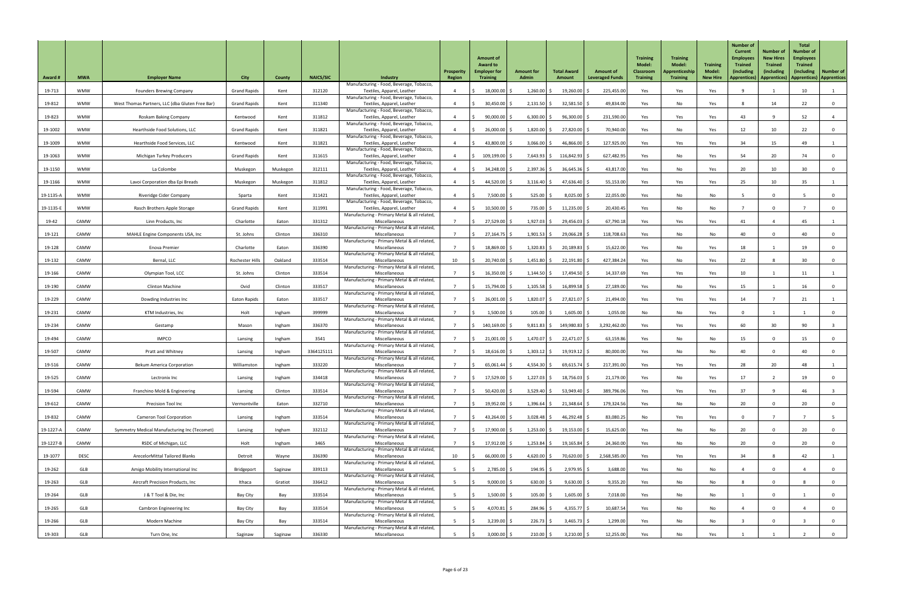| <b>Award #</b> | <b>MWA</b>  | <b>Employer Name</b>                                | <b>City</b>         | County   | <b>NAICS/SIC</b> | Industry                                                               | Prosperity<br>Region | <b>Amount of</b><br><b>Award to</b><br><b>Employer for</b><br><b>Training</b> | <b>Amount for</b><br><b>Admin</b> | <b>Total Award</b><br>Amount | <b>Amount of</b><br><b>Leveraged Funds</b> | <b>Training</b><br><b>Model:</b><br><b>Classroom</b><br><b>Training</b> | <b>Training</b><br><b>Model:</b><br>Apprenticeship<br><b>Training</b> | <b>Training</b><br>Model<br><b>New Hire</b> | <b>Number of</b><br><b>Current</b><br><b>Employees</b><br><b>Trained</b><br>(including<br><b>Apprentices</b> ) | <b>Number of</b><br><b>New Hires</b><br><b>Trained</b><br><i>(including</i><br>Apprentices) | <b>Total</b><br><b>Number of</b><br><b>Employees</b><br><b>Trained</b><br>(including)<br>  Apprentices)   Apprentices | <b>Number of</b> |
|----------------|-------------|-----------------------------------------------------|---------------------|----------|------------------|------------------------------------------------------------------------|----------------------|-------------------------------------------------------------------------------|-----------------------------------|------------------------------|--------------------------------------------|-------------------------------------------------------------------------|-----------------------------------------------------------------------|---------------------------------------------|----------------------------------------------------------------------------------------------------------------|---------------------------------------------------------------------------------------------|-----------------------------------------------------------------------------------------------------------------------|------------------|
| 19-713         | <b>WMW</b>  | <b>Founders Brewing Company</b>                     | <b>Grand Rapids</b> | Kent     | 312120           | Manufacturing - Food, Beverage, Tobacco,<br>Textiles, Apparel, Leather |                      | $18,000.00$ \$                                                                | 1,260.00                          | 19,260.00                    | 225,455.00                                 | Yes                                                                     | Yes                                                                   | Yes                                         |                                                                                                                |                                                                                             | 10                                                                                                                    |                  |
| 19-812         | <b>WMW</b>  | West Thomas Partners, LLC (dba Gluten Free Bar)     | <b>Grand Rapids</b> | Kent     | 311340           | Manufacturing - Food, Beverage, Tobacco,<br>Textiles, Apparel, Leather |                      | $30,450.00$ \$                                                                | $2,131.50$ \$                     | 32,581.50                    | 49,834.00                                  | Yes                                                                     | No                                                                    | Yes                                         |                                                                                                                | 14                                                                                          | 22                                                                                                                    | $\overline{0}$   |
| 19-823         | <b>WMW</b>  | Roskam Baking Company                               | Kentwood            | Kent     | 311812           | Manufacturing - Food, Beverage, Tobacco,<br>Textiles, Apparel, Leather |                      | $90,000.00$ \$                                                                | $6,300.00$ \$                     | 96,300.00                    | 231,590.00                                 | Yes                                                                     | Yes                                                                   | Yes                                         | 43                                                                                                             |                                                                                             | 52                                                                                                                    |                  |
| 19-1002        | <b>WMW</b>  | Hearthside Food Solutions, LLC                      | <b>Grand Rapids</b> | Kent     | 311821           | Manufacturing - Food, Beverage, Tobacco,<br>Textiles, Apparel, Leather |                      | 26,000.00                                                                     | 1,820.00                          | 27,820.00                    | 70,940.00                                  | Yes                                                                     | No                                                                    | Yes                                         | 12                                                                                                             | 10 <sup>°</sup>                                                                             | 22                                                                                                                    | $\overline{0}$   |
| 19-1009        | <b>WMW</b>  | Hearthside Food Services, LLC                       | Kentwood            | Kent     | 311821           | Manufacturing - Food, Beverage, Tobacco,<br>Textiles, Apparel, Leather |                      | 43,800.00 \$                                                                  | 3,066.00                          | 46,866.00 \$                 | 127,925.00                                 | Yes                                                                     | Yes                                                                   | Yes                                         | 34                                                                                                             | 15                                                                                          | 49                                                                                                                    |                  |
| 19-1063        | <b>WMW</b>  | Michigan Turkey Producers                           | <b>Grand Rapids</b> | Kent     | 311615           | Manufacturing - Food, Beverage, Tobacco,<br>Textiles, Apparel, Leather |                      | 109,199.00 \$                                                                 | $7,643.93$ \$                     | 116,842.93                   | 627,482.95                                 | Yes                                                                     | No                                                                    | Yes                                         | 54                                                                                                             | 20                                                                                          | 74                                                                                                                    | $\overline{0}$   |
| 19-1150        | <b>WMW</b>  | La Colombe                                          | Muskegon            | Muskegon | 312111           | Manufacturing - Food, Beverage, Tobacco,<br>Textiles, Apparel, Leather |                      | $34,248.00$ \$                                                                | $2,397.36$ \$                     | $36,645.36$ \$               | 43,817.00                                  | Yes                                                                     | No                                                                    | Yes                                         | 20                                                                                                             | 10 <sup>°</sup>                                                                             | 30                                                                                                                    | 0                |
| 19-1166        | <b>WMW</b>  | Lavoi Corporation dba Epi Breads                    | Muskegon            | Muskegon | 311812           | Manufacturing - Food, Beverage, Tobacco,<br>Textiles, Apparel, Leather |                      | 44,520.00 \$                                                                  | 3,116.40                          | 47,636.40                    | 55,153.00                                  | Yes                                                                     | Yes                                                                   | Yes                                         | 25                                                                                                             | 10 <sup>°</sup>                                                                             | 35 <sub>2</sub>                                                                                                       |                  |
| 19-1135-A      | <b>WMW</b>  | Riveridge Cider Company                             | Sparta              | Kent     | 311421           | Manufacturing - Food, Beverage, Tobacco,<br>Textiles, Apparel, Leather |                      | 7,500.00                                                                      | 525.00                            | 8,025.00                     | 22,055.00                                  | Yes                                                                     | No                                                                    | No                                          |                                                                                                                |                                                                                             |                                                                                                                       | $\overline{0}$   |
| 19-1135-E      | <b>WMW</b>  | Rasch Brothers Apple Storage                        | <b>Grand Rapids</b> | Kent     | 311991           | Manufacturing - Food, Beverage, Tobacco,<br>Textiles, Apparel, Leather |                      | $10,500.00$ \$                                                                | $735.00$ \$                       | 11,235.00                    | 20,430.45                                  | Yes                                                                     | No                                                                    | No                                          |                                                                                                                | $\mathbf 0$                                                                                 |                                                                                                                       | $\overline{0}$   |
| 19-42          | CAMW        | Linn Products, Inc                                  | Charlotte           |          | 331312           | Manufacturing - Primary Metal & all related,<br>Miscellaneous          |                      | 27,529.00 \$                                                                  | $1,927.03$ \$                     | 29,456.03                    | 67,790.18                                  |                                                                         |                                                                       |                                             | 41                                                                                                             |                                                                                             | 45                                                                                                                    |                  |
|                | CAMW        |                                                     |                     | Eaton    |                  | Manufacturing - Primary Metal & all related,                           |                      |                                                                               |                                   |                              |                                            | Yes                                                                     | Yes                                                                   | Yes                                         |                                                                                                                |                                                                                             | 40                                                                                                                    |                  |
| 19-121         |             | MAHLE Engine Components USA, Inc                    | St. Johns           | Clinton  | 336310           | Miscellaneous<br>Manufacturing - Primary Metal & all related,          |                      | $27,164.75$ \$                                                                | $1,901.53$ \$                     | 29,066.28 \$                 | 118,708.63                                 | Yes                                                                     | No                                                                    | No                                          | 40                                                                                                             |                                                                                             |                                                                                                                       | $\mathbf{0}$     |
| 19-128         | CAMW        | Enova Premier                                       | Charlotte           | Eaton    | 336390           | Miscellaneous<br>Manufacturing - Primary Metal & all related,          |                      | 18,869.00 \$                                                                  | 1,320.83                          | 20,189.83                    | 15,622.00                                  | Yes                                                                     | No                                                                    | Yes                                         | 18                                                                                                             |                                                                                             | 19                                                                                                                    |                  |
| 19-132         | CAMW        | Bernal, LLC                                         | Rochester Hills     | Oakland  | 333514           | Miscellaneous<br>Manufacturing - Primary Metal & all related,          | 10                   | 20,740.00                                                                     | 1,451.80                          | 22,191.80                    | 427,384.24                                 | Yes                                                                     | No                                                                    | Yes                                         | 22                                                                                                             |                                                                                             | 30                                                                                                                    | $\mathbf 0$      |
| 19-166         | CAMW        | Olympian Tool, LCC                                  | St. Johns           | Clinton  | 333514           | Miscellaneous<br>Manufacturing - Primary Metal & all related,          |                      | $16,350.00$ \$                                                                | $1,144.50$ \$                     | 17,494.50                    | 14,337.69                                  | Yes                                                                     | Yes                                                                   | Yes                                         | 10 <sup>1</sup>                                                                                                |                                                                                             |                                                                                                                       |                  |
| 19-190         | CAMW        | <b>Clinton Machine</b>                              | Ovid                | Clinton  | 333517           | Miscellaneous<br>Manufacturing - Primary Metal & all related,          |                      | 15,794.00 \$                                                                  | $1,105.58$ \$                     | $16,899.58$ \$               | 27,189.00                                  | Yes                                                                     | No                                                                    | Yes                                         | 15                                                                                                             |                                                                                             | 16                                                                                                                    | $\overline{0}$   |
| 19-229         | CAMW        | Dowding Industries Inc                              | <b>Eaton Rapids</b> | Eaton    | 333517           | Miscellaneous<br>Manufacturing - Primary Metal & all related,          |                      | 26,001.00 \$                                                                  | 1,820.07                          | 27,821.07 \$                 | 21,494.00                                  | Yes                                                                     | Yes                                                                   | Yes                                         | 14                                                                                                             |                                                                                             | 21                                                                                                                    |                  |
| 19-231         | CAMW        | KTM Industries, Inc                                 | Holt                | Ingham   | 399999           | Miscellaneous<br>Manufacturing - Primary Metal & all related,          |                      | 1,500.00                                                                      | 105.00                            | 1,605.00                     | 1,055.00                                   | No                                                                      | No                                                                    | Yes                                         |                                                                                                                |                                                                                             |                                                                                                                       | $\mathbf 0$      |
| 19-234         | CAMW        | Gestamp                                             | Mason               | Ingham   | 336370           | Miscellaneous<br>Manufacturing - Primary Metal & all related,          |                      | 140,169.00 \$                                                                 | 9,811.83                          | 149,980.83                   | 3,292,462.00                               | Yes                                                                     | Yes                                                                   | Yes                                         | 60                                                                                                             | 30 <sup>°</sup>                                                                             | 90                                                                                                                    |                  |
| 19-494         | CAMW        | <b>IMPCO</b>                                        | Lansing             | Ingham   | 3541             | Miscellaneous<br>Manufacturing - Primary Metal & all related,          |                      | $21,001.00$ \$                                                                | $1,470.07$ \$                     | 22,471.07 \$                 | 63,159.86                                  | Yes                                                                     | No                                                                    | No                                          | 15                                                                                                             | $\Omega$                                                                                    | 15 <sub>1</sub>                                                                                                       | $\mathbf{0}$     |
| 19-507         | CAMW        | Pratt and Whitney                                   | Lansing             | Ingham   | 3364125111       | Miscellaneous<br>Manufacturing - Primary Metal & all related,          |                      | $18,616.00$ \$                                                                | $1,303.12$ \$                     | $19,919.12$ \$               | 80,000.00                                  | Yes                                                                     | No                                                                    | No                                          | 40                                                                                                             | $\Omega$                                                                                    | 40                                                                                                                    | 0                |
| 19-516         | CAMW        | <b>Bekum America Corporation</b>                    | Williamston         | Ingham   | 333220           | Miscellaneous<br>Manufacturing - Primary Metal & all related,          |                      | $65,061.44$ \$                                                                | 4,554.30                          | 69,615.74                    | 217,391.00                                 | Yes                                                                     | Yes                                                                   | Yes                                         | 28                                                                                                             | 20                                                                                          | 48                                                                                                                    |                  |
| 19-525         | CAMW        | Lectronix Inc                                       | Lansing             | Ingham   | 334418           | Miscellaneous<br>Manufacturing - Primary Metal & all related,          |                      | 17,529.00 \$                                                                  | 1,227.03                          | 18,756.03                    | 21,179.00                                  | Yes                                                                     | No                                                                    | Yes                                         | 17                                                                                                             |                                                                                             | 19                                                                                                                    | $\overline{0}$   |
| 19-594         | CAMW        | Franchino Mold & Engineering                        | Lansing             | Clinton  | 333514           | Miscellaneous<br>Manufacturing - Primary Metal & all related,          |                      | $50,420.00$ \$                                                                | $3,529.40$ \$                     | $53,949.40$ \$               | 389,796.06                                 | Yes                                                                     | Yes                                                                   | Yes                                         | 37                                                                                                             | q                                                                                           | 46                                                                                                                    |                  |
| 19-612         | CAMW        | Precision Tool Inc                                  | Vermontville        | Eaton    | 332710           | Miscellaneous<br>Manufacturing - Primary Metal & all related,          |                      | 19,952.00 \$                                                                  | 1,396.64                          | $21,348.64$ \$               | 179,324.56                                 | Yes                                                                     | No                                                                    | No                                          | 20                                                                                                             | $\Omega$                                                                                    | 20                                                                                                                    | $\mathbf 0$      |
| 19-832         | CAMW        | <b>Cameron Tool Corporation</b>                     | Lansing             | Ingham   | 333514           | Miscellaneous                                                          |                      | 43,264.00 \$                                                                  | $3,028.48$ \$                     | $46,292.48$ \$               | 83,080.25                                  | No                                                                      | Yes                                                                   | Yes                                         |                                                                                                                |                                                                                             |                                                                                                                       |                  |
| 19-1227-A      | CAMW        | <b>Symmetry Medical Manufacturing Inc (Tecomet)</b> | Lansing             | Ingham   | 332112           | Manufacturing - Primary Metal & all related,<br>Miscellaneous          |                      | 17,900.00 \$                                                                  | $1,253.00$ \$                     | $19,153.00$ \$               | 15,625.00                                  | Yes                                                                     | No                                                                    | No                                          | 20                                                                                                             |                                                                                             | 20                                                                                                                    | $\mathbf 0$      |
| 19-1227-B      | CAMW        | RSDC of Michigan, LLC                               | Holt                | Ingham   | 3465             | Manufacturing - Primary Metal & all related,<br>Miscellaneous          |                      | 17,912.00 \$                                                                  | $1,253.84$ \$                     | $19,165.84$ \$               | 24,360.00                                  | Yes                                                                     | No                                                                    | No                                          | 20                                                                                                             |                                                                                             | 20                                                                                                                    |                  |
| 19-1077        | <b>DESC</b> | <b>ArecelorMittal Tailored Blanks</b>               | Detroit             | Wayne    | 336390           | Manufacturing - Primary Metal & all related,<br>Miscellaneous          | 10                   | 66,000.00 \$                                                                  | 4,620.00 \$                       | 70,620.00 \$                 | 2,568,585.00                               | Yes                                                                     | Yes                                                                   | Yes                                         | 34                                                                                                             |                                                                                             | 42                                                                                                                    |                  |
| 19-262         | GLB         | Amigo Mobility International Inc                    | Bridgeport          | Saginaw  | 339113           | Manufacturing - Primary Metal & all related,<br>Miscellaneous          |                      | $2,785.00$ \$                                                                 | $194.95$ \$                       | $2,979.95$ \$                | 3,688.00                                   | Yes                                                                     | No                                                                    | No                                          |                                                                                                                | $\mathbf 0$                                                                                 |                                                                                                                       | $\overline{0}$   |
| 19-263         | GLB         | Aircraft Precision Products, Inc                    | Ithaca              | Gratiot  | 336412           | Manufacturing - Primary Metal & all related,<br>Miscellaneous          | -5                   | $9,000.00$ \$                                                                 | $630.00$ \$                       | $9,630.00$ \$                | 9,355.20                                   | Yes                                                                     | No                                                                    | No                                          |                                                                                                                | $\mathbf 0$                                                                                 |                                                                                                                       | $\overline{0}$   |
| 19-264         | GLB         | J & T Tool & Die, Inc                               | Bay City            | Bay      | 333514           | Manufacturing - Primary Metal & all related,<br>Miscellaneous          |                      | $1,500.00$ \$                                                                 | $105.00$ \$                       | $1,605.00$ \$                | 7,018.00                                   | Yes                                                                     | No                                                                    | No                                          |                                                                                                                | $\mathbf{0}$                                                                                |                                                                                                                       | $\overline{0}$   |
| 19-265         | GLB         | Cambron Engineering Inc                             | Bay City            | Bay      | 333514           | Manufacturing - Primary Metal & all related,<br>Miscellaneous          |                      | $4,070.81$ \$                                                                 | $284.96$ \$                       | $4,355.77$ \$                | 10,687.54                                  | Yes                                                                     | No                                                                    | No                                          |                                                                                                                | $\Omega$                                                                                    |                                                                                                                       | $\overline{0}$   |
| 19-266         | GLB         | Modern Machine                                      | Bay City            | Bay      | 333514           | Manufacturing - Primary Metal & all related,<br>Miscellaneous          |                      | $3,239.00$ \$                                                                 | $226.73$ \$                       | $3,465.73$ \$                | 1,299.00                                   | Yes                                                                     | No                                                                    | No                                          |                                                                                                                | $\mathbf 0$                                                                                 |                                                                                                                       | $\overline{0}$   |
| 19-303         | GLB         | Turn One, Inc                                       | Saginaw             | Saginaw  | 336330           | Manufacturing - Primary Metal & all related,<br>Miscellaneous          |                      | $3,000.00$ \$                                                                 | $210.00$ \$                       | $3,210.00$ \$                | 12,255.00                                  | Yes                                                                     | No                                                                    | Yes                                         |                                                                                                                |                                                                                             |                                                                                                                       | $\overline{0}$   |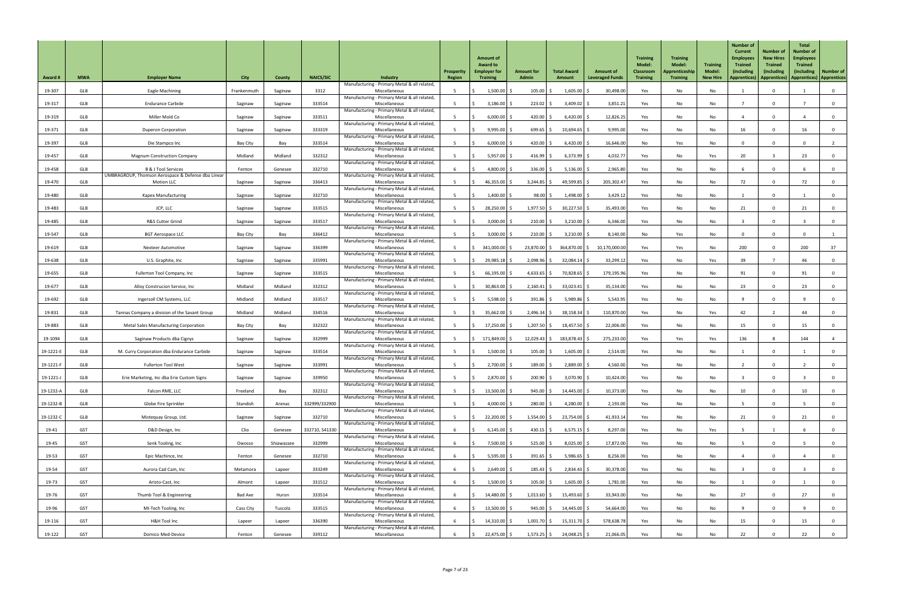| <b>Award #</b> | <b>MWA</b> | <b>Employer Name</b>                                                    | <b>City</b> | County     | <b>NAICS/SIC</b> | Industry                                                                                                      | Prosperity<br>Region | <b>Amount of</b><br><b>Award to</b><br><b>Employer for</b><br><b>Training</b> | <b>Amount for</b><br><b>Admin</b> | <b>Total Award</b><br>Amount | <b>Amount of</b><br><b>Leveraged Funds</b> | <b>Training</b><br><b>Model:</b><br><b>Classroom</b><br><b>Training</b> | <b>Training</b><br><b>Model:</b><br>Apprenticeship<br><b>Training</b> | <b>Training</b><br><b>Model:</b><br><b>New Hire</b> | <b>Number of</b><br><b>Current</b><br><b>Employees</b><br><b>Trained</b><br>(including<br><b>Apprentices</b> ) | <b>Number of</b><br><b>New Hires</b><br><b>Trained</b><br><i>(including</i><br>Apprentices)   Apprentices   Apprentices | <b>Total</b><br><b>Number of</b><br><b>Employees</b><br><b>Trained</b><br><i>(including)</i> | <b>Number of</b> |
|----------------|------------|-------------------------------------------------------------------------|-------------|------------|------------------|---------------------------------------------------------------------------------------------------------------|----------------------|-------------------------------------------------------------------------------|-----------------------------------|------------------------------|--------------------------------------------|-------------------------------------------------------------------------|-----------------------------------------------------------------------|-----------------------------------------------------|----------------------------------------------------------------------------------------------------------------|-------------------------------------------------------------------------------------------------------------------------|----------------------------------------------------------------------------------------------|------------------|
| 19-307         | <b>GLB</b> | Eagle Machining                                                         | Frankenmuth | Saginaw    | 3312             | Manufacturing - Primary Metal & all related,<br>Miscellaneous                                                 |                      | $1,500.00$ \$                                                                 | 105.00                            | 1,605.00                     | 30,498.00                                  | Yes                                                                     | No                                                                    | No                                                  |                                                                                                                | $\mathbf{0}$                                                                                                            |                                                                                              | $\overline{0}$   |
| 19-317         | <b>GLB</b> | <b>Endurance Carbide</b>                                                | Saginaw     | Saginaw    | 333514           | Manufacturing - Primary Metal & all related,<br>Miscellaneous                                                 |                      | $3,186.00$ \$                                                                 | $223.02$ \$                       | $3,409.02$ \$                | 3,851.21                                   | Yes                                                                     | No                                                                    | No                                                  |                                                                                                                | $\mathbf 0$                                                                                                             |                                                                                              | $\overline{0}$   |
| 19-319         | GLB        | Miller Mold Co                                                          | Saginaw     | Saginaw    | 333511           | Manufacturing - Primary Metal & all related,<br>Miscellaneous                                                 |                      | $6,000.00$ \$                                                                 | 420.00                            | 6,420.00                     | 12,826.25                                  | Yes                                                                     | No                                                                    | No                                                  |                                                                                                                | $\Omega$                                                                                                                |                                                                                              | $\overline{0}$   |
| 19-371         | <b>GLB</b> | <b>Duperon Corporation</b>                                              | Saginaw     | Saginaw    | 333319           | Manufacturing - Primary Metal & all related,<br>Miscellaneous                                                 |                      | 9,995.00                                                                      | 699.65                            | 10,694.65                    | 9,995.00                                   | Yes                                                                     | No                                                                    | No                                                  | 16                                                                                                             | $\Omega$                                                                                                                | 16                                                                                           | $\overline{0}$   |
| 19-397         | <b>GLB</b> | Die Stampco Inc                                                         | Bay City    | Bay        | 333514           | Manufacturing - Primary Metal & all related,<br>Miscellaneous                                                 |                      | $6,000.00$ \$                                                                 | 420.00                            | $6,420.00$ \$                | 16,646.00                                  | No                                                                      | Yes                                                                   | No                                                  |                                                                                                                | $\Omega$                                                                                                                |                                                                                              |                  |
| 19-457         | <b>GLB</b> | <b>Magnum Construction Company</b>                                      | Midland     | Midland    | 332312           | Manufacturing - Primary Metal & all related,<br>Miscellaneous                                                 |                      | $5,957.00$ \$                                                                 | 416.99                            | $6,373.99$ \$                | 4,032.77                                   | Yes                                                                     | No                                                                    | Yes                                                 | 20                                                                                                             |                                                                                                                         | 23                                                                                           | $\overline{0}$   |
| 19-458         | GLB        | <b>B &amp; J Tool Services</b>                                          | Fenton      | Genesee    | 332710           | Manufacturing - Primary Metal & all related,<br>Miscellaneous                                                 |                      | $4,800.00$ \$                                                                 | 336.00                            | 5,136.00                     | 2,965.80                                   | Yes                                                                     | No                                                                    | No                                                  |                                                                                                                | $\Omega$                                                                                                                |                                                                                              | 0                |
| 19-470         | GLB        | UMBRAGROUP, Thomson Aerospace & Defense dba Linear<br><b>Motion LLC</b> | Saginaw     | Saginaw    | 336413           | Manufacturing - Primary Metal & all related,<br>Miscellaneous                                                 |                      | 46,355.00 \$                                                                  | $3,244.85$ \$                     | 49,599.85                    | 205,302.47                                 | Yes                                                                     | No                                                                    | No                                                  | 72                                                                                                             |                                                                                                                         | 72                                                                                           | $\overline{0}$   |
| 19-480         | GLB        | <b>Kapex Manufacturing</b>                                              | Saginaw     | Saginaw    | 332710           | Manufacturing - Primary Metal & all related,<br>Miscellaneous                                                 |                      | $1,400.00$ \$                                                                 | 98.00                             | 1,498.00                     | 3,429.12                                   | Yes                                                                     | No                                                                    | No                                                  |                                                                                                                | $\Omega$                                                                                                                |                                                                                              | $\overline{0}$   |
| 19-483         | <b>GLB</b> | JCP, LLC                                                                | Saginaw     | Saginaw    | 333515           | Manufacturing - Primary Metal & all related,<br>Miscellaneous                                                 |                      | 28,250.00 \$                                                                  | $1,977.50$ \$                     | $30,227.50$ \$               | 35,493.00                                  | Yes                                                                     | No                                                                    | No                                                  | 21                                                                                                             | $\mathbf 0$                                                                                                             | 21                                                                                           | $\overline{0}$   |
| 19-485         | GLB        | R&S Cutter Grind                                                        | Saginaw     | Saginaw    | 333517           | Manufacturing - Primary Metal & all related,<br>Miscellaneous                                                 |                      | $3,000.00$ \$                                                                 | $210.00$ \$                       | 3,210.00                     | 6,346.00                                   | Yes                                                                     | No                                                                    | No                                                  |                                                                                                                | $\mathbf 0$                                                                                                             |                                                                                              | $\overline{0}$   |
| 19-547         | GLB        | <b>BGT Aerospace LLC</b>                                                | Bay City    | Bay        | 336412           | Manufacturing - Primary Metal & all related,<br>Miscellaneous                                                 |                      | $3,000.00$ \$                                                                 | $210.00$ \$                       | $3,210.00$ \$                | 8,140.00                                   | No                                                                      | Yes                                                                   | No                                                  |                                                                                                                |                                                                                                                         |                                                                                              |                  |
| 19-619         | <b>GLB</b> | <b>Nexteer Automotive</b>                                               | Saginaw     | Saginaw    | 336399           | Manufacturing - Primary Metal & all related,<br>Miscellaneous                                                 |                      | 341,000.00 \$                                                                 | $23,870.00$ \$                    | 364,870.00 \$                | 10,170,000.00                              | Yes                                                                     | Yes                                                                   | No                                                  | 200                                                                                                            |                                                                                                                         | 200                                                                                          | 37               |
| 19-638         | GLB        | U.S. Graphite, Inc                                                      | Saginaw     | Saginaw    | 335991           | Manufacturing - Primary Metal & all related,<br>Miscellaneous                                                 |                      | 29,985.18 \$                                                                  | 2,098.96                          | 32,084.14                    | 33,299.12                                  | Yes                                                                     | No                                                                    | Yes                                                 | 39                                                                                                             |                                                                                                                         | 46                                                                                           | $\mathbf 0$      |
| 19-655         | GLB        | Fullerton Tool Company, Inc                                             | Saginaw     | Saginaw    | 333515           | Manufacturing - Primary Metal & all related,<br>Miscellaneous                                                 |                      | $66,195.00$ \$                                                                | 4,633.65                          | 70,828.65                    | 179,195.96                                 | Yes                                                                     | No                                                                    | No                                                  | 91                                                                                                             |                                                                                                                         | 91                                                                                           | $\overline{0}$   |
| 19-677         | GLB        | Alloy Construcion Service, Inc                                          | Midland     | Midland    | 332312           | Manufacturing - Primary Metal & all related,<br>Miscellaneous                                                 |                      | $30,863.00$ \$                                                                | $2,160.41$ \$                     | $33,023.41$ \$               | 35,134.00                                  | Yes                                                                     | No                                                                    | No                                                  | 23                                                                                                             | $\Omega$                                                                                                                | 23                                                                                           | $\overline{0}$   |
| 19-692         | GLB        | Ingersoll CM Systems, LLC                                               | Midland     | Midland    | 333517           | Manufacturing - Primary Metal & all related,<br>Miscellaneous                                                 |                      | $5,598.00$ \$                                                                 | $391.86$ \$                       | $5,989.86$ \$                | 5,543.95                                   | Yes                                                                     | No                                                                    | No                                                  |                                                                                                                | $\Omega$                                                                                                                |                                                                                              | $\overline{0}$   |
| 19-831         | GLB        | Tannas Company a division of the Savant Group                           | Midland     | Midland    | 334516           | Manufacturing - Primary Metal & all related,<br>Miscellaneous                                                 |                      | 35,662.00                                                                     | 2,496.34                          | 38,158.34                    | 110,870.00                                 | Yes                                                                     | No                                                                    | Yes                                                 | 42                                                                                                             |                                                                                                                         | 44                                                                                           | $\overline{0}$   |
| 19-883         | <b>GLB</b> | <b>Metal Sales Manufacturing Corporation</b>                            | Bay City    | Bay        | 332322           | Manufacturing - Primary Metal & all related,<br>Miscellaneous                                                 |                      | $17,250.00$ \$                                                                | 1,207.50                          | $18,457.50$ \$               | 22,006.00                                  | Yes                                                                     | No                                                                    | No                                                  | 15                                                                                                             | $\Omega$                                                                                                                | 15 <sub>1</sub>                                                                              | 0                |
| 19-1094        | GLB        | Saginaw Products dba Cignys                                             | Saginaw     | Saginaw    | 332999           | Manufacturing - Primary Metal & all related,<br>Miscellaneous                                                 |                      | 171,849.00 \$                                                                 | $12,029.43$ \$                    | 183,878.43                   | 275,233.00                                 | Yes                                                                     | Yes                                                                   | Yes                                                 | 136                                                                                                            |                                                                                                                         | 144                                                                                          |                  |
| 19-1221-E      | <b>GLB</b> | M. Curry Corporation dba Endurance Carbide                              | Saginaw     | Saginaw    | 333514           | Manufacturing - Primary Metal & all related,<br>Miscellaneous                                                 |                      | 1,500.00                                                                      | 105.00                            | 1,605.00                     | 2,514.00                                   | Yes                                                                     | No                                                                    | No                                                  |                                                                                                                | $\Omega$                                                                                                                |                                                                                              | 0                |
| 19-1221-F      | GLB        | <b>Fullerton Tool West</b>                                              | Saginaw     | Saginaw    | 333991           | Manufacturing - Primary Metal & all related,<br>Miscellaneous                                                 |                      | $2,700.00$ \$                                                                 | 189.00                            | 2,889.00                     | 4,560.00                                   | Yes                                                                     | No                                                                    | No                                                  |                                                                                                                |                                                                                                                         |                                                                                              | $\overline{0}$   |
| 19-1221-J      | GLB        | Erie Marketing, Inc dba Erie Custom Signs                               | Saginaw     | Saginaw    | 339950           | Manufacturing - Primary Metal & all related,<br>Miscellaneous                                                 |                      | 2,870.00                                                                      | 200.90                            | $3,070.90$ \$                | 10,424.00                                  | Yes                                                                     | No                                                                    | No                                                  |                                                                                                                |                                                                                                                         |                                                                                              | $\overline{0}$   |
| 19-1232-A      | <b>GLB</b> | Falcon RME, LLC                                                         | Freeland    | Bay        | 332312           | Manufacturing - Primary Metal & all related,<br>Miscellaneous                                                 |                      | $13,500.00$ \$                                                                | $945.00$ \$                       | $14,445.00$ \$               | 10,373.00                                  | Yes                                                                     | No                                                                    | No                                                  | 10                                                                                                             | $\Omega$                                                                                                                | 10                                                                                           | $\overline{0}$   |
| 19-1232-B      | GLB        | Globe Fire Sprinkler                                                    | Standish    | Arenac     | 332999/332900    | Manufacturing - Primary Metal & all related,<br>Miscellaneous<br>Manufacturing - Primary Metal & all related, |                      | 4,000.00 \$                                                                   | 280.00                            | 4,280.00 \$                  | 2,193.00                                   | Yes                                                                     | No                                                                    | No                                                  |                                                                                                                | $\mathbf 0$                                                                                                             |                                                                                              | $\overline{0}$   |
| 19-1232-C      | <b>GLB</b> | Mistequay Group, Ltd.                                                   | Saginaw     | Saginaw    | 332710           | Miscellaneous<br>Manufacturing - Primary Metal & all related,                                                 |                      | $22,200.00$ \$                                                                | $1,554.00$ \$                     | $23,754.00$ \$               | 41,933.14                                  | Yes                                                                     | No                                                                    | No                                                  | 21                                                                                                             |                                                                                                                         |                                                                                              | 0                |
| 19-41          | GST        | D&D Design, Inc                                                         | Clio        | Genesee    | 332710, 541330   | Miscellaneous<br>Manufacturing - Primary Metal & all related,                                                 |                      | $6,145.00$ \$                                                                 | $430.15$ \$                       | $6,575.15$ \$                | 8,297.00                                   | Yes                                                                     | No                                                                    | Yes                                                 |                                                                                                                |                                                                                                                         |                                                                                              | $\mathbf 0$      |
| 19-45          | <b>GST</b> | Senk Tooling, Inc                                                       | Owosso      | Shiawassee | 332999           | Miscellaneous<br>Manufacturing - Primary Metal & all related,                                                 |                      | 7,500.00 \$                                                                   | $525.00$ \$                       | $8,025.00$ \$                | 17,872.00                                  | Yes                                                                     | No                                                                    | No                                                  |                                                                                                                |                                                                                                                         |                                                                                              |                  |
| 19-53          | GST        | Epic Machince, Inc                                                      | Fenton      | Genesee    | 332710           | Miscellaneous<br>Manufacturing - Primary Metal & all related,                                                 |                      | 5,595.00 \$                                                                   | $391.65$ \$                       | $5,986.65$ \$                | 8,256.00                                   | Yes                                                                     | No                                                                    | No                                                  |                                                                                                                | $\overline{0}$                                                                                                          |                                                                                              | $\overline{0}$   |
| 19-54          | GST        | Aurora Cad Cam, Inc                                                     | Metamora    | Lapeer     | 333249           | Miscellaneous<br>Manufacturing - Primary Metal & all related,                                                 |                      | $2,649.00$ \$                                                                 | $185.43$ \$                       | $2,834.43$ \$                | 30,378.00                                  | Yes                                                                     | No                                                                    | No                                                  |                                                                                                                | $\mathbf 0$                                                                                                             |                                                                                              | $\overline{0}$   |
| 19-73          | <b>GST</b> | Aristo-Cast, Inc                                                        | Almont      | Lapeer     | 331512           | Miscellaneous<br>Manufacturing - Primary Metal & all related,                                                 |                      | $1,500.00$ \$                                                                 | $105.00$ \$                       | $1,605.00$ \$                | 1,781.00                                   | Yes                                                                     | No                                                                    | No                                                  |                                                                                                                | $\mathbf 0$                                                                                                             |                                                                                              | $\overline{0}$   |
| 19-76          | GST        | Thumb Tool & Engineering                                                | Bad Axe     | Huron      | 333514           | Miscellaneous<br>Manufacturing - Primary Metal & all related,                                                 |                      | 14,480.00 \$                                                                  | $1,013.60$ \$                     | $15,493.60$ \$               | 33,943.00                                  | Yes                                                                     | No                                                                    | No                                                  | 27                                                                                                             | $\mathbf 0$                                                                                                             | 27                                                                                           | $\overline{0}$   |
| 19-96          | GST        | MI-Tech Tooling, Inc                                                    | Cass City   | Tuscola    | 333515           | Miscellaneous<br>Manufacturing - Primary Metal & all related,                                                 |                      | 13,500.00 \$                                                                  | $945.00$ \$                       | 14,445.00 \$                 | 54,664.00                                  | Yes                                                                     | No                                                                    | No                                                  |                                                                                                                | $\Omega$                                                                                                                |                                                                                              | $\overline{0}$   |
| 19-116         | GST        | H&H Tool Inc                                                            | Lapeer      | Lapeer     | 336390           | Miscellaneous<br>Manufacturing - Primary Metal & all related,                                                 |                      | $14,310.00$ \$                                                                | $1,001.70$ \$                     | $15,311.70$ \$               | 578,638.78                                 | Yes                                                                     | No                                                                    | No                                                  | 15                                                                                                             | $\mathbf{0}$                                                                                                            | 15                                                                                           | $\overline{0}$   |
| 19-122         | <b>GST</b> | Domico Med-Device                                                       | Fenton      | Genesee    | 339112           | Miscellaneous                                                                                                 |                      | $22,475.00$ \$                                                                | $1,573.25$ \$                     | 24,048.25 \$                 | 21,066.05                                  | Yes                                                                     | No                                                                    | No                                                  | 22                                                                                                             |                                                                                                                         | 22                                                                                           | $\overline{0}$   |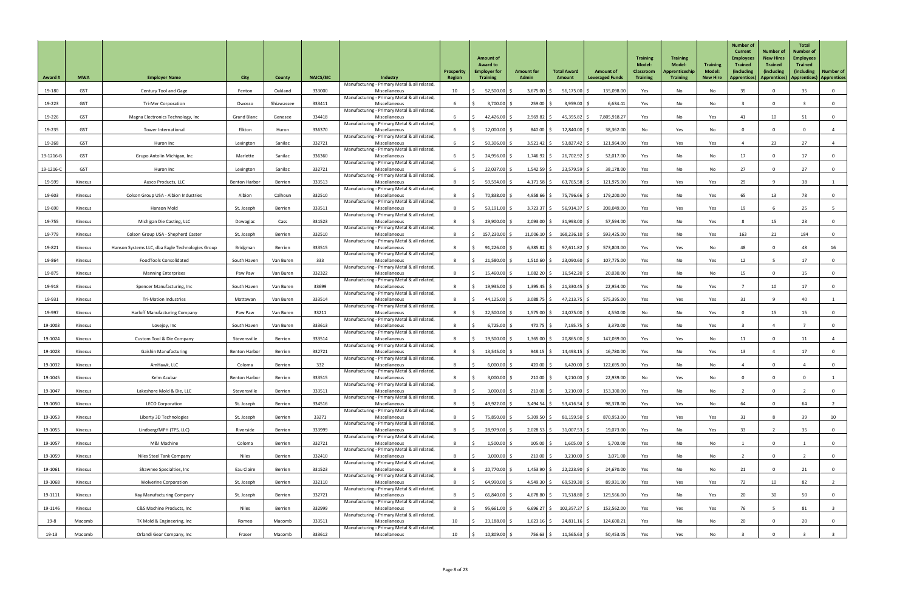| <b>Award #</b> | <b>MWA</b> | <b>Employer Name</b>                             | <b>City</b>          | County     | <b>NAICS/SIC</b> | Industry                                                      | Prosperity<br>Region | <b>Amount of</b><br><b>Award to</b><br><b>Employer for</b><br><b>Training</b> | <b>Amount for</b><br><b>Admin</b> | <b>Total Award</b><br>Amount | <b>Amount of</b><br><b>Leveraged Funds</b> | <b>Training</b><br><b>Model:</b><br><b>Classroom</b><br><b>Training</b> | <b>Training</b><br><b>Model:</b><br>Apprenticeship<br><b>Training</b> | <b>Training</b><br>Model<br><b>New Hire</b> | <b>Number of</b><br><b>Current</b><br><b>Employees</b><br><b>Trained</b><br>(including<br><b>Apprentices</b> ) | <b>Number of</b><br><b>New Hires</b><br><b>Trained</b><br><i>(including</i><br>Apprentices) | <b>Total</b><br><b>Number of</b><br><b>Employees</b><br><b>Trained</b><br>(including)<br>  Apprentices)   Apprentices | <b>Number of</b> |
|----------------|------------|--------------------------------------------------|----------------------|------------|------------------|---------------------------------------------------------------|----------------------|-------------------------------------------------------------------------------|-----------------------------------|------------------------------|--------------------------------------------|-------------------------------------------------------------------------|-----------------------------------------------------------------------|---------------------------------------------|----------------------------------------------------------------------------------------------------------------|---------------------------------------------------------------------------------------------|-----------------------------------------------------------------------------------------------------------------------|------------------|
| 19-180         | <b>GST</b> | Century Tool and Gage                            | Fenton               | Oakland    | 333000           | Manufacturing - Primary Metal & all related,<br>Miscellaneous | 10                   | $52,500.00$ \$                                                                | 3,675.00                          | 56,175.00                    | 135,098.00                                 | Yes                                                                     | No                                                                    | No                                          | 35                                                                                                             | $\Omega$                                                                                    | 35                                                                                                                    | $\overline{0}$   |
| 19-223         | GST        | <b>Tri-Mer Corporation</b>                       | Owosso               | Shiawassee | 333411           | Manufacturing - Primary Metal & all related,<br>Miscellaneous |                      | $3,700.00$ \$                                                                 | $259.00$ \$                       | $3,959.00$ \$                | 6,634.41                                   | Yes                                                                     | No                                                                    | No                                          |                                                                                                                | $\mathbf 0$                                                                                 |                                                                                                                       | $\overline{0}$   |
| 19-226         | <b>GST</b> | Magna Electronics Technology, Inc                | <b>Grand Blanc</b>   | Genesee    | 334418           | Manufacturing - Primary Metal & all related,<br>Miscellaneous |                      | $42,426.00$ \$                                                                | 2,969.82                          | $45,395.82$ \$               | 7,805,918.27                               | Yes                                                                     | No                                                                    | Yes                                         | 41                                                                                                             | 10 <sup>°</sup>                                                                             | 51                                                                                                                    | $\overline{0}$   |
| 19-235         | GST        | <b>Tower International</b>                       | Elkton               | Huron      | 336370           | Manufacturing - Primary Metal & all related,<br>Miscellaneous |                      | $12,000.00$ \$                                                                | 840.00                            | 12,840.00                    | 38,362.00                                  | No                                                                      | Yes                                                                   | No                                          |                                                                                                                | $\Omega$                                                                                    |                                                                                                                       |                  |
| 19-268         | <b>GST</b> | Huron Inc                                        | Lexington            | Sanilac    | 332721           | Manufacturing - Primary Metal & all related,<br>Miscellaneous |                      | $50,306.00$ \$                                                                | $3,521.42$ \$                     | $53,827.42$ \$               | 121,964.00                                 | Yes                                                                     | Yes                                                                   | Yes                                         |                                                                                                                | 23                                                                                          | 27                                                                                                                    | 4                |
| 19-1216-B      | <b>GST</b> | Grupo Antolin Michigan, Inc                      | Marlette             | Sanilac    | 336360           | Manufacturing - Primary Metal & all related,<br>Miscellaneous |                      | 24,956.00 \$                                                                  | $1,746.92$ \$                     | 26,702.92 \$                 | 52,017.00                                  | Yes                                                                     | No                                                                    | No                                          | 17                                                                                                             | $\mathbf{0}$                                                                                | 17                                                                                                                    | $\overline{0}$   |
| 19-1216-C      | <b>GST</b> | Huron Inc                                        | Lexington            | Sanilac    | 332721           | Manufacturing - Primary Metal & all related,<br>Miscellaneous |                      | 22,037.00 \$                                                                  | 1,542.59                          | 23,579.59 \$                 | 38,178.00                                  | Yes                                                                     | No                                                                    | No                                          | 27                                                                                                             | $\Omega$                                                                                    | 27                                                                                                                    | 0                |
| 19-599         | Kinexus    | Ausco Products, LLC                              | <b>Benton Harbor</b> | Berrien    | 333513           | Manufacturing - Primary Metal & all related,<br>Miscellaneous |                      | 59,594.00 \$                                                                  | $4,171.58$ \$                     | $63,765.58$ \$               | 121,975.00                                 | Yes                                                                     | Yes                                                                   | Yes                                         | 29                                                                                                             |                                                                                             | 38                                                                                                                    |                  |
| 19-603         | Kinexus    | Colson Group USA - Albion Industries             | Albion               | Calhoun    | 332510           | Manufacturing - Primary Metal & all related,<br>Miscellaneous |                      | 70,838.00 \$                                                                  | 4,958.66                          | 75,796.66                    | 179,200.00                                 | Yes                                                                     | No                                                                    | Yes                                         | 65                                                                                                             | 13                                                                                          | 78                                                                                                                    | $\overline{0}$   |
| 19-690         | Kinexus    | Hanson Mold                                      | St. Joseph           | Berrien    | 333511           | Manufacturing - Primary Metal & all related,<br>Miscellaneous |                      | $53,191.00$ \$                                                                | $3,723.37$ \$                     | $56,914.37$ \$               | 208,049.00                                 | Yes                                                                     | Yes                                                                   | Yes                                         | 19                                                                                                             |                                                                                             | 25                                                                                                                    | 5 <sup>5</sup>   |
| 19-755         | Kinexus    | Michigan Die Casting, LLC                        | Dowagiac             | Cass       | 331523           | Manufacturing - Primary Metal & all related,<br>Miscellaneous |                      | 29,900.00 \$                                                                  | $2,093.00$ \$                     | $31,993.00$ \$               | 57,594.00                                  | Yes                                                                     | No                                                                    | Yes                                         |                                                                                                                | 15                                                                                          | 23                                                                                                                    | $\overline{0}$   |
| 19-779         | Kinexus    | Colson Group USA - Shepherd Caster               | St. Joseph           | Berrien    | 332510           | Manufacturing - Primary Metal & all related,<br>Miscellaneous |                      | 157,230.00 \$                                                                 | $11,006.10$ \$                    | $168,236.10$ \$              | 593,425.00                                 | Yes                                                                     | No                                                                    | Yes                                         | 163                                                                                                            | 21                                                                                          | 184                                                                                                                   | - 0              |
| 19-821         | Kinexus    | Hanson Systems LLC, dba Eagle Technologies Group | Bridgman             | Berrien    | 333515           | Manufacturing - Primary Metal & all related,<br>Miscellaneous |                      | $91,226.00$ \$                                                                | 6,385.82                          | 97,611.82                    | 573,803.00                                 | Yes                                                                     | Yes                                                                   | No                                          | 48                                                                                                             |                                                                                             | 48                                                                                                                    | 16               |
| 19-864         | Kinexus    | <b>FoodTools Consolidated</b>                    | South Haven          | Van Buren  | 333              | Manufacturing - Primary Metal & all related,<br>Miscellaneous |                      | 21,580.00                                                                     | 1,510.60                          | 23,090.60                    | 107,775.00                                 | Yes                                                                     | No                                                                    | Yes                                         | 12                                                                                                             |                                                                                             |                                                                                                                       | $\mathbf 0$      |
| 19-875         | Kinexus    | <b>Manning Enterprises</b>                       | Paw Paw              | Van Buren  | 332322           | Manufacturing - Primary Metal & all related,<br>Miscellaneous |                      | 15,460.00 \$                                                                  | 1,082.20                          | 16,542.20                    | 20,030.00                                  | Yes                                                                     | No                                                                    | No                                          | 15                                                                                                             |                                                                                             | 15 <sub>1</sub>                                                                                                       | $\overline{0}$   |
| 19-918         | Kinexus    | Spencer Manufacturing, Inc                       | South Haven          | Van Buren  | 33699            | Manufacturing - Primary Metal & all related,<br>Miscellaneous |                      | $19,935.00$ \$                                                                | $1,395.45$ \$                     | $21,330.45$ \$               | 22,954.00                                  | Yes                                                                     | No                                                                    | Yes                                         |                                                                                                                | 10 <sup>°</sup>                                                                             | 17                                                                                                                    | $\overline{0}$   |
| 19-931         | Kinexus    | <b>Tri-Mation Industries</b>                     | Mattawan             | Van Buren  | 333514           | Manufacturing - Primary Metal & all related,<br>Miscellaneous |                      | $44,125.00$ \$                                                                | $3,088.75$ \$                     | $47,213.75$ \$               | 575,395.00                                 | Yes                                                                     | Yes                                                                   | Yes                                         | 31                                                                                                             | -9                                                                                          | 40                                                                                                                    |                  |
| 19-997         | Kinexus    | <b>Harloff Manufacturing Company</b>             | Paw Paw              | Van Buren  | 33211            | Manufacturing - Primary Metal & all related,<br>Miscellaneous |                      | 22,500.00                                                                     | 1,575.00                          | 24,075.00 \$                 | 4,550.00                                   | No                                                                      | No                                                                    | Yes                                         |                                                                                                                | 15                                                                                          | 15                                                                                                                    | $\overline{0}$   |
| 19-1003        | Kinexus    | Lovejoy, Inc                                     | South Haven          | Van Buren  | 333613           | Manufacturing - Primary Metal & all related,<br>Miscellaneous |                      | $6,725.00$ \$                                                                 | 470.75                            | $7,195.75$ \$                | 3,370.00                                   | Yes                                                                     | No                                                                    | Yes                                         |                                                                                                                |                                                                                             |                                                                                                                       | 0                |
| 19-1024        | Kinexus    | Custom Tool & Die Company                        | Stevensville         | Berrien    | 333514           | Manufacturing - Primary Metal & all related,<br>Miscellaneous |                      | 19,500.00 \$                                                                  | $1,365.00$ \$                     | $20,865.00$ \$               | 147,039.00                                 | Yes                                                                     | Yes                                                                   | No                                          | 11                                                                                                             | $\Omega$                                                                                    |                                                                                                                       |                  |
| 19-1028        | Kinexus    | <b>Gaishin Manufacturing</b>                     | <b>Benton Harbor</b> | Berrien    | 332721           | Manufacturing - Primary Metal & all related,<br>Miscellaneous |                      | $13,545.00$ \$                                                                | $948.15$ \$                       | $14,493.15$ \$               | 16,780.00                                  | Yes                                                                     | No                                                                    | Yes                                         | 13                                                                                                             |                                                                                             | 17                                                                                                                    | 0                |
| 19-1032        | Kinexus    | AmHawk, LLC                                      | Coloma               | Berrien    | 332              | Manufacturing - Primary Metal & all related,<br>Miscellaneous |                      | $6,000.00$ \$                                                                 | 420.00                            | 6,420.00                     | 122,695.00                                 | Yes                                                                     | No                                                                    | No                                          |                                                                                                                |                                                                                             |                                                                                                                       | $\overline{0}$   |
| 19-1045        | Kinexus    | Kelm Acubar                                      | <b>Benton Harbor</b> | Berrien    | 333515           | Manufacturing - Primary Metal & all related,<br>Miscellaneous |                      | 3,000.00                                                                      | 210.00                            | $3,210.00$ \$                | 22,939.00                                  | No                                                                      | Yes                                                                   | No                                          |                                                                                                                |                                                                                             |                                                                                                                       |                  |
| 19-1047        | Kinexus    | Lakeshore Mold & Die, LLC                        | Stevensville         | Berrien    | 333511           | Manufacturing - Primary Metal & all related,<br>Miscellaneous |                      | $3,000.00$ \$                                                                 | 210.00                            | $3,210.00$ \$                | 153,300.00                                 | Yes                                                                     | No                                                                    | No                                          |                                                                                                                | $\mathbf 0$                                                                                 |                                                                                                                       | $\overline{0}$   |
| 19-1050        | Kinexus    | <b>LECO Corporation</b>                          | St. Joseph           | Berrien    | 334516           | Manufacturing - Primary Metal & all related,<br>Miscellaneous |                      | 49,922.00 \$                                                                  | 3,494.54                          | $53,416.54$ \$               | 98,378.00                                  | Yes                                                                     | Yes                                                                   | No                                          | 64                                                                                                             | $\mathbf{0}$                                                                                | 64                                                                                                                    |                  |
| 19-1053        | Kinexus    | Liberty 3D Technologies                          | St. Joseph           | Berrien    | 33271            | Manufacturing - Primary Metal & all related,<br>Miscellaneous |                      | 75,850.00 \$                                                                  | $5,309.50$ \$                     | 81,159.50                    | 870,953.00                                 | Yes                                                                     | Yes                                                                   | Yes                                         | 31                                                                                                             |                                                                                             | 39                                                                                                                    | 10               |
| 19-1055        | Kinexus    | Lindberg/MPH (TPS, LLC)                          | Riverside            | Berrien    | 333999           | Manufacturing - Primary Metal & all related,<br>Miscellaneous |                      | 28,979.00 \$                                                                  | $2,028.53$ \$                     | 31,007.53                    | 19,073.00                                  | Yes                                                                     | No                                                                    | Yes                                         | 33                                                                                                             |                                                                                             | 35                                                                                                                    | $\mathbf 0$      |
| 19-1057        | Kinexus    | M&I Machine                                      | Coloma               | Berrien    | 332721           | Manufacturing - Primary Metal & all related,<br>Miscellaneous |                      | $1,500.00$ \$                                                                 | $105.00$ \$                       | $1,605.00$ \$                | 5,700.00                                   | Yes                                                                     | No                                                                    | No                                          |                                                                                                                |                                                                                             |                                                                                                                       |                  |
| 19-1059        | Kinexus    | Niles Steel Tank Company                         | <b>Niles</b>         | Berrien    | 332410           | Manufacturing - Primary Metal & all related,<br>Miscellaneous |                      | $3,000.00$ \$                                                                 | $210.00$ \$                       | $3,210.00$ \$                | 3,071.00                                   | Yes                                                                     | No                                                                    | No                                          |                                                                                                                | $\overline{0}$                                                                              |                                                                                                                       | $\overline{0}$   |
| 19-1061        | Kinexus    | Shawnee Specialties, Inc                         | Eau Claire           | Berrien    | 331523           | Manufacturing - Primary Metal & all related,<br>Miscellaneous |                      | 20,770.00 \$                                                                  | $1,453.90$ \$                     | $22,223.90$ \$               | 24,670.00                                  | Yes                                                                     | No                                                                    | No                                          | 21                                                                                                             | $\mathbf{0}$                                                                                | 21                                                                                                                    | $\overline{0}$   |
| 19-1068        | Kinexus    | <b>Wolverine Corporation</b>                     | St. Joseph           | Berrien    | 332110           | Manufacturing - Primary Metal & all related,<br>Miscellaneous |                      | $64,990.00$ \$                                                                | $4,549.30$ \$                     | 69,539.30 \$                 | 89,931.00                                  | Yes                                                                     | Yes                                                                   | Yes                                         | 72                                                                                                             | 10 <sup>°</sup>                                                                             | 82                                                                                                                    | $\overline{2}$   |
| 19-1111        | Kinexus    | Kay Manufacturing Company                        | St. Joseph           | Berrien    | 332721           | Manufacturing - Primary Metal & all related,<br>Miscellaneous |                      | 66,840.00 \$                                                                  | $4,678.80$ \$                     | 71,518.80 \$                 | 129,566.00                                 | Yes                                                                     | No                                                                    | Yes                                         | 20                                                                                                             | 30 <sup>°</sup>                                                                             | 50                                                                                                                    | $\overline{0}$   |
| 19-1146        | Kinexus    | C&S Machine Products, Inc                        | <b>Niles</b>         | Berrien    | 332999           | Manufacturing - Primary Metal & all related,<br>Miscellaneous |                      | $95,661.00$ \$                                                                | $6,696.27$ \$                     | $102,357.27$ \$              | 152,562.00                                 | Yes                                                                     | Yes                                                                   | Yes                                         | 76                                                                                                             |                                                                                             | 81                                                                                                                    |                  |
| 19-8           | Macomb     | TK Mold & Engineering, Inc                       | Romeo                | Macomb     | 333511           | Manufacturing - Primary Metal & all related,<br>Miscellaneous | 10 <sup>°</sup>      | $23,188.00$ \$                                                                | $1,623.16$ \$                     | $24,811.16$ \$               | 124,600.21                                 | Yes                                                                     | No                                                                    | No                                          | 20                                                                                                             | $\mathbf{0}$                                                                                | 20                                                                                                                    | $\overline{0}$   |
| 19-13          | Macomb     | Orlandi Gear Company, Inc                        | Fraser               | Macomb     | 333612           | Manufacturing - Primary Metal & all related,<br>Miscellaneous | 10                   | 10,809.00 \$                                                                  | 756.63 \$                         | $11,565.63$ \$               | 50,453.05                                  | Yes                                                                     | Yes                                                                   | No                                          |                                                                                                                | $\Omega$                                                                                    |                                                                                                                       |                  |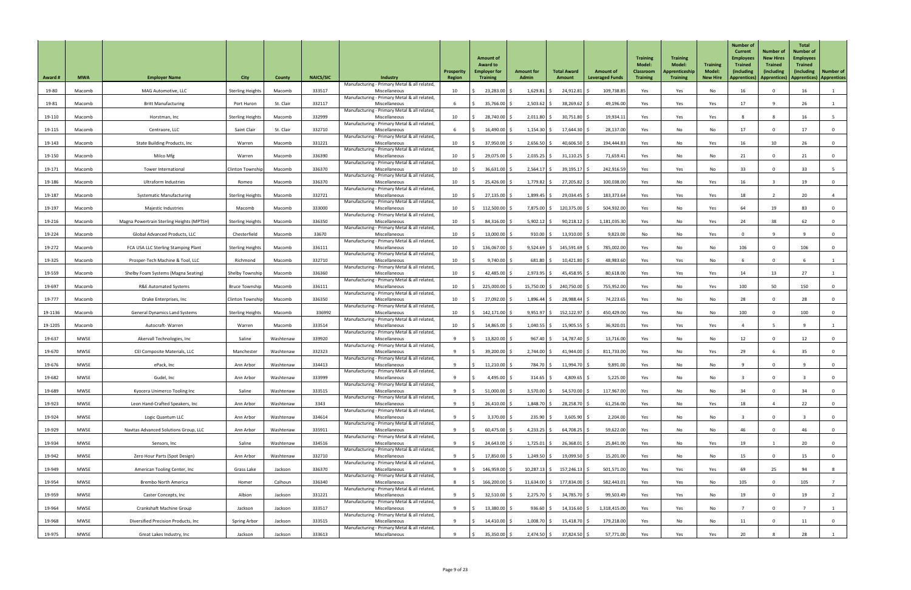| <b>Award #</b> | <b>MWA</b>  | <b>Employer Name</b>                      | <b>City</b>             | County    | <b>NAICS/SIC</b> | Industry                                                      | Prosperity<br><b>Region</b> | <b>Amount of</b><br><b>Award to</b><br><b>Employer for</b><br><b>Training</b> | <b>Amount for</b><br><b>Admin</b> | <b>Total Award</b><br>Amount   | <b>Amount of</b><br><b>Leveraged Funds</b> | <b>Training</b><br><b>Model:</b><br><b>Classroom</b><br><b>Training</b> | <b>Training</b><br><b>Model:</b><br>Apprenticeship<br><b>Training</b> | <b>Training</b><br><b>Model:</b><br><b>New Hire</b> | <b>Number of</b><br><b>Current</b><br><b>Employees</b><br><b>Trained</b><br>(including<br><b>Apprentices</b> ) | <b>Number of</b><br><b>New Hires</b><br><b>Trained</b><br><i>(including</i><br>Apprentices)   Apprentices)   Apprentices | <b>Total</b><br><b>Number of</b><br><b>Employees</b><br><b>Trained</b><br>(including) | <b>Number of</b> |
|----------------|-------------|-------------------------------------------|-------------------------|-----------|------------------|---------------------------------------------------------------|-----------------------------|-------------------------------------------------------------------------------|-----------------------------------|--------------------------------|--------------------------------------------|-------------------------------------------------------------------------|-----------------------------------------------------------------------|-----------------------------------------------------|----------------------------------------------------------------------------------------------------------------|--------------------------------------------------------------------------------------------------------------------------|---------------------------------------------------------------------------------------|------------------|
| 19-80          | Macomb      | MAG Automotive, LLC                       | <b>Sterling Heights</b> | Macomb    | 333517           | Manufacturing - Primary Metal & all related<br>Miscellaneous  | 10 <sup>°</sup>             | 23,283.00 \$                                                                  | 1,629.81                          | $24,912.81$ \$                 | 109,738.85                                 | Yes                                                                     | Yes                                                                   | No                                                  | 16                                                                                                             | $\Omega$                                                                                                                 | 16                                                                                    |                  |
| 19-81          | Macomb      | <b>Britt Manufacturing</b>                | Port Huron              | St. Clair | 332117           | Manufacturing - Primary Metal & all related<br>Miscellaneous  |                             | $35,766.00$ \$                                                                | 2,503.62                          | $38,269.62$ \$                 | 49,196.00                                  | Yes                                                                     | Yes                                                                   | Yes                                                 | 17                                                                                                             |                                                                                                                          | 26                                                                                    |                  |
|                |             |                                           |                         |           |                  | Manufacturing - Primary Metal & all related                   |                             |                                                                               |                                   |                                |                                            |                                                                         |                                                                       |                                                     |                                                                                                                |                                                                                                                          |                                                                                       |                  |
| 19-110         | Macomb      | Horstman, Inc                             | <b>Sterling Heights</b> | Macomb    | 332999           | Miscellaneous<br>Manufacturing - Primary Metal & all related  | 10                          | 28,740.00 \$                                                                  | $2,011.80$ \$                     | $30,751.80$ \$                 | 19,934.11                                  | Yes                                                                     | Yes                                                                   | Yes                                                 |                                                                                                                |                                                                                                                          | 16                                                                                    |                  |
| 19-115         | Macomb      | Centraore, LLC                            | Saint Clair             | St. Clair | 332710           | Miscellaneous<br>Manufacturing - Primary Metal & all related  |                             | 16,490.00 \$                                                                  | 1,154.30                          | 17,644.30                      | 28,137.00                                  | Yes                                                                     | No                                                                    | No                                                  | 17                                                                                                             |                                                                                                                          | 17                                                                                    | $\mathbf 0$      |
| 19-143         | Macomb      | <b>State Building Products, Inc</b>       | Warren                  | Macomb    | 331221           | Miscellaneous<br>Manufacturing - Primary Metal & all related  | 10                          | $37,950.00$ \$                                                                | 2,656.50                          | 40,606.50                      | 194,444.83                                 | Yes                                                                     | No                                                                    | Yes                                                 | 16                                                                                                             | 10                                                                                                                       | 26                                                                                    | 0                |
| 19-150         | Macomb      | Milco Mfg                                 | Warren                  | Macomb    | 336390           | Miscellaneous<br>Manufacturing - Primary Metal & all related  | 10 <sup>°</sup>             | 29,075.00 \$                                                                  | 2,035.25                          | 31,110.25                      | 71,659.41                                  | Yes                                                                     | No                                                                    | No                                                  | 21                                                                                                             |                                                                                                                          |                                                                                       | $\overline{0}$   |
| 19-171         | Macomb      | Tower International                       | <b>Clinton Township</b> | Macomb    | 336370           | Miscellaneous<br>Manufacturing - Primary Metal & all related  | 10                          | $36,631.00$ \$                                                                | 2,564.17                          | $39,195.17$ \$                 | 242,916.59                                 | Yes                                                                     | Yes                                                                   | No                                                  | 33                                                                                                             | $\Omega$                                                                                                                 | 33                                                                                    |                  |
| 19-186         | Macomb      | <b>Ultraform Industries</b>               | Romeo                   | Macomb    | 336370           | Miscellaneous<br>Manufacturing - Primary Metal & all related  | 10                          | $25,426.00$ \$                                                                | $1,779.82$ \$                     | $27,205.82$ \$                 | 100,038.00                                 | Yes                                                                     | No                                                                    | Yes                                                 | 16                                                                                                             |                                                                                                                          | 19                                                                                    | $\overline{0}$   |
| 19-187         | Macomb      | <b>Systematic Manufacturing</b>           | <b>Sterling Heights</b> | Macomb    | 332721           | Miscellaneous                                                 | 10                          | $27,135.00$ \$                                                                | 1,899.45                          | $29,034.45$ \$                 | 183,373.64                                 | Yes                                                                     | Yes                                                                   | Yes                                                 | 18                                                                                                             |                                                                                                                          | 20                                                                                    |                  |
| 19-197         | Macomb      | Majestic Industries                       | Macomb                  | Macomb    | 333000           | Manufacturing - Primary Metal & all related<br>Miscellaneous  | 10                          | 112,500.00                                                                    | $7,875.00$ \$                     | 120,375.00                     | 504,932.00                                 | Yes                                                                     | No                                                                    | Yes                                                 | 64                                                                                                             | 19                                                                                                                       | 83                                                                                    | 0                |
| 19-216         | Macomb      | Magna Powertrain Sterling Heights (MPTSH) | <b>Sterling Heights</b> | Macomb    | 336350           | Manufacturing - Primary Metal & all related<br>Miscellaneous  | 10                          | 84,316.00 \$                                                                  | $5,902.12$ \$                     | $90,218.12$ \$                 | 1,181,035.30                               | Yes                                                                     | No                                                                    | Yes                                                 | 24                                                                                                             | 38                                                                                                                       | 62                                                                                    | $\overline{0}$   |
| 19-224         | Macomb      | Global Advanced Products, LLC             | Chesterfield            | Macomb    | 33670            | Manufacturing - Primary Metal & all related,<br>Miscellaneous | 10                          | 13,000.00                                                                     | $910.00$ \$                       | $13,910.00$ \$                 | 9,823.00                                   | No                                                                      | No                                                                    | Yes                                                 |                                                                                                                |                                                                                                                          |                                                                                       | - 0              |
| 19-272         | Macomb      | FCA USA LLC Sterling Stamping Plant       | <b>Sterling Heights</b> | Macomb    | 336111           | Manufacturing - Primary Metal & all related,<br>Miscellaneous | 10                          | 136,067.00 \$                                                                 | $9,524.69$ \$                     | 145,591.69                     | 785,002.00                                 | Yes                                                                     | No                                                                    | No                                                  | 106                                                                                                            |                                                                                                                          | 106                                                                                   |                  |
| 19-325         | Macomb      | Prosper-Tech Machine & Tool, LLC          | Richmond                | Macomb    | 332710           | Manufacturing - Primary Metal & all related<br>Miscellaneous  | 10                          | 9,740.00                                                                      | 681.80                            | 10,421.80                      | 48,983.60                                  | Yes                                                                     | Yes                                                                   | No                                                  |                                                                                                                |                                                                                                                          |                                                                                       |                  |
|                |             |                                           |                         |           | 336360           | Manufacturing - Primary Metal & all related                   |                             |                                                                               |                                   |                                |                                            |                                                                         |                                                                       |                                                     |                                                                                                                |                                                                                                                          |                                                                                       |                  |
| 19-559         | Macomb      | Shelby Foam Systems (Magna Seating)       | Shelby Township         | Macomb    |                  | Miscellaneous<br>Manufacturing - Primary Metal & all related  | 10                          | 42,485.00 \$                                                                  | $2,973.95$ \$                     | $45,458.95$ \$                 | 80,618.00                                  | Yes                                                                     | Yes                                                                   | Yes                                                 | 14                                                                                                             | 13                                                                                                                       | 27                                                                                    |                  |
| 19-697         | Macomb      | <b>R&amp;E Automated Systems</b>          | <b>Bruce Township</b>   | Macomb    | 336111           | Miscellaneous<br>Manufacturing - Primary Metal & all related  | 10                          | 225,000.00 \$                                                                 | 15,750.00 \$                      | 240,750.00                     | 755,952.00                                 | Yes                                                                     | No                                                                    | Yes                                                 | 100                                                                                                            | 50                                                                                                                       | 150                                                                                   | $\mathbf{0}$     |
| 19-777         | Macomb      | Drake Enterprises, Inc                    | Clinton Township        | Macomb    | 336350           | Miscellaneous<br>Manufacturing - Primary Metal & all related  | 10                          | 27,092.00 \$                                                                  | $1,896.44$ \$                     | 28,988.44                      | 74,223.65                                  | Yes                                                                     | No                                                                    | No                                                  | 28                                                                                                             | $\Omega$                                                                                                                 | 28                                                                                    | $\overline{0}$   |
| 19-1136        | Macomb      | <b>General Dynamics Land Systems</b>      | <b>Sterling Heights</b> | Macomb    | 336992           | Miscellaneous<br>Manufacturing - Primary Metal & all related  | 10                          | 142,171.00 \$                                                                 | $9,951.97$ \$                     | 152,122.97 \$                  | 450,429.00                                 | Yes                                                                     | No                                                                    | No                                                  | 100                                                                                                            |                                                                                                                          | 100                                                                                   | $\mathbf 0$      |
| 19-1205        | Macomb      | Autocraft-Warren                          | Warren                  | Macomb    | 333514           | Miscellaneous<br>Manufacturing - Primary Metal & all related  | 10                          | 14,865.00 \$                                                                  | 1,040.55                          | $15,905.55$ \$                 | 36,920.01                                  | Yes                                                                     | Yes                                                                   | Yes                                                 |                                                                                                                |                                                                                                                          |                                                                                       |                  |
| 19-637         | <b>MWSE</b> | Akervall Technologies, Inc.               | Saline                  | Washtenaw | 339920           | Miscellaneous<br>Manufacturing - Primary Metal & all related  |                             | $13,820.00$ \$                                                                | 967.40                            | 14,787.40 \$                   | 13,716.00                                  | Yes                                                                     | No                                                                    | No                                                  | 12                                                                                                             | $\mathbf{0}$                                                                                                             | 12                                                                                    | $\overline{0}$   |
| 19-670         | <b>MWSE</b> | CEI Composite Materials, LLC              | Manchester              | Washtenaw | 332323           | Miscellaneous                                                 |                             | 39,200.00 \$                                                                  | 2,744.00                          | 41,944.00                      | 811,733.00                                 | Yes                                                                     | No                                                                    | Yes                                                 | 29                                                                                                             |                                                                                                                          | 35                                                                                    | $\mathbf 0$      |
| 19-676         | <b>MWSE</b> | ePack, Inc                                | Ann Arbor               | Washtenaw | 334413           | Manufacturing - Primary Metal & all related<br>Miscellaneous  |                             | $11,210.00$ \$                                                                | 784.70 \$                         | $11,994.70$ \$                 | 9,891.00                                   | Yes                                                                     | No                                                                    | No                                                  |                                                                                                                |                                                                                                                          |                                                                                       | 0                |
| 19-682         | <b>MWSE</b> | Gudel, Inc                                | Ann Arbor               | Washtenaw | 333999           | Manufacturing - Primary Metal & all related<br>Miscellaneous  |                             | $4,495.00$ \$                                                                 | 314.65                            | $4,809.65$ \$                  | 5,225.00                                   | Yes                                                                     | No                                                                    | No                                                  |                                                                                                                | $\mathbf 0$                                                                                                              |                                                                                       | $\overline{0}$   |
| 19-689         | <b>MWSE</b> | Kyocera Unimerco Tooling Inc              | Saline                  | Washtenaw | 333515           | Manufacturing - Primary Metal & all related,<br>Miscellaneous |                             | $51,000.00$ \$                                                                | 3,570.00                          | 54,570.00                      | 117,967.00                                 | Yes                                                                     | No                                                                    | No                                                  | 34                                                                                                             |                                                                                                                          | 34                                                                                    | - 0              |
| 19-923         | <b>MWSE</b> | Leon Hand-Crafted Speakers, Inc           | Ann Arbor               | Washtenaw | 3343             | Manufacturing - Primary Metal & all related<br>Miscellaneous  |                             | $26,410.00$ \$                                                                | $1,848.70$ \$                     | 28,258.70 \$                   | 61,256.00                                  | Yes                                                                     | No                                                                    | Yes                                                 | 18                                                                                                             |                                                                                                                          | 22                                                                                    | $\mathbf{0}$     |
| 19-924         | <b>MWSE</b> | Logic Quantum LLC                         | Ann Arbor               | Washtenaw | 334614           | Manufacturing - Primary Metal & all related<br>Miscellaneous  |                             | $3,370.00$ \$                                                                 | $235.90$ \$                       | $3,605.90$ \$                  | 2,204.00                                   | Yes                                                                     | No                                                                    | No                                                  |                                                                                                                | $\Omega$                                                                                                                 |                                                                                       | 0                |
| 19-929         | <b>MWSE</b> | Navitas Advanced Solutions Group, LLC     | Ann Arbor               | Washtenaw | 335911           | Manufacturing - Primary Metal & all related<br>Miscellaneous  |                             | $60,475.00$ \$                                                                | $4,233.25$ \$                     | $64,708.25$ \$                 | 59,622.00                                  | Yes                                                                     | No                                                                    | No                                                  | 46                                                                                                             |                                                                                                                          | 46                                                                                    | $\overline{0}$   |
|                |             |                                           |                         |           |                  | Manufacturing - Primary Metal & all related                   |                             |                                                                               |                                   |                                |                                            |                                                                         |                                                                       |                                                     |                                                                                                                |                                                                                                                          |                                                                                       |                  |
| 19-934         | <b>MWSE</b> | Sensors, Inc                              | Saline                  | Washtenaw | 334516           | Miscellaneous<br>Manufacturing - Primary Metal & all related  |                             | $24,643.00$ \$                                                                | $1,725.01$ \$                     | $26,368.01$ \$                 | 25,841.00                                  | Yes                                                                     | No                                                                    | Yes                                                 | 19                                                                                                             |                                                                                                                          | 20                                                                                    |                  |
| 19-942         | <b>MWSE</b> | Zero Hour Parts (Spot Design)             | Ann Arbor               | Washtenaw | 332710           | Miscellaneous<br>Manufacturing - Primary Metal & all related  |                             | 17,850.00 \$                                                                  | $1,249.50$ \$                     | 19,099.50 \$                   | 15,201.00                                  | Yes                                                                     | No                                                                    | No                                                  | 15                                                                                                             | $\mathbf 0$                                                                                                              | 15                                                                                    | $\overline{0}$   |
| 19-949         | <b>MWSE</b> | American Tooling Center, Inc              | Grass Lake              | Jackson   | 336370           | Miscellaneous<br>Manufacturing - Primary Metal & all related, |                             | 146,959.00 \$                                                                 |                                   | $10,287.13$ \$ 157,246.13 \$   | 501,571.00                                 | Yes                                                                     | Yes                                                                   | Yes                                                 | 69                                                                                                             | 25                                                                                                                       | 94                                                                                    | 8                |
| 19-954         | <b>MWSE</b> | <b>Brembo North America</b>               | Homer                   | Calhoun   | 336340           | Miscellaneous<br>Manufacturing - Primary Metal & all related  |                             | 166,200.00 \$                                                                 |                                   | $11,634.00$ \$ $177,834.00$ \$ | 582,443.01                                 | Yes                                                                     | Yes                                                                   | No                                                  | 105                                                                                                            | $\Omega$                                                                                                                 | 105                                                                                   |                  |
| 19-959         | <b>MWSE</b> | Caster Concepts, Inc                      | Albion                  | Jackson   | 331221           | Miscellaneous<br>Manufacturing - Primary Metal & all related, |                             | $32,510.00$ \$                                                                | $2,275.70$ \$                     | 34,785.70 \$                   | 99,503.49                                  | Yes                                                                     | Yes                                                                   | No                                                  | 19                                                                                                             |                                                                                                                          | 19                                                                                    | $\overline{2}$   |
| 19-964         | <b>MWSE</b> | <b>Crankshaft Machine Group</b>           | Jackson                 | Jackson   | 333517           | Miscellaneous                                                 |                             | $13,380.00$ \$                                                                | $936.60$ \$                       | $14,316.60$ \$                 | 1,318,415.00                               | Yes                                                                     | Yes                                                                   | No                                                  |                                                                                                                | $\Omega$                                                                                                                 |                                                                                       |                  |
| 19-968         | <b>MWSE</b> | Diversified Precision Products, Inc.      | <b>Spring Arbor</b>     | Jackson   | 333515           | Manufacturing - Primary Metal & all related<br>Miscellaneous  |                             | $14,410.00$ \$                                                                | $1,008.70$ \$                     | 15,418.70 \$                   | 179,218.00                                 | Yes                                                                     | No                                                                    | No                                                  | 11                                                                                                             | $\mathbf{0}$                                                                                                             | 11                                                                                    | $\overline{0}$   |
| 19-975         | <b>MWSE</b> | Great Lakes Industry, Inc                 | Jackson                 | Jackson   | 333613           | Manufacturing - Primary Metal & all related<br>Miscellaneous  |                             | $35,350.00$ \$                                                                | 2,474.50 \$                       | 37,824.50 \$                   | 57,771.00                                  | Yes                                                                     | Yes                                                                   | Yes                                                 | 20                                                                                                             |                                                                                                                          | 28                                                                                    |                  |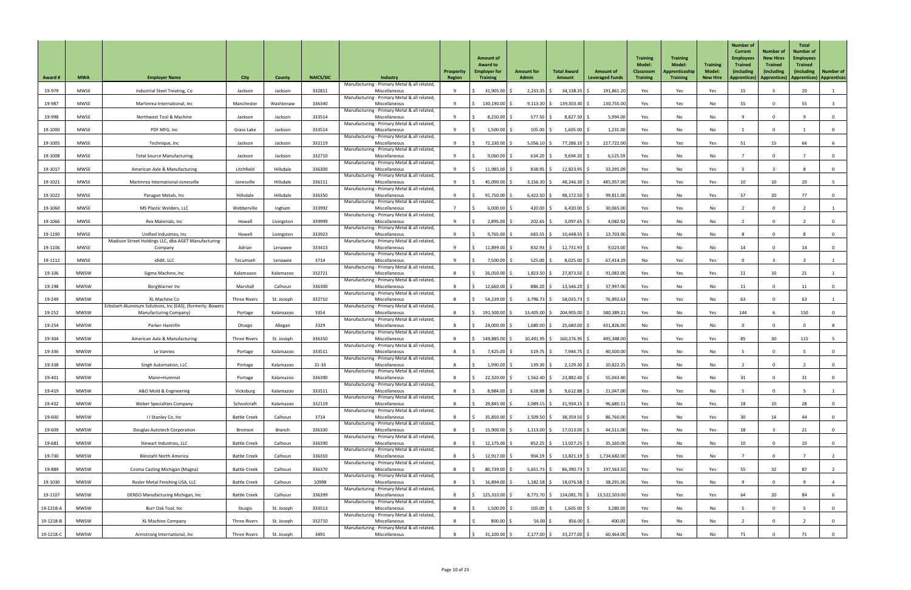| <b>Award #</b> | <b>MWA</b>  | <b>Employer Name</b>                                                                | <b>City</b>         | County        | <b>NAICS/SIC</b> | Industry                                                                                                      | Prosperity<br><b>Region</b> | <b>Amount of</b><br><b>Award to</b><br><b>Employer for</b><br><b>Training</b> | <b>Amount for</b><br><b>Admin</b> | <b>Total Award</b><br>Amount | <b>Amount of</b><br><b>Leveraged Funds</b> | <b>Training</b><br><b>Model:</b><br><b>Classroom</b><br><b>Training</b> | <b>Training</b><br><b>Model:</b><br>Apprenticeship<br><b>Training</b> | <b>Training</b><br><b>Model:</b><br><b>New Hire</b> | Number of<br><b>Current</b><br><b>Employees</b><br><b>Trained</b><br>(including<br><b>Apprentices</b> ) | <b>Number of</b><br><b>New Hires</b><br><b>Trained</b><br><i>(including</i><br>Apprentices) | <b>Total</b><br><b>Number of</b><br><b>Employees</b><br><b>Trained</b><br>(including) | <b>Number of</b><br>  Apprentices)   Apprentices |
|----------------|-------------|-------------------------------------------------------------------------------------|---------------------|---------------|------------------|---------------------------------------------------------------------------------------------------------------|-----------------------------|-------------------------------------------------------------------------------|-----------------------------------|------------------------------|--------------------------------------------|-------------------------------------------------------------------------|-----------------------------------------------------------------------|-----------------------------------------------------|---------------------------------------------------------------------------------------------------------|---------------------------------------------------------------------------------------------|---------------------------------------------------------------------------------------|--------------------------------------------------|
| 19-979         | <b>MWSE</b> | Industrial Steel Treating, Co                                                       | Jackson             | Jackson       | 332811           | Manufacturing - Primary Metal & all related,<br>Miscellaneous                                                 |                             | $31,905.00$ \$                                                                | $2,233.35$ \$                     | 34,138.35                    | 191,861.20                                 | Yes                                                                     | Yes                                                                   | Yes                                                 | 15                                                                                                      |                                                                                             | 20                                                                                    |                                                  |
| 19-987         | <b>MWSE</b> | Martinrea International, Inc                                                        | Manchester          | Washtenaw     | 336340           | Manufacturing - Primary Metal & all related,<br>Miscellaneous                                                 |                             | $130,190.00$ \$                                                               | $9,113.30$ \$                     | 139,303.30                   | 130,755.00                                 | Yes                                                                     | Yes                                                                   | No                                                  | 55                                                                                                      | $\Omega$                                                                                    | 55                                                                                    |                                                  |
| 19-998         | <b>MWSE</b> | Northwest Tool & Machine                                                            | Jackson             | Jackson       | 333514           | Manufacturing - Primary Metal & all related,<br>Miscellaneous                                                 |                             | $8,250.00$ \$                                                                 | 577.50                            | 8,827.50 \$                  | 5,994.00                                   | Yes                                                                     | No                                                                    | No                                                  |                                                                                                         | $\Omega$                                                                                    |                                                                                       | $\overline{0}$                                   |
| 19-1000        | <b>MWSE</b> | PDF MFG, Inc                                                                        | Grass Lake          | Jackson       | 333514           | Manufacturing - Primary Metal & all related,<br>Miscellaneous                                                 |                             | 1,500.00                                                                      | 105.00                            | 1,605.00                     | 1,231.00                                   | Yes                                                                     | No                                                                    | No                                                  |                                                                                                         | $\Omega$                                                                                    |                                                                                       | $\overline{0}$                                   |
| 19-1005        | <b>MWSE</b> | Technique, Inc                                                                      | Jackson             | Jackson       | 332119           | Manufacturing - Primary Metal & all related,<br>Miscellaneous                                                 |                             | 72,230.00 \$                                                                  | $5,056.10$ \$                     | $77,286.10$ \$               | 227,722.00                                 | Yes                                                                     | Yes                                                                   | Yes                                                 | 51                                                                                                      | 15                                                                                          | 66                                                                                    |                                                  |
| 19-1008        | <b>MWSE</b> | <b>Total Source Manufacturing</b>                                                   | Jackson             | Jackson       | 332710           | Manufacturing - Primary Metal & all related,<br>Miscellaneous                                                 |                             | $9,060.00$ \$                                                                 | 634.20                            | $9,694.20$ \$                | 6,525.59                                   | Yes                                                                     | No                                                                    | No                                                  |                                                                                                         | $\mathbf 0$                                                                                 |                                                                                       | $\overline{0}$                                   |
| 19-1017        | <b>MWSE</b> | American Axle & Manufacturing                                                       | Litchfield          | Hillsdale     | 336300           | Manufacturing - Primary Metal & all related,<br>Miscellaneous                                                 |                             | $11,985.00$ \$                                                                | 838.95                            | 12,823.95                    | 33,295.09                                  | Yes                                                                     | No                                                                    | Yes                                                 |                                                                                                         |                                                                                             |                                                                                       | 0                                                |
| 19-1021        | <b>MWSE</b> | Martinrea International-Jonesville                                                  | Jonesville          | Hillsdale     | 336111           | Manufacturing - Primary Metal & all related,<br>Miscellaneous                                                 |                             | 45,090.00 \$                                                                  | 3,156.30                          | 48,246.30                    | 485,957.00                                 | Yes                                                                     | Yes                                                                   | Yes                                                 | 10 <sup>°</sup>                                                                                         | 10 <sup>°</sup>                                                                             | 20                                                                                    |                                                  |
| 19-1022        | <b>MWSE</b> | Paragon Metals, Inc                                                                 | Hillsdale           | Hillsdale     | 336350           | Manufacturing - Primary Metal & all related,<br>Miscellaneous                                                 |                             | $91,750.00$ \$                                                                | $6,422.50$ \$                     | 98,172.50                    | 99,811.00                                  | Yes                                                                     | No                                                                    | Yes                                                 | 57                                                                                                      | $20\degree$                                                                                 | 77                                                                                    | $\overline{0}$                                   |
| 19-1060        | <b>MWSE</b> | MS Plastic Welders, LLC                                                             | Webberville         | Ingham        | 333992           | Manufacturing - Primary Metal & all related,<br>Miscellaneous                                                 |                             | $6,000.00$ \$                                                                 | 420.00                            | 6,420.00                     | 30,065.00                                  | Yes                                                                     | Yes                                                                   | No                                                  |                                                                                                         | $\mathbf 0$                                                                                 |                                                                                       |                                                  |
| 19-1066        | <b>MWSE</b> | Rex Materials, Inc                                                                  | Howell              | Livingston    | 339999           | Manufacturing - Primary Metal & all related,<br>Miscellaneous                                                 |                             | 2,895.00                                                                      | $202.65$ \$                       | $3,097.65$ \$                | 4,082.92                                   | Yes                                                                     | No                                                                    | No                                                  |                                                                                                         | $\mathbf 0$                                                                                 |                                                                                       | $\overline{0}$                                   |
| 19-1100        | <b>MWSE</b> | Unified Industries, Inc                                                             | Howell              | Livingston    | 333923           | Manufacturing - Primary Metal & all related,<br>Miscellaneous                                                 |                             | $9,765.00$ \$                                                                 | $683.55$ \$                       | $10,448.55$ \$               | 13,703.00                                  | Yes                                                                     | No                                                                    | No                                                  |                                                                                                         |                                                                                             |                                                                                       | $\mathbf{0}$                                     |
| 19-1106        | <b>MWSE</b> | Madison Street Holdings LLC, dba AGET Manufacturing<br>Company                      | Adrian              | Lenawee       | 333413           | Manufacturing - Primary Metal & all related,<br>Miscellaneous                                                 |                             | 11,899.00 \$                                                                  | 832.93                            | 12,731.93                    | 9,023.00                                   | Yes                                                                     | No                                                                    | No                                                  | 14                                                                                                      |                                                                                             |                                                                                       |                                                  |
| 19-1112        | <b>MWSE</b> | ididit, LLC                                                                         | Tecumseh            | Lenawee       | 3714             | Manufacturing - Primary Metal & all related,<br>Miscellaneous                                                 |                             | 7,500.00                                                                      | 525.00                            | 8,025.00                     | 67,414.29                                  | No                                                                      | Yes                                                                   | Yes                                                 |                                                                                                         |                                                                                             |                                                                                       |                                                  |
| 19-106         | <b>MWSW</b> | Sigma Machine, Inc                                                                  | Kalamazoo           | Kalamazoo     | 332721           | Manufacturing - Primary Metal & all related,<br>Miscellaneous                                                 |                             | 26,050.00 \$                                                                  | 1,823.50                          | 27,873.50                    | 91,082.00                                  | Yes                                                                     | Yes                                                                   | Yes                                                 | 11                                                                                                      | 10 <sup>°</sup>                                                                             |                                                                                       |                                                  |
| 19-198         | <b>MWSW</b> | BorgWarner Inc                                                                      | Marshall            | Calhoun       | 336300           | Manufacturing - Primary Metal & all related,<br>Miscellaneous                                                 |                             | 12,660.00                                                                     | $886.20$ \$                       | 13,546.20                    | 37,997.00                                  | Yes                                                                     | No                                                                    | No                                                  | 11                                                                                                      | $\Omega$                                                                                    |                                                                                       | $\overline{0}$                                   |
| 19-249         | <b>MWSW</b> | XL Machine Co                                                                       | <b>Three Rivers</b> | St. Joseph    | 332710           | Manufacturing - Primary Metal & all related,<br>Miscellaneous                                                 |                             | $54,239.00$ \$                                                                | $3,796.73$ \$                     | $58,035.73$ \$               | 76,992.63                                  | Yes                                                                     | Yes                                                                   | No                                                  | 63                                                                                                      | $\Omega$                                                                                    | 63                                                                                    |                                                  |
| 19-252         | <b>MWSW</b> | Erbsloeh Aluminum Solutions, Inc (EAS), (formerly: Bowers<br>Manufacturing Company) | Portage             | Kalamazoo     | 3354             | Manufacturing - Primary Metal & all related,<br>Miscellaneous                                                 |                             | 191,500.00 \$                                                                 | $13,405.00$ \$                    | 204,905.00                   | 580,389.23                                 | Yes                                                                     | No                                                                    | Yes                                                 | 144                                                                                                     |                                                                                             | 150                                                                                   | $\mathbf 0$                                      |
| 19-254         | <b>MWSW</b> | Parker-Hannifin                                                                     | Otsego              | Allegan       | 3329             | Manufacturing - Primary Metal & all related,<br>Miscellaneous                                                 |                             | $24,000.00$ \$                                                                | 1,680.00                          | 25,680.00                    | 431,826.00                                 | No                                                                      | Yes                                                                   | No                                                  |                                                                                                         | $\Omega$                                                                                    |                                                                                       | -8                                               |
| 19-304         | <b>MWSW</b> | American Axle & Manufacturing                                                       | <b>Three Rivers</b> | St. Joseph    | 336350           | Manufacturing - Primary Metal & all related,<br>Miscellaneous                                                 |                             | 149,885.00 \$                                                                 | $10,491.95$ \$                    | 160,376.95 \$                | 495,348.00                                 | Yes                                                                     | Yes                                                                   | Yes                                                 | 85                                                                                                      | 30 <sup>°</sup>                                                                             | 115                                                                                   |                                                  |
| 19-336         | <b>MWSW</b> | Le Vannes                                                                           | Portage             | Kalamazoo     | 333511           | Manufacturing - Primary Metal & all related,<br>Miscellaneous                                                 |                             | 7,425.00                                                                      | 519.75                            | 7,944.75                     | 40,500.00                                  | Yes                                                                     | No                                                                    | No                                                  |                                                                                                         | $\Omega$                                                                                    |                                                                                       | $\overline{0}$                                   |
| 19-338         | <b>MWSW</b> | Singh Automation, LLC                                                               | Portage             | Kalamazoo     | $31 - 33$        | Manufacturing - Primary Metal & all related,<br>Miscellaneous                                                 |                             | $1,990.00$ \$                                                                 | 139.30                            | 2,129.30                     | 10,822.25                                  | Yes                                                                     | No                                                                    | No                                                  |                                                                                                         |                                                                                             |                                                                                       | $\overline{0}$                                   |
| 19-401         | <b>MWSW</b> | Mann+Hummel                                                                         | Portage             | Kalamazoo     | 336390           | Manufacturing - Primary Metal & all related,<br>Miscellaneous                                                 |                             | $22,320.00$ \$                                                                | 1,562.40                          | 23,882.40                    | 55,043.40                                  | Yes                                                                     | No                                                                    | No                                                  | 31                                                                                                      |                                                                                             |                                                                                       | $\overline{0}$                                   |
| 19-419         | <b>MWSW</b> | A&O Mold & Engineering                                                              | Vicksburg           | Kalamazoo     | 333511           | Manufacturing - Primary Metal & all related,<br>Miscellaneous                                                 |                             | 8,984.00 \$                                                                   | 628.88                            | $9,612.88$ \$                | 21,047.00                                  | Yes                                                                     | Yes                                                                   | No                                                  |                                                                                                         | $\mathbf 0$                                                                                 |                                                                                       |                                                  |
| 19-432         | <b>MWSW</b> | <b>Weber Specialties Company</b>                                                    | Schoolcraft         | Kalamazoo     | 332119           | Manufacturing - Primary Metal & all related,<br>Miscellaneous                                                 |                             | 29,845.00 \$                                                                  | $2,089.15$ \$                     | $31,934.15$ \$               | 96,680.11                                  | Yes                                                                     | No                                                                    | Yes                                                 | 18                                                                                                      | 10 <sup>°</sup>                                                                             | 28                                                                                    | $\overline{0}$                                   |
| 19-600         | <b>MWSW</b> | I I Stanley Co, Inc                                                                 | <b>Battle Creek</b> | Calhoun       | 3714             | Manufacturing - Primary Metal & all related,<br>Miscellaneous                                                 |                             | 35,850.00 \$                                                                  | $2,509.50$ \$                     | $38,359.50$ \$               | 86,760.00                                  | Yes                                                                     | No                                                                    | Yes                                                 | 30 <sup>°</sup>                                                                                         | 14                                                                                          | 44                                                                                    | $\Omega$                                         |
| 19-609         | <b>MWSW</b> | Douglas Autotech Corporation                                                        | Bronson             | <b>Branch</b> | 336330           | Manufacturing - Primary Metal & all related,<br>Miscellaneous                                                 |                             | 15,900.00 \$                                                                  | $1,113.00$ \$                     | 17,013.00                    | 44,511.00                                  | Yes                                                                     | No                                                                    | Yes                                                 | 18                                                                                                      |                                                                                             |                                                                                       | $\mathbf 0$                                      |
| 19-681         | <b>MWSW</b> | Stewart Industries, LLC                                                             | <b>Battle Creek</b> | Calhoun       | 336390           | Manufacturing - Primary Metal & all related,<br>Miscellaneous                                                 |                             | $12,175.00$ \$                                                                | $852.25$ \$                       | $13,027.25$ \$               | 35,160.00                                  | Yes                                                                     | No                                                                    | No                                                  | 10                                                                                                      |                                                                                             | 10                                                                                    |                                                  |
| 19-730         | <b>MWSW</b> | <b>Bleistahl North America</b>                                                      | <b>Battle Creek</b> | Calhoun       | 336310           | Manufacturing - Primary Metal & all related,<br>Miscellaneous<br>Manufacturing - Primary Metal & all related, |                             | 12,917.00 \$                                                                  | $904.19$ \$                       | $13,821.19$ \$               | 1,734,682.00                               | Yes                                                                     | Yes                                                                   | No                                                  |                                                                                                         | $\mathbf 0$                                                                                 |                                                                                       | $\overline{2}$                                   |
| 19-889         | <b>MWSW</b> | Cosma Casting Michigan (Magna)                                                      | <b>Battle Creek</b> | Calhoun       | 336370           | Miscellaneous                                                                                                 |                             | $80,739.00$ \$                                                                | $5,651.73$ \$                     | 86,390.73 \$                 | 197,563.50                                 | Yes                                                                     | Yes                                                                   | Yes                                                 | 55                                                                                                      | 32                                                                                          | 87                                                                                    |                                                  |
| 19-1030        | <b>MWSW</b> | Rosler Metal Finishing USA, LLC                                                     | <b>Battle Creek</b> | Calhoun       | 10998            | Manufacturing - Primary Metal & all related,<br>Miscellaneous<br>Manufacturing - Primary Metal & all related, |                             | 16,894.00 \$                                                                  | $1,182.58$ \$                     | 18,076.58 \$                 | 38,291.00                                  | Yes                                                                     | Yes                                                                   | No                                                  |                                                                                                         | $\mathbf 0$                                                                                 |                                                                                       | 4                                                |
| 19-1107        | <b>MWSW</b> | DENSO Manufacturing Michigan, Inc                                                   | <b>Battle Creek</b> | Calhoun       | 336399           | Miscellaneous<br>Manufacturing - Primary Metal & all related,                                                 |                             | 125,310.00 \$                                                                 | $8,771.70$ \$                     |                              | 134,081.70 \$ 13,522,503.00                | Yes                                                                     | Yes                                                                   | Yes                                                 | 64                                                                                                      | 20                                                                                          | 84                                                                                    | 6                                                |
| 19-1218-A      | <b>MWSW</b> | Burr Oak Tool, Inc                                                                  | Sturgis             | St. Joseph    | 333513           | Miscellaneous<br>Manufacturing - Primary Metal & all related,                                                 |                             | $1,500.00$ \$                                                                 | $105.00$ \$                       | $1,605.00$ \$                | 3,280.00                                   | Yes                                                                     | No                                                                    | No                                                  |                                                                                                         | $\Omega$                                                                                    |                                                                                       | $\overline{0}$                                   |
| 19-1218-B      | <b>MWSW</b> | XL Machine Company                                                                  | <b>Three Rivers</b> | St. Joseph    | 332710           | Miscellaneous<br>Manufacturing - Primary Metal & all related,                                                 |                             | $800.00$ \$                                                                   | $56.00$ \$                        | $856.00$ \$                  | 400.00                                     | Yes                                                                     | No                                                                    | No                                                  |                                                                                                         | $\mathbf 0$                                                                                 |                                                                                       | $\overline{0}$                                   |
| 19-1218-C      | <b>MWSW</b> | Armstrong International, Inc                                                        | Three Rivers        | St. Joseph    | 3491             | Miscellaneous                                                                                                 |                             | $31,100.00$ \$                                                                | $2,177.00$ \$                     | 33,277.00 \$                 | 60,464.00                                  | Yes                                                                     | No                                                                    | No                                                  | 71                                                                                                      |                                                                                             |                                                                                       | $\overline{0}$                                   |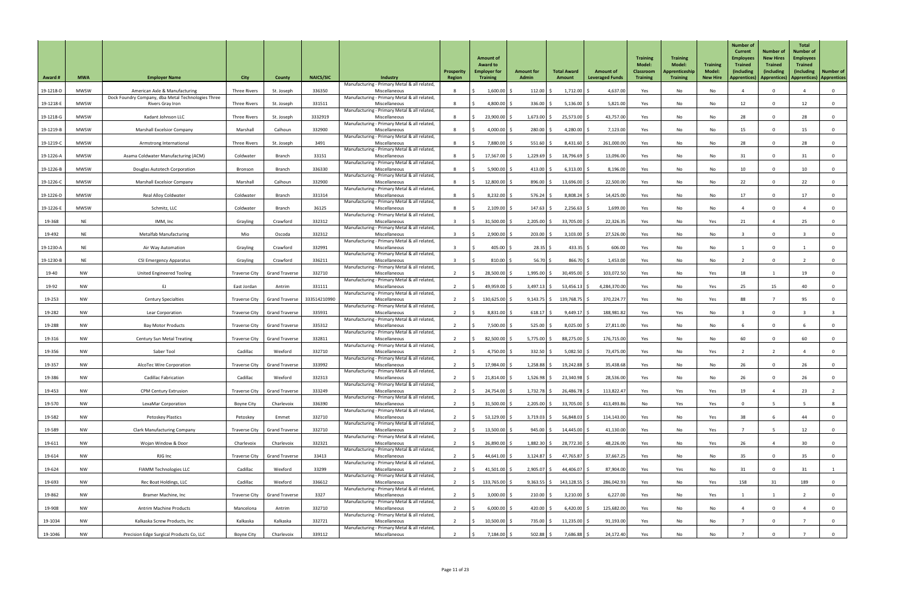| <b>Award#</b> | <b>MWA</b>  | <b>Employer Name</b>                                                   | <b>City</b>          | County                         | <b>NAICS/SIC</b> | <b>Industry</b>                                               | <b>Prosperity</b><br>Region | <b>Amount of</b><br><b>Award to</b><br><b>Employer for</b><br><b>Training</b> | <b>Amount for</b><br><b>Admin</b> | <b>Total Award</b><br>Amount | <b>Amount of</b><br><b>Leveraged Funds</b> | <b>Training</b><br>Model:<br><b>Classroom</b><br><b>Training</b> | <b>Training</b><br><b>Model:</b><br><b>Apprenticeship</b><br><b>Training</b> | <b>Training</b><br><b>Model:</b><br><b>New Hire</b> | <b>Number of</b><br><b>Current</b><br><b>Employees</b><br><b>Trained</b><br>(including<br>Apprentices) | <b>Number of</b><br><b>New Hires</b><br><b>Trained</b><br>(including<br>Apprentices)   Apprentices)   Apprentices | <b>Total</b><br><b>Number of</b><br><b>Employees</b><br><b>Trained</b><br>(including) | <b>Number of</b> |
|---------------|-------------|------------------------------------------------------------------------|----------------------|--------------------------------|------------------|---------------------------------------------------------------|-----------------------------|-------------------------------------------------------------------------------|-----------------------------------|------------------------------|--------------------------------------------|------------------------------------------------------------------|------------------------------------------------------------------------------|-----------------------------------------------------|--------------------------------------------------------------------------------------------------------|-------------------------------------------------------------------------------------------------------------------|---------------------------------------------------------------------------------------|------------------|
| 19-1218-D     | <b>MWSW</b> | American Axle & Manufacturing                                          | <b>Three Rivers</b>  | St. Joseph                     | 336350           | Manufacturing - Primary Metal & all related,<br>Miscellaneous |                             | $1,600.00$ \$                                                                 | $112.00$ $\frac{1}{2}$            | 1,712.00                     | 4,637.00                                   | Yes                                                              | No                                                                           | No                                                  |                                                                                                        | $\mathbf 0$                                                                                                       |                                                                                       | $\overline{0}$   |
| 19-1218-E     | <b>MWSW</b> | Dock Foundry Company, dba Metal Technologies Three<br>Rivers Gray Iron | <b>Three Rivers</b>  | St. Joseph                     | 331511           | Manufacturing - Primary Metal & all related,<br>Miscellaneous | -8                          | 4,800.00                                                                      | $336.00$ \$                       | 5,136.00                     | 5,821.00                                   | Yes                                                              | No                                                                           | No                                                  | 12                                                                                                     | $\mathbf{0}$                                                                                                      | 12                                                                                    | $\overline{0}$   |
|               | <b>MWSW</b> |                                                                        |                      |                                | 3332919          | Manufacturing - Primary Metal & all related,                  |                             |                                                                               |                                   |                              | 43,757.00                                  |                                                                  |                                                                              |                                                     | 28                                                                                                     | $\Omega$                                                                                                          | 28                                                                                    |                  |
| 19-1218-G     |             | Kadant Johnson LLC                                                     | <b>Three Rivers</b>  | St. Joseph                     |                  | Miscellaneous<br>Manufacturing - Primary Metal & all related, |                             | 23,900.00 \$                                                                  | $1,673.00$ \$                     | 25,573.00                    |                                            | Yes                                                              | No                                                                           | No                                                  |                                                                                                        |                                                                                                                   |                                                                                       | - 0              |
| 19-1219-B     | <b>MWSW</b> | <b>Marshall Excelsior Company</b>                                      | Marshall             | Calhoun                        | 332900           | Miscellaneous<br>Manufacturing - Primary Metal & all related, |                             | 4,000.00 \$                                                                   | 280.00                            | $4,280.00$ \$                | 7,123.00                                   | Yes                                                              | No                                                                           | No                                                  | 15                                                                                                     |                                                                                                                   | 15                                                                                    | $\mathbf 0$      |
| 19-1219-C     | <b>MWSW</b> | Armstrong International                                                | <b>Three Rivers</b>  | St. Joseph                     | 3491             | Miscellaneous<br>Manufacturing - Primary Metal & all related, |                             | 7,880.00 \$                                                                   | $551.60$ \$                       | $8,431.60$ \$                | 261,000.00                                 | Yes                                                              | No                                                                           | No                                                  | 28                                                                                                     | $\mathbf{0}$                                                                                                      | 28                                                                                    | - 0              |
| 19-1226-A     | <b>MWSW</b> | Asama Coldwater Manufacturing (ACM)                                    | Coldwater            | Branch                         | 33151            | Miscellaneous<br>Manufacturing - Primary Metal & all related, |                             | 17,567.00 \$                                                                  | $1,229.69$ \$                     | 18,796.69                    | 13,096.00                                  | Yes                                                              | No                                                                           | No                                                  | 31                                                                                                     | $\mathbf{0}$                                                                                                      |                                                                                       | $\overline{0}$   |
| 19-1226-B     | <b>MWSW</b> | Douglas Autotech Corporation                                           | Bronson              | Branch                         | 336330           | Miscellaneous<br>Manufacturing - Primary Metal & all related, |                             | $5,900.00$ \$                                                                 | 413.00                            | 6,313.00                     | 8,196.00                                   | Yes                                                              | No                                                                           | No                                                  | 10                                                                                                     | $\Omega$                                                                                                          | 10                                                                                    | 0                |
| 19-1226-C     | <b>MWSW</b> | <b>Marshall Excelsior Company</b>                                      | Marshall             | Calhoun                        | 332900           | Miscellaneous<br>Manufacturing - Primary Metal & all related, |                             | 12,800.00 \$                                                                  | $896.00$ \$                       | $13,696.00$ \$               | 22,500.00                                  | Yes                                                              | No                                                                           | No                                                  | 22                                                                                                     | $\mathbf 0$                                                                                                       | 22                                                                                    | $\overline{0}$   |
| 19-1226-D     | <b>MWSW</b> | <b>Real Alloy Coldwater</b>                                            | Coldwater            | <b>Branch</b>                  | 331314           | Miscellaneous<br>Manufacturing - Primary Metal & all related, |                             | $8,232.00$ \$                                                                 | 576.24                            | 8,808.24                     | 14,425.00                                  | Yes                                                              | No                                                                           | No                                                  | 17                                                                                                     | $\mathbf 0$                                                                                                       | 17                                                                                    | $\overline{0}$   |
| 19-1226-E     | <b>MWSW</b> | Schmitz, LLC                                                           | Coldwater            | Branch                         | 36125            | Miscellaneous<br>Manufacturing - Primary Metal & all related, |                             | $2,109.00$ \$                                                                 | $147.63$ \$                       | 2,256.63                     | 1,699.00                                   | Yes                                                              | No                                                                           | No                                                  |                                                                                                        | $\mathbf{0}$                                                                                                      |                                                                                       | $\overline{0}$   |
| 19-368        | <b>NE</b>   | IMM, Inc                                                               | Grayling             | Crawford                       | 332312           | Miscellaneous                                                 |                             | $31,500.00$ \$                                                                | $2,205.00$ \$                     | 33,705.00                    | 22,326.35                                  | Yes                                                              | No                                                                           | Yes                                                 | 21                                                                                                     |                                                                                                                   | 25                                                                                    | $\overline{0}$   |
| 19-492        | <b>NE</b>   | <b>Metalfab Manufacturing</b>                                          | Mio                  | Oscoda                         | 332312           | Manufacturing - Primary Metal & all related,<br>Miscellaneous |                             | $2,900.00$ \$                                                                 | $203.00$ \$                       | $3,103.00$ \$                | 27,526.00                                  | Yes                                                              | No                                                                           | No                                                  |                                                                                                        | $\mathbf{0}$                                                                                                      |                                                                                       | 0                |
| 19-1230-A     | <b>NE</b>   | Air Way Automation                                                     | Grayling             | Crawford                       | 332991           | Manufacturing - Primary Metal & all related,<br>Miscellaneous |                             | 405.00 \$                                                                     | 28.35                             | 433.35                       | 606.00                                     | Yes                                                              | No                                                                           | No                                                  |                                                                                                        |                                                                                                                   |                                                                                       |                  |
| 19-1230-B     | <b>NE</b>   | <b>CSI Emergency Apparatus</b>                                         | Grayling             | Crawford                       | 336211           | Manufacturing - Primary Metal & all related,<br>Miscellaneous |                             | $810.00$ \$                                                                   | 56.70                             | 866.70                       | 1,453.00                                   | Yes                                                              | No                                                                           | No                                                  |                                                                                                        | $\overline{0}$                                                                                                    |                                                                                       | $\overline{0}$   |
| 19-40         | <b>NW</b>   | <b>United Engineered Tooling</b>                                       | <b>Traverse City</b> | <b>Grand Traverse</b>          | 332710           | Manufacturing - Primary Metal & all related,<br>Miscellaneous |                             | 28,500.00 \$                                                                  | $1,995.00$ \$                     | 30,495.00                    | 103,072.50                                 | Yes                                                              | No                                                                           | Yes                                                 | 18                                                                                                     |                                                                                                                   | 19                                                                                    | $\overline{0}$   |
| 19-92         | <b>NW</b>   | EJ                                                                     | East Jordan          | Antrim                         | 331111           | Manufacturing - Primary Metal & all related,<br>Miscellaneous |                             | 49,959.00 \$                                                                  | $3,497.13$ \$                     | $53,456.13$ \$               | 4,284,370.00                               | Yes                                                              | No                                                                           | Yes                                                 | 25                                                                                                     | 15                                                                                                                | 40                                                                                    | $\mathbf{0}$     |
| 19-253        | <b>NW</b>   | <b>Century Specialties</b>                                             |                      | Traverse City   Grand Traverse | 333514210990     | Manufacturing - Primary Metal & all related,<br>Miscellaneous |                             | 130,625.00 \$                                                                 | $9,143.75$ \$                     | 139,768.75                   | 370,224.77                                 | Yes                                                              | No                                                                           | Yes                                                 | 88                                                                                                     |                                                                                                                   | 95                                                                                    | $\overline{0}$   |
| 19-282        | <b>NW</b>   | Lear Corporation                                                       |                      | Traverse City   Grand Traverse | 335931           | Manufacturing - Primary Metal & all related,<br>Miscellaneous |                             | $8,831.00$ \$                                                                 | $618.17$ \$                       | $9,449.17$ \$                | 188,981.82                                 | Yes                                                              | Yes                                                                          | No                                                  |                                                                                                        |                                                                                                                   |                                                                                       |                  |
| 19-288        | <b>NW</b>   | <b>Bay Motor Products</b>                                              | Traverse City        | <b>Grand Traverse</b>          | 335312           | Manufacturing - Primary Metal & all related,<br>Miscellaneous |                             | 7,500.00 \$                                                                   | $525.00$ \$                       | 8,025.00                     | 27,811.00                                  | Yes                                                              | No                                                                           | No                                                  |                                                                                                        | $\Omega$                                                                                                          |                                                                                       | $\overline{0}$   |
| 19-316        | <b>NW</b>   | <b>Century Sun Metal Treating</b>                                      |                      | Traverse City   Grand Traverse | 332811           | Manufacturing - Primary Metal & all related,<br>Miscellaneous |                             | 82,500.00 \$                                                                  | $5,775.00$ \$                     | 88,275.00                    | 176,715.00                                 | Yes                                                              | No                                                                           | No                                                  | 60                                                                                                     | $\mathbf{0}$                                                                                                      | 60                                                                                    | $\overline{0}$   |
|               | <b>NW</b>   | Saber Tool                                                             | Cadillac             | Wexford                        | 332710           | Manufacturing - Primary Metal & all related,<br>Miscellaneous |                             | 4,750.00 \$                                                                   | 332.50                            | 5,082.50                     | 73,475.00                                  |                                                                  |                                                                              |                                                     |                                                                                                        |                                                                                                                   |                                                                                       |                  |
| 19-356        |             |                                                                        |                      |                                |                  | Manufacturing - Primary Metal & all related,                  |                             |                                                                               |                                   |                              |                                            | Yes                                                              | No                                                                           | Yes                                                 |                                                                                                        |                                                                                                                   |                                                                                       | 0                |
| 19-357        | <b>NW</b>   | AlcoTec Wire Corporation                                               | Traverse City        | <b>Grand Traverse</b>          | 333992           | Miscellaneous<br>Manufacturing - Primary Metal & all related, |                             | 17,984.00 \$                                                                  | $1,258.88$ \$                     | 19,242.88                    | 35,438.68                                  | Yes                                                              | No                                                                           | No                                                  | 26                                                                                                     | $\Omega$                                                                                                          | 26                                                                                    | $\overline{0}$   |
| 19-386        | <b>NW</b>   | <b>Cadillac Fabrication</b>                                            | Cadillac             | Wexford                        | 332313           | Miscellaneous<br>Manufacturing - Primary Metal & all related, |                             | $21,814.00$ \$                                                                | $1,526.98$ \$                     | 23,340.98                    | 28,536.00                                  | Yes                                                              | No                                                                           | No                                                  | 26                                                                                                     | $\mathbf 0$                                                                                                       | 26                                                                                    | $\overline{0}$   |
| 19-453        | <b>NW</b>   | <b>CPM Century Extrusion</b>                                           | <b>Traverse City</b> | <b>Grand Traverse</b>          | 333249           | Miscellaneous<br>Manufacturing - Primary Metal & all related, |                             | 24,754.00 \$                                                                  | $1,732.78$ \$                     | 26,486.78                    | 113,822.47                                 | Yes                                                              | Yes                                                                          | Yes                                                 | 19                                                                                                     |                                                                                                                   | 23                                                                                    |                  |
| 19-570        | <b>NW</b>   | LexaMar Corporation                                                    | Boyne City           | Charlevoix                     | 336390           | Miscellaneous<br>Manufacturing - Primary Metal & all related, |                             | 31,500.00 \$                                                                  | $2,205.00$ \$                     | 33,705.00                    | 413,493.86                                 | No                                                               | Yes                                                                          | Yes                                                 |                                                                                                        |                                                                                                                   |                                                                                       |                  |
| 19-582        | <b>NW</b>   | Petoskey Plastics                                                      | Petoskey             | Emmet                          | 332710           | Miscellaneous<br>Manufacturing - Primary Metal & all related, |                             | $53,129.00$ \$                                                                | $3,719.03$ \$                     | 56,848.03                    | 114,143.00                                 | Yes                                                              | No                                                                           | Yes                                                 | 38                                                                                                     |                                                                                                                   | 44                                                                                    | 0                |
| 19-589        | <b>NW</b>   | <b>Clark Manufacturing Company</b>                                     |                      | Traverse City   Grand Traverse | 332710           | Miscellaneous<br>Manufacturing - Primary Metal & all related, |                             | 13,500.00 \$                                                                  | 945.00 \$                         | 14,445.00 \$                 | 41,130.00                                  | Yes                                                              | No                                                                           | Yes                                                 |                                                                                                        |                                                                                                                   | 12                                                                                    | $\overline{0}$   |
| 19-611        | <b>NW</b>   | Wojan Window & Door                                                    | Charlevoix           | Charlevoix                     | 332321           | Miscellaneous<br>Manufacturing - Primary Metal & all related, |                             | 26,890.00 \$                                                                  | $1,882.30$ \$                     | 28,772.30 \$                 | 48,226.00                                  | Yes                                                              | No                                                                           | Yes                                                 | 26                                                                                                     |                                                                                                                   | ึ่⊲∩                                                                                  |                  |
| 19-614        | <b>NW</b>   | RJG Inc                                                                |                      | Traverse City   Grand Traverse | 33413            | Miscellaneous                                                 | $\overline{2}$              | $44,641.00$ \$                                                                | $3,124.87$ \$                     | $47,765.87$ \$               | 37,667.25                                  | Yes                                                              | No                                                                           | No                                                  | 35                                                                                                     | $\overline{0}$                                                                                                    | 35                                                                                    | $\overline{0}$   |
| 19-624        | <b>NW</b>   | <b>FIAMM Technologies LLC</b>                                          | Cadillac             | Wexford                        | 33299            | Manufacturing - Primary Metal & all related,<br>Miscellaneous | $\overline{\phantom{a}}$    | 41,501.00 \$                                                                  | $2,905.07$ \$                     | 44,406.07 \$                 | 87,904.00                                  | Yes                                                              | Yes                                                                          | No                                                  | 31                                                                                                     | $\mathbf 0$                                                                                                       | 31                                                                                    |                  |
| 19-693        | <b>NW</b>   | Rec Boat Holdings, LLC                                                 | Cadillac             | Wexford                        | 336612           | Manufacturing - Primary Metal & all related,<br>Miscellaneous | $\overline{2}$              | 133,765.00 \$                                                                 |                                   | $9,363.55$ \$ 143,128.55 \$  | 286,042.93                                 | Yes                                                              | No                                                                           | Yes                                                 | 158                                                                                                    | 31                                                                                                                | 189                                                                                   | $\overline{0}$   |
| 19-862        | <b>NW</b>   | Bramer Machine, Inc                                                    |                      | Traverse City   Grand Traverse | 3327             | Manufacturing - Primary Metal & all related,<br>Miscellaneous |                             | $3,000.00$ \$                                                                 | $210.00$ \$                       | $3,210.00$ \$                | 6,227.00                                   | Yes                                                              | No                                                                           | Yes                                                 |                                                                                                        |                                                                                                                   |                                                                                       | $\overline{0}$   |
| 19-908        | <b>NW</b>   | <b>Antrim Machine Products</b>                                         | Mancelona            | Antrim                         | 332710           | Manufacturing - Primary Metal & all related,<br>Miscellaneous |                             | $6,000.00$ \$                                                                 | 420.00 \$                         | $6,420.00$ \$                | 125,682.00                                 | Yes                                                              | No                                                                           | No                                                  |                                                                                                        | $\mathbf{0}$                                                                                                      |                                                                                       | $\overline{0}$   |
| 19-1034       | <b>NW</b>   | Kalkaska Screw Products, Inc                                           | Kalkaska             | Kalkaska                       | 332721           | Manufacturing - Primary Metal & all related,<br>Miscellaneous |                             | $10,500.00$ \$                                                                | 735.00 \$                         | $11,235.00$ \$               | 91,193.00                                  | Yes                                                              | No                                                                           | No                                                  |                                                                                                        | $\mathbf 0$                                                                                                       |                                                                                       | $\overline{0}$   |
| 19-1046       | <b>NW</b>   | Precision Edge Surgical Products Co, LLC                               | Boyne City           | Charlevoix                     | 339112           | Manufacturing - Primary Metal & all related,<br>Miscellaneous |                             | $7,184.00$ \$                                                                 | $502.88$ \$                       | 7,686.88 \$                  | 24,172.40                                  | Yes                                                              | No                                                                           | No                                                  |                                                                                                        | $\Omega$                                                                                                          |                                                                                       | $\overline{0}$   |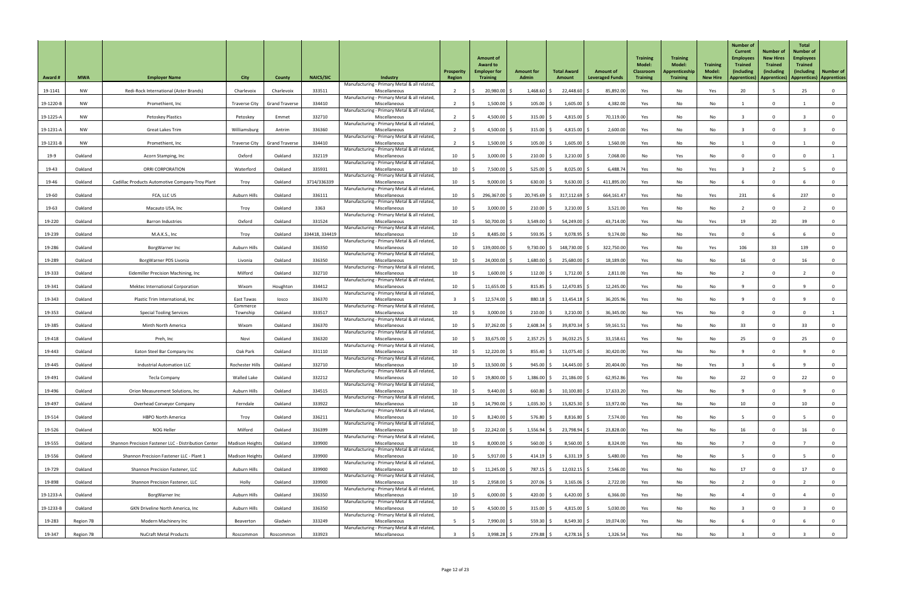| <b>Award #</b> | <b>MWA</b> | <b>Employer Name</b>                                 | <b>City</b>            | <b>County</b>         | <b>NAICS/SIC</b> | Industry                                                      | <b>Prosperity</b><br><b>Region</b> | <b>Amount of</b><br><b>Award to</b><br><b>Employer for</b><br><b>Training</b> | <b>Amount for</b><br><b>Admin</b> | <b>Total Award</b><br>Amount | <b>Amount of</b><br><b>Leveraged Funds</b> | <b>Training</b><br><b>Model:</b><br><b>Classroom</b><br><b>Training</b> | <b>Training</b><br><b>Model:</b><br>Apprenticeship<br><b>Training</b> | <b>Training</b><br><b>Model:</b><br><b>New Hire</b> | <b>Number of</b><br><b>Current</b><br><b>Employees</b><br><b>Trained</b><br>(including<br><b>Apprentices</b> ) | <b>Number of</b><br><b>New Hires</b><br><b>Trained</b><br>(including<br>Apprentices)   Apprentices)   Apprentices | <b>Total</b><br><b>Number of</b><br><b>Employees</b><br><b>Trained</b><br>(including) | <b>Number of</b> |
|----------------|------------|------------------------------------------------------|------------------------|-----------------------|------------------|---------------------------------------------------------------|------------------------------------|-------------------------------------------------------------------------------|-----------------------------------|------------------------------|--------------------------------------------|-------------------------------------------------------------------------|-----------------------------------------------------------------------|-----------------------------------------------------|----------------------------------------------------------------------------------------------------------------|-------------------------------------------------------------------------------------------------------------------|---------------------------------------------------------------------------------------|------------------|
| 19-1141        | <b>NW</b>  | Redi-Rock International (Aster Brands)               | Charlevoix             | Charlevoix            | 333511           | Manufacturing - Primary Metal & all related,<br>Miscellaneous |                                    | 20,980.00 \$                                                                  | 1,468.60                          | 22,448.60                    | 85,892.00                                  | Yes                                                                     | No                                                                    | Yes                                                 | 20                                                                                                             |                                                                                                                   | 25                                                                                    | $\overline{0}$   |
| 19-1220-B      | <b>NW</b>  | Promethient, Inc                                     | Traverse City          | <b>Grand Traverse</b> | 334410           | Manufacturing - Primary Metal & all related,<br>Miscellaneous |                                    | 1,500.00                                                                      | 105.00                            | 1,605.00                     | 4,382.00                                   | Yes                                                                     | No                                                                    | No                                                  |                                                                                                                | $\mathbf 0$                                                                                                       |                                                                                       | $\overline{0}$   |
| 19-1225-A      | <b>NW</b>  | <b>Petoskey Plastics</b>                             | Petoskey               | Emmet                 | 332710           | Manufacturing - Primary Metal & all related,<br>Miscellaneous |                                    | 4,500.00 \$                                                                   | 315.00                            | 4,815.00 \$                  | 70,119.00                                  | Yes                                                                     | No                                                                    | No                                                  |                                                                                                                | $\Omega$                                                                                                          |                                                                                       | 0                |
| 19-1231-A      | <b>NW</b>  | <b>Great Lakes Trim</b>                              | Williamsburg           | Antrim                | 336360           | Manufacturing - Primary Metal & all related,<br>Miscellaneous |                                    | 4,500.00                                                                      | 315.00                            | 4,815.00                     | 2,600.00                                   | Yes                                                                     | No                                                                    | No                                                  |                                                                                                                |                                                                                                                   |                                                                                       | $\mathbf 0$      |
| 19-1231-B      | <b>NW</b>  | Promethient, Inc                                     | <b>Traverse City</b>   | <b>Grand Traverse</b> | 334410           | Manufacturing - Primary Metal & all related,<br>Miscellaneous |                                    | $1,500.00$ \$                                                                 | 105.00                            | $1,605.00$ \$                | 1,560.00                                   | Yes                                                                     | No                                                                    | No                                                  |                                                                                                                | $\Omega$                                                                                                          |                                                                                       | $\overline{0}$   |
| 19-9           | Oakland    | Acorn Stamping, Inc                                  | Oxford                 | Oakland               | 332119           | Manufacturing - Primary Metal & all related,<br>Miscellaneous | 10                                 | $3,000.00$ \$                                                                 | 210.00                            | 3,210.00                     | 7,068.00                                   | No                                                                      | Yes                                                                   | No                                                  |                                                                                                                |                                                                                                                   |                                                                                       |                  |
| 19-43          | Oakland    | <b>ORRI CORPORATION</b>                              | Waterford              | Oakland               | 335931           | Manufacturing - Primary Metal & all related,<br>Miscellaneous | 10                                 | $7,500.00$ \$                                                                 | 525.00                            | 8,025.00                     | 6,488.74                                   | Yes                                                                     | No                                                                    | Yes                                                 |                                                                                                                |                                                                                                                   |                                                                                       | $\overline{0}$   |
|                |            |                                                      |                        |                       |                  | Manufacturing - Primary Metal & all related,                  |                                    |                                                                               |                                   |                              |                                            |                                                                         |                                                                       |                                                     |                                                                                                                |                                                                                                                   |                                                                                       |                  |
| 19-46          | Oakland    | Cadillac Products Automotive Company-Troy Plant      | Troy                   | Oakland               | 3714/336339      | Miscellaneous<br>Manufacturing - Primary Metal & all related, | 10                                 | $9,000.00$ \$                                                                 | $630.00$ \$                       | $9,630.00$ \$                | 411,895.00                                 | Yes                                                                     | No                                                                    | No                                                  |                                                                                                                | $\Omega$                                                                                                          |                                                                                       | $\overline{0}$   |
| 19-60          | Oakland    | FCA, LLC US                                          | Auburn Hills           | Oakland               | 336111           | Miscellaneous<br>Manufacturing - Primary Metal & all related, | 10                                 | 296,367.00 \$                                                                 | $20,745.69$ \$                    | 317,112.69                   | 664,161.47                                 | Yes                                                                     | No                                                                    | Yes                                                 | 231                                                                                                            |                                                                                                                   | 237                                                                                   | $\overline{0}$   |
| 19-63          | Oakland    | Macauto USA, Inc                                     | Troy                   | Oakland               | 3363             | Miscellaneous<br>Manufacturing - Primary Metal & all related, | 10 <sup>°</sup>                    | $3,000.00$ \$                                                                 | 210.00                            | 3,210.00                     | 3,521.00                                   | Yes                                                                     | No                                                                    | No                                                  |                                                                                                                | $\mathbf{0}$                                                                                                      |                                                                                       | $\overline{0}$   |
| 19-220         | Oakland    | <b>Barron Industries</b>                             | Oxford                 | Oakland               | 331524           | Miscellaneous<br>Manufacturing - Primary Metal & all related, | 10                                 | $50,700.00$ \$                                                                | $3,549.00$ \$                     | $54,249.00$ \$               | 43,714.00                                  | Yes                                                                     | No                                                                    | Yes                                                 | 19                                                                                                             | 20                                                                                                                | 39                                                                                    | $\overline{0}$   |
| 19-239         | Oakland    | M.A.K.S., Inc                                        | Troy                   | Oakland               | 334418, 334419   | Miscellaneous<br>Manufacturing - Primary Metal & all related, | 10                                 | $8,485.00$ \$                                                                 | $593.95$ \$                       | $9,078.95$ \$                | 9,174.00                                   | No                                                                      | No                                                                    | Yes                                                 |                                                                                                                |                                                                                                                   |                                                                                       | - 0              |
| 19-286         | Oakland    | BorgWarner Inc                                       | Auburn Hills           | Oakland               | 336350           | Miscellaneous<br>Manufacturing - Primary Metal & all related, | 10                                 | 139,000.00 \$                                                                 | $9,730.00$ \$                     | 148,730.00                   | 322,750.00                                 | Yes                                                                     | No                                                                    | Yes                                                 | 106                                                                                                            | 33                                                                                                                | 139                                                                                   | $\mathbf 0$      |
| 19-289         | Oakland    | BorgWarner PDS Livonia                               | Livonia                | Oakland               | 336350           | Miscellaneous<br>Manufacturing - Primary Metal & all related, | 10                                 | 24,000.00                                                                     | 1,680.00                          | 25,680.00                    | 18,189.00                                  | Yes                                                                     | No                                                                    | No                                                  | 16                                                                                                             |                                                                                                                   | 16                                                                                    | $\mathbf 0$      |
| 19-333         | Oakland    | Eidemiller Precision Machining, Inc.                 | Milford                | Oakland               | 332710           | Miscellaneous<br>Manufacturing - Primary Metal & all related, | 10                                 | $1,600.00$ \$                                                                 | 112.00                            | $1,712.00$ \$                | 2,811.00                                   | Yes                                                                     | No                                                                    | No                                                  |                                                                                                                | 0                                                                                                                 |                                                                                       | $\overline{0}$   |
| 19-341         | Oakland    | <b>Mektec International Corporation</b>              | Wixom                  | Houghton              | 334412           | Miscellaneous<br>Manufacturing - Primary Metal & all related, | 10                                 | 11,655.00                                                                     | $815.85$ $\frac{2}{5}$            | $12,470.85$ \$               | 12,245.00                                  | Yes                                                                     | No                                                                    | No                                                  |                                                                                                                | $\mathbf 0$                                                                                                       |                                                                                       | $\mathbf 0$      |
| 19-343         | Oakland    | Plastic Trim International, Inc                      | East Tawas<br>Commerce | losco                 | 336370           | Miscellaneous<br>Manufacturing - Primary Metal & all related, |                                    | 12,574.00 \$                                                                  | $880.18$ \$                       | $13,454.18$ \$               | 36,205.96                                  | Yes                                                                     | No                                                                    | No                                                  |                                                                                                                | $\Omega$                                                                                                          |                                                                                       | 0                |
| 19-353         | Oakland    | <b>Special Tooling Services</b>                      | Township               | Oakland               | 333517           | Miscellaneous<br>Manufacturing - Primary Metal & all related, | 10                                 | 3,000.00                                                                      | 210.00                            | 3,210.00                     | 36,345.00                                  | No                                                                      | Yes                                                                   | No                                                  |                                                                                                                |                                                                                                                   |                                                                                       |                  |
| 19-385         | Oakland    | Minth North America                                  | Wixom                  | Oakland               | 336370           | Miscellaneous                                                 | 10                                 | 37,262.00 \$                                                                  | 2,608.34                          | $39,870.34$ \$               | 59,161.51                                  | Yes                                                                     | No                                                                    | No                                                  | 33                                                                                                             | $\Omega$                                                                                                          | 33                                                                                    | 0                |
| 19-418         | Oakland    | Preh, Inc                                            | Novi                   | Oakland               | 336320           | Manufacturing - Primary Metal & all related,<br>Miscellaneous | 10                                 | 33,675.00 \$                                                                  | $2,357.25$ \$                     | $36,032.25$ \$               | 33,158.61                                  | Yes                                                                     | No                                                                    | No                                                  | 25                                                                                                             | $\Omega$                                                                                                          | 25                                                                                    | $\overline{0}$   |
| 19-443         | Oakland    | Eaton Steel Bar Company Inc                          | Oak Park               | Oakland               | 331110           | Manufacturing - Primary Metal & all related,<br>Miscellaneous | 10                                 | 12,220.00                                                                     | 855.40                            | 13,075.40                    | 30,420.00                                  | Yes                                                                     | No                                                                    | No                                                  |                                                                                                                | $\Omega$                                                                                                          |                                                                                       | $\mathbf{0}$     |
| 19-445         | Oakland    | <b>Industrial Automation LLC</b>                     | Rochester Hills        | Oakland               | 332710           | Manufacturing - Primary Metal & all related,<br>Miscellaneous | 10                                 | $13,500.00$ \$                                                                | $945.00$ \$                       | 14,445.00                    | 20,404.00                                  | Yes                                                                     | No                                                                    | Yes                                                 |                                                                                                                |                                                                                                                   |                                                                                       | 0                |
| 19-491         | Oakland    | <b>Tecla Company</b>                                 | <b>Walled Lake</b>     | Oakland               | 332212           | Manufacturing - Primary Metal & all related,<br>Miscellaneous | 10                                 | 19,800.00                                                                     | 1,386.00                          | $21,186.00$ \$               | 62,952.86                                  | Yes                                                                     | No                                                                    | No                                                  | 22                                                                                                             | 0                                                                                                                 | 22                                                                                    | $\overline{0}$   |
| 19-496         | Oakland    | <b>Orion Measurement Solutions, Inc</b>              | <b>Auburn Hills</b>    | Oakland               | 334515           | Manufacturing - Primary Metal & all related,<br>Miscellaneous | 10                                 | 9,440.00                                                                      | 660.80                            | 10,100.80                    | 17,633.20                                  | Yes                                                                     | No                                                                    | No                                                  |                                                                                                                |                                                                                                                   |                                                                                       | $\mathbf 0$      |
| 19-497         | Oakland    | <b>Overhead Conveyor Company</b>                     | Ferndale               | Oakland               | 333922           | Manufacturing - Primary Metal & all related,<br>Miscellaneous | 10                                 | 14,790.00 \$                                                                  | $1,035.30$ \$                     | $15,825.30$ \$               | 13,972.00                                  | Yes                                                                     | No                                                                    | No                                                  | 10 <sup>1</sup>                                                                                                |                                                                                                                   | 10                                                                                    | $\mathbf 0$      |
| 19-514         | Oakland    | <b>HBPO North America</b>                            | Troy                   | Oakland               | 336211           | Manufacturing - Primary Metal & all related,<br>Miscellaneous | 10                                 | 8,240.00                                                                      | 576.80                            | $8,816.80$ \$                | 7,574.00                                   | Yes                                                                     | No                                                                    | No                                                  |                                                                                                                | $\mathbf{0}$                                                                                                      |                                                                                       | 0                |
| 19-526         | Oakland    | NOG Heller                                           | Milford                | Oakland               | 336399           | Manufacturing - Primary Metal & all related,<br>Miscellaneous | 10                                 | $22,242.00$ \$                                                                | $1,556.94$ \$                     | 23,798.94 \$                 | 23,828.00                                  | Yes                                                                     | No                                                                    | No                                                  | 16                                                                                                             | $\Omega$                                                                                                          | 16                                                                                    | $\mathbf{0}$     |
| 19-555         | Oakland    | Shannon Precision Fastener LLC - Distribution Center | <b>Madison Heights</b> | Oakland               | 339900           | Manufacturing - Primary Metal & all related,<br>Miscellaneous | 10                                 | $8,000.00$ \$                                                                 | $560.00$ \$                       | $8,560.00$ \$                | 8,324.00                                   | Yes                                                                     | No                                                                    | No                                                  |                                                                                                                |                                                                                                                   |                                                                                       |                  |
| 19-556         | Oakland    | Shannon Precision Fastener LLC - Plant 1             | <b>Madison Heights</b> | Oakland               | 339900           | Manufacturing - Primary Metal & all related,<br>Miscellaneous | 10 <sup>°</sup>                    | $5,917.00$ \$                                                                 | $414.19$ \$                       | $6,331.19$ \$                | 5,480.00                                   | Yes                                                                     | No                                                                    | No                                                  |                                                                                                                | $\mathbf{0}$                                                                                                      |                                                                                       | $\overline{0}$   |
| 19-729         | Oakland    | Shannon Precision Fastener, LLC                      | Auburn Hills           | Oakland               | 339900           | Manufacturing - Primary Metal & all related,<br>Miscellaneous | 10 <sup>°</sup>                    | $11,245.00$ \$                                                                | 787.15 \$                         | $12,032.15$ \$               | 7,546.00                                   | Yes                                                                     | No                                                                    | No                                                  | 17                                                                                                             | $\mathbf 0$                                                                                                       | 17                                                                                    | $\overline{0}$   |
| 19-898         | Oakland    | Shannon Precision Fastener, LLC                      | Holly                  | Oakland               | 339900           | Manufacturing - Primary Metal & all related,<br>Miscellaneous | 10 <sup>°</sup>                    | $2,958.00$ \$                                                                 | $207.06$ \$                       | $3,165.06$ \$                | 2,722.00                                   | Yes                                                                     | No                                                                    | No                                                  |                                                                                                                | $\Omega$                                                                                                          |                                                                                       | $\overline{0}$   |
| 19-1233-A      | Oakland    | BorgWarner Inc                                       | Auburn Hills           | Oakland               | 336350           | Manufacturing - Primary Metal & all related,<br>Miscellaneous | 10                                 | $6,000.00$ \$                                                                 | 420.00                            | $6,420.00$ \$                | 6,366.00                                   | Yes                                                                     | No                                                                    | No                                                  |                                                                                                                | $\mathbf 0$                                                                                                       |                                                                                       | $\overline{0}$   |
|                |            |                                                      |                        |                       |                  | Manufacturing - Primary Metal & all related,                  |                                    |                                                                               |                                   |                              |                                            |                                                                         |                                                                       |                                                     |                                                                                                                |                                                                                                                   |                                                                                       |                  |
| 19-1233-B      | Oakland    | GKN Driveline North America, Inc                     | Auburn Hills           | Oakland               | 336350           | Miscellaneous<br>Manufacturing - Primary Metal & all related, | 10 <sup>°</sup>                    | 4,500.00 \$                                                                   | $315.00$ \$                       | 4,815.00 \$                  | 5,030.00                                   | Yes                                                                     | No                                                                    | No                                                  |                                                                                                                | $\Omega$                                                                                                          |                                                                                       | $\overline{0}$   |
| 19-283         | Region 7B  | <b>Modern Machinery Inc</b>                          | Beaverton              | Gladwin               | 333249           | Miscellaneous<br>Manufacturing - Primary Metal & all related, |                                    | 7,990.00 \$                                                                   | 559.30                            | $8,549.30$ \$                | 19,074.00                                  | Yes                                                                     | No                                                                    | No                                                  |                                                                                                                | $\mathbf 0$                                                                                                       |                                                                                       | $\overline{0}$   |
| 19-347         | Region 7B  | <b>NuCraft Metal Products</b>                        | Roscommon              | Roscommon             | 333923           | Miscellaneous                                                 |                                    | $3,998.28$ \$                                                                 | $279.88$ \$                       | $4,278.16$ \$                | 1,326.54                                   | Yes                                                                     | No                                                                    | No                                                  |                                                                                                                |                                                                                                                   |                                                                                       | $\overline{0}$   |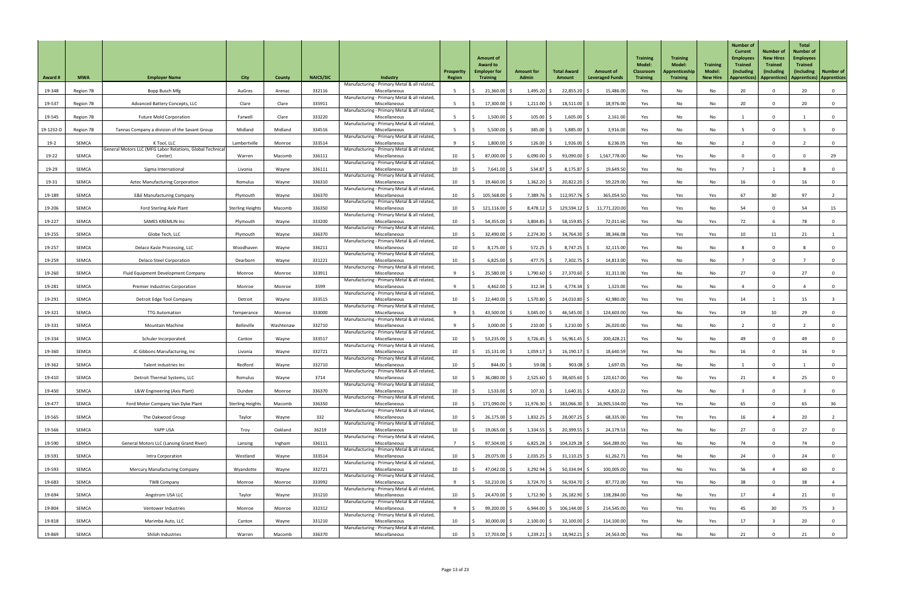| <b>Award #</b> | <b>MWA</b>   | <b>Employer Name</b>                                                            | <b>City</b>             | <b>County</b> | <b>NAICS/SIC</b> | Industry                                                      | <b>Prosperity</b><br><b>Region</b> | <b>Amount of</b><br><b>Award to</b><br><b>Employer for</b><br><b>Training</b> | <b>Amount for</b><br><b>Admin</b> | <b>Total Award</b><br>Amount | <b>Amount of</b><br><b>Leveraged Funds</b> | <b>Training</b><br><b>Model:</b><br><b>Classroom</b><br><b>Training</b> | <b>Training</b><br><b>Model:</b><br>Apprenticeship<br><b>Training</b> | <b>Training</b><br><b>Model:</b><br><b>New Hire</b> | <b>Number of</b><br><b>Current</b><br><b>Employees</b><br><b>Trained</b><br>(including<br><b>Apprentices</b> ) | <b>Number of</b><br><b>New Hires</b><br><b>Trained</b><br>(including<br>Apprentices)   Apprentices)   Apprentices | <b>Total</b><br><b>Number of</b><br><b>Employees</b><br><b>Trained</b><br>(including) | Number of               |
|----------------|--------------|---------------------------------------------------------------------------------|-------------------------|---------------|------------------|---------------------------------------------------------------|------------------------------------|-------------------------------------------------------------------------------|-----------------------------------|------------------------------|--------------------------------------------|-------------------------------------------------------------------------|-----------------------------------------------------------------------|-----------------------------------------------------|----------------------------------------------------------------------------------------------------------------|-------------------------------------------------------------------------------------------------------------------|---------------------------------------------------------------------------------------|-------------------------|
| 19-348         | Region 7B    | Bopp Busch Mfg                                                                  | AuGres                  | Arenac        | 332116           | Manufacturing - Primary Metal & all related,<br>Miscellaneous |                                    | $21,360.00$ \$                                                                | $1,495.20$ \$                     | 22,855.20                    | 15,486.00                                  | Yes                                                                     | No                                                                    | No                                                  | 20                                                                                                             | $\Omega$                                                                                                          | 20                                                                                    | $\overline{0}$          |
| 19-537         | Region 7B    | Advanced Battery Concepts, LLC                                                  | Clare                   | Clare         | 335911           | Manufacturing - Primary Metal & all related,<br>Miscellaneous |                                    | $17,300.00$ \$                                                                | $1,211.00$ \$                     | 18,511.00                    | 18,976.00                                  | Yes                                                                     | No                                                                    | No                                                  | 20                                                                                                             | $\Omega$                                                                                                          | 20                                                                                    | $\overline{0}$          |
| 19-545         | Region 7B    | <b>Future Mold Corporation</b>                                                  | Farwell                 | Clare         | 333220           | Manufacturing - Primary Metal & all related,<br>Miscellaneous |                                    | 1,500.00                                                                      | 105.00                            | $1,605.00$ \$                | 2,161.00                                   | Yes                                                                     | No                                                                    | No                                                  |                                                                                                                | $\Omega$                                                                                                          |                                                                                       | $\overline{0}$          |
|                |              |                                                                                 |                         | Midland       | 334516           | Manufacturing - Primary Metal & all related,                  |                                    |                                                                               | 385.00                            |                              |                                            |                                                                         |                                                                       |                                                     |                                                                                                                |                                                                                                                   |                                                                                       |                         |
| 19-1232-D      | Region 7B    | Tannas Company a division of the Savant Group                                   | Midland                 |               |                  | Miscellaneous<br>Manufacturing - Primary Metal & all related, |                                    | 5,500.00                                                                      |                                   | 5,885.00                     | 3,916.00                                   | Yes                                                                     | No                                                                    | No                                                  |                                                                                                                |                                                                                                                   |                                                                                       | $\mathbf 0$             |
| $19-2$         | <b>SEMCA</b> | K Tool, LLC<br><b>General Motors LLC (MFG Labor Relations, Global Technical</b> | Lambertville            | Monroe        | 333514           | Miscellaneous<br>Manufacturing - Primary Metal & all related, |                                    | $1,800.00$ \$                                                                 | 126.00                            | $1,926.00$ \$                | 8,236.05                                   | Yes                                                                     | No                                                                    | No                                                  |                                                                                                                | $\Omega$                                                                                                          |                                                                                       | $\overline{0}$          |
| 19-22          | SEMCA        | Center)                                                                         | Warren                  | Macomb        | 336111           | Miscellaneous<br>Manufacturing - Primary Metal & all related, | 10                                 | 87,000.00 \$                                                                  | 6,090.00                          | $93,090.00$ \$               | 1,567,778.00                               | No                                                                      | Yes                                                                   | No                                                  |                                                                                                                |                                                                                                                   |                                                                                       | 29                      |
| 19-29          | <b>SEMCA</b> | Sigma International                                                             | Livonia                 | Wayne         | 336111           | Miscellaneous<br>Manufacturing - Primary Metal & all related, | 10                                 | 7,641.00                                                                      | 534.87                            | 8,175.87                     | 19,649.50                                  | Yes                                                                     | No                                                                    | Yes                                                 |                                                                                                                |                                                                                                                   |                                                                                       | 0                       |
| 19-31          | SEMCA        | <b>Aztec Manufacturing Corporation</b>                                          | Romulus                 | Wayne         | 336310           | Miscellaneous<br>Manufacturing - Primary Metal & all related, | 10                                 | 19,460.00 \$                                                                  | $1,362.20$ \$                     | $20,822.20$ \$               | 59,229.00                                  | Yes                                                                     | No                                                                    | No                                                  | 16                                                                                                             | $\Omega$                                                                                                          | 16                                                                                    | $\overline{0}$          |
| 19-189         | <b>SEMCA</b> | <b>E&amp;E Manufacturing Company</b>                                            | Plymouth                | Wayne         | 336370           | Miscellaneous<br>Manufacturing - Primary Metal & all related, | 10                                 | 105,568.00 \$                                                                 | $7,389.76$ \$                     | $112,957.76$ \$              | 365,054.50                                 | Yes                                                                     | Yes                                                                   | Yes                                                 | 67                                                                                                             | 30 <sup>°</sup>                                                                                                   | 97                                                                                    | $\overline{2}$          |
| 19-206         | <b>SEMCA</b> | <b>Ford Sterling Axle Plant</b>                                                 | <b>Sterling Heights</b> | Macomb        | 336350           | Miscellaneous<br>Manufacturing - Primary Metal & all related, | 10                                 | 121,116.00 \$                                                                 | $8,478.12$ \$                     | 129,594.12 \$                | 11,771,220.0                               | Yes                                                                     | Yes                                                                   | No                                                  | 54                                                                                                             | $\Omega$                                                                                                          | 54                                                                                    | 15                      |
| 19-227         | SEMCA        | <b>SAMES KREMLIN Inc</b>                                                        | Plymouth                | Wayne         | 333200           | Miscellaneous<br>Manufacturing - Primary Metal & all related, | 10                                 | $54,355.00$ \$                                                                | $3,804.85$ \$                     | 58,159.85 \$                 | 72,011.60                                  | Yes                                                                     | No                                                                    | Yes                                                 | 72                                                                                                             |                                                                                                                   | 78                                                                                    | $\overline{0}$          |
| 19-255         | <b>SEMCA</b> | Globe Tech, LLC                                                                 | Plymouth                | Wayne         | 336370           | Miscellaneous                                                 | 10                                 | 32,490.00 \$                                                                  | $2,274.30$ \$                     | 34,764.30 \$                 | 38,346.08                                  | Yes                                                                     | Yes                                                                   | Yes                                                 | 10                                                                                                             | 11                                                                                                                | 21                                                                                    |                         |
| 19-257         | <b>SEMCA</b> | Delaco Kasle Processing, LLC                                                    | Woodhaven               | Wayne         | 336211           | Manufacturing - Primary Metal & all related,<br>Miscellaneous | 10                                 | $8,175.00$ \$                                                                 | 572.25                            | 8,747.25                     | 32,115.00                                  | Yes                                                                     | No                                                                    | No                                                  |                                                                                                                |                                                                                                                   |                                                                                       |                         |
| 19-259         | <b>SEMCA</b> | <b>Delaco Steel Corporation</b>                                                 | Dearborn                | Wayne         | 331221           | Manufacturing - Primary Metal & all related,<br>Miscellaneous | 10                                 | 6,825.00                                                                      | 477.75                            | 7,302.75                     | 14,813.00                                  | Yes                                                                     | No                                                                    | No                                                  |                                                                                                                | $\Omega$                                                                                                          |                                                                                       | $\mathbf 0$             |
| 19-260         | <b>SEMCA</b> | <b>Fluid Equipment Development Company</b>                                      | Monroe                  | Monroe        | 333911           | Manufacturing - Primary Metal & all related,<br>Miscellaneous |                                    | 25,580.00 \$                                                                  | 1,790.60                          | $27,370.60$ \$               | 31,311.00                                  | Yes                                                                     | No                                                                    | No                                                  | 27                                                                                                             |                                                                                                                   | 27                                                                                    | $\overline{0}$          |
| 19-281         | <b>SEMCA</b> | <b>Premier Industries Corporation</b>                                           | Monroe                  | Monroe        | 3599             | Manufacturing - Primary Metal & all related,<br>Miscellaneous |                                    | 4,462.00                                                                      | 312.34                            | $4,774.34$ \$                | 1,323.00                                   | Yes                                                                     | No                                                                    | No                                                  |                                                                                                                | $\mathbf 0$                                                                                                       |                                                                                       | $\overline{0}$          |
| 19-291         | <b>SEMCA</b> | Detroit Edge Tool Company                                                       | Detroit                 | Wayne         | 333515           | Manufacturing - Primary Metal & all related,<br>Miscellaneous | 10                                 | $22,440.00$ \$                                                                | $1,570.80$ \$                     | 24,010.80                    | 42,980.00                                  | Yes                                                                     | Yes                                                                   | Yes                                                 | 14                                                                                                             |                                                                                                                   | 15                                                                                    |                         |
| 19-321         | SEMCA        | <b>TTG Automation</b>                                                           | Temperance              | Monroe        | 333000           | Manufacturing - Primary Metal & all related,<br>Miscellaneous |                                    | 43,500.00 \$                                                                  | 3,045.00                          | 46,545.00                    | 124,603.00                                 | Yes                                                                     | No                                                                    | Yes                                                 | 19                                                                                                             | 10                                                                                                                | 29                                                                                    | $\mathbf 0$             |
| 19-331         | <b>SEMCA</b> | <b>Mountain Machine</b>                                                         | Belleville              | Washtenaw     | 332710           | Manufacturing - Primary Metal & all related,<br>Miscellaneous |                                    | $3,000.00$ \$                                                                 | 210.00                            | $3,210.00$ \$                | 26,020.00                                  | Yes                                                                     | No                                                                    | No                                                  |                                                                                                                | $\Omega$                                                                                                          |                                                                                       | $\overline{0}$          |
| 19-334         | SEMCA        | Schuler Incorporated.                                                           | Canton                  | Wayne         | 333517           | Manufacturing - Primary Metal & all related,<br>Miscellaneous | 10                                 | $53,235.00$ \$                                                                | 3,726.45                          | $56,961.45$ \$               | 200,428.21                                 | Yes                                                                     | No                                                                    | No                                                  | 49                                                                                                             | $\mathbf{0}$                                                                                                      | 49                                                                                    | $\overline{0}$          |
| 19-360         | SEMCA        | JC Gibbons Manufacturing, Inc.                                                  | Livonia                 | Wayne         | 332721           | Manufacturing - Primary Metal & all related,<br>Miscellaneous | 10                                 | $15,131.00$ \$                                                                | 1,059.17                          | 16,190.17                    | 18,640.59                                  | Yes                                                                     | No                                                                    | No                                                  | 16                                                                                                             |                                                                                                                   | 16                                                                                    | 0                       |
| 19-362         | SEMCA        | Talent industries Inc                                                           | Redford                 | Wayne         | 332710           | Manufacturing - Primary Metal & all related,<br>Miscellaneous | 10                                 | $844.00$ \$                                                                   | 59.08                             | 903.08                       | 1,697.05                                   | Yes                                                                     | No                                                                    | No                                                  |                                                                                                                | $\Omega$                                                                                                          |                                                                                       | $\overline{0}$          |
|                |              |                                                                                 |                         |               |                  | Manufacturing - Primary Metal & all related,                  |                                    |                                                                               |                                   |                              |                                            |                                                                         |                                                                       |                                                     |                                                                                                                |                                                                                                                   |                                                                                       |                         |
| 19-410         | <b>SEMCA</b> | Detroit Thermal Systems, LLC                                                    | Romulus                 | Wayne         | 3714             | Miscellaneous<br>Manufacturing - Primary Metal & all related, | 10                                 | $36,080.00$ \$                                                                | 2,525.60                          | $38,605.60$ \$               | 120,617.00                                 | Yes                                                                     | No                                                                    | Yes                                                 | 21                                                                                                             |                                                                                                                   | 25                                                                                    | $\overline{0}$          |
| 19-450         | <b>SEMCA</b> | L&W Engineering (Axis Plant)                                                    | Dundee                  | Monroe        | 336370           | Miscellaneous<br>Manufacturing - Primary Metal & all related, | 10                                 | $1,533.00$ \$                                                                 | 107.31                            | $1,640.31$ \$                | 4,820.22                                   | Yes                                                                     | No                                                                    | No                                                  |                                                                                                                | $\Omega$                                                                                                          |                                                                                       | 0                       |
| 19-477         | SEMCA        | Ford Motor Company Van Dyke Plant                                               | <b>Sterling Heights</b> | Macomb        | 336350           | Miscellaneous<br>Manufacturing - Primary Metal & all related, | 10                                 | 171,090.00 \$                                                                 | $11,976.30$ \$                    | 183,066.30 \$                | 16,905,534.00                              | Yes                                                                     | Yes                                                                   | No                                                  | 65                                                                                                             |                                                                                                                   | 65                                                                                    | 36                      |
| 19-565         | <b>SEMCA</b> | The Oakwood Group                                                               | Taylor                  | Wayne         | 332              | Miscellaneous<br>Manufacturing - Primary Metal & all related, | 10                                 | $26,175.00$ \$                                                                | $1,832.25$ \$                     | 28,007.25                    | 68,335.00                                  | Yes                                                                     | Yes                                                                   | Yes                                                 | 16                                                                                                             |                                                                                                                   | 20                                                                                    |                         |
| 19-566         | SEMCA        | YAPP USA                                                                        | Troy                    | Oakland       | 36219            | Miscellaneous<br>Manufacturing - Primary Metal & all related, | 10                                 | 19,065.00 \$                                                                  | $1,334.55$ \$                     | $20,399.55$ \$               | 24,179.53                                  | Yes                                                                     | No                                                                    | No                                                  | 27                                                                                                             |                                                                                                                   | 27                                                                                    | $\overline{0}$          |
| 19-590         | SEMCA        | <b>General Motors LLC (Lansing Grand River)</b>                                 | Lansing                 | Ingham        | 336111           | Miscellaneous<br>Manufacturing - Primary Metal & all related, |                                    | $97,504.00$ \$                                                                | $6,825.28$ \$                     | $104,329.28$ \$              | 564,289.00                                 | Yes                                                                     | No                                                                    | No                                                  | 74                                                                                                             |                                                                                                                   | 74                                                                                    |                         |
| 19-591         | SEMCA        | Intra Corporation                                                               | Westland                | Wayne         | 333514           | Miscellaneous                                                 | 10 <sup>°</sup>                    | 29,075.00 \$                                                                  | $2,035.25$ \$                     | $31,110.25$ \$               | 61,262.71                                  | Yes                                                                     | No                                                                    | No                                                  | 24                                                                                                             | $\mathbf 0$                                                                                                       | 24                                                                                    | $\overline{0}$          |
| 19-593         | SEMCA        | <b>Mercury Manufacturing Company</b>                                            | Wyandotte               | Wayne         | 332721           | Manufacturing - Primary Metal & all related,<br>Miscellaneous | 10 <sup>°</sup>                    | 47,042.00 \$                                                                  | $3,292.94$ \$                     | $50,334.94$ \$               | 100,005.00                                 | Yes                                                                     | No                                                                    | Yes                                                 | 56                                                                                                             |                                                                                                                   | 60                                                                                    | $\overline{0}$          |
| 19-683         | SEMCA        | <b>TWB Company</b>                                                              | Monroe                  | Monroe        | 333992           | Manufacturing - Primary Metal & all related,<br>Miscellaneous |                                    | $53,210.00$ \$                                                                | $3,724.70$ \$                     | 56,934.70 \$                 | 87,772.00                                  | Yes                                                                     | Yes                                                                   | No                                                  | 38                                                                                                             | $\Omega$                                                                                                          | 38                                                                                    | $\overline{4}$          |
| 19-694         | SEMCA        | Angstrom USA LLC                                                                | Taylor                  | Wayne         | 331210           | Manufacturing - Primary Metal & all related,<br>Miscellaneous | 10                                 | 24,470.00 \$                                                                  | $1,712.90$ \$                     | 26,182.90 \$                 | 138,284.00                                 | Yes                                                                     | No                                                                    | Yes                                                 | 17                                                                                                             |                                                                                                                   | 21                                                                                    | $\overline{0}$          |
| 19-804         | SEMCA        | Ventower Industries                                                             | Monroe                  | Monroe        | 332312           | Manufacturing - Primary Metal & all related,<br>Miscellaneous |                                    | $99,200.00$ \$                                                                | $6,944.00$ \$                     | 106,144.00 \$                | 214,545.00                                 | Yes                                                                     | Yes                                                                   | Yes                                                 | 45                                                                                                             | 30 <sup>°</sup>                                                                                                   | 75                                                                                    | $\overline{\mathbf{3}}$ |
| 19-818         | SEMCA        | Marimba Auto, LLC                                                               | Canton                  | Wayne         | 331210           | Manufacturing - Primary Metal & all related,<br>Miscellaneous | 10 <sup>°</sup>                    | $30,000.00$ \$                                                                | $2,100.00$ \$                     | $32,100.00$ \$               | 114,100.00                                 | Yes                                                                     | No                                                                    | Yes                                                 | 17                                                                                                             |                                                                                                                   | 20                                                                                    | $\overline{0}$          |
| 19-869         | SEMCA        | Shiloh Industries                                                               | Warren                  | Macomb        | 336370           | Manufacturing - Primary Metal & all related,<br>Miscellaneous | 10                                 | 17,703.00 \$                                                                  | $1,239.21$ \$                     | 18,942.21 \$                 | 24,563.00                                  | Yes                                                                     | No                                                                    | No                                                  | 21                                                                                                             |                                                                                                                   | 21                                                                                    | $\overline{0}$          |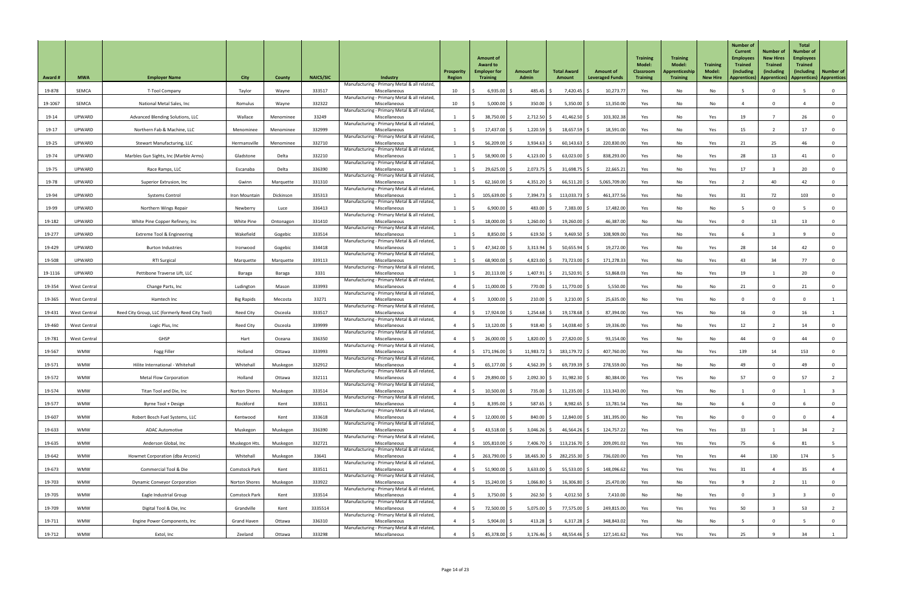| <b>Award #</b> | <b>MWA</b>          | <b>Employer Name</b>                           | <b>City</b>          | County    | <b>NAICS/SIC</b> | Industry                                                      | Prosperity<br>Region | <b>Amount of</b><br><b>Award to</b><br><b>Employer for</b><br><b>Training</b> | <b>Amount for</b><br><b>Admin</b> | <b>Total Award</b><br>Amount | <b>Amount of</b><br><b>Leveraged Funds</b> | <b>Training</b><br><b>Model:</b><br><b>Classroom</b><br><b>Training</b> | <b>Training</b><br><b>Model:</b><br>Apprenticeship<br><b>Training</b> | <b>Training</b><br><b>Model:</b><br><b>New Hire</b> | <b>Number of</b><br><b>Current</b><br><b>Employees</b><br><b>Trained</b><br>(including<br><b>Apprentices</b> ) | <b>Number of</b><br><b>New Hires</b><br><b>Trained</b><br>(including<br>Apprentices)   Apprentices)   Apprentices | <b>Total</b><br><b>Number of</b><br><b>Employees</b><br><b>Trained</b><br>(including) | <b>Number of</b>        |
|----------------|---------------------|------------------------------------------------|----------------------|-----------|------------------|---------------------------------------------------------------|----------------------|-------------------------------------------------------------------------------|-----------------------------------|------------------------------|--------------------------------------------|-------------------------------------------------------------------------|-----------------------------------------------------------------------|-----------------------------------------------------|----------------------------------------------------------------------------------------------------------------|-------------------------------------------------------------------------------------------------------------------|---------------------------------------------------------------------------------------|-------------------------|
| 19-878         | <b>SEMCA</b>        | T-Tool Company                                 | Taylor               | Wayne     | 333517           | Manufacturing - Primary Metal & all related,<br>Miscellaneous | 10                   | 6,935.00                                                                      | 485.45                            | $7,420.45$ \$                | 10,273.77                                  | Yes                                                                     | No                                                                    | No                                                  |                                                                                                                | $\Omega$                                                                                                          |                                                                                       | $\mathbf 0$             |
| 19-1067        | <b>SEMCA</b>        | National Metal Sales, Inc                      | Romulus              | Wayne     | 332322           | Manufacturing - Primary Metal & all related,<br>Miscellaneous | 10                   | $5,000.00$ \$                                                                 | 350.00                            | 5,350.00                     | 13,350.00                                  | Yes                                                                     | No                                                                    | No                                                  |                                                                                                                | $\Omega$                                                                                                          |                                                                                       | 0                       |
| 19-14          | UPWARD              | Advanced Blending Solutions, LLC               | Wallace              | Menominee | 33249            | Manufacturing - Primary Metal & all related,<br>Miscellaneous |                      | 38,750.00 \$                                                                  | $2,712.50$ \$                     | 41,462.50                    | 103,302.38                                 | Yes                                                                     | No                                                                    | Yes                                                 | 19                                                                                                             |                                                                                                                   | 26                                                                                    | $\overline{0}$          |
| 19-17          | <b>UPWARD</b>       | Northern Fab & Machine, LLC                    | Menominee            | Menominee | 332999           | Manufacturing - Primary Metal & all related,<br>Miscellaneous |                      | 17,437.00 \$                                                                  | 1,220.59                          | $18,657.59$ \$               | 18,591.00                                  | Yes                                                                     | No                                                                    | Yes                                                 | 15                                                                                                             |                                                                                                                   | 17                                                                                    | $\overline{0}$          |
| 19-25          | <b>UPWARD</b>       | <b>Stewart Manufacturing, LLC</b>              | Hermansville         | Menominee | 332710           | Manufacturing - Primary Metal & all related,<br>Miscellaneous |                      | 56,209.00 \$                                                                  | 3,934.63                          | 60,143.63                    | 220,830.00                                 | Yes                                                                     | No                                                                    | Yes                                                 | 21                                                                                                             | 25                                                                                                                | 46                                                                                    | $\mathbf 0$             |
| 19-74          | UPWARD              | Marbles Gun Sights, Inc (Marble Arms)          | Gladstone            | Delta     | 332210           | Manufacturing - Primary Metal & all related,<br>Miscellaneous |                      | 58,900.00 \$                                                                  | $4,123.00$ \$                     | $63,023.00$ \$               | 838,293.00                                 | Yes                                                                     | No                                                                    | Yes                                                 | 28                                                                                                             | 13                                                                                                                |                                                                                       | $\overline{0}$          |
| 19-75          | UPWARD              | Race Ramps, LLC                                | Escanaba             | Delta     | 336390           | Manufacturing - Primary Metal & all related,<br>Miscellaneous |                      | 29,625.00 \$                                                                  | $2,073.75$ \$                     | $31,698.75$ \$               | 22,665.21                                  | Yes                                                                     | No                                                                    | Yes                                                 | 17                                                                                                             |                                                                                                                   | 20                                                                                    | $\overline{0}$          |
| 19-78          | <b>UPWARD</b>       | Superior Extrusion, Inc                        | Gwinn                | Marquette | 331310           | Manufacturing - Primary Metal & all related,<br>Miscellaneous |                      | $62,160.00$ \$                                                                | $4,351.20$ \$                     | $66,511.20$ \$               | 5,065,709.00                               | Yes                                                                     | No                                                                    | Yes                                                 |                                                                                                                | 40                                                                                                                | 42                                                                                    | $\mathbf 0$             |
| 19-94          | <b>UPWARD</b>       | <b>Systems Control</b>                         | Iron Mountain        | Dickinson | 335313           | Manufacturing - Primary Metal & all related,<br>Miscellaneous |                      | $105,639.00$ \$                                                               | 7,394.73                          | 113,033.73                   | 461,377.56                                 | Yes                                                                     | No                                                                    | Yes                                                 | 31                                                                                                             | 72                                                                                                                | 103                                                                                   | $\overline{0}$          |
| 19-99          | <b>UPWARD</b>       | Northern Wings Repair                          | Newberry             | Luce      | 336413           | Manufacturing - Primary Metal & all related,<br>Miscellaneous |                      | $6,900.00$ \$                                                                 | 483.00 $\frac{1}{2}$              | 7,383.00                     | 17,482.00                                  | Yes                                                                     | No                                                                    | No                                                  |                                                                                                                | $\mathbf 0$                                                                                                       |                                                                                       | $\overline{0}$          |
| 19-182         | <b>UPWARD</b>       | White Pine Copper Refinery, Inc                | White Pine           | Ontonagon | 331410           | Manufacturing - Primary Metal & all related,<br>Miscellaneous |                      | 18,000.00 \$                                                                  | $1,260.00$ \$                     | $19,260.00$ \$               | 46,387.00                                  | No                                                                      | No                                                                    | Yes                                                 |                                                                                                                | 13                                                                                                                | 13                                                                                    |                         |
|                | <b>UPWARD</b>       | <b>Extreme Tool &amp; Engineering</b>          | Wakefield            |           |                  | Manufacturing - Primary Metal & all related,                  |                      |                                                                               |                                   |                              | 108,909.00                                 |                                                                         |                                                                       |                                                     |                                                                                                                |                                                                                                                   |                                                                                       | $\overline{0}$          |
| 19-277         |                     |                                                |                      | Gogebic   | 333514           | Miscellaneous<br>Manufacturing - Primary Metal & all related, |                      | 8,850.00                                                                      | 619.50                            | 9,469.50                     |                                            | Yes                                                                     | No                                                                    | Yes                                                 |                                                                                                                |                                                                                                                   |                                                                                       | $\overline{0}$          |
| 19-429         | UPWARD              | <b>Burton Industries</b>                       | Ironwood             | Gogebic   | 334418           | Miscellaneous<br>Manufacturing - Primary Metal & all related, |                      | 47,342.00 \$                                                                  | 3,313.94                          | $50,655.94$ \$               | 19,272.00                                  | Yes                                                                     | No                                                                    | Yes                                                 | 28                                                                                                             | 14                                                                                                                | 42                                                                                    |                         |
| 19-508         | UPWARD              | <b>RTI Surgical</b>                            | Marquette            | Marquette | 339113           | Miscellaneous<br>Manufacturing - Primary Metal & all related, |                      | 68,900.00                                                                     | 4,823.00                          | 73,723.00                    | 171,278.33                                 | Yes                                                                     | No                                                                    | Yes                                                 | 43                                                                                                             | 34                                                                                                                | 77                                                                                    | $\overline{\mathbf{0}}$ |
| 19-1116        | <b>UPWARD</b>       | Pettibone Traverse Lift, LLC                   | Baraga               | Baraga    | 3331             | Miscellaneous<br>Manufacturing - Primary Metal & all related, |                      | $20,113.00$ \$                                                                | $1,407.91$ \$                     | $21,520.91$ \$               | 53,868.03                                  | Yes                                                                     | No                                                                    | Yes                                                 | 19                                                                                                             |                                                                                                                   | 20                                                                                    | $\mathbf{0}$            |
| 19-354         | West Central        | Change Parts, Inc                              | Ludington            | Mason     | 333993           | Miscellaneous<br>Manufacturing - Primary Metal & all related, |                      | $11,000.00$ \$                                                                | 770.00 \$                         | 11,770.00                    | 5,550.00                                   | Yes                                                                     | No                                                                    | No                                                  | 21                                                                                                             |                                                                                                                   |                                                                                       | 0                       |
| 19-365         | <b>West Central</b> | Hamtech Inc                                    | <b>Big Rapids</b>    | Mecosta   | 33271            | Miscellaneous<br>Manufacturing - Primary Metal & all related, |                      | $3,000.00$ \$                                                                 | 210.00                            | 3,210.00                     | 25,635.00                                  | No                                                                      | Yes                                                                   | No                                                  |                                                                                                                |                                                                                                                   |                                                                                       |                         |
| 19-431         | <b>West Central</b> | Reed City Group, LLC (formerly Reed City Tool) | <b>Reed City</b>     | Osceola   | 333517           | Miscellaneous<br>Manufacturing - Primary Metal & all related, |                      | 17,924.00 \$                                                                  | 1,254.68                          | $19,178.68$ \$               | 87,394.00                                  | Yes                                                                     | Yes                                                                   | No                                                  | 16                                                                                                             | $\Omega$                                                                                                          | 16                                                                                    |                         |
| 19-460         | <b>West Central</b> | Logic Plus, Inc                                | <b>Reed City</b>     | Osceola   | 339999           | Miscellaneous<br>Manufacturing - Primary Metal & all related, |                      | $13,120.00$ \$                                                                | 918.40                            | 14,038.40                    | 19,336.00                                  | Yes                                                                     | No                                                                    | Yes                                                 | 12                                                                                                             |                                                                                                                   | 14                                                                                    | $\overline{\mathbf{0}}$ |
| 19-781         | <b>West Central</b> | GHSP                                           | Hart                 | Oceana    | 336350           | Miscellaneous<br>Manufacturing - Primary Metal & all related, |                      | 26,000.00 \$                                                                  | $1,820.00$ \$                     | 27,820.00 \$                 | 93,154.00                                  | Yes                                                                     | No                                                                    | No                                                  | 44                                                                                                             |                                                                                                                   | 44                                                                                    | $\mathbf 0$             |
| 19-567         | <b>WMW</b>          | Fogg Filler                                    | Holland              | Ottawa    | 333993           | Miscellaneous<br>Manufacturing - Primary Metal & all related, |                      | 171,196.00 \$                                                                 | $11,983.72$ \$                    | 183,179.72 \$                | 407,760.00                                 | Yes                                                                     | No                                                                    | Yes                                                 | 139                                                                                                            | 14                                                                                                                | 153                                                                                   | 0                       |
| 19-571         | <b>WMW</b>          | Hilite International - Whitehall               | Whitehall            | Muskegon  | 332912           | Miscellaneous<br>Manufacturing - Primary Metal & all related, |                      | $65,177.00$ \$                                                                | $4,562.39$ \$                     | $69,739.39$ \$               | 278,559.00                                 | Yes                                                                     | No                                                                    | No                                                  | 49                                                                                                             |                                                                                                                   | 49                                                                                    | $\mathbf 0$             |
| 19-572         | <b>WMW</b>          | <b>Metal Flow Corporation</b>                  | Holland              | Ottawa    | 332111           | Miscellaneous<br>Manufacturing - Primary Metal & all related, |                      | 29,890.00                                                                     | 2,092.30                          | 31,982.30                    | 80,384.00                                  | Yes                                                                     | Yes                                                                   | No                                                  | 57                                                                                                             |                                                                                                                   | 57                                                                                    |                         |
| 19-574         | <b>WMW</b>          | Titan Tool and Die, Inc                        | <b>Norton Shores</b> | Muskegon  | 333514           | Miscellaneous<br>Manufacturing - Primary Metal & all related, |                      | $10,500.00$ \$                                                                | 735.00 \$                         | $11,235.00$ \$               | 113,343.00                                 | Yes                                                                     | Yes                                                                   | No                                                  |                                                                                                                | $\mathbf 0$                                                                                                       |                                                                                       | - 3                     |
| 19-577         | <b>WMW</b>          | Byrne Tool + Design                            | Rockford             | Kent      | 333511           | Miscellaneous<br>Manufacturing - Primary Metal & all related, |                      | $8,395.00$ \$                                                                 | $587.65$ \$                       | $8,982.65$ \$                | 13,781.54                                  | Yes                                                                     | No                                                                    | No                                                  |                                                                                                                | $\mathbf 0$                                                                                                       |                                                                                       | $\overline{0}$          |
| 19-607         | <b>WMW</b>          | Robert Bosch Fuel Systems, LLC                 | Kentwood             | Kent      | 333618           | Miscellaneous<br>Manufacturing - Primary Metal & all related, |                      | $12,000.00$ \$                                                                | 840.00                            | 12,840.00                    | 181,395.00                                 | No                                                                      | Yes                                                                   | No                                                  |                                                                                                                | $\Omega$                                                                                                          |                                                                                       |                         |
| 19-633         | <b>WMW</b>          | <b>ADAC Automotive</b>                         | Muskegon             | Muskegon  | 336390           | Miscellaneous<br>Manufacturing - Primary Metal & all related, |                      | 43,518.00 \$                                                                  | 3,046.26                          | $46,564.26$ \$               | 124,757.22                                 | Yes                                                                     | Yes                                                                   | Yes                                                 | 33                                                                                                             |                                                                                                                   | 34                                                                                    |                         |
| 19-635         | <b>WMW</b>          | Anderson Global, Inc                           | Muskegon Hts.        | Muskegon  | 332721           | Miscellaneous<br>Manufacturing - Primary Metal & all related, |                      | 105,810.00 \$                                                                 | 7,406.70 \$                       | $113,216.70$ \$              | 209,091.02                                 | Yes                                                                     | Yes                                                                   | Yes                                                 | 75                                                                                                             |                                                                                                                   |                                                                                       |                         |
| 19-642         | <b>WMW</b>          | Howmet Corporation (dba Arconic)               | Whitehall            | Muskegon  | 33641            | Miscellaneous                                                 |                      | 263,790.00 \$                                                                 |                                   | $18,465.30$ \$ 282,255.30 \$ | 736,020.00                                 | Yes                                                                     | Yes                                                                   | Yes                                                 | 44                                                                                                             | 130                                                                                                               | 174                                                                                   | 5 <sub>5</sub>          |
| 19-673         | <b>WMW</b>          | <b>Commercial Tool &amp; Die</b>               | <b>Comstock Park</b> | Kent      | 333511           | Manufacturing - Primary Metal & all related,<br>Miscellaneous |                      | $51,900.00$ \$                                                                | $3,633.00$ \$                     | $55,533.00$ \$               | 148,096.62                                 | Yes                                                                     | Yes                                                                   | Yes                                                 | 31                                                                                                             |                                                                                                                   | 35                                                                                    | $\overline{4}$          |
| 19-703         | <b>WMW</b>          | <b>Dynamic Conveyor Corporation</b>            | Norton Shores        | Muskegon  | 333922           | Manufacturing - Primary Metal & all related,<br>Miscellaneous |                      | $15,240.00$ \$                                                                | $1,066.80$ \$                     | $16,306.80$ \$               | 25,470.00                                  | Yes                                                                     | No                                                                    | Yes                                                 |                                                                                                                |                                                                                                                   | 11                                                                                    | $\overline{0}$          |
| 19-705         | <b>WMW</b>          | Eagle Industrial Group                         | <b>Comstock Park</b> | Kent      | 333514           | Manufacturing - Primary Metal & all related,<br>Miscellaneous |                      | $3,750.00$ \$                                                                 | 262.50                            | 4,012.50 \$                  | 7,410.00                                   | No                                                                      | No                                                                    | Yes                                                 |                                                                                                                |                                                                                                                   |                                                                                       | $\overline{0}$          |
| 19-709         | <b>WMW</b>          | Digital Tool & Die, Inc                        | Grandville           | Kent      | 3335514          | Manufacturing - Primary Metal & all related,<br>Miscellaneous |                      | 72,500.00 \$                                                                  | $5,075.00$ \$                     | 77,575.00 \$                 | 249,815.00                                 | Yes                                                                     | Yes                                                                   | Yes                                                 | 50                                                                                                             |                                                                                                                   | 53                                                                                    | $\overline{2}$          |
| 19-711         | <b>WMW</b>          | Engine Power Components, Inc                   | <b>Grand Haven</b>   | Ottawa    | 336310           | Manufacturing - Primary Metal & all related,<br>Miscellaneous |                      | $5,904.00$ \$                                                                 | 413.28 $\frac{1}{2}$              | $6,317.28$ \$                | 348,843.02                                 | Yes                                                                     | No                                                                    | No                                                  |                                                                                                                | $\mathbf 0$                                                                                                       |                                                                                       | $\overline{0}$          |
| 19-712         | <b>WMW</b>          | Extol, Inc                                     | Zeeland              | Ottawa    | 333298           | Manufacturing - Primary Metal & all related,<br>Miscellaneous |                      | 45,378.00 \$                                                                  | $3,176.46$ \$                     | 48,554.46 \$                 | 127,141.62                                 | Yes                                                                     | Yes                                                                   | Yes                                                 | 25                                                                                                             |                                                                                                                   | 34                                                                                    |                         |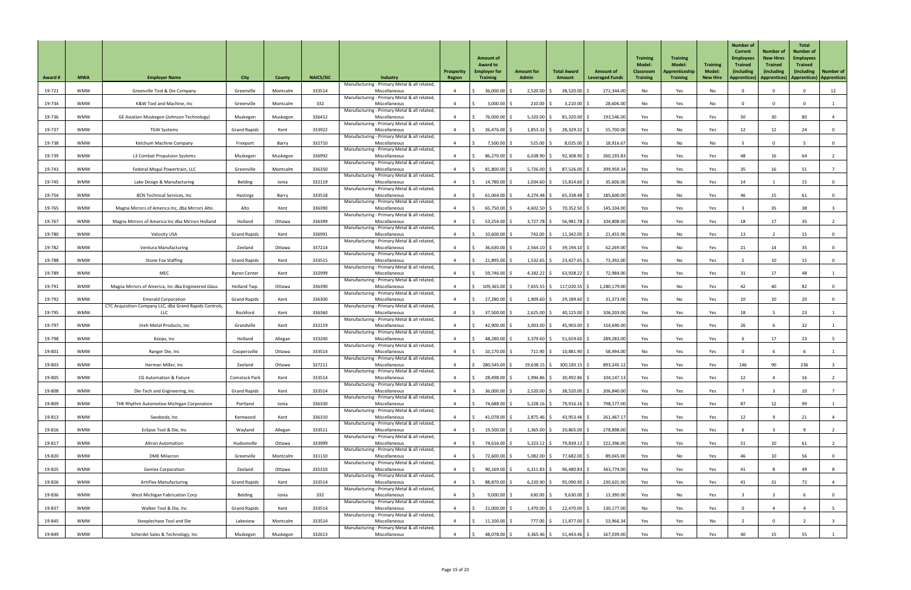| <b>Award #</b> | <b>MWA</b> | <b>Employer Name</b>                                                                  | <b>City</b>          | <b>County</b> | <b>NAICS/SIC</b> | <b>Industry</b>                                               | <b>Prosperity</b><br><b>Region</b> | <b>Amount of</b><br><b>Award to</b><br><b>Employer for</b><br><b>Training</b> | <b>Amount for</b><br><b>Admin</b> | <b>Total Award</b><br>Amount | <b>Amount of</b><br><b>Leveraged Funds</b> | <b>Training</b><br><b>Model:</b><br><b>Classroom</b><br><b>Training</b> | <b>Training</b><br><b>Model:</b><br>Apprenticeship<br><b>Training</b> | <b>Training</b><br><b>Model:</b><br><b>New Hire</b> | <b>Number of</b><br><b>Current</b><br><b>Employees</b><br><b>Trained</b><br>(including<br><b>Apprentices</b> ) | <b>Number of</b><br><b>New Hires</b><br><b>Trained</b><br>(including<br>Apprentices)   Apprentices)   Apprentices | <b>Total</b><br>Number of<br><b>Employees</b><br><b>Trained</b><br>(including) | <b>Number of</b>        |
|----------------|------------|---------------------------------------------------------------------------------------|----------------------|---------------|------------------|---------------------------------------------------------------|------------------------------------|-------------------------------------------------------------------------------|-----------------------------------|------------------------------|--------------------------------------------|-------------------------------------------------------------------------|-----------------------------------------------------------------------|-----------------------------------------------------|----------------------------------------------------------------------------------------------------------------|-------------------------------------------------------------------------------------------------------------------|--------------------------------------------------------------------------------|-------------------------|
| 19-721         | <b>WMW</b> | Greenville Tool & Die Company                                                         | Greenville           | Montcalm      | 333514           | Manufacturing - Primary Metal & all related,<br>Miscellaneous |                                    | $36,000.00$ \$                                                                | 2,520.00                          | 38,520.00                    | 272,344.00                                 | No                                                                      | Yes                                                                   | No                                                  |                                                                                                                | $\Omega$                                                                                                          |                                                                                | 12                      |
| 19-734         | <b>WMW</b> | K&W Tool and Machine, Inc                                                             | Greenville           | Montcalm      | 332              | Manufacturing - Primary Metal & all related,<br>Miscellaneous |                                    | 3,000.00                                                                      | 210.00                            | 3,210.00                     | 28,606.00                                  | No                                                                      | Yes                                                                   | No                                                  | $\Omega$                                                                                                       | $\Omega$                                                                                                          |                                                                                |                         |
| 19-736         | <b>WMW</b> | GE Aviation Muskegon (Johnson Technology)                                             | Muskegon             | Muskegon      | 336412           | Manufacturing - Primary Metal & all related,<br>Miscellaneous |                                    | 76,000.00                                                                     | $5,320.00$ \$                     | 81,320.00                    | 193,546.00                                 | Yes                                                                     | Yes                                                                   | Yes                                                 | 50                                                                                                             | 30 <sup>°</sup>                                                                                                   | 80                                                                             | 4                       |
| 19-737         | <b>WMW</b> | <b>TGW Systems</b>                                                                    | <b>Grand Rapids</b>  | Kent          | 333922           | Manufacturing - Primary Metal & all related,<br>Miscellaneous |                                    | 26,476.00 \$                                                                  | 1,853.32                          | 28,329.32                    | 55,700.00                                  | Yes                                                                     | No                                                                    | Yes                                                 | 12                                                                                                             | 12                                                                                                                | 24                                                                             | $\mathbf 0$             |
| 19-738         | <b>WMW</b> | Ketchum Machine Company                                                               | Freeport             | Barry         | 332710           | Manufacturing - Primary Metal & all related,<br>Miscellaneous |                                    | 7,500.00 \$                                                                   | 525.00                            | $8,025.00$ \$                | 18,916.67                                  | Yes                                                                     | No                                                                    | No                                                  |                                                                                                                | $\Omega$                                                                                                          |                                                                                | - 0                     |
| 19-739         | <b>WMW</b> | L3 Combat Propulsion Systems                                                          | Muskegon             | Muskegon      | 336992           | Manufacturing - Primary Metal & all related,<br>Miscellaneous |                                    | 86,270.00 \$                                                                  | 6,038.90                          | 92,308.90                    | 260,193.83                                 | Yes                                                                     | Yes                                                                   | Yes                                                 | 48                                                                                                             | 16                                                                                                                | 64                                                                             |                         |
| 19-743         | <b>WMW</b> |                                                                                       |                      | Montcalm      | 336350           | Manufacturing - Primary Metal & all related,<br>Miscellaneous |                                    | 81,800.00                                                                     | 5,726.00                          | 87,526.00                    | 399,959.34                                 | Yes                                                                     |                                                                       |                                                     | 35                                                                                                             | 16                                                                                                                |                                                                                |                         |
|                |            | Federal-Mogul Powertrain, LLC                                                         | Greenville           |               |                  | Manufacturing - Primary Metal & all related,                  |                                    |                                                                               |                                   |                              |                                            |                                                                         | Yes                                                                   | Yes                                                 |                                                                                                                |                                                                                                                   | 51                                                                             |                         |
| 19-745         | <b>WMW</b> | Lake Design & Manufacturing                                                           | Belding              | Ionia         | 332119           | Miscellaneous<br>Manufacturing - Primary Metal & all related, |                                    | 14,780.00 \$                                                                  | $1,034.60$ \$                     | $15,814.60$ \$               | 35,606.00                                  | Yes                                                                     | No                                                                    | Yes                                                 | 14                                                                                                             |                                                                                                                   | 15                                                                             | $\overline{0}$          |
| 19-754         | <b>WMW</b> | <b>BCN Technical Services, Inc</b>                                                    | Hastings             | Barry         | 333518           | Miscellaneous<br>Manufacturing - Primary Metal & all related, |                                    | $61,064.00$ \$                                                                | 4,274.48                          | $65,338.48$ \$               | 185,600.00                                 | Yes                                                                     | No                                                                    | Yes                                                 | 46                                                                                                             | 15                                                                                                                | 61                                                                             | $\overline{0}$          |
| 19-765         | <b>WMW</b> | Magna Mirrors of America Inc, dba Mirrors Alto                                        | Alto                 | Kent          | 336390           | Miscellaneous<br>Manufacturing - Primary Metal & all related, |                                    | 65,750.00                                                                     | 4,602.50                          | 70,352.50                    | 145,334.00                                 | Yes                                                                     | Yes                                                                   | Yes                                                 |                                                                                                                | 35                                                                                                                | 38                                                                             |                         |
| 19-767         | <b>WMW</b> | Magna Mirrors of America Inc dba Mirrors Holland                                      | Holland              | Ottawa        | 336399           | Miscellaneous<br>Manufacturing - Primary Metal & all related, |                                    | $53,254.00$ \$                                                                | $3,727.78$ \$                     | $56,981.78$ \$               | 104,808.00                                 | Yes                                                                     | Yes                                                                   | Yes                                                 | 18                                                                                                             | 17                                                                                                                | 35                                                                             |                         |
| 19-780         | <b>WMW</b> | <b>Velocity USA</b>                                                                   | <b>Grand Rapids</b>  | Kent          | 336991           | Miscellaneous<br>Manufacturing - Primary Metal & all related, |                                    | $10,600.00$ \$                                                                | 742.00 \$                         | $11,342.00$ \$               | 21,455.00                                  | Yes                                                                     | No                                                                    | Yes                                                 | 13                                                                                                             |                                                                                                                   | 15 <sub>1</sub>                                                                | 0                       |
| 19-782         | <b>WMW</b> | <b>Ventura Manufacturing</b>                                                          | Zeeland              | Ottawa        | 337214           | Miscellaneous<br>Manufacturing - Primary Metal & all related, |                                    | 36,630.00 \$                                                                  | $2,564.10$ \$                     | 39,194.10                    | 62,269.00                                  | Yes                                                                     | No                                                                    | Yes                                                 | 21                                                                                                             | 14                                                                                                                | 35                                                                             | $\mathbf 0$             |
| 19-788         | <b>WMW</b> | <b>Stone Fox Staffing</b>                                                             | <b>Grand Rapids</b>  | Kent          | 333515           | Miscellaneous<br>Manufacturing - Primary Metal & all related, |                                    | $21,895.00$ \$                                                                | 1,532.65                          | 23,427.65                    | 73,392.00                                  | Yes                                                                     | No                                                                    | Yes                                                 |                                                                                                                | 10 <sup>°</sup>                                                                                                   | 15                                                                             | $\mathbf 0$             |
| 19-789         | <b>WMW</b> | MEC                                                                                   | <b>Byron Center</b>  | Kent          | 332999           | Miscellaneous<br>Manufacturing - Primary Metal & all related, |                                    | 59,746.00 \$                                                                  | $4,182.22$ \$                     | $63,928.22$ \$               | 72,984.00                                  | Yes                                                                     | Yes                                                                   | Yes                                                 | 31                                                                                                             | 17                                                                                                                | 48                                                                             |                         |
| 19-791         | <b>WMW</b> | Magna Mirrors of America, Inc dba Engineered Glass                                    | Holland Twp.         | Ottawa        | 336390           | Miscellaneous<br>Manufacturing - Primary Metal & all related, |                                    | $109,365.00$ \$                                                               | $7,655.55$ \$                     | 117,020.55   \$              | 1,280,179.00                               | Yes                                                                     | No                                                                    | Yes                                                 | 42                                                                                                             | 40                                                                                                                | 82                                                                             | $\mathbf 0$             |
| 19-792         | <b>WMW</b> | <b>Emerald Corporation</b><br>CTC Acquisition Company LLC, dba Grand Rapids Controls, | <b>Grand Rapids</b>  | Kent          | 336300           | Miscellaneous<br>Manufacturing - Primary Metal & all related, |                                    | 27,280.00 \$                                                                  | $1,909.60$ \$                     | 29,189.60 \$                 | 31,373.00                                  | Yes                                                                     | No                                                                    | Yes                                                 | 10                                                                                                             | 10 <sup>°</sup>                                                                                                   | 20                                                                             | $\overline{0}$          |
| 19-795         | <b>WMW</b> | LLC                                                                                   | Rockford             | Kent          | 336360           | Miscellaneous<br>Manufacturing - Primary Metal & all related, |                                    | 37,500.00 \$                                                                  | 2,625.00                          | 40,125.00                    | 106,203.00                                 | Yes                                                                     | Yes                                                                   | Yes                                                 | 18                                                                                                             |                                                                                                                   | 23                                                                             |                         |
| 19-797         | <b>WMW</b> | Jireh Metal Products, Inc                                                             | Grandville           | Kent          | 332119           | Miscellaneous                                                 |                                    | 42,900.00 \$                                                                  | 3,003.00                          | 45,903.00 \$                 | 154,690.00                                 | Yes                                                                     | Yes                                                                   | Yes                                                 | 26                                                                                                             |                                                                                                                   | 32                                                                             |                         |
| 19-798         | <b>WMW</b> | Koops, Inc                                                                            | Holland              | Allegan       | 333200           | Manufacturing - Primary Metal & all related,<br>Miscellaneous |                                    | 48,280.00 \$                                                                  | 3,379.60                          | 51,659.60                    | 289,283.00                                 | Yes                                                                     | Yes                                                                   | Yes                                                 |                                                                                                                | 17                                                                                                                | 23                                                                             |                         |
| 19-801         | <b>WMW</b> | Ranger Die, Inc                                                                       | Coopersville         | Ottawa        | 333514           | Manufacturing - Primary Metal & all related,<br>Miscellaneous |                                    | $10,170.00$ \$                                                                | $711.90$ \$                       | 10,881.90                    | 58,494.00                                  | No                                                                      | Yes                                                                   | Yes                                                 |                                                                                                                |                                                                                                                   |                                                                                |                         |
| 19-803         | <b>WMW</b> | Herman Miller, Inc                                                                    | Zeeland              | Ottawa        | 337211           | Manufacturing - Primary Metal & all related,<br>Miscellaneous |                                    | 280,545.00 \$                                                                 | $19,638.15$ \$                    | $300,183.15$ \$              | 893,245.12                                 | Yes                                                                     | Yes                                                                   | Yes                                                 | 146                                                                                                            | 90                                                                                                                | 236                                                                            |                         |
| 19-805         | <b>WMW</b> | <b>CG Automation &amp; Fixture</b>                                                    | <b>Comstock Park</b> | Kent          | 333514           | Manufacturing - Primary Metal & all related,<br>Miscellaneous |                                    | $28,498.00$ \$                                                                | 1,994.86                          | $30,492.86$ \$               | 104,147.13                                 | Yes                                                                     | Yes                                                                   | Yes                                                 | 12                                                                                                             |                                                                                                                   | 16                                                                             |                         |
| 19-808         | <b>WMW</b> | Die-Tech and Engineering, Inc                                                         | <b>Grand Rapids</b>  | Kent          | 333514           | Manufacturing - Primary Metal & all related,<br>Miscellaneous |                                    | $36,000.00$ \$                                                                | 2,520.00                          | 38,520.00                    | 206,840.00                                 | Yes                                                                     | Yes                                                                   | Yes                                                 |                                                                                                                |                                                                                                                   | 10                                                                             |                         |
| 19-809         | <b>WMW</b> | THK Rhythm Automotive Michigan Corporation                                            | Portland             | Ionia         | 336330           | Manufacturing - Primary Metal & all related,<br>Miscellaneous |                                    | 74,688.00 \$                                                                  | $5,228.16$ \$                     | 79,916.16 \$                 | 798,177.00                                 | Yes                                                                     | Yes                                                                   | Yes                                                 | 87                                                                                                             | 12                                                                                                                | 99                                                                             |                         |
| 19-813         | <b>WMW</b> | Swoboda, Inc                                                                          | Kentwood             | Kent          | 336310           | Manufacturing - Primary Metal & all related,<br>Miscellaneous |                                    | 41,078.00 \$                                                                  | $2,875.46$ \$                     | 43,953.46 $\frac{1}{5}$      | 261,467.17                                 | Yes                                                                     | Yes                                                                   | Yes                                                 | 12                                                                                                             | q                                                                                                                 |                                                                                |                         |
| 19-816         | <b>WMW</b> | Eclipse Tool & Die, Inc                                                               | Wayland              | Allegan       | 333511           | Manufacturing - Primary Metal & all related,<br>Miscellaneous |                                    | 19,500.00 \$                                                                  | $1,365.00$ \$                     | $20,865.00$ \$               | 278,898.00                                 | Yes                                                                     | Yes                                                                   | Yes                                                 |                                                                                                                |                                                                                                                   |                                                                                |                         |
| 19-817         | <b>WMW</b> | <b>Altron Automation</b>                                                              | Hudsonville          | Ottawa        | 333999           | Manufacturing - Primary Metal & all related,<br>Miscellaneous |                                    | 74,616.00 \$                                                                  | $5,223.12$ \$                     | 79,839.12 \$                 | 222,396.00                                 | Yes                                                                     | Yes                                                                   | Yes                                                 | 51                                                                                                             | 10                                                                                                                |                                                                                |                         |
| 19-820         | <b>WMW</b> | <b>DME Milacron</b>                                                                   | Greenville           | Montcalm      | 331110           | Manufacturing - Primary Metal & all related,<br>Miscellaneous |                                    | 72,600.00 \$                                                                  | $5,082.00$ \$                     | 77,682.00 \$                 | 89,045.00                                  | Yes                                                                     | No                                                                    | Yes                                                 | 46                                                                                                             | 10 <sup>°</sup>                                                                                                   | 56                                                                             | $\overline{0}$          |
| 19-825         | <b>WMW</b> | <b>Gentex Corporation</b>                                                             | Zeeland              | Ottawa        | 335310           | Manufacturing - Primary Metal & all related,<br>Miscellaneous |                                    | $90,169.00$ \$                                                                | $6,311.83$ \$                     | $96,480.83$ \$               | 343,774.00                                 | Yes                                                                     | Yes                                                                   | Yes                                                 | 41                                                                                                             | 8                                                                                                                 | 49                                                                             | 8                       |
| 19-826         | <b>WMW</b> | <b>ArtiFlex Manufacturing</b>                                                         | <b>Grand Rapids</b>  | Kent          | 333514           | Manufacturing - Primary Metal & all related,<br>Miscellaneous |                                    | 88,870.00 \$                                                                  | $6,220.90$ \$                     | 95,090.90 \$                 | 230,631.00                                 | Yes                                                                     | Yes                                                                   | Yes                                                 | 41                                                                                                             | 31                                                                                                                | 72                                                                             | $\overline{4}$          |
| 19-836         | <b>WMW</b> | West Michigan Fabrication Corp                                                        | Belding              | Ionia         | 332              | Manufacturing - Primary Metal & all related,<br>Miscellaneous |                                    | $9,000.00$ \$                                                                 | 630.00                            | $9,630.00$ \$                | 13,390.00                                  | Yes                                                                     | No                                                                    | Yes                                                 |                                                                                                                |                                                                                                                   |                                                                                | $\overline{0}$          |
| 19-837         | <b>WMW</b> | Walker Tool & Die, Inc                                                                | <b>Grand Rapids</b>  | Kent          | 333514           | Manufacturing - Primary Metal & all related,<br>Miscellaneous |                                    | $21,000.00$ \$                                                                | $1,470.00$ \$                     | $22,470.00$ \$               | 130,177.00                                 | No                                                                      | Yes                                                                   | Yes                                                 |                                                                                                                |                                                                                                                   |                                                                                | $5\overline{)}$         |
| 19-845         | <b>WMW</b> | Steeplechase Tool and Die                                                             | Lakeview             | Montcalm      | 333514           | Manufacturing - Primary Metal & all related,<br>Miscellaneous |                                    | $11,100.00$ \$                                                                | 777.00 \$                         | $11,877.00$ \$               | 53,966.34                                  | Yes                                                                     | Yes                                                                   | No                                                  |                                                                                                                | $\mathbf 0$                                                                                                       |                                                                                |                         |
| 19-849         | <b>WMW</b> | Scherdel Sales & Technology, Inc                                                      | Muskegon             | Muskegon      | 332613           | Manufacturing - Primary Metal & all related,<br>Miscellaneous |                                    | 48,078.00 \$                                                                  | $3,365.46$ \$                     | $51,443.46$ \$               | 167,039.00                                 | Yes                                                                     | Yes                                                                   | Yes                                                 | 40                                                                                                             | 15                                                                                                                | 55                                                                             | $\overline{\mathbf{3}}$ |
|                |            |                                                                                       |                      |               |                  |                                                               |                                    |                                                                               |                                   |                              |                                            |                                                                         |                                                                       |                                                     |                                                                                                                |                                                                                                                   |                                                                                |                         |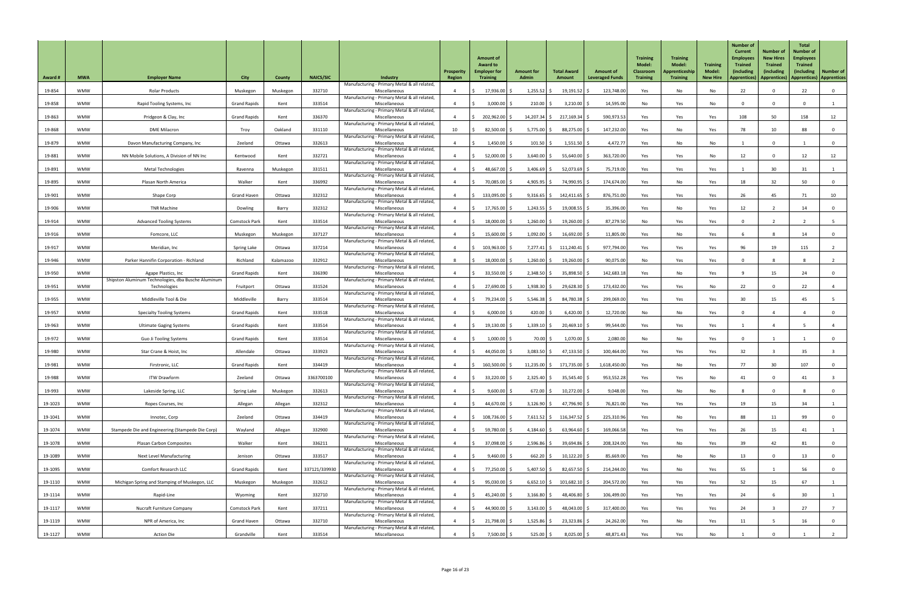| <b>Award #</b> | <b>MWA</b> | <b>Employer Name</b>                                                       | <b>City</b>          | County    | <b>NAICS/SIC</b> | Industry                                                      | Prosperity<br>Region | <b>Amount of</b><br><b>Award to</b><br><b>Employer for</b><br><b>Training</b> | <b>Amount for</b><br><b>Admin</b> | <b>Total Award</b><br>Amount | <b>Amount of</b><br><b>Leveraged Funds</b> | <b>Training</b><br><b>Model:</b><br><b>Classroom</b><br><b>Training</b> | <b>Training</b><br><b>Model:</b><br>Apprenticeship<br><b>Training</b> | <b>Training</b><br><b>Model:</b><br><b>New Hire</b> | <b>Number of</b><br><b>Current</b><br><b>Employees</b><br><b>Trained</b><br>(including<br><b>Apprentices</b> ) | <b>Number of</b><br><b>New Hires</b><br><b>Trained</b><br><i>(including</i><br>Apprentices) | <b>Total</b><br><b>Number of</b><br><b>Employees</b><br><b>Trained</b><br><i>(including)</i> | <b>Number of</b><br>  Apprentices)   Apprentices |
|----------------|------------|----------------------------------------------------------------------------|----------------------|-----------|------------------|---------------------------------------------------------------|----------------------|-------------------------------------------------------------------------------|-----------------------------------|------------------------------|--------------------------------------------|-------------------------------------------------------------------------|-----------------------------------------------------------------------|-----------------------------------------------------|----------------------------------------------------------------------------------------------------------------|---------------------------------------------------------------------------------------------|----------------------------------------------------------------------------------------------|--------------------------------------------------|
| 19-854         | <b>WMW</b> | <b>Rolar Products</b>                                                      | Muskegon             | Muskegon  | 332710           | Manufacturing - Primary Metal & all related,<br>Miscellaneous |                      | 17,936.00 \$                                                                  | $1,255.52$ \$                     | 19,191.52                    | 123,748.00                                 | Yes                                                                     | No                                                                    | No                                                  | 22                                                                                                             | $\Omega$                                                                                    | 22                                                                                           | $\overline{0}$                                   |
| 19-858         | <b>WMW</b> | Rapid Tooling Systems, Inc                                                 | <b>Grand Rapids</b>  | Kent      | 333514           | Manufacturing - Primary Metal & all related,<br>Miscellaneous |                      | $3,000.00$ \$                                                                 | 210.00                            | 3,210.00                     | 14,595.00                                  | No                                                                      | Yes                                                                   | No                                                  |                                                                                                                | $\Omega$                                                                                    |                                                                                              |                                                  |
| 19-863         | <b>WMW</b> | Pridgeon & Clay, Inc                                                       | <b>Grand Rapids</b>  | Kent      | 336370           | Manufacturing - Primary Metal & all related,<br>Miscellaneous |                      | 202,962.00 \$                                                                 |                                   | 14,207.34   \$ 217,169.34    | 590,973.53                                 | Yes                                                                     | Yes                                                                   | Yes                                                 | 108                                                                                                            | 50                                                                                          | 158                                                                                          | 12                                               |
| 19-868         | <b>WMW</b> | <b>DME Milacron</b>                                                        | Troy                 | Oakland   | 331110           | Manufacturing - Primary Metal & all related,<br>Miscellaneous | 10                   | 82,500.00                                                                     | 5,775.00                          | 88,275.00                    | 147,232.00                                 | Yes                                                                     | No                                                                    | Yes                                                 | 78                                                                                                             | 10 <sup>°</sup>                                                                             | 88                                                                                           | $\overline{0}$                                   |
| 19-879         | <b>WMW</b> | Davon Manufacturing Company, Inc                                           | Zeeland              | Ottawa    | 332613           | Manufacturing - Primary Metal & all related,<br>Miscellaneous |                      | $1,450.00$ \$                                                                 | 101.50                            | $1,551.50$ \$                | 4,472.77                                   | Yes                                                                     | No                                                                    | No                                                  |                                                                                                                | $\Omega$                                                                                    |                                                                                              | $\overline{\mathbf{0}}$                          |
| 19-881         | <b>WMW</b> | NN Mobile Solutions, A Division of NN Inc                                  | Kentwood             | Kent      | 332721           | Manufacturing - Primary Metal & all related,<br>Miscellaneous |                      | $52,000.00$ \$                                                                | $3,640.00$ \$                     | $55,640.00$ \$               | 363,720.00                                 | Yes                                                                     | Yes                                                                   | No                                                  | 12                                                                                                             | $\mathbf{0}$                                                                                | 12                                                                                           | 12                                               |
| 19-891         | <b>WMW</b> | <b>Metal Technologies</b>                                                  | Ravenna              | Muskegon  | 331511           | Manufacturing - Primary Metal & all related,<br>Miscellaneous |                      | 48,667.00 \$                                                                  | 3,406.69                          | 52,073.69                    | 75,719.00                                  | Yes                                                                     | Yes                                                                   | Yes                                                 |                                                                                                                | 30 <sup>°</sup>                                                                             | 31                                                                                           |                                                  |
| 19-895         | <b>WMW</b> | Plasan North America                                                       | Walker               | Kent      | 336992           | Manufacturing - Primary Metal & all related,<br>Miscellaneous |                      | 70,085.00 \$                                                                  | $4,905.95$ \$                     | 74,990.95 \$                 | 174,674.00                                 | Yes                                                                     | No                                                                    | Yes                                                 | 18                                                                                                             | 32                                                                                          | 50                                                                                           | $\overline{0}$                                   |
| 19-901         | <b>WMW</b> | Shape Corp                                                                 | <b>Grand Haven</b>   | Ottawa    | 332312           | Manufacturing - Primary Metal & all related,<br>Miscellaneous |                      | 133,095.00 \$                                                                 | $9,316.65$ \$                     | 142,411.65                   | 876,751.00                                 | Yes                                                                     | Yes                                                                   | Yes                                                 | 26                                                                                                             | 45                                                                                          |                                                                                              | 10                                               |
| 19-906         | <b>WMW</b> | <b>TNR Machine</b>                                                         | Dowling              | Barry     | 332312           | Manufacturing - Primary Metal & all related,<br>Miscellaneous |                      | 17,765.00 \$                                                                  | $1,243.55$ \$                     | $19,008.55$ \$               | 35,396.00                                  | Yes                                                                     | No                                                                    | Yes                                                 | 12                                                                                                             |                                                                                             | 14                                                                                           |                                                  |
|                |            |                                                                            |                      |           | 333514           | Manufacturing - Primary Metal & all related,                  |                      |                                                                               | $1,260.00$ \$                     |                              |                                            |                                                                         |                                                                       |                                                     | $\Omega$                                                                                                       |                                                                                             |                                                                                              | $\overline{0}$                                   |
| 19-914         | <b>WMW</b> | <b>Advanced Tooling Systems</b>                                            | <b>Comstock Park</b> | Kent      |                  | Miscellaneous<br>Manufacturing - Primary Metal & all related, |                      | 18,000.00 \$                                                                  |                                   | 19,260.00                    | 87,279.50                                  | No                                                                      | Yes                                                                   | Yes                                                 |                                                                                                                |                                                                                             |                                                                                              |                                                  |
| 19-916         | <b>WMW</b> | Fomcore, LLC                                                               | Muskegon             | Muskegon  | 337127           | Miscellaneous<br>Manufacturing - Primary Metal & all related, |                      | 15,600.00 \$                                                                  | $1,092.00$ \$                     | $16,692.00$ \$               | 11,805.00                                  | Yes                                                                     | No                                                                    | Yes                                                 |                                                                                                                |                                                                                             | 14                                                                                           | $\Omega$                                         |
| 19-917         | <b>WMW</b> | Meridian, Inc                                                              | <b>Spring Lake</b>   | Ottawa    | 337214           | Miscellaneous<br>Manufacturing - Primary Metal & all related, |                      | 103,963.00 \$                                                                 | $7,277.41$ \$                     | 111,240.41                   | 977,794.00                                 | Yes                                                                     | Yes                                                                   | Yes                                                 | 96                                                                                                             | 19                                                                                          | 115                                                                                          |                                                  |
| 19-946         | <b>WMW</b> | Parker Hannifin Corporation - Richland                                     | Richland             | Kalamazoo | 332912           | Miscellaneous<br>Manufacturing - Primary Metal & all related, |                      | 18,000.00                                                                     | 1,260.00                          | 19,260.00                    | 90,075.00                                  | No                                                                      | Yes                                                                   | Yes                                                 |                                                                                                                |                                                                                             |                                                                                              |                                                  |
| 19-950         | <b>WMW</b> | Agape Plastics, Inc<br>Shipston Aluminum Technologies, dba Busche Aluminum | <b>Grand Rapids</b>  | Kent      | 336390           | Miscellaneous<br>Manufacturing - Primary Metal & all related, |                      | $33,550.00$ \$                                                                | 2,348.50                          | 35,898.50                    | 142,683.18                                 | Yes                                                                     | No                                                                    | Yes                                                 |                                                                                                                | 15                                                                                          | 24                                                                                           | $\overline{0}$                                   |
| 19-951         | <b>WMW</b> | Technologies                                                               | Fruitport            | Ottawa    | 331524           | Miscellaneous<br>Manufacturing - Primary Metal & all related, |                      | 27,690.00                                                                     | $1,938.30$ \$                     | 29,628.30                    | 173,432.00                                 | Yes                                                                     | Yes                                                                   | No                                                  | 22                                                                                                             | $\Omega$                                                                                    | 22                                                                                           |                                                  |
| 19-955         | <b>WMW</b> | Middleville Tool & Die                                                     | Middleville          | Barry     | 333514           | Miscellaneous<br>Manufacturing - Primary Metal & all related, |                      | 79,234.00 \$                                                                  | $5,546.38$ \$                     | 84,780.38 \$                 | 299,069.00                                 | Yes                                                                     | Yes                                                                   | Yes                                                 | 30 <sup>°</sup>                                                                                                | 15                                                                                          | 45                                                                                           | - 5                                              |
| 19-957         | <b>WMW</b> | <b>Specialty Tooling Systems</b>                                           | <b>Grand Rapids</b>  | Kent      | 333518           | Miscellaneous<br>Manufacturing - Primary Metal & all related, |                      | 6,000.00                                                                      | 420.00                            | 6,420.00                     | 12,720.00                                  | No                                                                      | No                                                                    | Yes                                                 |                                                                                                                |                                                                                             |                                                                                              | $\mathbf 0$                                      |
| 19-963         | <b>WMW</b> | <b>Ultimate Gaging Systems</b>                                             | <b>Grand Rapids</b>  | Kent      | 333514           | Miscellaneous<br>Manufacturing - Primary Metal & all related, |                      | $19,130.00$ \$                                                                | 1,339.10                          | $20,469.10$ \$               | 99,544.00                                  | Yes                                                                     | Yes                                                                   | Yes                                                 |                                                                                                                |                                                                                             |                                                                                              |                                                  |
| 19-972         | <b>WMW</b> | Guo Ji Tooling Systems                                                     | <b>Grand Rapids</b>  | Kent      | 333514           | Miscellaneous<br>Manufacturing - Primary Metal & all related, |                      | $1,000.00$ \$                                                                 | 70.00 \$                          | $1,070.00$ \$                | 2,080.00                                   | No                                                                      | No                                                                    | Yes                                                 |                                                                                                                |                                                                                             |                                                                                              | $\mathbf{0}$                                     |
| 19-980         | <b>WMW</b> | Star Crane & Hoist, Inc                                                    | Allendale            | Ottawa    | 333923           | Miscellaneous<br>Manufacturing - Primary Metal & all related, |                      | 44,050.00                                                                     | 3,083.50                          | 47,133.50                    | 100,464.00                                 | Yes                                                                     | Yes                                                                   | Yes                                                 | 32                                                                                                             |                                                                                             | 35                                                                                           |                                                  |
| 19-981         | <b>WMW</b> | Firstronic, LLC                                                            | <b>Grand Rapids</b>  | Kent      | 334419           | Miscellaneous<br>Manufacturing - Primary Metal & all related, |                      | 160,500.00 \$                                                                 | $11,235.00$ \$                    | 171,735.00                   | 1,618,450.00                               | Yes                                                                     | No                                                                    | Yes                                                 | 77                                                                                                             | 30 <sup>°</sup>                                                                             | 107                                                                                          | $\overline{0}$                                   |
| 19-988         | <b>WMW</b> | <b>ITW Drawform</b>                                                        | Zeeland              | Ottawa    | 3363700100       | Miscellaneous<br>Manufacturing - Primary Metal & all related, |                      | $33,220.00$ \$                                                                | 2,325.40                          | 35,545.40                    | 953,552.28                                 | Yes                                                                     | Yes                                                                   | No                                                  | 41                                                                                                             |                                                                                             |                                                                                              |                                                  |
| 19-993         | <b>WMW</b> | Lakeside Spring, LLC                                                       | <b>Spring Lake</b>   | Muskegon  | 332613           | Miscellaneous<br>Manufacturing - Primary Metal & all related, |                      | $9,600.00$ \$                                                                 | $672.00$ \$                       | $10,272.00$ \$               | 9,048.00                                   | Yes                                                                     | No                                                                    | No                                                  |                                                                                                                | $\Omega$                                                                                    |                                                                                              | $\overline{0}$                                   |
| 19-1023        | <b>WMW</b> | Ropes Courses, Inc                                                         | Allegan              | Allegan   | 332312           | Miscellaneous<br>Manufacturing - Primary Metal & all related, |                      | 44,670.00 \$                                                                  | $3,126.90$ \$                     | 47,796.90 \$                 | 76,821.00                                  | Yes                                                                     | Yes                                                                   | Yes                                                 | 19                                                                                                             | 15                                                                                          | 34                                                                                           |                                                  |
| 19-1041        | <b>WMW</b> | Innotec, Corp                                                              | Zeeland              | Ottawa    | 334419           | Miscellaneous<br>Manufacturing - Primary Metal & all related, |                      | 108,736.00 \$                                                                 | $7,611.52$ \$                     | $116,347.52$ \$              | 225,310.96                                 | Yes                                                                     | No                                                                    | Yes                                                 | 88                                                                                                             | 11                                                                                          | 99                                                                                           | 0                                                |
| 19-1074        | <b>WMW</b> | Stampede Die and Engineering (Stampede Die Corp)                           | Wayland              | Allegan   | 332900           | Miscellaneous<br>Manufacturing - Primary Metal & all related, |                      | 59,780.00 \$                                                                  | $4,184.60$ \$                     | 63,964.60                    | 169,066.58                                 | Yes                                                                     | Yes                                                                   | Yes                                                 | 26                                                                                                             | 15                                                                                          |                                                                                              |                                                  |
| 19-1078        | <b>WMW</b> | <b>Plasan Carbon Composites</b>                                            | Walker               | Kent      | 336211           | Miscellaneous<br>Manufacturing - Primary Metal & all related, |                      | 37,098.00 \$                                                                  | $2,596.86$ \$                     | $39,694.86$ \$               | 208,324.00                                 | Yes                                                                     | No                                                                    | Yes                                                 | 39                                                                                                             | 42                                                                                          | 81                                                                                           |                                                  |
| 19-1089        | <b>WMW</b> | <b>Next Level Manufacturing</b>                                            | Jenison              | Ottawa    | 333517           | Miscellaneous<br>Manufacturing - Primary Metal & all related, |                      | $9,460.00$ \$                                                                 | $662.20$ \$                       | $10,122.20$ \$               | 85,669.00                                  | Yes                                                                     | No                                                                    | No                                                  | 13                                                                                                             | $\mathbf 0$                                                                                 | 13                                                                                           | $\overline{0}$                                   |
| 19-1095        | <b>WMW</b> | <b>Comfort Research LLC</b>                                                | <b>Grand Rapids</b>  | Kent      | 337121/339930    | Miscellaneous<br>Manufacturing - Primary Metal & all related, | $\Lambda$            | 77,250.00 \$                                                                  | $5,407.50$ \$                     | 82,657.50 \$                 | 214,244.00                                 | Yes                                                                     | No                                                                    | Yes                                                 | 55                                                                                                             |                                                                                             | 56                                                                                           | $\overline{0}$                                   |
| 19-1110        | <b>WMW</b> | Michigan Spring and Stamping of Muskegon, LLC                              | Muskegon             | Muskegon  | 332612           | Miscellaneous<br>Manufacturing - Primary Metal & all related  |                      | $95,030.00$ \$                                                                |                                   | $6,652.10$ \$ 101,682.10 \$  | 204,572.00                                 | Yes                                                                     | Yes                                                                   | Yes                                                 | 52                                                                                                             | 15                                                                                          | 67                                                                                           |                                                  |
| 19-1114        | <b>WMW</b> | Rapid-Line                                                                 | Wyoming              | Kent      | 332710           | Miscellaneous<br>Manufacturing - Primary Metal & all related, |                      | 45,240.00 \$                                                                  | $3,166.80$ \$                     | 48,406.80 \$                 | 106,499.00                                 | Yes                                                                     | Yes                                                                   | Yes                                                 | 24                                                                                                             |                                                                                             | 30                                                                                           |                                                  |
| 19-1117        | <b>WMW</b> | <b>Nucraft Furniture Company</b>                                           | <b>Comstock Park</b> | Kent      | 337211           | Miscellaneous<br>Manufacturing - Primary Metal & all related, |                      | 44,900.00 \$                                                                  | $3,143.00$ \$                     | $48,043.00$ \$               | 317,400.00                                 | Yes                                                                     | Yes                                                                   | Yes                                                 | 24                                                                                                             |                                                                                             | 27                                                                                           |                                                  |
| 19-1119        | <b>WMW</b> | NPR of America, Inc                                                        | <b>Grand Haven</b>   | Ottawa    | 332710           | Miscellaneous<br>Manufacturing - Primary Metal & all related, |                      | 21,798.00 \$                                                                  | $1,525.86$ \$                     | $23,323.86$ \$               | 24,262.00                                  | Yes                                                                     | No                                                                    | Yes                                                 | 11                                                                                                             |                                                                                             | 16                                                                                           | $\overline{0}$                                   |
| 19-1127        | <b>WMW</b> | Action Die                                                                 | Grandville           | Kent      | 333514           | Miscellaneous                                                 |                      | 7,500.00 \$                                                                   | $525.00$ \$                       | $8,025.00$ \$                | 48,871.43                                  | Yes                                                                     | Yes                                                                   | No                                                  |                                                                                                                | $\Omega$                                                                                    |                                                                                              |                                                  |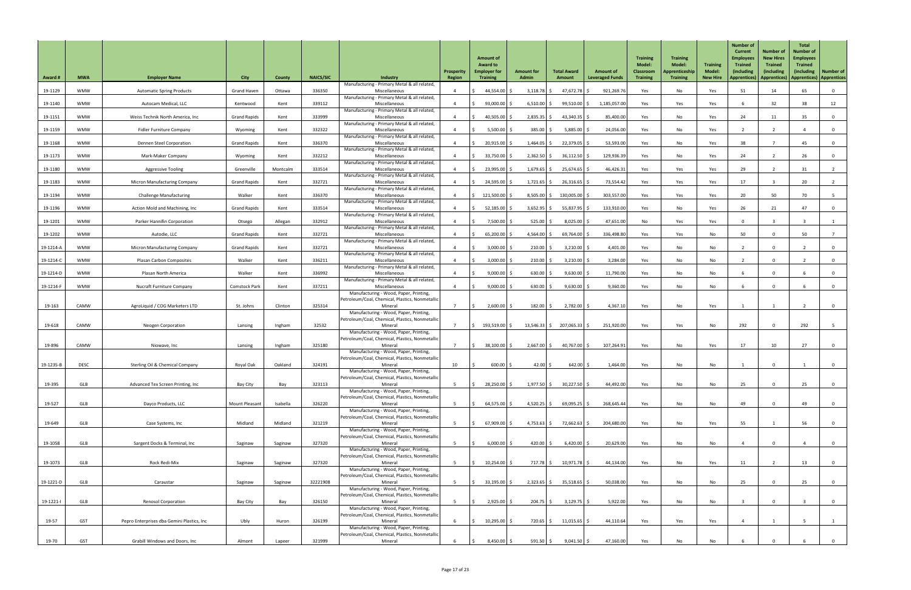| <b>Award#</b> | <b>MWA</b>  | <b>Employer Name</b>                       | <b>City</b>           | <b>County</b> | <b>NAICS/SIC</b> | <b>Industry</b>                                                                           | Prosperity<br>Region | <b>Amount of</b><br><b>Award to</b><br><b>Employer for</b><br><b>Training</b> | <b>Amount for</b><br><b>Admin</b> | <b>Total Award</b><br>Amount | <b>Amount of</b><br><b>Leveraged Funds</b> | <b>Training</b><br><b>Model:</b><br><b>Classroom</b><br><b>Training</b> | <b>Training</b><br><b>Model:</b><br>Apprenticeship<br><b>Training</b> | <b>Training</b><br><b>Model:</b><br><b>New Hire</b> | <b>Number of</b><br><b>Current</b><br><b>Employees</b><br><b>Trained</b><br><i>(including)</i><br><b>Apprentices</b> ) | <b>Number of</b><br><b>New Hires</b><br><b>Trained</b><br><i>(including</i><br><b>Apprentices</b> ) | <b>Total</b><br><b>Number of</b><br><b>Employees</b><br><b>Trained</b><br>(including) | <b>Number of</b><br><b>Apprentices) Apprentices</b> |
|---------------|-------------|--------------------------------------------|-----------------------|---------------|------------------|-------------------------------------------------------------------------------------------|----------------------|-------------------------------------------------------------------------------|-----------------------------------|------------------------------|--------------------------------------------|-------------------------------------------------------------------------|-----------------------------------------------------------------------|-----------------------------------------------------|------------------------------------------------------------------------------------------------------------------------|-----------------------------------------------------------------------------------------------------|---------------------------------------------------------------------------------------|-----------------------------------------------------|
| 19-1129       | <b>WMW</b>  | <b>Automatic Spring Products</b>           | <b>Grand Haven</b>    | Ottawa        | 336350           | Manufacturing - Primary Metal & all related,<br>Miscellaneous                             |                      | 44,554.00                                                                     | $3,118.78$ \$                     | $47,672.78$ \$               | 921,269.76                                 | Yes                                                                     | No                                                                    | Yes                                                 | 51                                                                                                                     | 14                                                                                                  | 65                                                                                    | $\overline{0}$                                      |
| 19-1140       | <b>WMW</b>  | Autocam Medical, LLC                       | Kentwood              | Kent          | 339112           | Manufacturing - Primary Metal & all related,<br>Miscellaneous                             |                      | 93,000.00                                                                     | $6,510.00$ \$                     | 99,510.00 \$                 | 1,185,057.00                               | Yes                                                                     | Yes                                                                   | Yes                                                 |                                                                                                                        | 32                                                                                                  | 38                                                                                    | 12                                                  |
| 19-1151       | <b>WMW</b>  | Weiss Technik North America, Inc           | <b>Grand Rapids</b>   | Kent          | 333999           | Manufacturing - Primary Metal & all related,<br>Miscellaneous                             |                      | 40,505.00                                                                     | $2,835.35$ \$                     | 43,340.35                    | 85,400.00                                  | Yes                                                                     | No                                                                    | Yes                                                 | 24                                                                                                                     | 11                                                                                                  | 35                                                                                    | $\overline{0}$                                      |
| 19-1159       | <b>WMW</b>  | <b>Fidler Furniture Company</b>            | Wyoming               | Kent          | 332322           | Manufacturing - Primary Metal & all related,<br>Miscellaneous                             |                      | 5,500.00                                                                      | 385.00                            | 5,885.00                     | 24,056.00                                  | Yes                                                                     | No                                                                    | Yes                                                 |                                                                                                                        |                                                                                                     |                                                                                       | $\mathbf 0$                                         |
| 19-1168       | <b>WMW</b>  | Dennen Steel Corporation                   | <b>Grand Rapids</b>   | Kent          | 336370           | Manufacturing - Primary Metal & all related,<br>Miscellaneous                             |                      | 20,915.00                                                                     | $1,464.05$ \$                     | 22,379.05                    | 53,593.00                                  | Yes                                                                     | No                                                                    | Yes                                                 | 38                                                                                                                     |                                                                                                     | 45                                                                                    | 0                                                   |
| 19-1173       | <b>WMW</b>  | Mark-Maker Company                         | Wyoming               | Kent          | 332212           | Manufacturing - Primary Metal & all related,<br>Miscellaneous                             |                      | 33,750.00                                                                     | $2,362.50$ \$                     | 36,112.50                    | 129,936.39                                 | Yes                                                                     | No                                                                    | Yes                                                 | 24                                                                                                                     |                                                                                                     | 26                                                                                    | $\overline{0}$                                      |
| 19-1180       | <b>WMW</b>  | <b>Aggressive Tooling</b>                  | Greenville            | Montcalm      | 333514           | Manufacturing - Primary Metal & all related,<br>Miscellaneous                             |                      | 23,995.00 \$                                                                  | $1,679.65$ \$                     | 25,674.65                    | 46,426.31                                  | Yes                                                                     | Yes                                                                   | Yes                                                 | 29                                                                                                                     |                                                                                                     | 31                                                                                    |                                                     |
| 19-1183       | <b>WMW</b>  | <b>Micron Manufacturing Company</b>        | <b>Grand Rapids</b>   | Kent          | 332721           | Manufacturing - Primary Metal & all related,<br>Miscellaneous                             |                      | $24,595.00$ \$                                                                | $1,721.65$ \$                     | 26,316.65                    | 73,554.42                                  | Yes                                                                     | Yes                                                                   | Yes                                                 | 17                                                                                                                     |                                                                                                     | 20                                                                                    |                                                     |
| 19-1194       | <b>WMW</b>  | <b>Challenge Manufacturing</b>             | Walker                | Kent          | 336370           | Manufacturing - Primary Metal & all related,<br>Miscellaneous                             |                      | 121,500.00                                                                    | $8,505.00$ \$                     | 130,005.00                   | 303,557.00                                 | Yes                                                                     | Yes                                                                   | Yes                                                 | 20                                                                                                                     | 50                                                                                                  | 70                                                                                    | $5\phantom{.0}$                                     |
| 19-1196       | <b>WMW</b>  | Action Mold and Machining, Inc             | <b>Grand Rapids</b>   | Kent          | 333514           | Manufacturing - Primary Metal & all related,<br>Miscellaneous                             |                      | $52,185.00$ \$                                                                | $3,652.95$ \$                     | 55,837.95                    | 133,910.00                                 | Yes                                                                     | No                                                                    | Yes                                                 | 26                                                                                                                     | 21                                                                                                  | 47                                                                                    | $\overline{0}$                                      |
| 19-1201       | <b>WMW</b>  | Parker Hannifin Corporation                | Otsego                | Allegan       | 332912           | Manufacturing - Primary Metal & all related,<br>Miscellaneous                             |                      | $7,500.00$ \$                                                                 | $525.00$ $\frac{2}{5}$            | 8,025.00                     | 47,651.00                                  | No                                                                      | Yes                                                                   | Yes                                                 | $\mathbf{0}$                                                                                                           |                                                                                                     |                                                                                       |                                                     |
| 19-1202       | <b>WMW</b>  | Autodie, LLC                               | <b>Grand Rapids</b>   | Kent          | 332721           | Manufacturing - Primary Metal & all related,<br>Miscellaneous                             |                      | 65,200.00                                                                     | $4,564.00$ \$                     | 69,764.00                    | 336,498.80                                 | Yes                                                                     | Yes                                                                   | No                                                  | 50                                                                                                                     | $\Omega$                                                                                            | 50                                                                                    |                                                     |
| 19-1214-A     | <b>WMW</b>  | <b>Micron Manufacturing Company</b>        | <b>Grand Rapids</b>   | Kent          | 332721           | Manufacturing - Primary Metal & all related,<br>Miscellaneous                             |                      | 3,000.00                                                                      | 210.00                            | 3,210.00                     | 4,401.00                                   | Yes                                                                     | No                                                                    | No                                                  |                                                                                                                        | $\Omega$                                                                                            |                                                                                       | $\overline{0}$                                      |
| 19-1214-C     | <b>WMW</b>  | <b>Plasan Carbon Composites</b>            | Walker                | Kent          | 336211           | Manufacturing - Primary Metal & all related,<br>Miscellaneous                             |                      | 3,000.00                                                                      | 210.00                            | 3,210.00                     | 3,284.00                                   | Yes                                                                     | No                                                                    | No                                                  |                                                                                                                        | $\Omega$                                                                                            |                                                                                       | $\mathbf 0$                                         |
| 19-1214-D     | <b>WMW</b>  | Plasan North America                       | Walker                | Kent          | 336992           | Manufacturing - Primary Metal & all related,<br>Miscellaneous                             |                      | 9,000.00                                                                      | $630.00$ \$                       | 9,630.00                     | 11,790.00                                  | Yes                                                                     | No                                                                    | No                                                  |                                                                                                                        | $\Omega$                                                                                            |                                                                                       | $\overline{0}$                                      |
| 19-1214-F     | <b>WMW</b>  | <b>Nucraft Furniture Company</b>           | <b>Comstock Park</b>  | Kent          | 337211           | Manufacturing - Primary Metal & all related,<br>Miscellaneous                             |                      | 9,000.00                                                                      | $630.00$ \$                       | 9,630.00                     | 9,360.00                                   | Yes                                                                     | No                                                                    | No                                                  |                                                                                                                        | $\Omega$                                                                                            |                                                                                       | $\mathbf 0$                                         |
|               |             |                                            |                       |               |                  | Manufacturing - Wood, Paper, Printing,<br>Petroleum/Coal, Chemical, Plastics, Nonmetallic |                      |                                                                               |                                   |                              |                                            |                                                                         |                                                                       |                                                     |                                                                                                                        |                                                                                                     |                                                                                       |                                                     |
| 19-163        | CAMW        | AgroLiquid / COG Marketers LTD             | St. Johns             | Clinton       | 325314           | Mineral<br>Manufacturing - Wood, Paper, Printing,                                         |                      | $2,600.00$ \$                                                                 | $182.00$ \$                       | 2,782.00                     | 4,367.10                                   | Yes                                                                     | No                                                                    | Yes                                                 |                                                                                                                        |                                                                                                     |                                                                                       | $\overline{0}$                                      |
| 19-618        | CAMW        | <b>Neogen Corporation</b>                  | Lansing               | Ingham        | 32532            | Petroleum/Coal, Chemical, Plastics, Nonmetallic<br>Mineral                                | $\overline{z}$       | 193,519.00 \$                                                                 | $13,546.33$ \$                    | 207,065.33 \$                | 251,920.00                                 | Yes                                                                     | Yes                                                                   | No                                                  | 292                                                                                                                    | $\Omega$                                                                                            | 292                                                                                   | 5 <sup>5</sup>                                      |
|               |             |                                            |                       |               |                  | Manufacturing - Wood, Paper, Printing,<br>Petroleum/Coal, Chemical, Plastics, Nonmetallic |                      |                                                                               |                                   |                              |                                            |                                                                         |                                                                       |                                                     |                                                                                                                        |                                                                                                     |                                                                                       |                                                     |
| 19-896        | CAMW        | Niowave, Inc                               | Lansing               | Ingham        | 325180           | Mineral<br>Manufacturing - Wood, Paper, Printing,                                         |                      | $38,100.00$ \$                                                                | $2,667.00$ \$                     | 40,767.00                    | 107,264.91                                 | Yes                                                                     | No                                                                    | Yes                                                 | 17                                                                                                                     | 10                                                                                                  | 27                                                                                    | $\overline{0}$                                      |
| 19-1235-B     | <b>DESC</b> | <b>Sterling Oil &amp; Chemical Company</b> | Royal Oak             | Oakland       | 324191           | Petroleum/Coal, Chemical, Plastics, Nonmetallic<br>Mineral                                | 10                   | $600.00$ \$                                                                   | 42.00                             | 642.00                       | 1,464.00                                   | Yes                                                                     | No                                                                    | No                                                  |                                                                                                                        | $\Omega$                                                                                            |                                                                                       | $\overline{0}$                                      |
|               |             |                                            |                       |               |                  | Manufacturing - Wood, Paper, Printing,                                                    |                      |                                                                               |                                   |                              |                                            |                                                                         |                                                                       |                                                     |                                                                                                                        |                                                                                                     |                                                                                       |                                                     |
| 19-395        | <b>GLB</b>  | Advanced Tex Screen Printing, Inc          | Bay City              | Bay           | 323113           | Petroleum/Coal, Chemical, Plastics, Nonmetallic<br>Mineral                                |                      | 28,250.00 \$                                                                  | $1,977.50$ \$                     | 30,227.50                    | 44,492.00                                  | Yes                                                                     | No                                                                    | No                                                  | 25                                                                                                                     | $\Omega$                                                                                            | 25                                                                                    | $\overline{0}$                                      |
|               |             |                                            |                       |               |                  | Manufacturing - Wood, Paper, Printing,<br>Petroleum/Coal, Chemical, Plastics, Nonmetallic |                      |                                                                               |                                   |                              |                                            |                                                                         |                                                                       |                                                     |                                                                                                                        |                                                                                                     |                                                                                       |                                                     |
| 19-527        | GLB         | Dayco Products, LLC                        | <b>Mount Pleasant</b> | Isabella      | 326220           | Mineral<br>Manufacturing - Wood, Paper, Printing,                                         |                      | $64,575.00$ \$                                                                | $4,520.25$ \$                     | 69,095.25                    | 268,645.44                                 | Yes                                                                     | No                                                                    | No                                                  | 49                                                                                                                     |                                                                                                     | 49                                                                                    |                                                     |
| 19-649        | <b>GLB</b>  | Case Systems, Inc                          | Midland               | Midland       | 321219           | Petroleum/Coal, Chemical, Plastics, Nonmetallic<br>Mineral                                |                      | 67,909.00                                                                     | $4,753.63$ \$                     | 72,662.63                    | 204,680.00                                 | Yes                                                                     | No                                                                    | Yes                                                 | 55                                                                                                                     |                                                                                                     | 56                                                                                    | $\overline{0}$                                      |
|               |             |                                            |                       |               |                  | Manufacturing - Wood, Paper, Printing,<br>Petroleum/Coal, Chemical, Plastics, Nonmetallic |                      |                                                                               |                                   |                              |                                            |                                                                         |                                                                       |                                                     |                                                                                                                        |                                                                                                     |                                                                                       |                                                     |
| 19-1058       | GLB         | Sargent Docks & Terminal, Inc              | Saginaw               | Saginaw       | 327320           | Mineral<br>Manufacturing - Wood, Paper, Printing,                                         |                      | 6,000.00                                                                      | 420.00 $\vert$ \$                 | 6,420.00                     | 20,629.00                                  | Yes                                                                     | No                                                                    | No                                                  |                                                                                                                        |                                                                                                     |                                                                                       |                                                     |
| 19-1073       | <b>GLB</b>  | Rock Redi-Mix                              | Saginaw               | Saginaw       | 327320           | Petroleum/Coal, Chemical, Plastics, Nonmetallic<br>Mineral                                |                      | $10,254.00$ \$                                                                | 717.78   \$                       | $10,971.78$ \$               | 44,134.00                                  | Yes                                                                     | No                                                                    | Yes                                                 | 11                                                                                                                     |                                                                                                     | 13                                                                                    | $\overline{0}$                                      |
|               |             |                                            |                       |               |                  | Manufacturing - Wood, Paper, Printing,<br>Petroleum/Coal, Chemical, Plastics, Nonmetallic |                      |                                                                               |                                   |                              |                                            |                                                                         |                                                                       |                                                     |                                                                                                                        |                                                                                                     |                                                                                       |                                                     |
| 19-1221-D     | <b>GLB</b>  | Caraustar                                  | Saginaw               | Saginaw       | 32221908         | Mineral<br>Manufacturing - Wood, Paper, Printing,                                         |                      | $33,195.00$ \$                                                                | $2,323.65$ \$                     | $35,518.65$ \$               | 50,038.00                                  | Yes                                                                     | No                                                                    | No                                                  | 25                                                                                                                     | $\Omega$                                                                                            | 25                                                                                    | $\overline{0}$                                      |
| 19-1221-l     | <b>GLB</b>  | <b>Renosol Corporation</b>                 | Bay City              | Bay           | 326150           | Petroleum/Coal, Chemical, Plastics, Nonmetallic<br>Mineral                                | - 5                  | $2,925.00$ \$<br>S.                                                           | $204.75$ \$                       | $3,129.75$ \$                | 5,922.00                                   | Yes                                                                     | No                                                                    | No                                                  | $\overline{a}$                                                                                                         | $\overline{0}$                                                                                      |                                                                                       | $\overline{0}$                                      |
|               |             |                                            |                       |               |                  | Manufacturing - Wood, Paper, Printing,<br>Petroleum/Coal, Chemical, Plastics, Nonmetallic |                      |                                                                               |                                   |                              |                                            |                                                                         |                                                                       |                                                     |                                                                                                                        |                                                                                                     |                                                                                       |                                                     |
| 19-57         | <b>GST</b>  | Pepro Enterprises dba Gemini Plastics, Inc | Ubly                  | Huron         | 326199           | Mineral<br>Manufacturing - Wood, Paper, Printing,                                         | 6                    | $10,295.00$ \$                                                                | 720.65 \$                         | $11,015.65$ \$               | 44,110.64                                  | Yes                                                                     | Yes                                                                   | Yes                                                 |                                                                                                                        |                                                                                                     |                                                                                       |                                                     |
| 19-70         | <b>GST</b>  | Grabill Windows and Doors, Inc             | Almont                | Lapeer        | 321999           | Petroleum/Coal, Chemical, Plastics, Nonmetallic<br>Mineral                                |                      | $8,450.00$ \$                                                                 | $591.50$ \$                       | $9,041.50$ \$                | 47,160.00                                  | Yes                                                                     | No                                                                    | No                                                  |                                                                                                                        |                                                                                                     |                                                                                       | $\Omega$                                            |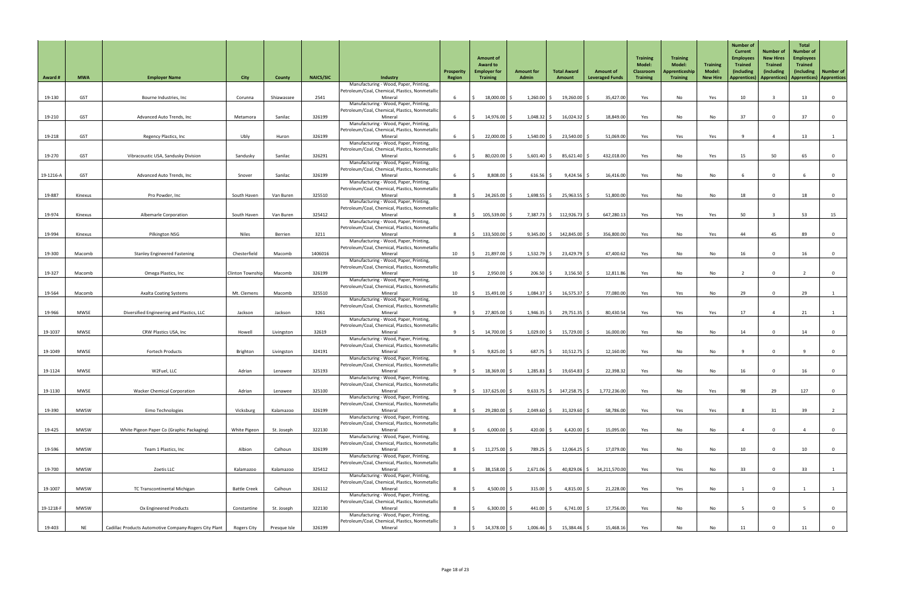| <b>Award#</b> | <b>MWA</b>  | <b>Employer Name</b>                                   | <b>City</b>         | County       | <b>NAICS/SIC</b> | <b>Industry</b>                                                                           | <b>Prosperity</b><br>Region | <b>Amount of</b><br><b>Award to</b><br><b>Employer for</b><br><b>Training</b> | <b>Amount for</b><br><b>Admin</b> | <b>Total Award</b><br>Amount | <b>Amount of</b><br><b>Leveraged Funds</b> | <b>Training</b><br><b>Model:</b><br><b>Classroom</b><br><b>Training</b> | <b>Training</b><br><b>Model:</b><br>Apprenticeship<br><b>Training</b> | <b>Training</b><br>Model:<br><b>New Hire</b> | <b>Number of</b><br><b>Current</b><br><b>Employees</b><br><b>Trained</b><br>(including<br><b>Apprentices)</b> | <b>Number of</b><br><b>New Hires</b><br><b>Trained</b><br>(including<br>Apprentices) | <b>Total</b><br><b>Number of</b><br><b>Employees</b><br><b>Trained</b><br><i>(including)</i> | Number of<br><b>Apprentices</b> ) <b>Apprentices</b> |
|---------------|-------------|--------------------------------------------------------|---------------------|--------------|------------------|-------------------------------------------------------------------------------------------|-----------------------------|-------------------------------------------------------------------------------|-----------------------------------|------------------------------|--------------------------------------------|-------------------------------------------------------------------------|-----------------------------------------------------------------------|----------------------------------------------|---------------------------------------------------------------------------------------------------------------|--------------------------------------------------------------------------------------|----------------------------------------------------------------------------------------------|------------------------------------------------------|
|               |             |                                                        |                     |              |                  | Manufacturing - Wood, Paper, Printing,<br>Petroleum/Coal, Chemical, Plastics, Nonmetallic |                             |                                                                               |                                   |                              |                                            |                                                                         |                                                                       |                                              |                                                                                                               |                                                                                      |                                                                                              |                                                      |
| 19-130        | <b>GST</b>  | Bourne Industries, Inc                                 | Corunna             | Shiawassee   | 2541             | Mineral<br>Manufacturing - Wood, Paper, Printing,                                         |                             | 18,000.00 \$                                                                  | 1,260.00                          | $19,260.00$ \$               | 35,427.00                                  | Yes                                                                     | No                                                                    | Yes                                          | 10                                                                                                            |                                                                                      | 13                                                                                           |                                                      |
|               |             |                                                        |                     |              |                  | Petroleum/Coal, Chemical, Plastics, Nonmetallic                                           |                             |                                                                               |                                   |                              |                                            |                                                                         |                                                                       |                                              |                                                                                                               |                                                                                      |                                                                                              |                                                      |
| 19-210        | <b>GST</b>  | Advanced Auto Trends, Inc                              | Metamora            | Sanilac      | 326199           | Mineral<br>Manufacturing - Wood, Paper, Printing,                                         |                             | 14,976.00 \$                                                                  | $1,048.32$ \$                     | $16,024.32$ \$               | 18,849.00                                  | Yes                                                                     | No                                                                    | No                                           | 37                                                                                                            |                                                                                      | 37                                                                                           |                                                      |
| 19-218        | <b>GST</b>  |                                                        |                     | Huron        | 326199           | Petroleum/Coal, Chemical, Plastics, Nonmetallic<br>Mineral                                |                             | $22,000.00$ \$                                                                | $1,540.00$ \$                     |                              | 51,069.00                                  |                                                                         |                                                                       |                                              |                                                                                                               |                                                                                      | 13                                                                                           |                                                      |
|               |             | Regency Plastics, Inc.                                 | Ubly                |              |                  | Manufacturing - Wood, Paper, Printing,                                                    |                             |                                                                               |                                   | $23,540.00$ \$               |                                            | Yes                                                                     | Yes                                                                   | Yes                                          |                                                                                                               |                                                                                      |                                                                                              |                                                      |
| 19-270        | <b>GST</b>  | Vibracoustic USA, Sandusky Division                    | Sandusky            | Sanilac      | 326291           | Petroleum/Coal, Chemical, Plastics, Nonmetallic<br>Mineral                                |                             | $80,020.00$ \$                                                                | $5,601.40$ \$                     | $85,621.40$ \$               | 432,018.00                                 | Yes                                                                     | No                                                                    | Yes                                          | 15                                                                                                            | 50                                                                                   | 65                                                                                           |                                                      |
|               |             |                                                        |                     |              |                  | Manufacturing - Wood, Paper, Printing,<br>Petroleum/Coal, Chemical, Plastics, Nonmetallic |                             |                                                                               |                                   |                              |                                            |                                                                         |                                                                       |                                              |                                                                                                               |                                                                                      |                                                                                              |                                                      |
| 19-1216-A     | <b>GST</b>  | Advanced Auto Trends, Inc                              | Snover              | Sanilac      | 326199           | Mineral                                                                                   |                             | 8,808.00 \$                                                                   | $616.56$ \$                       | $9,424.56$ \$                | 16,416.00                                  | Yes                                                                     | No                                                                    | No                                           |                                                                                                               |                                                                                      |                                                                                              |                                                      |
|               |             |                                                        |                     |              |                  | Manufacturing - Wood, Paper, Printing,<br>Petroleum/Coal, Chemical, Plastics, Nonmetallic |                             |                                                                               |                                   |                              |                                            |                                                                         |                                                                       |                                              |                                                                                                               |                                                                                      |                                                                                              |                                                      |
| 19-887        | Kinexus     | Pro Powder, Inc                                        | South Haven         | Van Buren    | 325510           | Mineral<br>Manufacturing - Wood, Paper, Printing,                                         |                             | $24,265.00$ \$                                                                | $1,698.55$ \$                     | $25,963.55$ \$               | 51,800.00                                  | Yes                                                                     | No                                                                    | No                                           | 18                                                                                                            |                                                                                      | 18                                                                                           |                                                      |
|               |             |                                                        |                     |              |                  | Petroleum/Coal, Chemical, Plastics, Nonmetallic                                           |                             |                                                                               |                                   |                              |                                            |                                                                         |                                                                       |                                              |                                                                                                               |                                                                                      |                                                                                              |                                                      |
| 19-974        | Kinexus     | Albemarle Corporation                                  | South Haven         | Van Buren    | 325412           | Mineral<br>Manufacturing - Wood, Paper, Printing,                                         |                             | 105,539.00 \$                                                                 | 7,387.73 \$                       | 112,926.73                   | 647,280.13                                 | Yes                                                                     | Yes                                                                   | Yes                                          | 50                                                                                                            |                                                                                      | 53                                                                                           | 15                                                   |
| 19-994        | Kinexus     | Pilkington NSG                                         | <b>Niles</b>        | Berrien      | 3211             | Petroleum/Coal, Chemical, Plastics, Nonmetallic<br>Mineral                                |                             | $133,500.00$ \$                                                               | $9,345.00$ \$                     | 142,845.00 \$                | 356,800.00                                 | Yes                                                                     | No                                                                    | Yes                                          | 44                                                                                                            | 45                                                                                   | 89                                                                                           |                                                      |
|               |             |                                                        |                     |              |                  | Manufacturing - Wood, Paper, Printing,                                                    |                             |                                                                               |                                   |                              |                                            |                                                                         |                                                                       |                                              |                                                                                                               |                                                                                      |                                                                                              |                                                      |
| 19-300        | Macomb      | <b>Stanley Engineered Fastening</b>                    | Chesterfield        | Macomb       | 1406016          | Petroleum/Coal, Chemical, Plastics, Nonmetallic<br>Mineral                                | 10                          | 21,897.00 \$                                                                  | $1,532.79$ \$                     | 23,429.79                    | 47,400.62                                  | Yes                                                                     | No                                                                    | No                                           | 16                                                                                                            |                                                                                      | 16                                                                                           |                                                      |
|               |             |                                                        |                     |              |                  | Manufacturing - Wood, Paper, Printing,<br>Petroleum/Coal, Chemical, Plastics, Nonmetallic |                             |                                                                               |                                   |                              |                                            |                                                                         |                                                                       |                                              |                                                                                                               |                                                                                      |                                                                                              |                                                      |
| 19-327        | Macomb      | Omega Plastics, Inc                                    | Clinton Township    | Macomb       | 326199           | Mineral                                                                                   | 10 <sup>°</sup>             | $2,950.00$ \$                                                                 | 206.50                            | 3,156.50                     | 12,811.86                                  | Yes                                                                     | No                                                                    | No                                           |                                                                                                               |                                                                                      |                                                                                              |                                                      |
|               |             |                                                        |                     |              |                  | Manufacturing - Wood, Paper, Printing,<br>Petroleum/Coal, Chemical, Plastics, Nonmetallic |                             |                                                                               |                                   |                              |                                            |                                                                         |                                                                       |                                              |                                                                                                               |                                                                                      |                                                                                              |                                                      |
| 19-564        | Macomb      | <b>Axalta Coating Systems</b>                          | Mt. Clemens         | Macomb       | 325510           | Mineral<br>Manufacturing - Wood, Paper, Printing,                                         | 10                          | 15,491.00 \$                                                                  | 1,084.37                          | $16,575.37$ \$               | 77,080.00                                  | Yes                                                                     | Yes                                                                   | No                                           | 29                                                                                                            |                                                                                      | 29                                                                                           |                                                      |
|               |             |                                                        |                     |              |                  | Petroleum/Coal, Chemical, Plastics, Nonmetallic                                           |                             |                                                                               |                                   |                              |                                            |                                                                         |                                                                       |                                              |                                                                                                               |                                                                                      |                                                                                              |                                                      |
| 19-966        | <b>MWSE</b> | Diversified Engineering and Plastics, LLC              | Jackson             | Jackson      | 3261             | Mineral<br>Manufacturing - Wood, Paper, Printing,                                         |                             | 27,805.00 \$                                                                  | 1,946.35                          | $29,751.35$ \$               | 80,430.54                                  | Yes                                                                     | Yes                                                                   | Yes                                          | 17                                                                                                            |                                                                                      | 21                                                                                           |                                                      |
| 19-1037       | <b>MWSE</b> | CRW Plastics USA, Inc                                  | Howell              | Livingston   | 32619            | Petroleum/Coal, Chemical, Plastics, Nonmetallic<br>Mineral                                |                             | 14,700.00 \$                                                                  | $1,029.00$ \$                     | 15,729.00 \$                 | 16,000.00                                  | Yes                                                                     | No                                                                    | No                                           | 14                                                                                                            |                                                                                      | 14                                                                                           |                                                      |
|               |             |                                                        |                     |              |                  | Manufacturing - Wood, Paper, Printing,                                                    |                             |                                                                               |                                   |                              |                                            |                                                                         |                                                                       |                                              |                                                                                                               |                                                                                      |                                                                                              |                                                      |
| 19-1049       | <b>MWSE</b> | <b>Fortech Products</b>                                | Brighton            | Livingston   | 324191           | Petroleum/Coal, Chemical, Plastics, Nonmetallic<br>Mineral                                |                             | $9,825.00$ \$                                                                 | $687.75$ \$                       | $10,512.75$ \$               | 12,160.00                                  | Yes                                                                     | No                                                                    | No                                           |                                                                                                               |                                                                                      |                                                                                              |                                                      |
|               |             |                                                        |                     |              |                  | Manufacturing - Wood, Paper, Printing,<br>Petroleum/Coal, Chemical, Plastics, Nonmetallic |                             |                                                                               |                                   |                              |                                            |                                                                         |                                                                       |                                              |                                                                                                               |                                                                                      |                                                                                              |                                                      |
| 19-1124       | <b>MWSE</b> | W2Fuel, LLC                                            | Adrian              | Lenawee      | 325193           | Mineral                                                                                   |                             | 18,369.00 \$                                                                  | $1,285.83$ \$                     | $19,654.83$ \$               | 22,398.32                                  | Yes                                                                     | No                                                                    | No                                           | 16                                                                                                            |                                                                                      | 16                                                                                           |                                                      |
|               |             |                                                        |                     |              |                  | Manufacturing - Wood, Paper, Printing,<br>Petroleum/Coal, Chemical, Plastics, Nonmetallic |                             |                                                                               |                                   |                              |                                            |                                                                         |                                                                       |                                              |                                                                                                               |                                                                                      |                                                                                              |                                                      |
| 19-1130       | <b>MWSE</b> | <b>Wacker Chemical Corporation</b>                     | Adrian              | Lenawee      | 325100           | Mineral<br>Manufacturing - Wood, Paper, Printing,                                         | $\mathbf{q}$                | 137,625.00 \$                                                                 | $9,633.75$ \$                     | $147,258.75$ \$              | 1,772,236.00                               | Yes                                                                     | No                                                                    | Yes                                          | 98                                                                                                            | 29                                                                                   | 127                                                                                          | $\mathbf{0}$                                         |
| 19-390        | <b>MWSW</b> | Eimo Technologies                                      | Vicksburg           | Kalamazoo    | 326199           | Petroleum/Coal, Chemical, Plastics, Nonmetallic<br>Mineral                                |                             | 29,280.00 \$                                                                  | $2,049.60$ \$                     | $31,329.60$ \$               | 58,786.00                                  | Yes                                                                     | Yes                                                                   | Yes                                          |                                                                                                               | 31                                                                                   | 39                                                                                           |                                                      |
|               |             |                                                        |                     |              |                  | Manufacturing - Wood, Paper, Printing,                                                    |                             |                                                                               |                                   |                              |                                            |                                                                         |                                                                       |                                              |                                                                                                               |                                                                                      |                                                                                              |                                                      |
| 19-425        | <b>MWSW</b> | White Pigeon Paper Co (Graphic Packaging)              | White Pigeon        | St. Joseph   | 322130           | Petroleum/Coal, Chemical, Plastics, Nonmetallic<br>Mineral                                |                             | $6,000.00$ \$                                                                 | 420.00 $\vert$ \$                 | $6,420.00$ \$                | 15,095.00                                  | Yes                                                                     | No                                                                    | No                                           |                                                                                                               |                                                                                      |                                                                                              |                                                      |
|               |             |                                                        |                     |              |                  | Manufacturing - Wood, Paper, Printing,<br>Petroleum/Coal, Chemical, Plastics, Nonmetallic |                             |                                                                               |                                   |                              |                                            |                                                                         |                                                                       |                                              |                                                                                                               |                                                                                      |                                                                                              |                                                      |
| 19-596        | <b>MWSW</b> | Team 1 Plastics, Inc                                   | Albion              | Calhoun      | 326199           | Mineral                                                                                   |                             | $11,275.00$ \$                                                                | 789.25 \$                         | $12,064.25$ \$               | 17,079.00                                  | Yes                                                                     | No                                                                    | No                                           | 10                                                                                                            |                                                                                      | 10                                                                                           |                                                      |
|               |             |                                                        |                     |              |                  | Manufacturing - Wood, Paper, Printing,<br>Petroleum/Coal, Chemical, Plastics, Nonmetallic |                             |                                                                               |                                   |                              |                                            |                                                                         |                                                                       |                                              |                                                                                                               |                                                                                      |                                                                                              |                                                      |
| 19-700        | <b>MWSW</b> | Zoetis LLC                                             | Kalamazoo           | Kalamazoo    | 325412           | Mineral<br>Manufacturing - Wood, Paper, Printing,                                         |                             | 38,158.00 \$                                                                  | $2,671.06$ \$                     |                              | 40,829.06 \$ 34,211,570.00                 | Yes                                                                     | Yes                                                                   | No                                           | 33                                                                                                            |                                                                                      | 33                                                                                           |                                                      |
|               |             |                                                        |                     |              |                  | Petroleum/Coal, Chemical, Plastics, Nonmetallic                                           |                             |                                                                               |                                   |                              |                                            |                                                                         |                                                                       |                                              |                                                                                                               |                                                                                      |                                                                                              |                                                      |
| 19-1007       | <b>MWSW</b> | TC Transcontinental Michigan                           | <b>Battle Creek</b> | Calhoun      | 326112           | Mineral<br>Manufacturing - Wood, Paper, Printing,                                         |                             | 4,500.00 \$                                                                   | $315.00$ \$                       | 4,815.00 \$                  | 21,228.00                                  | Yes                                                                     | Yes                                                                   | No                                           |                                                                                                               |                                                                                      |                                                                                              |                                                      |
| 19-1218-F     | <b>MWSW</b> | Ox Engineered Products                                 | Constantine         | St. Joseph   | 322130           | Petroleum/Coal, Chemical, Plastics, Nonmetallic<br>Mineral                                |                             | $6,300.00$ \$                                                                 | 441.00 \$                         | $6,741.00$ \$                | 17,756.00                                  | Yes                                                                     | No                                                                    | No                                           |                                                                                                               |                                                                                      |                                                                                              |                                                      |
|               |             |                                                        |                     |              |                  | Manufacturing - Wood, Paper, Printing,                                                    |                             |                                                                               |                                   |                              |                                            |                                                                         |                                                                       |                                              |                                                                                                               |                                                                                      |                                                                                              |                                                      |
| 19-403        | <b>NE</b>   | Cadillac Products Automotive Company-Rogers City Plant | Rogers City         | Presque Isle | 326199           | Petroleum/Coal, Chemical, Plastics, Nonmetallic<br>Mineral                                |                             | $14,378.00$ \$                                                                | $1,006.46$ \$                     | $15,384.46$ \$               | 15,468.16                                  | Yes                                                                     | No                                                                    | No                                           | 11                                                                                                            |                                                                                      | 11                                                                                           |                                                      |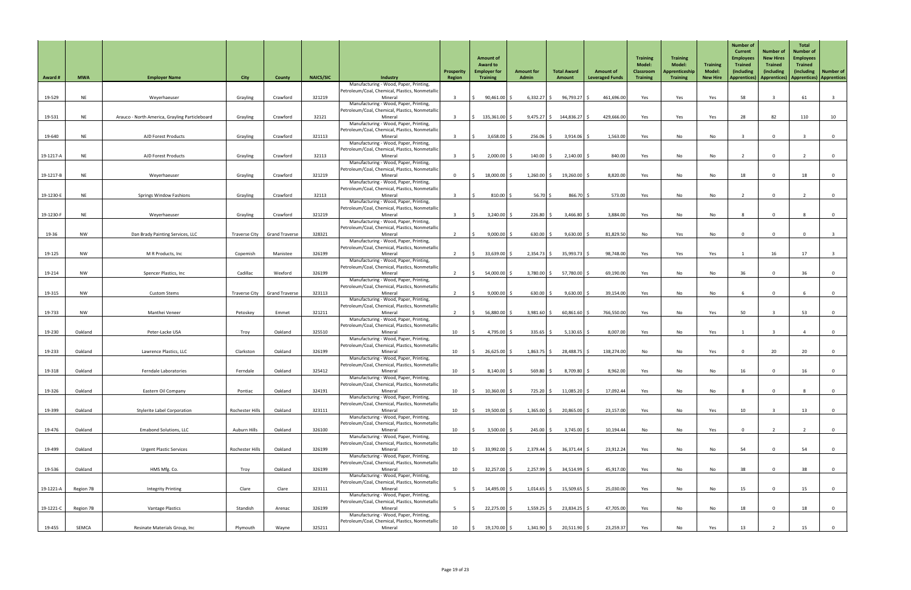| <b>Award #</b> | <b>MWA</b> | <b>Employer Name</b>                           | <b>City</b>          | County                         | <b>NAICS/SIC</b> | Industry                                                                                  | Prosperity<br>Region | <b>Amount of</b><br><b>Award to</b><br><b>Employer for</b><br><b>Training</b> | <b>Amount for</b><br><b>Admin</b> | <b>Total Award</b><br>Amount | <b>Amount of</b><br><b>Leveraged Funds</b> | <b>Training</b><br><b>Model:</b><br><b>Classroom</b><br><b>Training</b> | <b>Training</b><br><b>Model:</b><br>Apprenticeship<br><b>Training</b> | <b>Training</b><br><b>Model:</b><br><b>New Hire</b> | <b>Number of</b><br><b>Current</b><br><b>Employees</b><br><b>Trained</b><br>(including<br><b>Apprentices)</b> | <b>Number of</b><br><b>New Hires</b><br><b>Trained</b><br>(including<br>Apprentices)   Apprentices)   Apprentices | <b>Total</b><br><b>Number of</b><br><b>Employees</b><br><b>Trained</b><br>(including) | <b>Number of</b> |
|----------------|------------|------------------------------------------------|----------------------|--------------------------------|------------------|-------------------------------------------------------------------------------------------|----------------------|-------------------------------------------------------------------------------|-----------------------------------|------------------------------|--------------------------------------------|-------------------------------------------------------------------------|-----------------------------------------------------------------------|-----------------------------------------------------|---------------------------------------------------------------------------------------------------------------|-------------------------------------------------------------------------------------------------------------------|---------------------------------------------------------------------------------------|------------------|
|                |            |                                                |                      |                                |                  | Manufacturing - Wood, Paper, Printing,<br>Petroleum/Coal, Chemical, Plastics, Nonmetallic |                      |                                                                               |                                   |                              |                                            |                                                                         |                                                                       |                                                     |                                                                                                               |                                                                                                                   |                                                                                       |                  |
| 19-529         | <b>NE</b>  | Weyerhaeuser                                   | Grayling             | Crawford                       | 321219           | Mineral                                                                                   |                      | $90,461.00$ \$                                                                | $6,332.27$ \$                     | $96,793.27$ \$               | 461,696.00                                 | Yes                                                                     | Yes                                                                   | Yes                                                 | 58                                                                                                            |                                                                                                                   | 61                                                                                    |                  |
|                |            |                                                |                      |                                |                  | Manufacturing - Wood, Paper, Printing,<br>Petroleum/Coal, Chemical, Plastics, Nonmetallic |                      |                                                                               |                                   |                              |                                            |                                                                         |                                                                       |                                                     |                                                                                                               |                                                                                                                   |                                                                                       |                  |
| 19-531         | <b>NE</b>  | Arauco - North America, Grayling Particleboard | Grayling             | Crawford                       | 32121            | Mineral                                                                                   | ્વ                   | $\frac{1}{2}$ 135,361.00 \$                                                   | $9,475.27$ \$                     | 144,836.27 \$                | 429,666.00                                 | Yes                                                                     | Yes                                                                   | Yes                                                 | 28                                                                                                            | 82                                                                                                                | 110                                                                                   | 10               |
|                |            |                                                |                      |                                |                  | Manufacturing - Wood, Paper, Printing,<br>Petroleum/Coal, Chemical, Plastics, Nonmetallic |                      |                                                                               |                                   |                              |                                            |                                                                         |                                                                       |                                                     |                                                                                                               |                                                                                                                   |                                                                                       |                  |
| 19-640         | <b>NE</b>  | AJD Forest Products                            | Grayling             | Crawford                       | 321113           | Mineral                                                                                   | ્વ                   | $3,658.00$ \$                                                                 | $256.06$ \$                       | $3,914.06$ \$                | 1,563.00                                   | Yes                                                                     | No                                                                    | No                                                  |                                                                                                               | $\overline{0}$                                                                                                    |                                                                                       | $\overline{0}$   |
|                |            |                                                |                      |                                |                  | Manufacturing - Wood, Paper, Printing,<br>Petroleum/Coal, Chemical, Plastics, Nonmetallic |                      |                                                                               |                                   |                              |                                            |                                                                         |                                                                       |                                                     |                                                                                                               |                                                                                                                   |                                                                                       |                  |
| 19-1217-A      | <b>NE</b>  | <b>AJD Forest Products</b>                     | Grayling             | Crawford                       | 32113            | Mineral                                                                                   | ્ર                   | $2,000.00$ \$                                                                 | $140.00$ \$                       | $2,140.00$ \$                | 840.00                                     | Yes                                                                     | No                                                                    | No                                                  |                                                                                                               | $\mathbf 0$                                                                                                       |                                                                                       | $\overline{0}$   |
|                |            |                                                |                      |                                |                  | Manufacturing - Wood, Paper, Printing,<br>Petroleum/Coal, Chemical, Plastics, Nonmetallic |                      |                                                                               |                                   |                              |                                            |                                                                         |                                                                       |                                                     |                                                                                                               |                                                                                                                   |                                                                                       |                  |
| 19-1217-B      | <b>NE</b>  | Weyerhaeuser                                   | Grayling             | Crawford                       | 321219           | Mineral                                                                                   | $\Omega$             | 18,000.00 \$                                                                  | $1,260.00$ \$                     | $19,260.00$ \$               | 8,820.00                                   | Yes                                                                     | No                                                                    | No                                                  | 18                                                                                                            | $\mathbf{0}$                                                                                                      | 18                                                                                    | $\overline{0}$   |
|                |            |                                                |                      |                                |                  | Manufacturing - Wood, Paper, Printing,<br>Petroleum/Coal, Chemical, Plastics, Nonmetallic |                      |                                                                               |                                   |                              |                                            |                                                                         |                                                                       |                                                     |                                                                                                               |                                                                                                                   |                                                                                       |                  |
| 19-1230-E      | <b>NE</b>  | <b>Springs Window Fashions</b>                 | Grayling             | Crawford                       | 32113            | Mineral                                                                                   |                      | $810.00$ \$                                                                   | $56.70$ \$                        | $866.70$ \$                  | 573.00                                     | Yes                                                                     | No                                                                    | No                                                  |                                                                                                               | $\Omega$                                                                                                          |                                                                                       | $\overline{0}$   |
|                |            |                                                |                      |                                |                  | Manufacturing - Wood, Paper, Printing,<br>Petroleum/Coal, Chemical, Plastics, Nonmetallic |                      |                                                                               |                                   |                              |                                            |                                                                         |                                                                       |                                                     |                                                                                                               |                                                                                                                   |                                                                                       |                  |
| 19-1230-F      | <b>NE</b>  | Weyerhaeuser                                   | Grayling             | Crawford                       | 321219           | Mineral                                                                                   |                      | $3,240.00$ \$                                                                 | 226.80                            | 3,466.80                     | 3,884.00                                   | Yes                                                                     | No                                                                    | No                                                  |                                                                                                               | $\Omega$                                                                                                          |                                                                                       | $\Omega$         |
|                |            |                                                |                      |                                |                  | Manufacturing - Wood, Paper, Printing,<br>Petroleum/Coal, Chemical, Plastics, Nonmetallic |                      |                                                                               |                                   |                              |                                            |                                                                         |                                                                       |                                                     |                                                                                                               |                                                                                                                   |                                                                                       |                  |
| 19-36          | <b>NW</b>  | Dan Brady Painting Services, LLC               |                      | Traverse City   Grand Traverse | 328321           | Mineral                                                                                   |                      | $9,000.00$ \$                                                                 | 630.00                            | $9,630.00$ \$                | 81,829.50                                  | No                                                                      | Yes                                                                   | No                                                  |                                                                                                               |                                                                                                                   |                                                                                       |                  |
|                |            |                                                |                      |                                |                  | Manufacturing - Wood, Paper, Printing,<br>Petroleum/Coal, Chemical, Plastics, Nonmetallic |                      |                                                                               |                                   |                              |                                            |                                                                         |                                                                       |                                                     |                                                                                                               |                                                                                                                   |                                                                                       |                  |
| 19-125         | <b>NW</b>  | M R Products, Inc                              | Copemish             | Manistee                       | 326199           | Mineral                                                                                   |                      | 33,639.00 \$                                                                  | $2,354.73$ \$                     | 35,993.73                    | 98,748.00                                  | Yes                                                                     | Yes                                                                   | Yes                                                 |                                                                                                               | 16                                                                                                                | 17                                                                                    |                  |
|                |            |                                                |                      |                                |                  | Manufacturing - Wood, Paper, Printing,<br>Petroleum/Coal, Chemical, Plastics, Nonmetallic |                      |                                                                               |                                   |                              |                                            |                                                                         |                                                                       |                                                     |                                                                                                               |                                                                                                                   |                                                                                       |                  |
| 19-214         | <b>NW</b>  | Spencer Plastics, Inc                          | Cadillac             | Wexford                        | 326199           | Mineral                                                                                   |                      | 54,000.00 \$                                                                  | 3,780.00                          | 57,780.00                    | 69,190.00                                  | Yes                                                                     | No                                                                    | No                                                  | 36                                                                                                            |                                                                                                                   | 36                                                                                    | $\overline{0}$   |
|                |            |                                                |                      |                                |                  | Manufacturing - Wood, Paper, Printing,<br>Petroleum/Coal, Chemical, Plastics, Nonmetallic |                      |                                                                               |                                   |                              |                                            |                                                                         |                                                                       |                                                     |                                                                                                               |                                                                                                                   |                                                                                       |                  |
| 19-315         | <b>NW</b>  | <b>Custom Stems</b>                            | <b>Traverse City</b> | <b>Grand Traverse</b>          | 323113           | Mineral                                                                                   |                      | $9,000.00$ \$                                                                 | 630.00                            | 9,630.00                     | 39,154.00                                  | Yes                                                                     | No                                                                    | No                                                  |                                                                                                               | $\Omega$                                                                                                          |                                                                                       | $\overline{0}$   |
|                |            |                                                |                      |                                |                  | Manufacturing - Wood, Paper, Printing,<br>Petroleum/Coal, Chemical, Plastics, Nonmetallic |                      |                                                                               |                                   |                              |                                            |                                                                         |                                                                       |                                                     |                                                                                                               |                                                                                                                   |                                                                                       |                  |
| 19-733         | <b>NW</b>  | Manthei Veneer                                 | Petoskey             | Emmet                          | 321211           | Mineral                                                                                   |                      | 56,880.00 \$                                                                  | $3,981.60$ \$                     | $60,861.60$ \$               | 766,550.00                                 | Yes                                                                     | No                                                                    | Yes                                                 | 50                                                                                                            |                                                                                                                   | 53                                                                                    | $\overline{0}$   |
|                |            |                                                |                      |                                |                  | Manufacturing - Wood, Paper, Printing,<br>Petroleum/Coal, Chemical, Plastics, Nonmetallic |                      |                                                                               |                                   |                              |                                            |                                                                         |                                                                       |                                                     |                                                                                                               |                                                                                                                   |                                                                                       |                  |
| 19-230         | Oakland    | Peter-Lacke USA                                | Troy                 | Oakland                        | 325510           | Mineral                                                                                   | 10                   | $4,795.00$ \$                                                                 | $335.65$ \$                       | $5,130.65$ \$                | 8,007.00                                   | Yes                                                                     | No                                                                    | Yes                                                 |                                                                                                               |                                                                                                                   |                                                                                       | $\overline{0}$   |
|                |            |                                                |                      |                                |                  | Manufacturing - Wood, Paper, Printing,<br>Petroleum/Coal, Chemical, Plastics, Nonmetallic |                      |                                                                               |                                   |                              |                                            |                                                                         |                                                                       |                                                     |                                                                                                               |                                                                                                                   |                                                                                       |                  |
| 19-233         | Oakland    | Lawrence Plastics, LLC                         | Clarkston            | Oakland                        | 326199           | Mineral                                                                                   | 10 <sup>°</sup>      | $26,625.00$ \$                                                                | $1,863.75$ \$                     | 28,488.75                    | 138,274.00                                 | No                                                                      | No                                                                    | Yes                                                 |                                                                                                               | 20                                                                                                                | 20                                                                                    | $\overline{0}$   |
|                |            |                                                |                      |                                |                  | Manufacturing - Wood, Paper, Printing,<br>Petroleum/Coal, Chemical, Plastics, Nonmetallic |                      |                                                                               |                                   |                              |                                            |                                                                         |                                                                       |                                                     |                                                                                                               |                                                                                                                   |                                                                                       |                  |
| 19-318         | Oakland    | Ferndale Laboratories                          | Ferndale             | Oakland                        | 325412           | Mineral                                                                                   | 10                   | $8,140.00$ \$                                                                 | 569.80                            | $8,709.80$ \$                | 8,962.00                                   | Yes                                                                     | No                                                                    | No                                                  | 16                                                                                                            | $\Omega$                                                                                                          | 16                                                                                    | $\mathbf 0$      |
|                |            |                                                |                      |                                |                  | Manufacturing - Wood, Paper, Printing,<br>Petroleum/Coal, Chemical, Plastics, Nonmetallic |                      |                                                                               |                                   |                              |                                            |                                                                         |                                                                       |                                                     |                                                                                                               |                                                                                                                   |                                                                                       |                  |
| 19-326         | Oakland    | Eastern Oil Company                            | Pontiac              | Oakland                        | 324191           | Mineral                                                                                   | 10 <sup>°</sup>      | $10,360.00$ \$                                                                | $725.20$ \$                       | $11,085.20$ \$               | 17,092.44                                  | Yes                                                                     | No                                                                    | No                                                  |                                                                                                               | $\mathbf 0$                                                                                                       |                                                                                       | $\overline{0}$   |
|                |            |                                                |                      |                                |                  | Manufacturing - Wood, Paper, Printing,<br>Petroleum/Coal, Chemical, Plastics, Nonmetallic |                      |                                                                               |                                   |                              |                                            |                                                                         |                                                                       |                                                     |                                                                                                               |                                                                                                                   |                                                                                       |                  |
| 19-399         | Oakland    | <b>Stylerite Label Corporation</b>             | Rochester Hills      | Oakland                        | 323111           | Mineral                                                                                   | 10                   | 19,500.00 \$                                                                  | $1,365.00$ \$                     | $20,865.00$ \$               | 23,157.00                                  | Yes                                                                     | No                                                                    | Yes                                                 | 10                                                                                                            |                                                                                                                   | 13                                                                                    | $\overline{0}$   |
|                |            |                                                |                      |                                |                  | Manufacturing - Wood, Paper, Printing,<br>Petroleum/Coal, Chemical, Plastics, Nonmetallic |                      |                                                                               |                                   |                              |                                            |                                                                         |                                                                       |                                                     |                                                                                                               |                                                                                                                   |                                                                                       |                  |
| 19-476         | Oakland    | <b>Emabond Solutions, LLC</b>                  | Auburn Hills         | Oakland                        | 326100           | Mineral                                                                                   | 10                   | $3,500.00$ \$                                                                 | $245.00$ \$                       | $3,745.00$ \$                | 10,194.44                                  | No                                                                      | No                                                                    | Yes                                                 |                                                                                                               |                                                                                                                   |                                                                                       | $\Omega$         |
|                |            |                                                |                      |                                |                  | Manufacturing - Wood, Paper, Printing,<br>Petroleum/Coal, Chemical, Plastics, Nonmetallic |                      |                                                                               |                                   |                              |                                            |                                                                         |                                                                       |                                                     |                                                                                                               |                                                                                                                   |                                                                                       |                  |
| 19-499         | Oakland    | <b>Urgent Plastic Services</b>                 | Rochester Hills      | Oakland                        | 326199           | Mineral                                                                                   | 10                   | 33,992.00 \$                                                                  | $2,379.44$ \$                     | $36,371.44$ \$               | 23,912.24                                  | Yes                                                                     | No                                                                    | No                                                  | 54                                                                                                            |                                                                                                                   | 54                                                                                    | 0                |
|                |            |                                                |                      |                                |                  | Manufacturing - Wood, Paper, Printing,<br>Petroleum/Coal, Chemical, Plastics, Nonmetallic |                      |                                                                               |                                   |                              |                                            |                                                                         |                                                                       |                                                     |                                                                                                               |                                                                                                                   |                                                                                       |                  |
| 19-536         | Oakland    | HMS Mfg. Co.                                   | Troy                 | Oakland                        | 326199           | Mineral                                                                                   | 10                   | $32,257.00$ \$                                                                | $2,257.99$ \$                     | $34,514.99$ \$               | 45,917.00                                  | Yes                                                                     | No                                                                    | No                                                  | 38                                                                                                            | $\Omega$                                                                                                          | 38                                                                                    | $\overline{0}$   |
|                |            |                                                |                      |                                |                  | Manufacturing - Wood, Paper, Printing,<br>Petroleum/Coal, Chemical, Plastics, Nonmetallic |                      |                                                                               |                                   |                              |                                            |                                                                         |                                                                       |                                                     |                                                                                                               |                                                                                                                   |                                                                                       |                  |
| 19-1221-A      | Region 7B  | <b>Integrity Printing</b>                      | Clare                | Clare                          | 323111           | Mineral                                                                                   |                      | 14,495.00 \$                                                                  | $1,014.65$ \$                     | $15,509.65$ \$               | 25,030.00                                  | Yes                                                                     | No                                                                    | No                                                  | 15                                                                                                            | $\mathbf 0$                                                                                                       | 15                                                                                    | $\overline{0}$   |
|                |            |                                                |                      |                                |                  | Manufacturing - Wood, Paper, Printing,<br>Petroleum/Coal, Chemical, Plastics, Nonmetallic |                      |                                                                               |                                   |                              |                                            |                                                                         |                                                                       |                                                     |                                                                                                               |                                                                                                                   |                                                                                       |                  |
| 19-1221-C      | Region 7B  | <b>Vantage Plastics</b>                        | Standish             | Arenac                         | 326199           | Mineral                                                                                   |                      | $22,275.00$ \$                                                                | $1,559.25$ \$                     | $23,834.25$ \$               | 47,705.00                                  | Yes                                                                     | No                                                                    | No                                                  | 18                                                                                                            | $\mathbf 0$                                                                                                       | 18                                                                                    | $\overline{0}$   |
|                |            |                                                |                      |                                |                  | Manufacturing - Wood, Paper, Printing,<br>Petroleum/Coal, Chemical, Plastics, Nonmetallic |                      |                                                                               |                                   |                              |                                            |                                                                         |                                                                       |                                                     |                                                                                                               |                                                                                                                   |                                                                                       |                  |
| 19-455         | SEMCA      | Resinate Materials Group, Inc                  | Plymouth             | Wayne                          | 325211           | Mineral                                                                                   | 10                   | $19,170.00$ \$                                                                | $1,341.90$ \$                     | 20,511.90 \$                 | 23,259.37                                  | Yes                                                                     | No                                                                    | Yes                                                 | 13                                                                                                            |                                                                                                                   | 15                                                                                    |                  |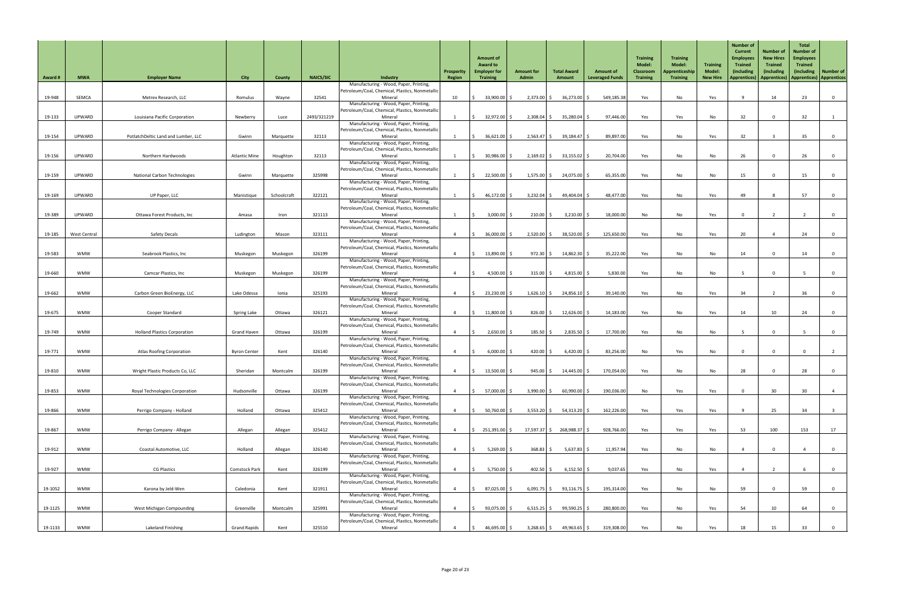| <b>Award#</b> | <b>MWA</b>          | <b>Employer Name</b>                  | <b>City</b>          | <b>County</b> | <b>NAICS/SIC</b> | <b>Industry</b>                                                                           | Prosperity<br>Region     | <b>Amount of</b><br><b>Award to</b><br><b>Employer for</b><br><b>Training</b> | <b>Amount for</b><br><b>Admin</b> | <b>Total Award</b><br>Amount | <b>Amount of</b><br><b>Leveraged Funds</b> | <b>Training</b><br><b>Model:</b><br><b>Classroom</b><br><b>Training</b> | <b>Training</b><br><b>Model:</b><br><b>Apprenticeship</b><br><b>Training</b> | <b>Training</b><br><b>Model:</b><br><b>New Hire</b> | <b>Number of</b><br><b>Current</b><br><b>Employees</b><br><b>Trained</b><br>(including<br><b>Apprentices</b> ) | <b>Number of</b><br><b>New Hires</b><br><b>Trained</b><br>(including<br>Apprentices)   Apprentices   Apprentices | <b>Total</b><br><b>Number of</b><br><b>Employees</b><br><b>Trained</b><br><i>(including)</i> | Number of      |
|---------------|---------------------|---------------------------------------|----------------------|---------------|------------------|-------------------------------------------------------------------------------------------|--------------------------|-------------------------------------------------------------------------------|-----------------------------------|------------------------------|--------------------------------------------|-------------------------------------------------------------------------|------------------------------------------------------------------------------|-----------------------------------------------------|----------------------------------------------------------------------------------------------------------------|------------------------------------------------------------------------------------------------------------------|----------------------------------------------------------------------------------------------|----------------|
|               |                     |                                       |                      |               |                  | Manufacturing - Wood, Paper, Printing,                                                    |                          |                                                                               |                                   |                              |                                            |                                                                         |                                                                              |                                                     |                                                                                                                |                                                                                                                  |                                                                                              |                |
| 19-948        | <b>SEMCA</b>        | Metrex Research, LLC                  | Romulus              | Wayne         | 32541            | Petroleum/Coal, Chemical, Plastics, Nonmetallid<br>Mineral                                | 10                       | 33,900.00 \$                                                                  | $2,373.00$ \$                     | 36,273.00                    | 549,185.38                                 | Yes                                                                     | No                                                                           | Yes                                                 |                                                                                                                | 14                                                                                                               | 23                                                                                           | $\overline{0}$ |
|               |                     |                                       |                      |               |                  | Manufacturing - Wood, Paper, Printing,<br>Petroleum/Coal, Chemical, Plastics, Nonmetallid |                          |                                                                               |                                   |                              |                                            |                                                                         |                                                                              |                                                     |                                                                                                                |                                                                                                                  |                                                                                              |                |
| 19-133        | UPWARD              | Louisiana Pacific Corporation         | Newberry             | Luce          | 2493/321219      | Mineral                                                                                   |                          | $32,972.00$ \$                                                                | $2,308.04$ \$                     | $35,280.04$ \$               | 97,446.00                                  | Yes                                                                     | Yes                                                                          | No                                                  | 32                                                                                                             | $\mathbf 0$                                                                                                      | 32                                                                                           |                |
|               |                     |                                       |                      |               |                  | Manufacturing - Wood, Paper, Printing,<br>Petroleum/Coal, Chemical, Plastics, Nonmetallic |                          |                                                                               |                                   |                              |                                            |                                                                         |                                                                              |                                                     |                                                                                                                |                                                                                                                  |                                                                                              |                |
| 19-154        | UPWARD              | PotlatchDeltic Land and Lumber, LLC   | Gwinn                | Marquette     | 32113            | Mineral                                                                                   |                          | 36,621.00 \$                                                                  | $2,563.47$ \$                     | $39,184.47$ \$               | 89,897.00                                  | Yes                                                                     | No                                                                           | Yes                                                 | 32                                                                                                             |                                                                                                                  | 35 <sub>2</sub>                                                                              | $\overline{0}$ |
|               |                     |                                       |                      |               |                  | Manufacturing - Wood, Paper, Printing,<br>Petroleum/Coal, Chemical, Plastics, Nonmetallic |                          |                                                                               |                                   |                              |                                            |                                                                         |                                                                              |                                                     |                                                                                                                |                                                                                                                  |                                                                                              |                |
| 19-156        | UPWARD              | Northern Hardwoods                    | <b>Atlantic Mine</b> | Houghton      | 32113            | Mineral<br>Manufacturing - Wood, Paper, Printing,                                         |                          | $30,986.00$ \$                                                                | $2,169.02$ \$                     | $33,155.02$ \$               | 20,704.00                                  | Yes                                                                     | No                                                                           | No                                                  | 26                                                                                                             | $\Omega$                                                                                                         | 26                                                                                           | $\overline{0}$ |
|               |                     |                                       |                      |               |                  | Petroleum/Coal, Chemical, Plastics, Nonmetallic                                           |                          |                                                                               |                                   |                              |                                            |                                                                         |                                                                              |                                                     |                                                                                                                |                                                                                                                  |                                                                                              |                |
| 19-159        | UPWARD              | <b>National Carbon Technologies</b>   | Gwinn                | Marquette     | 325998           | Mineral<br>Manufacturing - Wood, Paper, Printing,                                         | $\overline{\phantom{0}}$ | $22,500.00$ \$                                                                | $1,575.00$ \$                     | 24,075.00                    | 65,355.00                                  | Yes                                                                     | No                                                                           | No                                                  | 15                                                                                                             | $\overline{0}$                                                                                                   | 15                                                                                           | $\overline{0}$ |
|               |                     |                                       |                      |               |                  | Petroleum/Coal, Chemical, Plastics, Nonmetallion                                          |                          |                                                                               |                                   |                              |                                            |                                                                         |                                                                              |                                                     |                                                                                                                |                                                                                                                  | 57                                                                                           |                |
| 19-169        | UPWARD              | UP Paper, LLC                         | Manistique           | Schoolcraft   | 322121           | Mineral<br>Manufacturing - Wood, Paper, Printing,                                         |                          | 46,172.00 \$                                                                  | $3,232.04$ \$                     | 49,404.04                    | 48,477.00                                  | Yes                                                                     | No                                                                           | Yes                                                 | 49                                                                                                             |                                                                                                                  |                                                                                              | $\overline{0}$ |
| 19-389        | <b>UPWARD</b>       | Ottawa Forest Products, Inc           | Amasa                | Iron          | 321113           | Petroleum/Coal, Chemical, Plastics, Nonmetallic<br>Mineral                                |                          | $3,000.00$ \$                                                                 | 210.00                            | 3,210.00                     | 18,000.00                                  | No                                                                      | No                                                                           | Yes                                                 |                                                                                                                |                                                                                                                  |                                                                                              | $\overline{0}$ |
|               |                     |                                       |                      |               |                  | Manufacturing - Wood, Paper, Printing,                                                    |                          |                                                                               |                                   |                              |                                            |                                                                         |                                                                              |                                                     |                                                                                                                |                                                                                                                  |                                                                                              |                |
| 19-185        | <b>West Central</b> | <b>Safety Decals</b>                  | Ludington            | Mason         | 323111           | Petroleum/Coal, Chemical, Plastics, Nonmetallic<br>Mineral                                |                          | 36,000.00 \$                                                                  | $2,520.00$ \$                     | $38,520.00$ \$               | 125,650.00                                 | Yes                                                                     | No                                                                           | Yes                                                 | 20                                                                                                             |                                                                                                                  | 24                                                                                           | $\overline{0}$ |
|               |                     |                                       |                      |               |                  | Manufacturing - Wood, Paper, Printing,                                                    |                          |                                                                               |                                   |                              |                                            |                                                                         |                                                                              |                                                     |                                                                                                                |                                                                                                                  |                                                                                              |                |
| 19-583        | <b>WMW</b>          | Seabrook Plastics, Inc                | Muskegon             | Muskegon      | 326199           | Petroleum/Coal, Chemical, Plastics, Nonmetallic<br>Mineral                                |                          | 13,890.00 \$                                                                  | $972.30 \mid \zeta$               | 14,862.30 \$                 | 35,222.00                                  | Yes                                                                     | No                                                                           | No                                                  | 14                                                                                                             | $\mathbf 0$                                                                                                      | 14                                                                                           | $\overline{0}$ |
|               |                     |                                       |                      |               |                  | Manufacturing - Wood, Paper, Printing,<br>Petroleum/Coal, Chemical, Plastics, Nonmetallic |                          |                                                                               |                                   |                              |                                            |                                                                         |                                                                              |                                                     |                                                                                                                |                                                                                                                  |                                                                                              |                |
| 19-660        | <b>WMW</b>          | <b>Camcar Plastics, Inc.</b>          | Muskegon             | Muskegon      | 326199           | Mineral                                                                                   |                          | 4,500.00 \$                                                                   | $315.00$ \$                       | $4,815.00$ \.                | 5,830.00                                   | Yes                                                                     | No                                                                           | No                                                  |                                                                                                                | $\mathbf 0$                                                                                                      |                                                                                              | $\mathbf 0$    |
|               |                     |                                       |                      |               |                  | Manufacturing - Wood, Paper, Printing,<br>Petroleum/Coal, Chemical, Plastics, Nonmetallic |                          |                                                                               |                                   |                              |                                            |                                                                         |                                                                              |                                                     |                                                                                                                |                                                                                                                  |                                                                                              |                |
| 19-662        | <b>WMW</b>          | Carbon Green BioEnergy, LLC           | Lake Odessa          | Ionia         | 325193           | Mineral                                                                                   | $\overline{4}$           | $23,230.00$ \$                                                                | $1,626.10$ \$                     | $24,856.10$ \$               | 39,140.00                                  | Yes                                                                     | No                                                                           | Yes                                                 | 34                                                                                                             | $\overline{2}$                                                                                                   | 36                                                                                           | $\overline{0}$ |
|               |                     |                                       |                      |               |                  | Manufacturing - Wood, Paper, Printing,<br>Petroleum/Coal, Chemical, Plastics, Nonmetallid |                          |                                                                               |                                   |                              |                                            |                                                                         |                                                                              |                                                     |                                                                                                                |                                                                                                                  |                                                                                              |                |
| 19-675        | <b>WMW</b>          | Cooper Standard                       | <b>Spring Lake</b>   | Ottawa        | 326121           | Mineral<br>Manufacturing - Wood, Paper, Printing,                                         |                          | $11,800.00$ \$                                                                | $826.00$ \$                       | $12,626.00$ \$               | 14,183.00                                  | Yes                                                                     | No                                                                           | Yes                                                 | 14                                                                                                             | 10 <sup>°</sup>                                                                                                  | 24                                                                                           | $\overline{0}$ |
|               |                     |                                       |                      |               |                  | Petroleum/Coal, Chemical, Plastics, Nonmetallic                                           |                          |                                                                               |                                   |                              |                                            |                                                                         |                                                                              |                                                     |                                                                                                                |                                                                                                                  |                                                                                              |                |
| 19-749        | <b>WMW</b>          | <b>Holland Plastics Corporation</b>   | <b>Grand Haven</b>   | Ottawa        | 326199           | Mineral<br>Manufacturing - Wood, Paper, Printing,                                         |                          | $2,650.00$ \$                                                                 | $185.50$ $\frac{2}{5}$            | $2,835.50$ \$                | 17,700.00                                  | Yes                                                                     | No                                                                           | No                                                  |                                                                                                                | $\mathbf 0$                                                                                                      |                                                                                              | $\overline{0}$ |
| 19-771        | <b>WMW</b>          | <b>Atlas Roofing Corporation</b>      | <b>Byron Center</b>  | Kent          | 326140           | Petroleum/Coal, Chemical, Plastics, Nonmetallic<br>Mineral                                |                          | $6,000.00$ \$                                                                 | $420.00$ $\mid$ \$                | $6,420.00$ \$                | 83,256.00                                  | No                                                                      | Yes                                                                          | No                                                  |                                                                                                                | $\mathbf{0}$                                                                                                     |                                                                                              |                |
|               |                     |                                       |                      |               |                  | Manufacturing - Wood, Paper, Printing,                                                    |                          |                                                                               |                                   |                              |                                            |                                                                         |                                                                              |                                                     |                                                                                                                |                                                                                                                  |                                                                                              |                |
| 19-810        | <b>WMW</b>          | Wright Plastic Products Co, LLC       | Sheridan             | Montcalm      | 326199           | Petroleum/Coal, Chemical, Plastics, Nonmetallic<br>Mineral                                |                          | $13,500.00$ \$                                                                | $945.00$ \$                       | $14,445.00$ \$               | 170,054.00                                 | Yes                                                                     | No                                                                           | No                                                  | 28                                                                                                             | $\Omega$                                                                                                         | 28                                                                                           | $\mathbf{0}$   |
|               |                     |                                       |                      |               |                  | Manufacturing - Wood, Paper, Printing,                                                    |                          |                                                                               |                                   |                              |                                            |                                                                         |                                                                              |                                                     |                                                                                                                |                                                                                                                  |                                                                                              |                |
| 19-853        | <b>WMW</b>          | <b>Royal Technologies Corporation</b> | Hudsonville          | Ottawa        | 326199           | Petroleum/Coal, Chemical, Plastics, Nonmetallic<br>Mineral                                | $\overline{4}$           | 57,000.00 \$                                                                  | $3,990.00$ \$                     | 60,990.00                    | 190,036.00                                 | No                                                                      | Yes                                                                          | Yes                                                 |                                                                                                                | 30 <sup>°</sup>                                                                                                  | 30                                                                                           | 4              |
|               |                     |                                       |                      |               |                  | Manufacturing - Wood, Paper, Printing,<br>Petroleum/Coal, Chemical, Plastics, Nonmetallic |                          |                                                                               |                                   |                              |                                            |                                                                         |                                                                              |                                                     |                                                                                                                |                                                                                                                  |                                                                                              |                |
| 19-866        | <b>WMW</b>          | Perrigo Company - Holland             | Holland              | Ottawa        | 325412           | Mineral                                                                                   |                          | $50,760.00$ \$                                                                | $3,553.20$ \$                     | $54,313.20$ \$               | 162,226.00                                 | Yes                                                                     | Yes                                                                          | Yes                                                 |                                                                                                                | 25                                                                                                               | 34                                                                                           |                |
|               |                     |                                       |                      |               |                  | Manufacturing - Wood, Paper, Printing,<br>Petroleum/Coal, Chemical, Plastics, Nonmetallic |                          |                                                                               |                                   |                              |                                            |                                                                         |                                                                              |                                                     |                                                                                                                |                                                                                                                  |                                                                                              |                |
| 19-867        | <b>WMW</b>          | Perrigo Company - Allegan             | Allegan              | Allegan       | 325412           | Mineral                                                                                   |                          | 251,391.00 \$                                                                 | 17,597.37 \$                      | 268,988.37                   | 928,766.00                                 | Yes                                                                     | Yes                                                                          | Yes                                                 | 53                                                                                                             | 100                                                                                                              | 153                                                                                          | 17             |
|               |                     |                                       |                      |               |                  | Manufacturing - Wood, Paper, Printing,<br>Petroleum/Coal, Chemical, Plastics, Nonmetallic |                          |                                                                               |                                   |                              |                                            |                                                                         |                                                                              |                                                     |                                                                                                                |                                                                                                                  |                                                                                              |                |
| 19-912        | <b>WMW</b>          | Coastal Automotive, LLC               | Holland              | Allegan       | 326140           | Mineral<br>Manufacturing - Wood, Paper, Printing,                                         |                          | 5,269.00 \$                                                                   | $368.83$ \$                       | $5,637.83$ \$                | 11,957.94                                  | Yes                                                                     | No                                                                           | No                                                  |                                                                                                                | $\mathbf 0$                                                                                                      |                                                                                              | $\overline{0}$ |
|               |                     |                                       |                      |               |                  | Petroleum/Coal, Chemical, Plastics, Nonmetallic                                           |                          |                                                                               |                                   |                              |                                            |                                                                         |                                                                              |                                                     |                                                                                                                |                                                                                                                  |                                                                                              |                |
| 19-927        | <b>WMW</b>          | <b>CG Plastics</b>                    | <b>Comstock Park</b> | Kent          | 326199           | Mineral<br>Manufacturing - Wood, Paper, Printing,                                         | $\overline{4}$           | 5,750.00 \$                                                                   | $402.50$ \$                       | $6,152.50$ \$                | 9,037.65                                   | Yes                                                                     | No                                                                           | Yes                                                 | $\Lambda$                                                                                                      | $\overline{2}$                                                                                                   |                                                                                              | $\overline{0}$ |
|               |                     |                                       |                      |               |                  | Petroleum/Coal, Chemical, Plastics, Nonmetallic<br>Mineral                                |                          |                                                                               |                                   |                              |                                            |                                                                         |                                                                              |                                                     |                                                                                                                |                                                                                                                  |                                                                                              |                |
| 19-1052       | <b>WMW</b>          | Karona by Jeld-Wen                    | Caledonia            | Kent          | 321911           | Manufacturing - Wood, Paper, Printing,                                                    |                          | $87,025.00$ \$                                                                | $6,091.75$ \$                     | $93,116.75$ \$               | 195,314.00                                 | Yes                                                                     | No                                                                           | No                                                  | 59                                                                                                             | $\mathbf 0$                                                                                                      | 59                                                                                           | $\overline{0}$ |
| 19-1125       | <b>WMW</b>          | West Michigan Compounding             | Greenville           | Montcalm      | 325991           | Petroleum/Coal, Chemical, Plastics, Nonmetallic<br>Mineral                                | $\overline{4}$           | $93,075.00$ \$                                                                | $6,515.25$ \$                     | $99,590.25$ \$               | 280,800.00                                 | Yes                                                                     | No                                                                           | Yes                                                 | 54                                                                                                             | 10                                                                                                               | 64                                                                                           | $\overline{0}$ |
|               |                     |                                       |                      |               |                  | Manufacturing - Wood, Paper, Printing,                                                    |                          |                                                                               |                                   |                              |                                            |                                                                         |                                                                              |                                                     |                                                                                                                |                                                                                                                  |                                                                                              |                |
| 19-1133       | <b>WMW</b>          | Lakeland Finishing                    | <b>Grand Rapids</b>  | Kent          | 325510           | Petroleum/Coal, Chemical, Plastics, Nonmetallic<br>Mineral                                |                          | $46,695.00$ \$                                                                | $3,268.65$ \$                     | 49,963.65 \$                 | 319,308.00                                 | Yes                                                                     | No                                                                           | Yes                                                 | 18                                                                                                             | 15                                                                                                               | 33 <sup>2</sup>                                                                              |                |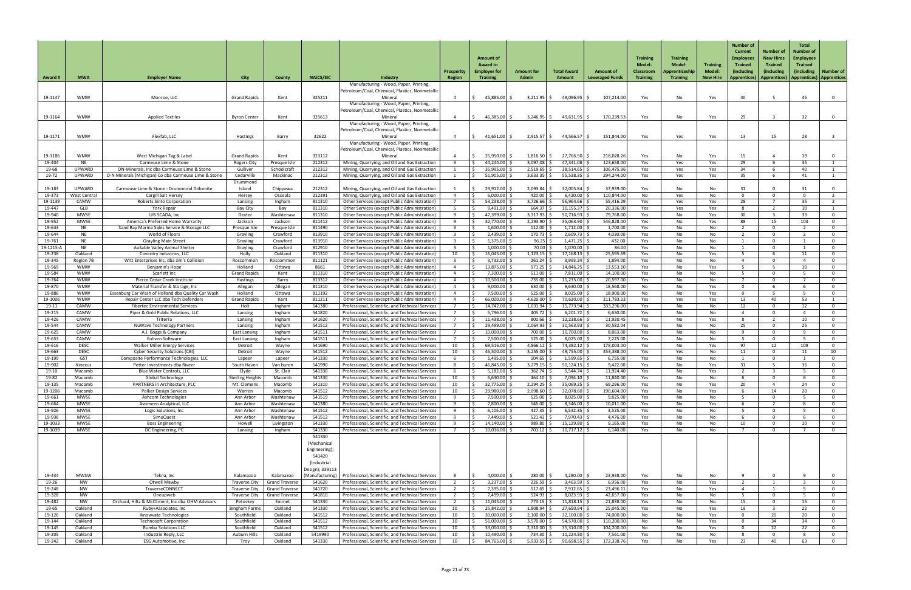| <b>Award #</b>     | <b>MWA</b>                 | <b>Employer Name</b>                                                             | <b>City</b>                                  | <b>County</b>                           | <b>NAICS/SIC</b>                                                                   | Industry                                                                                             | <b>Prosperit</b><br><b>Region</b> | <b>Amount of</b><br><b>Award to</b><br><b>Employer for</b><br><b>Training</b> | <b>Amount for</b><br><b>Admin</b> | <b>Total Award</b><br>Amount | <b>Amount of</b><br><b>Leveraged Funds</b> | <b>Training</b><br>Model:<br><b>Classroom</b><br><b>Training</b> | <b>Training</b><br><b>Model:</b><br>Apprenticeship<br><b>Training</b> | <b>Training</b><br>Model:<br><b>New Hire</b> | <b>Number of</b><br><b>Current</b><br><b>Employees</b><br><b>Trained</b><br>(including<br>  Apprentices) | <b>Number of</b><br><b>New Hires</b><br><b>Trained</b><br>(including<br>Apprentices)   Apprentices)   Apprentices | <b>Total</b><br>Number of<br><b>Employees</b><br><b>Trained</b><br>(including) | <b>Number of</b> |
|--------------------|----------------------------|----------------------------------------------------------------------------------|----------------------------------------------|-----------------------------------------|------------------------------------------------------------------------------------|------------------------------------------------------------------------------------------------------|-----------------------------------|-------------------------------------------------------------------------------|-----------------------------------|------------------------------|--------------------------------------------|------------------------------------------------------------------|-----------------------------------------------------------------------|----------------------------------------------|----------------------------------------------------------------------------------------------------------|-------------------------------------------------------------------------------------------------------------------|--------------------------------------------------------------------------------|------------------|
|                    |                            |                                                                                  |                                              |                                         |                                                                                    | Manufacturing - Wood, Paper, Printing,<br>Petroleum/Coal, Chemical, Plastics, Nonmetallic            |                                   |                                                                               |                                   |                              |                                            |                                                                  |                                                                       |                                              |                                                                                                          |                                                                                                                   |                                                                                |                  |
| 19-1147            | <b>WMW</b>                 | Monroe, LLC                                                                      | <b>Grand Rapids</b>                          | Kent                                    | 325211                                                                             | Mineral                                                                                              |                                   | 45,885.00 \$                                                                  | $3,211.95$ \$                     | 49,096.95 \$                 | 107,214.00                                 | Yes                                                              | No                                                                    | Yes                                          | 40                                                                                                       |                                                                                                                   | 45                                                                             |                  |
|                    |                            |                                                                                  |                                              |                                         |                                                                                    | Manufacturing - Wood, Paper, Printing,<br>Petroleum/Coal, Chemical, Plastics, Nonmetallic            |                                   |                                                                               |                                   |                              |                                            |                                                                  |                                                                       |                                              |                                                                                                          |                                                                                                                   |                                                                                |                  |
| 19-1164            | <b>WMW</b>                 | <b>Applied Textiles</b>                                                          | <b>Byron Center</b>                          | Kent                                    | 325613                                                                             | Mineral                                                                                              |                                   | 46,385.00 \$                                                                  | $3,246.95$ \$                     | $49,631.95$ \$               | 170,239.53                                 | Yes                                                              | No                                                                    | Yes                                          | 29                                                                                                       |                                                                                                                   | 32                                                                             |                  |
|                    |                            |                                                                                  |                                              |                                         |                                                                                    | Manufacturing - Wood, Paper, Printing,<br>Petroleum/Coal, Chemical, Plastics, Nonmetallic            |                                   |                                                                               |                                   |                              |                                            |                                                                  |                                                                       |                                              |                                                                                                          |                                                                                                                   |                                                                                |                  |
| 19-1171            | <b>WMW</b>                 | Flexfab, LLC                                                                     | Hastings                                     | Barry                                   | 32622                                                                              | Mineral                                                                                              |                                   | 41,651.00 \$                                                                  | 2,915.57                          | 44,566.57                    | 151,844.00                                 | Yes                                                              | Yes                                                                   | Yes                                          | 13                                                                                                       | 15                                                                                                                | 28                                                                             |                  |
|                    |                            |                                                                                  |                                              |                                         |                                                                                    | Manufacturing - Wood, Paper, Printing,<br>Petroleum/Coal, Chemical, Plastics, Nonmetallic            |                                   |                                                                               |                                   |                              |                                            |                                                                  |                                                                       |                                              |                                                                                                          |                                                                                                                   |                                                                                |                  |
| 19-1186            | <b>WMW</b>                 | West Michigan Tag & Label                                                        | <b>Grand Rapids</b>                          | Kent                                    | 323112                                                                             | Mineral                                                                                              |                                   | $25,950.00$ \$                                                                | 1,816.50                          | 27,766.50                    | 218,028.26                                 | Yes                                                              | No                                                                    | Yes                                          | 15                                                                                                       |                                                                                                                   | 19                                                                             |                  |
| 19-404<br>19-68    | <b>NE</b><br><b>UPWARD</b> | Carmeuse Lime & Stone<br>ON-Minerals, Inc dba Carmeuse Lime & Stone              | <b>Rogers City</b><br>Gulliver               | Presque Isle<br>Schoolcraft             | 212312<br>212312                                                                   | Mining, Quarrying, and Oil and Gas Extraction<br>Mining, Quarrying, and Oil and Gas Extraction       |                                   | 44,244.00<br>$35,995.00$ \$                                                   | 3,097.08<br>2,519.65              | 47,341.08<br>38,514.65       | 123,658.00<br>106,475.96                   | Yes<br>Yes                                                       | Yes<br>Yes                                                            | Yes<br>Yes                                   | 29<br>34                                                                                                 |                                                                                                                   | 35<br>40                                                                       |                  |
| 19-72              | <b>UPWARD</b>              | O-N Minerals (Michigan) Co dba Carmeuse Lime & Stone                             | Cedarville                                   | Mackinac                                | 212312                                                                             | Mining, Quarrying, and Oil and Gas Extraction                                                        |                                   | $51,905.00$ \$                                                                | $3,633.35$ \$                     | 55,538.35                    | 294,244.00                                 | Yes                                                              | Yes                                                                   | Yes                                          | 35 <sup>5</sup>                                                                                          |                                                                                                                   | 41                                                                             |                  |
| 19-183             | <b>UPWARD</b>              | Carmeuse Lime & Stone - Drummond Dolomite                                        | Drummond<br>Island                           | Chippewa                                | 212312                                                                             | Mining, Quarrying, and Oil and Gas Extraction                                                        |                                   | $29,912.00$ \$                                                                | 2,093.84                          | $32,005.84$ \$               | 37,939.00                                  | Yes                                                              | No                                                                    | No                                           | 31                                                                                                       |                                                                                                                   | 31                                                                             |                  |
| 19-373             | <b>West Central</b>        | Cargill Salt Hersey                                                              | Hersey                                       | Osceola                                 | 212391                                                                             | Mining, Quarrying, and Oil and Gas Extraction                                                        |                                   | 6,000.00                                                                      | 420.00                            | 6,420.00                     | 110,844.00                                 | No                                                               | Yes                                                                   | No                                           |                                                                                                          |                                                                                                                   |                                                                                |                  |
| 19-1139            | CAMW                       | <b>Roberts Sinto Corporation</b>                                                 | Lansing                                      | Ingham                                  | 811310                                                                             | Other Services (except Public Administration)                                                        |                                   | 53,238.00 \$                                                                  | 3,726.66                          | 56,964.66                    | 55,416.29                                  | Yes                                                              | Yes                                                                   | Yes                                          | 28                                                                                                       |                                                                                                                   | 35                                                                             |                  |
| 19-447<br>19-940   | <b>GLB</b><br><b>MWSE</b>  | York Repair<br>UIS SCADA, Inc                                                    | Bay City<br>Dexter                           | Bay<br>Washtenaw                        | 811310<br>811310                                                                   | Other Services (except Public Administration)<br>Other Services (except Public Administration)       |                                   | $9,491.00$ \$<br>47,399.00                                                    | $664.37$ \$<br>3,317.93           | 10,155.37<br>50,716.93       | 20,336.00<br>79,768.00                     | Yes<br>Yes                                                       | Yes<br>No                                                             | Yes<br>Yes                                   | 8<br>30 <sup>°</sup>                                                                                     |                                                                                                                   | 10 <sup>1</sup><br>33 <sup>2</sup>                                             |                  |
| 19-952             | <b>MWSE</b>                | America's Preferred Home Warranty                                                | Jackson                                      | Jackson                                 | 811412                                                                             | Other Services (except Public Administration)                                                        |                                   | $32,770.00$ \$                                                                | 2,293.90                          | 35,063.90                    | 546,828.00                                 | Yes                                                              | No                                                                    | Yes                                          | 88                                                                                                       | 15                                                                                                                | 103                                                                            |                  |
| 19-643<br>19-644   | <b>NE</b><br><b>NE</b>     | Sand Bay Marina Sales Service & Storage LLC<br>World of Floors                   | Presque Isle                                 | Presque Isle<br>Crawford                | 811490<br>813910                                                                   | Other Services (except Public Administration)                                                        |                                   | $1,600.00$ \$<br>2,439.00                                                     | 112.00<br>170.73                  | 1,712.00<br>2,609.73         | 1,700.00<br>4,030.00                       | Yes                                                              | No                                                                    | No                                           |                                                                                                          |                                                                                                                   |                                                                                |                  |
| 19-761             | <b>NE</b>                  | <b>Grayling Main Street</b>                                                      | Grayling<br>Grayling                         | Crawford                                | 813910                                                                             | Other Services (except Public Administration)<br>Other Services (except Public Administration)       | $\overline{2}$                    | $1,375.00$ \$<br>1 ¢                                                          | $96.25$ \$                        | $1,471.25$ \$                | 432.00                                     | Yes<br>Yes                                                       | No<br>No                                                              | No<br>No                                     |                                                                                                          |                                                                                                                   |                                                                                |                  |
| 19-1215-A          | <b>NE</b>                  | AuSable Valley Animal Shelter                                                    | Grayling                                     | Crawford                                | 812910                                                                             | Other Services (except Public Administration)                                                        |                                   | $1,000.00$ \$                                                                 | 70.00                             | 1,070.00                     | 86.00                                      | Yes                                                              | No.                                                                   | No                                           |                                                                                                          |                                                                                                                   |                                                                                |                  |
| 19-238<br>19-345   | Oakland<br>Region 7B       | Coventry Industries, LLC<br>Witt Enterprises Inc, dba Jim's Collision            | Holly<br>Roscommo                            | Oakland<br>Roscommon                    | 811310<br>811121                                                                   | Other Services (except Public Administration)<br>Other Services (except Public Administration)       | 10                                | 16,045.00<br>3,732.00 \$                                                      | 1,123.15<br>261.24                | 17,168.15<br>3,993.24        | 25,595.69<br>1,894.00                      | Yes<br>Yes                                                       | No.<br>No                                                             | Yes<br>No                                    |                                                                                                          |                                                                                                                   |                                                                                |                  |
| 19-569             | <b>WMW</b>                 | Benjamin's Hope                                                                  | Holland                                      | Ottawa                                  | 8661                                                                               | Other Services (except Public Administration)                                                        |                                   | 13,875.00                                                                     | $971.25$ \$                       | 14,846.25                    | 13,553.10                                  | Yes                                                              | No                                                                    | Yes                                          | -5.                                                                                                      |                                                                                                                   | 10                                                                             |                  |
| 19-584             | <b>WMW</b>                 | Scarlett Inc                                                                     | <b>Grand Rapids</b>                          | Kent                                    | 811310                                                                             | Other Services (except Public Administration)                                                        |                                   | 7,300.00   \$                                                                 | 511.00                            | 7,811.00                     | 14,100.00                                  | Yes                                                              | No                                                                    | No                                           |                                                                                                          |                                                                                                                   |                                                                                |                  |
| 19-764<br>19-870   | <b>WMW</b><br><b>WMW</b>   | Pierce Cedar Creek Institute<br>Material Transfer & Storage, Inc                 | <b>Hastings</b><br>Allegan                   | Barry<br>Allegan                        | 813312<br>811310                                                                   | Other Services (except Public Administration)<br>Other Services (except Public Administration)       |                                   | 10,500.00   \$<br>9,000.00                                                    | 735.00<br>630.00                  | 11,235.00<br>9,630.00        | 20,597.00<br>18,568.00                     | Yes<br>No                                                        | No.<br>No                                                             | No<br>Yes                                    | $\Omega$                                                                                                 |                                                                                                                   |                                                                                |                  |
| 19-886             | <b>WMW</b>                 | Essenburg Car Wash of Holland dba Quality Car Wash                               | Holland                                      | Ottawa                                  | 811192                                                                             | <b>Other Services (except Public Administration)</b>                                                 |                                   | 7,500.00   \$                                                                 | 525.00                            | 8,025.00                     | 18,900.00                                  | No                                                               | No                                                                    | Yes                                          | $\Omega$                                                                                                 |                                                                                                                   |                                                                                |                  |
| 19-1006            | <b>WMW</b>                 | Repair Center LLC dba Tech Defenders                                             | <b>Grand Rapids</b>                          | Kent                                    | 811211                                                                             | Other Services (except Public Administration)                                                        |                                   | $66,000.00$ $\mid$ \$                                                         | 4,620.00                          | 70,620.00                    | 211,783.23                                 | Yes                                                              | Yes                                                                   | Yes                                          | 13                                                                                                       | 40                                                                                                                | 53                                                                             |                  |
| 19-11<br>19-215    | <b>CAMW</b><br><b>CAMW</b> | <b>Fibertec Environmental Services</b><br>Piper & Gold Public Relations, LLC     | Holt<br>Lansing                              | Ingham<br>Ingham                        | 541380<br>541820                                                                   | Professional, Scientific, and Technical Services<br>Professional, Scientific, and Technical Services |                                   | 14,742.00<br>5,796.00                                                         | 1,031.94<br>405.72                | 15,773.94  <br>6,201.72      | 333,296.00<br>6,650.00                     | Yes<br>Yes                                                       | No<br>No.                                                             | No<br>No                                     | 12                                                                                                       |                                                                                                                   | 12                                                                             |                  |
| 19-426             | <b>CAMW</b>                | Triterra                                                                         | Lansing                                      | Ingham                                  | 541620                                                                             | Professional, Scientific, and Technical Services                                                     |                                   | 11,438.00                                                                     | 800.66                            | 12,238.66                    | 11,920.45                                  | Yes                                                              | No                                                                    | Yes                                          | 8                                                                                                        |                                                                                                                   | 10                                                                             |                  |
| 19-544<br>19-625   | CAMW<br>CAMW               | <b>NuWave Technology Partners</b><br>A.J. Boggs & Company                        | Lansing<br><b>East Lansing</b>               | Ingham<br>Ingham                        | 541512<br>541511                                                                   | Professional, Scientific, and Technical Services<br>Professional, Scientific, and Technical Services |                                   | 29,499.00<br>$10,000.00$ \$                                                   | 2,064.93<br>700.00                | 31,563.93<br>10,700.00       | 30,582.04<br>8,863.00                      | Yes<br>Yes                                                       | No<br>No                                                              | No<br>No                                     | 25                                                                                                       |                                                                                                                   | 25                                                                             |                  |
| 19-653             | <b>CAMW</b>                | <b>Enliven Software</b>                                                          | <b>East Lansing</b>                          | Ingham                                  | 541511                                                                             | Professional, Scientific, and Technical Services                                                     |                                   | 7,500.00 \$                                                                   | 525.00                            | 8,025.00                     | 7,225.00                                   | Yes                                                              | No.                                                                   | No                                           |                                                                                                          |                                                                                                                   |                                                                                |                  |
| 19-616             | <b>DESC</b>                | <b>Walker Miller Energy Services</b>                                             | Detroit                                      | Wayne                                   | 541690                                                                             | Professional, Scientific, and Technical Services                                                     | 10                                | 69,516.00                                                                     | 4,866.12                          | 74,382.12                    | 178,003.00                                 | Yes                                                              | No.                                                                   | Yes                                          | 97                                                                                                       | 12                                                                                                                | 109                                                                            |                  |
| 19-663<br>19-199   | <b>DESC</b><br><b>GST</b>  | <b>Cyber Security Solutions (CBI)</b><br>Composite Performance Technologies, LLC | Detroit<br>Lapeer                            | Wayne<br>Lapeer                         | 541512<br>541330                                                                   | Professional, Scientific, and Technical Services<br>Professional, Scientific, and Technical Services | 10                                | 46,500.00<br>$1,495.00$ \$                                                    | 3,255.00<br>104.65                | 49,755.00<br>1,599.65        | 453,388.00<br>6,755.00                     | Yes<br>Yes                                                       | Yes<br>No.                                                            | No<br>No                                     | 11                                                                                                       |                                                                                                                   |                                                                                | 10               |
| 19-902             | Kinexus                    | Petter Investments dba Riveer                                                    | South Haver                                  | Van buren                               | 541990                                                                             | Professional, Scientific, and Technical Services                                                     |                                   | 46,845.00                                                                     | 3,279.15                          | 50,124.15                    | 9,422.00                                   | Yes                                                              | No                                                                    | Yes                                          | 31                                                                                                       |                                                                                                                   | -36                                                                            |                  |
| 19-10              | Macomb                     | <b>Blue Water Controls, LLC</b>                                                  | Clyde                                        | St. Clair                               | 541330                                                                             | Professional, Scientific, and Technical Services                                                     |                                   | $5,182.00$ \$                                                                 | 362.74                            | 5,544.74                     | 11,924.40                                  | Yes                                                              | No.                                                                   | Yes                                          |                                                                                                          |                                                                                                                   |                                                                                |                  |
| 19-82<br>19-135    | Macomb<br>Macomb           | <b>Global Technology</b><br>PARTNERS in Architecture, PLC                        | <b>Sterling Heigh</b><br>Mt. Clemens         | Macomb<br>Macomb                        | 541330<br>541310                                                                   | Professional, Scientific, and Technical Services<br>Professional, Scientific, and Technical Services | 10<br>10                          | $6,630.00$ \;<br>32,775.00                                                    | 464.10<br>2,294.25                | 7,094.10<br>35,069.25        | 11,840.00<br>69,296.00                     | Yes<br>Yes                                                       | No<br>No                                                              | No<br>Yes                                    | 20                                                                                                       |                                                                                                                   | 24                                                                             |                  |
| 19-1206            | Macomb                     | <b>Polker Design Services</b>                                                    | Warren                                       | Macomb                                  | 541512                                                                             | Professional, Scientific, and Technical Services                                                     | 10                                | 29,980.00 \$                                                                  | $2,098.60$ \$                     | 32,078.60                    | 190,604.00                                 | Yes                                                              | No                                                                    | Yes                                          |                                                                                                          | 14                                                                                                                | 20                                                                             |                  |
| 19-661<br>19-664   | <b>MWSE</b><br><b>MWSE</b> | <b>Ashcom Technologies</b><br>Avomeen Analytical, LLC                            | Ann Arbor<br>Ann Arbor                       | Washtenaw<br>Washtenaw                  | 541519<br>541380                                                                   | Professional, Scientific, and Technical Services<br>Professional, Scientific, and Technical Services |                                   | 7,500.00 \$<br>7,800.00   \$                                                  | 525.00<br>546.00                  | 8,025.00<br>8,346.00         | 9,825.00<br>10,011.00                      | Yes<br>Yes                                                       | No.<br>No.                                                            | No<br>Yes                                    |                                                                                                          |                                                                                                                   |                                                                                |                  |
| 19-926             | <b>MWSE</b>                | Logic Solutions, Inc.                                                            | Ann Arbor                                    | Washtenaw                               | 541512                                                                             | Professional, Scientific, and Technical Services                                                     |                                   | 6,105.00                                                                      | 427.35                            | 6,532.35                     | 3,525.00                                   | Yes                                                              | No.                                                                   | No                                           |                                                                                                          |                                                                                                                   |                                                                                |                  |
| 19-936             | <b>MWSE</b>                | <b>SimuQuest</b>                                                                 | Ann Arbor                                    | Washtenaw                               | 541512                                                                             | Professional, Scientific, and Technical Services                                                     |                                   | 7,449.00                                                                      | 521.43                            | 7,970.43                     | 4,476.00                                   | Yes                                                              | No                                                                    | No                                           |                                                                                                          |                                                                                                                   |                                                                                |                  |
| 19-1033<br>19-1039 | <b>MWSE</b><br><b>MWSE</b> | <b>Boss Engineering</b><br>DC Engineering, PC                                    | Howell<br>Lansing                            | Livingston<br>Ingham                    | 541330<br>541330                                                                   | Professional, Scientific, and Technical Services<br>Professional, Scientific, and Technical Services |                                   | 14,140.00<br>$10,016.00$ $\mid$                                               | 989.80<br>$701.12$ \$             | 15,129.80<br>10,717.12       | 9,165.00<br>6,140.00                       | Yes<br>Yes                                                       | No<br>No.                                                             | No<br>No                                     | 10                                                                                                       |                                                                                                                   | 10                                                                             |                  |
|                    |                            |                                                                                  |                                              |                                         | 541330<br>(Mechanical<br>Engineering);<br>541420<br>(Industrial<br>Design); 339113 |                                                                                                      |                                   |                                                                               |                                   |                              |                                            |                                                                  |                                                                       |                                              |                                                                                                          |                                                                                                                   |                                                                                |                  |
| 19-434             | <b>MWSW</b>                | Tekna, Inc                                                                       | Kalamazoo                                    | Kalamazoo                               | (Manufacturing)                                                                    | Professional, Scientific, and Technical Services                                                     |                                   | $4,000.00$ \$                                                                 | 280.00                            | 4,280.00 \$                  | 23,938.00                                  | Yes                                                              | No.                                                                   | No                                           |                                                                                                          |                                                                                                                   |                                                                                |                  |
| 19-26              | NW                         | Otwell Mawby                                                                     | <b>Traverse City</b>                         | <b>Grand Traverse</b>                   | 541620                                                                             | Professional, Scientific, and Technical Services                                                     |                                   | $3,237.00$ \$                                                                 | $226.59$ \$                       | $3,463.59$ \$                | 6,956.00                                   | Yes                                                              | No                                                                    | Yes                                          |                                                                                                          |                                                                                                                   |                                                                                |                  |
| 19-248<br>19-328   | NW<br><b>NW</b>            | TraverseCONNECT<br>Oneupweb                                                      | <b>Traverse City</b><br><b>Traverse City</b> | Grand Traverse<br><b>Grand Traverse</b> | 541720<br>541810                                                                   | Professional, Scientific, and Technical Services<br>Professional, Scientific, and Technical Services |                                   | 7,395.00 \$<br>7,499.00 \$                                                    | $517.65$ \$<br>524.93             | $7,912.65$ \$<br>8,023.93    | 23,496.11<br>42,657.00                     | Yes<br>Yes                                                       | No<br>No.                                                             | Yes<br>No                                    |                                                                                                          |                                                                                                                   |                                                                                |                  |
| 19-482             | <b>NW</b>                  | Orchard, Hiltz & McCliment, Inc dba OHM Advisors                                 | Petoskey                                     | Emmet                                   | 541330                                                                             | Professional, Scientific, and Technical Services                                                     |                                   | $11,045.00$ \$                                                                | 773.15                            | $11,818.15$ :                | 21,838.00                                  | Yes                                                              | No                                                                    | No                                           | 15                                                                                                       |                                                                                                                   | 15                                                                             |                  |
| 19-65<br>19-126    | Oakland<br>Oakland         | Ruby+Associates, Inc<br>Iknowvate Technologies                                   | <b>Bingham Farms</b><br>Southfield           | Oakland<br>Oakland                      | 541330<br>541512                                                                   | Professional, Scientific, and Technical Services<br>Professional, Scientific, and Technical Services | 10<br>10                          | 25,842.00<br>$30,000.00$ \$                                                   | 1,808.94<br>$2,100.00$ \$         | 27,650.94<br>32,100.00       | 25,045.00<br>74,000.00                     | Yes<br>No                                                        | No.<br>No                                                             | Yes<br>Yes                                   | 19<br>$\Omega$                                                                                           | 20                                                                                                                | 22<br>20 <sub>o</sub>                                                          |                  |
| 19-144             | Oakland                    | <b>Technosoft Corporation</b>                                                    | Southfield                                   | Oakland                                 | 541512                                                                             | Professional, Scientific, and Technical Services                                                     | 10                                | $51,000.00$ \$                                                                | 3,570.00                          | 54,570.00 \$                 | 110,200.00                                 | No                                                               | No.                                                                   | Yes                                          | $\Omega$                                                                                                 | 34                                                                                                                | 34                                                                             |                  |
| 19-145             | Oakland                    | <b>Rumba Solutions LLC</b>                                                       | Southfield                                   | Oakland                                 | 541512                                                                             | Professional, Scientific, and Technical Services                                                     | 10                                | 33,000.00                                                                     | 2,310.00                          | 35,310.00                    | 104,200.00                                 | No                                                               | No                                                                    | Yes                                          |                                                                                                          | 22                                                                                                                | 22                                                                             |                  |
| 19-205<br>19-242   | Oakland<br>Oakland         | Industrie Reply, LLC<br><b>ESG Automotive, Inc</b>                               | <b>Auburn Hills</b><br>Troy                  | Oakland<br>Oakland                      | 5419990<br>541330                                                                  | Professional, Scientific, and Technical Services<br>Professional, Scientific, and Technical Services | 10<br>10                          | $10,490.00$ \$<br>84,765.00 \$                                                | 734.30<br>$5,933.55$ \$           | 11,224.30<br>$90,698.55$ \$  | 7,561.00<br>172,338.76                     | Yes<br>Yes                                                       | No.<br>No                                                             | No<br>Yes                                    | -8<br>23                                                                                                 | 40                                                                                                                | 63                                                                             |                  |
|                    |                            |                                                                                  |                                              |                                         |                                                                                    |                                                                                                      |                                   |                                                                               |                                   |                              |                                            |                                                                  |                                                                       |                                              |                                                                                                          |                                                                                                                   |                                                                                |                  |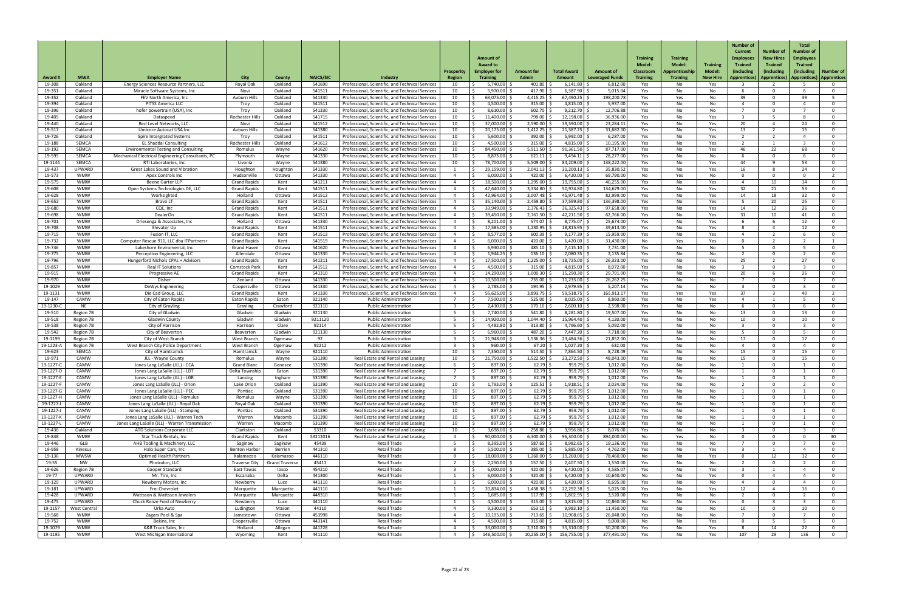| Award #                | <b>MWA</b>                 | <b>Employer Name</b>                                                          | <b>City</b>                                 | <b>County</b>         | <b>NAICS/SIC</b> | <b>Industry</b>                                                                                      | <b>Prosperit</b><br><b>Region</b> | <b>Amount of</b><br><b>Award to</b><br><b>Employer for</b><br><b>Training</b> | <b>Amount for</b><br><b>Admin</b> | <b>Total Award</b><br>Amount | <b>Amount of</b><br><b>Leveraged Funds</b> | <b>Training</b><br><b>Model</b><br><b>Classroom</b><br><b>Training</b> | <b>Training</b><br>Model:<br>Apprenticeship<br><b>Training</b> | <b>Training</b><br>Model<br><b>New Hire</b> | <b>Number of</b><br><b>Current</b><br><b>Employees</b><br><b>Trained</b><br>(including<br>Apprentices) | Number of<br><b>New Hires</b><br><b>Trained</b><br>(including<br>Apprentices)   Apprentices)   Apprentices | <b>Total</b><br>Number of<br><b>Employees</b><br><b>Trained</b><br>(including) | <b>Number of</b>                 |
|------------------------|----------------------------|-------------------------------------------------------------------------------|---------------------------------------------|-----------------------|------------------|------------------------------------------------------------------------------------------------------|-----------------------------------|-------------------------------------------------------------------------------|-----------------------------------|------------------------------|--------------------------------------------|------------------------------------------------------------------------|----------------------------------------------------------------|---------------------------------------------|--------------------------------------------------------------------------------------------------------|------------------------------------------------------------------------------------------------------------|--------------------------------------------------------------------------------|----------------------------------|
| 19-308                 | Oakland                    | Energy Sciences Resource Partners, LLC                                        | Royal Oak                                   | Oakland               | 541690           | Professional, Scientific, and Technical Services                                                     | 10                                | 5,740.00                                                                      | 401.80                            | 6,141.80                     | 6,812.00                                   | Yes                                                                    | No                                                             | Yes                                         |                                                                                                        |                                                                                                            |                                                                                | 0                                |
| 19-351                 | Oakland                    | Miracle Software Systems, Inc.                                                | Novi                                        | Oakland               | 541511           | Professional, Scientific, and Technical Services                                                     | 10                                | 5,970.00                                                                      | 417.90                            | 6,387.90                     | 5,015.04                                   | Yes                                                                    | No.                                                            | No                                          |                                                                                                        | $\Omega$                                                                                                   |                                                                                | . റ                              |
| 19-352<br>19-394       | Oakland<br>Oakland         | FEV North America, Inc.<br><b>PITSS America LLC</b>                           | Auburn Hills<br>Troy                        | Oakland<br>Oakland    | 541330<br>541511 | Professional, Scientific, and Technical Services<br>Professional, Scientific, and Technical Services | 10<br>10                          | $63,075.00$ $\vert$ :<br>4,500.00 \$                                          | 4,415.25<br>315.00                | 67,490.25<br>4,815.00        | 198,200.78<br>5,937.00                     | Yes<br>Yes                                                             | Yes<br>No.                                                     | No<br>No                                    | 39<br>$\Delta$                                                                                         | റ<br>$\Omega$                                                                                              | -30                                                                            | $\overline{0}$                   |
| 19-396                 | Oakland                    | hofer powertrain (USA), Inc                                                   | Troy                                        | Oakland               | 541330           | Professional, Scientific, and Technical Services                                                     | 10                                | 8,610.00                                                                      | 602.70                            | 9,212.70                     | 12,706.88                                  | Yes                                                                    | No.                                                            | No                                          |                                                                                                        | $\Omega$                                                                                                   |                                                                                | $\Omega$                         |
| 19-405                 | Oakland                    | Dataspeed                                                                     | Rochester Hills                             | Oakland               | 541715           | Professional, Scientific, and Technical Services                                                     | 10                                | 11,400.00                                                                     | 798.00                            | 12,198.00                    | 36,936.00                                  | Yes                                                                    | No                                                             | Yes                                         |                                                                                                        |                                                                                                            |                                                                                | $\Omega$                         |
| 19-440<br>19-517       | Oakland<br>Oakland         | Red Level Networks, LLC<br>Umicore Autocat USA Inc                            | Novi<br>Auburn Hills                        | Oakland<br>Oakland    | 541512<br>541380 | Professional, Scientific, and Technical Services<br>Professional, Scientific, and Technical Services | 10<br>10                          | $37,000.00$ $\mid$ 3<br>20,175.00                                             | 2,590.00<br>1,412.25              | 39,590.00<br>21,587.25       | 23,284.11<br>31,682.00                     | Yes<br>Yes                                                             | No<br>No.                                                      | Yes<br>Yes                                  | 20<br>13                                                                                               |                                                                                                            | 24<br>15                                                                       | $\Omega$<br>- 0                  |
| 19-726                 | Oakland                    | Spire Intergrated Systems                                                     | Troy                                        | Oakland               | 541511           | Professional, Scientific, and Technical Services                                                     | 10                                | 5,600.00                                                                      | 392.00                            | 5,992.00                     | 6,287.00                                   | Yes                                                                    | No.                                                            | Yes                                         | $\overline{2}$                                                                                         |                                                                                                            |                                                                                | $\Omega$                         |
| 19-188                 | SEMCA                      | <b>EL Shaddai Consulting</b>                                                  | Rochester Hills                             | Oakland               | 541612           | Professional, Scientific, and Technical Services                                                     | 10                                | 4,500.00 $\frac{3}{7}$                                                        | 315.00                            | 4,815.00                     | 10,195.00                                  | Yes                                                                    | No.                                                            | Yes                                         | 2                                                                                                      |                                                                                                            |                                                                                | $\mathbf 0$                      |
| 19-192                 | SEMCA                      | <b>Environmental Testing and Consulting</b>                                   | Romulus                                     | Wayne                 | 541620           | Professional, Scientific, and Technical Services                                                     | 10                                | 84,450.00                                                                     | 5,911.50                          | 90,361.50                    | 87,717.00                                  | Yes                                                                    | No                                                             | Yes                                         | 46                                                                                                     | 22<br>$\Omega$                                                                                             | 68.                                                                            | $\mathbf 0$                      |
| 19-595<br>19-1144      | <b>SEMCA</b><br>SEMCA      | Mechanical Electrical Engineering Consultants, PC<br>RTI Laboratories, Inc.   | Plymouth<br>Livonia                         | Wayne<br>Wayne        | 541330<br>541380 | Professional, Scientific, and Technical Services<br>Professional, Scientific, and Technical Services | 10<br>10                          | 8,873.00<br>78,700.00                                                         | 621.11<br>5,509.00                | 9,494.11<br>84,209.00        | 28,277.00<br>138,222.00                    | Yes<br>Yes                                                             | No<br>No.                                                      | No<br>Yes                                   | 44                                                                                                     | <b>Q</b>                                                                                                   | 53                                                                             | $\Omega$<br>- 0                  |
| 19-437                 | <b>UPWARD</b>              | <b>Great Lakes Sound and Vibration</b>                                        | Houghton                                    | Houghton              | 541330           | Professional, Scientific, and Technical Services                                                     |                                   | 29,159.00                                                                     | 2,041.13                          | 31,200.13                    | 35,830.52                                  | Yes                                                                    | No                                                             | Yes                                         | 16                                                                                                     |                                                                                                            | 24                                                                             | $\mathbf 0$                      |
| 19-573                 | <b>WMW</b>                 | <b>Apex Controls Inc</b>                                                      | Hudsonville                                 | Ottawa                | 541330           | Professional, Scientific, and Technical Services                                                     |                                   | $6,000.00$ \$                                                                 | 420.00                            | 6,420.00                     | 69,790.00                                  | No                                                                     | Yes                                                            | No                                          | $\cap$                                                                                                 | $\Omega$                                                                                                   |                                                                                | $\overline{\phantom{a}}$         |
| 19-575<br>19-608       | <b>WMW</b><br><b>WMW</b>   | <b>Beene Garter LLP</b><br>Open Systems Technologies DE, LLC                  | <b>Grand Rapids</b><br><b>Grand Rapids</b>  | Kent<br>Kent          | 541211<br>541511 | Professional, Scientific, and Technical Services<br>Professional, Scientific, and Technical Services |                                   | 18,500.00 S<br>47,640.00                                                      | 1,295.00<br>3,334.80              | 19,795.00<br>50,974.80       | 40,255.00<br>134,679.00                    | Yes<br>Yes                                                             | No.<br>No                                                      | Yes<br>Yes                                  | $\Lambda$<br>32                                                                                        | 10<br>21                                                                                                   | 14<br>53                                                                       | $\mathbf 0$<br>$\Omega$          |
| 19-628                 | <b>WMW</b>                 | Worksighted                                                                   | Holland                                     | Ottawa                | 541512           | Professional, Scientific, and Technical Services                                                     |                                   | 42,964.00                                                                     | 3,007.48                          | 45,971.48                    | 82,999.00                                  | Yes                                                                    | No.                                                            | Yes                                         | 14                                                                                                     | 18                                                                                                         | 32                                                                             | $\mathbf{0}$                     |
| 19-652                 | <b>WMW</b>                 | <b>Bravo LT</b>                                                               | <b>Grand Rapids</b>                         | Kent                  | 541511           | Professional, Scientific, and Technical Services                                                     |                                   | 35,140.00                                                                     | 2,459.80                          | 37,599.80                    | 136,398.00                                 | Yes                                                                    | No                                                             | Yes                                         | -5.                                                                                                    | 20                                                                                                         | 25                                                                             | $\mathbf{0}$                     |
| 19-680<br>19-698       | <b>WMW</b><br><b>WMW</b>   | CQL, Inc<br>DealerOn                                                          | <b>Grand Rapids</b><br><b>Grand Rapids</b>  | Kent<br>Kent          | 541511<br>541511 | Professional, Scientific, and Technical Services<br>Professional, Scientific, and Technical Services |                                   | 33,949.00<br>39,450.00                                                        | 2,376.43<br>2,761.50              | 36,325.43<br>42,211.50       | 97,658.00<br>62,766.00                     | Yes<br>Yes                                                             | No<br>No.                                                      | Yes<br>Yes                                  | 14<br>31                                                                                               | 12<br>10                                                                                                   | 26<br>41                                                                       | $\mathbf 0$<br>$\mathbf{0}$      |
| 19-701                 | <b>WMW</b>                 | Driesenga & Associates, Inc                                                   | Holland                                     | Ottawa                | 541330           | Professional, Scientific, and Technical Services                                                     |                                   | 8,201.00                                                                      | 574.07                            | 8,775.07                     | 25,674.00                                  | Yes                                                                    | No                                                             | Yes                                         |                                                                                                        |                                                                                                            | $12 \overline{ }$                                                              | $\mathbf{0}$                     |
| 19-708                 | <b>WMW</b>                 | Elevator Up                                                                   | <b>Grand Rapids</b>                         | Kent                  | 541511           | Professional, Scientific, and Technical Services                                                     |                                   | 17,585.00                                                                     | 1,230.95                          | 18,815.95                    | 39,613.00                                  | Yes                                                                    | No.                                                            | Yes                                         |                                                                                                        |                                                                                                            |                                                                                | $\Omega$                         |
| 19-715                 | <b>WMW</b>                 | Fusion IT, LLC                                                                | <b>Grand Rapids</b>                         | Kent                  | 541513           | Professional, Scientific, and Technical Services                                                     |                                   | 8,577.00                                                                      | 600.39                            | 9,177.39                     | 15,959.00                                  | Yes                                                                    | No.                                                            | Yes                                         | $\Omega$                                                                                               | ົາ                                                                                                         |                                                                                | $\overline{0}$                   |
| 19-732<br>19-746       | <b>WMW</b><br><b>WMW</b>   | Computer Rescue 911, LLC dba ITPartners+<br>Lakeshore Enviromental, Inc       | <b>Grand Rapids</b><br><b>Grand Haver</b>   | Kent<br>Ottawa        | 541519<br>541620 | Professional, Scientific, and Technical Services<br>Professional, Scientific, and Technical Services |                                   | $6,000.00$ \$<br>6,930.00                                                     | $420.00$ \$<br>485.10             | $6,420.00$ \$<br>7,415.10    | 31,430.00<br>7,731.00                      | No<br>Yes                                                              | Yes<br>No.                                                     | Yes<br>No                                   |                                                                                                        | $\Omega$                                                                                                   |                                                                                | റ                                |
| 19-775                 | <b>WMW</b>                 | Perception Engineering, LLC                                                   | Allendale                                   | Ottawa                | 541330           | Professional, Scientific, and Technical Services                                                     |                                   | 1,944.25                                                                      | 136.10                            | 2,080.35                     | 2,135.84                                   | Yes                                                                    | No.                                                            | No                                          |                                                                                                        | 0                                                                                                          |                                                                                |                                  |
| 19-796                 | <b>WMW</b>                 | Hungerford Nichols CPAs + Advisors                                            | <b>Grand Rapids</b>                         | Kent                  | 541211           | Professional, Scientific, and Technical Services                                                     |                                   | 7,500.00                                                                      | 1,225.00                          | 18,725.00                    | 26,323.00                                  | Yes                                                                    | No.                                                            | Yes                                         | 25                                                                                                     |                                                                                                            | 27                                                                             |                                  |
| 19-857<br>19-915       | <b>WMW</b><br><b>WMW</b>   | <b>Real IT Solutions</b>                                                      | <b>Comstock Park</b><br><b>Grand Rapids</b> | Kent                  | 541512<br>541310 | Professional, Scientific, and Technical Services<br>Professional, Scientific, and Technical Services |                                   | 4,500.00<br>14,290.00                                                         | 315.00<br>1,000.30                | 4,815.00<br>15,290.30        | 8,072.00<br>29,791.00                      | Yes                                                                    | No<br>No.                                                      | No                                          | ્ર<br>20                                                                                               | $\Omega$                                                                                                   | -26                                                                            | . വ                              |
| 19-970                 | <b>WMW</b>                 | <b>Progressive AE</b><br>Disher                                               | Zeeland                                     | Kent<br>Ottawa        | 541330           | Professional, Scientific, and Technical Services                                                     |                                   | 10,500.00                                                                     | 735.00                            | 11,235.00                    | 26,262.25                                  | Yes<br>Yes                                                             | No.                                                            | Yes<br>No                                   |                                                                                                        | n.                                                                                                         |                                                                                | റ                                |
| 19-1029                | <b>WMW</b>                 | DeWys Engineering                                                             | Coopersville                                | Ottawa                | 541330           | Professional, Scientific, and Technical Services                                                     |                                   | 2,785.00                                                                      | 194.95                            | 2,979.95                     | 5,207.14                                   | Yes                                                                    | No                                                             | No                                          | ્ર                                                                                                     | $\Omega$                                                                                                   |                                                                                |                                  |
| 19-1131                | <b>WMW</b>                 | Die Cad Group, LLC                                                            | <b>Grand Rapids</b>                         | Kent                  | 541330           | Professional, Scientific, and Technical Services                                                     |                                   | 55,625.00                                                                     | 3,893.75                          | 59,518.75                    | 165,913.17                                 | Yes                                                                    | Yes                                                            | Yes                                         | 37                                                                                                     |                                                                                                            | -40                                                                            |                                  |
| 19-147<br>19-1230-0    | CAMW<br>NE                 | City of Eaton Rapids<br>City of Grayling                                      | <b>Eaton Rapids</b><br>Grayling             | Eaton<br>Crawford     | 921140<br>921110 | <b>Public Administration</b><br><b>Public Administration</b>                                         |                                   | 7,500.00<br>$2,430.00$ :                                                      | 525.00<br>170.10                  | 8,025.00<br>2,600.10         | 8,860.00<br>2,598.00                       | Yes<br>Yes                                                             | No<br>No.                                                      | Yes<br>No                                   | 4                                                                                                      | $\Omega$                                                                                                   |                                                                                |                                  |
| 19-510                 | Region 7B                  | City of Gladwin                                                               | Gladwir                                     | Gladwin               | 921130           | <b>Public Administration</b>                                                                         |                                   | ,740.00                                                                       | 541.80                            | 8,281.80                     | 19,507.00                                  | Yes                                                                    | No.                                                            | No                                          | 13                                                                                                     |                                                                                                            |                                                                                |                                  |
| 19-518                 | Region 7B                  | <b>Gladwin County</b>                                                         | Gladwir                                     | Gladwin               | 9211120          | <b>Public Administration</b>                                                                         |                                   | 14,920.00                                                                     | 1,044.40                          | 15,964.40                    | 4,120.00                                   | Yes                                                                    | No.                                                            | No                                          | 10                                                                                                     | $\Omega$                                                                                                   |                                                                                |                                  |
| 19-538<br>19-542       | Region 7B<br>Region 7B     | City of Harrison<br>City of Beaverton                                         | Harrison<br>Beavertor                       | Clare<br>Gladwin      | 92114<br>921130  | <b>Public Administration</b><br><b>Public Administration</b>                                         |                                   | 4,482.80<br>6,960.00                                                          | 313.80<br>487.20                  | 4,796.60<br>7,447.20         | 5,092.00<br>7,718.00                       | Yes<br>Yes                                                             | No.<br>No                                                      | No<br>No                                    | ્ર                                                                                                     | റ<br>$\Omega$                                                                                              |                                                                                | 0                                |
| 19-1199                | Region 7B                  | City of West Branch                                                           | West Branch                                 | Ogemaw                | 92               | <b>Public Administration</b>                                                                         |                                   | 21,948.00                                                                     | 1,536.36                          | 23,484.36                    | 21,852.00                                  | Yes                                                                    | No.                                                            | No                                          | 17                                                                                                     | $\Omega$                                                                                                   | 17                                                                             |                                  |
| 19-1223-A              | Region 7B                  | West Branch City Police Department                                            | West Branch                                 | Ogemaw                | 92212            | <b>Public Administration</b>                                                                         |                                   | 960.00                                                                        | 67.20                             | 1,027.20                     | 632.00                                     | Yes                                                                    | No.                                                            | No                                          | $\Delta$                                                                                               | - 0                                                                                                        |                                                                                | — ∩                              |
| 19-623                 | SEMCA<br>CAMW              | City of Hamtramck                                                             | Hamtramck                                   | Wayne                 | 921110<br>531390 | <b>Public Administration</b><br>Real Estate and Rental and Leasing                                   | 10                                | 7,350.00<br>21,750.00                                                         | 514.50<br>1,522.50                | 7,864.50                     | 8,728.49                                   | Yes                                                                    | No.                                                            | No                                          | 15                                                                                                     | $\Omega$<br>$\Omega$                                                                                       |                                                                                | - 0                              |
| 19-971<br>19-1227-0    | CAMW                       | JLL - Wayne County<br>Jones Lang LaSalle (JLL) - CCA                          | Romulus<br><b>Grand Blanc</b>               | Wayne<br>Genesee      | 531390           | Real Estate and Rental and Leasing                                                                   | 10                                | 897.00 \$                                                                     | 62.79                             | 23,272.50<br>959.79          | 48,043.00<br>1,012.00                      | Yes<br>Yes                                                             | No.<br>No.                                                     | No<br>No                                    | 15                                                                                                     | n.                                                                                                         | 15                                                                             | റ                                |
| 19-1227-D              | CAMW                       | Jones Lang LaSalle (JLL) - LDT                                                | Delta Township                              | Eaton                 | 531390           | Real Estate and Rental and Leasing                                                                   |                                   | $897.00$ \$                                                                   | 62.79                             | 959.79                       | 1,012.00                                   | Yes                                                                    | No                                                             | No                                          |                                                                                                        | $\Omega$                                                                                                   |                                                                                | $\Omega$                         |
| 19-1227-               | CAMW                       | Jones Lang LaSalle (JLL) - LGR                                                | Lansing                                     | Ingham                | 531390           | Real Estate and Rental and Leasing                                                                   |                                   | 897.00                                                                        | 62.79                             | 959.79                       | 1,012.00                                   | Yes                                                                    | No.                                                            | No                                          |                                                                                                        | . വ                                                                                                        |                                                                                |                                  |
| 19-1227-F<br>19-1227-C | <b>CAMW</b><br><b>CAMW</b> | Jones Lang LaSalle (JLL) - Orion<br>Jones Lang LaSalle (JLL) - PEC            | Lake Orior<br>Pontiac                       | Oakland<br>Oakland    | 531390<br>531390 | Real Estate and Rental and Leasing<br>Real Estate and Rental and Leasing                             | 10<br>10                          | 1,793.00 S<br>897.00 \$                                                       | 125.51<br>62.79                   | 1,918.51<br>959.79           | 2,024.00<br>1,012.00                       | Yes<br>Yes                                                             | No.<br>No                                                      | No<br>No                                    |                                                                                                        | $\Omega$<br>$\Omega$                                                                                       |                                                                                | - 0<br>$\Omega$                  |
| 19-1227-1              | CAMW                       | Jones Lang LaSalle (JLL) - Romulus                                            | Romulus                                     | Wayne                 | 531390           | Real Estate and Rental and Leasing                                                                   | 10                                | 897.00 \$                                                                     | 62.79                             | 959.79                       | 1,012.00                                   | Yes                                                                    | No.                                                            | No                                          |                                                                                                        | റ                                                                                                          |                                                                                | $\Omega$                         |
| 19-1227-               | CAMW                       | Jones Lang LaSalle (JLL) - Royal Oak                                          | Royal Oak                                   | Oakland               | 531390           | Real Estate and Rental and Leasing                                                                   | 10                                | 897.00                                                                        | 62.79                             | 959.79                       | 1,012.00                                   | Yes                                                                    | No.                                                            | No.                                         |                                                                                                        | . വ                                                                                                        |                                                                                | റ                                |
| 19-1227-<br>19-1227-K  | CAMW<br><b>CAMW</b>        | Jones Lang LaSalle (JLL) - Stamping<br>Jones Lang LaSalle (JLL) - Warren Tech | Pontiac<br>Warren                           | Oakland<br>Macomb     | 531390<br>531390 | Real Estate and Rental and Leasing<br>Real Estate and Rental and Leasing                             | 10<br>10                          | 897.00<br>897.00                                                              | 62.79<br>$62.79$ $\frac{1}{3}$    | 959.79<br>959.79             | 1,012.00<br>1,012.00                       | Yes<br>Yes                                                             | No.<br>No.                                                     | No<br>No                                    |                                                                                                        | $\Omega$<br>$\Omega$                                                                                       |                                                                                | 0<br>$\Omega$                    |
| 19-1227-               | CAMW                       | Jones Lang LaSalle (JLL) - Warren Transmission                                | Warren                                      | Macomb                | 531390           | Real Estate and Rental and Leasing                                                                   | 10                                | 897.00                                                                        | 62.79                             | 959.79                       | 1,012.00                                   | Yes                                                                    | No                                                             | No                                          |                                                                                                        | $\Omega$                                                                                                   |                                                                                | റ                                |
| 19-436                 | Oakland                    | ATD Solutions Corporate LLC                                                   | Clarkston                                   | Oakland               | 53310            | Real Estate and Rental and Leasing                                                                   | 10                                | 3,698.00                                                                      | 258.86                            | 3,956.86                     | 8,076.00                                   | Yes                                                                    | No.                                                            | No                                          | ્ર                                                                                                     | റ                                                                                                          |                                                                                | $\Omega$                         |
| 19-848                 | <b>WMW</b>                 | Star Truck Rentals, Inc                                                       | Grand Rapids                                | Kent                  | 53212016         | Real Estate and Rental and Leasing<br><b>Retail Trade</b>                                            |                                   | 90,000.00<br>8,395.00                                                         | 6,300.00<br>587.65                | 96,300.00<br>8.982.65        | 894,000.00<br>19,136.00                    | No<br>Yes                                                              | Yes<br>No.                                                     | No.                                         |                                                                                                        |                                                                                                            |                                                                                | -30                              |
| 19-446<br>19-958       | GLB<br>Kinexus             | AHB Tooling & Machinery, LLC<br>Halo Super Cars, Inc                          | Saginaw<br><b>Benton Harbor</b>             | Saginaw<br>Berrien    | 45439<br>441310  | <b>Retail Trade</b>                                                                                  |                                   | $5,500.00$ \$                                                                 | 385.00                            | $5,885.00$ \$                | 4,762.00                                   | Yes                                                                    | No.                                                            | No.<br>Yes                                  |                                                                                                        |                                                                                                            |                                                                                |                                  |
| 19-136                 | <b>MWSW</b>                | <b>Optimed Health Partners</b>                                                | Kalamazoo                                   | Kalamazoo             | 446110           | Retail Trade                                                                                         |                                   | 18,000.00 \$                                                                  | 1,260.00                          | $19,260.00$ \$               | 78,460.00                                  | No                                                                     | No                                                             | Yes                                         |                                                                                                        | 12                                                                                                         | 12                                                                             | - 0                              |
| 19-55                  | NW                         | Photodon, LLC                                                                 | <b>Traverse City</b>                        | <b>Grand Traverse</b> | 45411            | <b>Retail Trade</b>                                                                                  |                                   | $2,250.00$ \$                                                                 | 157.50                            | 2,407.50                     | 1,550.00                                   | Yes                                                                    | No.                                                            | No                                          |                                                                                                        | $\Omega$                                                                                                   |                                                                                | $\Omega$                         |
| 19-626<br>19-77        | Region 7B<br>UPWARD        | Cooper Standard<br>Mr. Tire, Inc                                              | East Tawas<br>Escanaba                      | losco<br>Delta        | 454210<br>441300 | Retail Trade<br><b>Retail Trade</b>                                                                  | - 3                               | $6,000.00$ \$<br>$6,000.00$ \$                                                | 420.00<br>420.00                  | $6,420.00$ \$<br>6,420.00    | 4,585.07<br>10,640.00                      | Yes<br>No l                                                            | No<br>No                                                       | Yes<br>Yes                                  | $\mathbf{R}$                                                                                           |                                                                                                            |                                                                                | $\overline{0}$<br>$\overline{0}$ |
| 19-129                 | UPWARD                     | Newberry Motors, Inc                                                          | Newberry                                    | Luce                  | 441110           | <b>Retail Trade</b>                                                                                  |                                   | $6,000.00$ \$                                                                 | 420.00 $\vert$ \$                 | 6,420.00                     | 8,695.00                                   | Yes                                                                    | No                                                             | No                                          | $\mathbf{\Lambda}$                                                                                     | $\Omega$                                                                                                   |                                                                                | $\mathbf 0$                      |
| 19-181                 | <b>UPWARD</b>              | Frei Chevrolet                                                                | Marquette                                   | Marquette             | 441110           | Retail Trade                                                                                         |                                   | $20,834.00$ \$                                                                | $1,458.38$ \$                     | $22,292.38$ \$               | 5,025.00                                   | Yes                                                                    | No                                                             | Yes                                         | 12                                                                                                     |                                                                                                            | 16                                                                             | $\overline{0}$                   |
| 19-428<br>19-475       | UPWARD<br>UPWARD           | Wattsson & Wattsson Jewelers<br>Chuck Renze Ford of Newberry                  | Marquette<br>Newberry                       | Marquette             | 448310<br>441110 | <b>Retail Trade</b><br><b>Retail Trade</b>                                                           |                                   | $1,685.00$ \$<br>$4,500.00$ \$                                                | 117.95<br>315.00                  | 1,802.95<br>$4,815.00$ :     | 3,520.00<br>10,860.00                      | Yes                                                                    | No.                                                            | No                                          | $\Omega$                                                                                               | 0                                                                                                          |                                                                                | - 0<br>0                         |
| 19-1157                | West Central               | Urka Auto                                                                     | Ludington                                   | Luce<br>Mason         | 44110            | Retail Trade                                                                                         |                                   | 9,330.00                                                                      | 653.10                            | 9,983.10                     | 11,450.00                                  | No<br>Yes                                                              | No<br>No.                                                      | Yes<br>No                                   | 10                                                                                                     | $\Omega$                                                                                                   | -10                                                                            | 0                                |
| 19-568                 | <b>WMW</b>                 | Zagers Pool & Spa                                                             | Jamestown                                   | Ottawa                | 453998           | <b>Retail Trade</b>                                                                                  |                                   | 10,195.00                                                                     | 713.65                            | 10,908.65                    | 26,048.00                                  | Yes                                                                    | No                                                             | No                                          |                                                                                                        | $\Omega$                                                                                                   |                                                                                | $\mathbf 0$                      |
| 19-752                 | <b>WMW</b>                 | Bekins, Inc                                                                   | Coopersville                                | Ottawa                | 443141           | <b>Retail Trade</b>                                                                                  |                                   | $4,500.00$ \$                                                                 | $315.00$ \$                       | $4,815.00$ \$                | 9,000.00                                   | No                                                                     | No                                                             | Yes                                         |                                                                                                        |                                                                                                            |                                                                                | . റ                              |
| 19-1079<br>19-1195     | <b>WMW</b><br><b>WMW</b>   | <b>K&amp;R Truck Sales, Inc</b><br>West Michigan International                | Holland<br>Wyoming                          | Allegan<br>Kent       | 441228<br>441110 | Retail Trade<br><b>Retail Trade</b>                                                                  |                                   | 33,000.00<br>146,500.00                                                       | 2,310.00<br>10,255.00             | 35,310.00<br>156,755.00      | 50,200.00<br>377,491.00                    | Yes<br>Yes                                                             | No.<br>No                                                      | Yes<br>Yes                                  | 107                                                                                                    | 14<br>29                                                                                                   | <b>22</b><br>136                                                               | 0<br>$\Omega$                    |
|                        |                            |                                                                               |                                             |                       |                  |                                                                                                      |                                   |                                                                               |                                   |                              |                                            |                                                                        |                                                                |                                             |                                                                                                        |                                                                                                            |                                                                                |                                  |